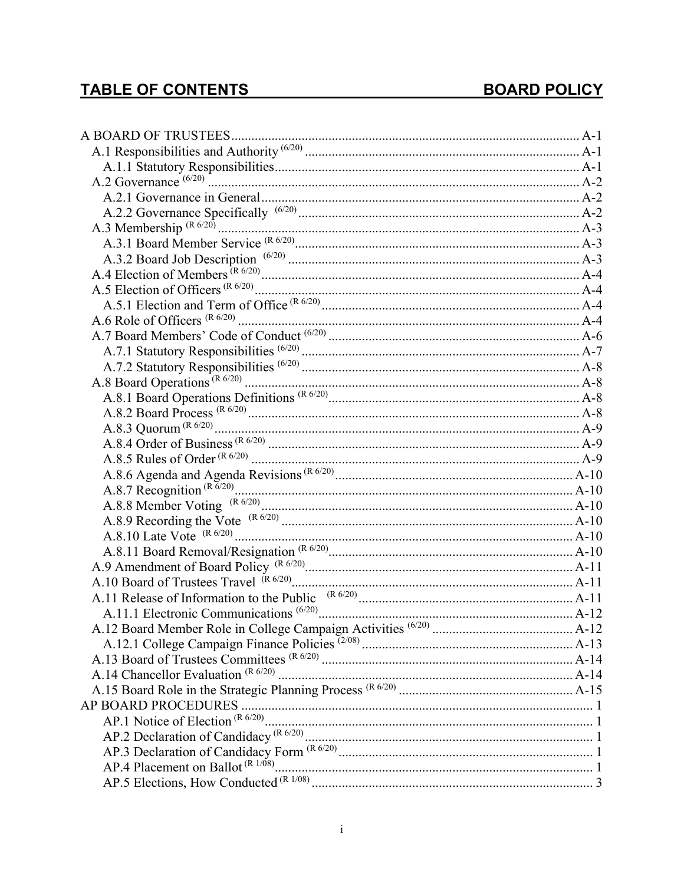# TABLE OF CONTENTS TABLE OF CONTENTS

| A.12 Board Member Role in College Campaign Activities (6/20)<br>A.12.1 College Campaign Finance Policies (2/08)<br>A.13 Board 6 T |
|-----------------------------------------------------------------------------------------------------------------------------------|
|                                                                                                                                   |
|                                                                                                                                   |
|                                                                                                                                   |
|                                                                                                                                   |
|                                                                                                                                   |
|                                                                                                                                   |
|                                                                                                                                   |
|                                                                                                                                   |
|                                                                                                                                   |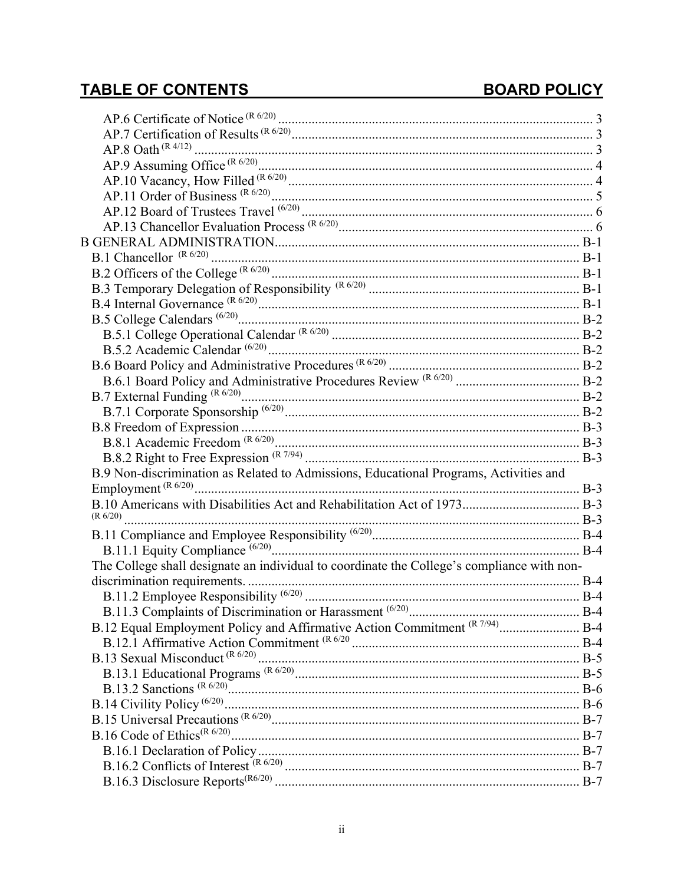# TABLE OF CONTENTS TABLE OF CONTENTS

| B.9 Non-discrimination as Related to Admissions, Educational Programs, Activities and      |  |
|--------------------------------------------------------------------------------------------|--|
|                                                                                            |  |
|                                                                                            |  |
|                                                                                            |  |
|                                                                                            |  |
|                                                                                            |  |
| The College shall designate an individual to coordinate the College's compliance with non- |  |
|                                                                                            |  |
|                                                                                            |  |
|                                                                                            |  |
| B.12 Equal Employment Policy and Affirmative Action Commitment (R 7/94) B-4                |  |
|                                                                                            |  |
|                                                                                            |  |
|                                                                                            |  |
|                                                                                            |  |
|                                                                                            |  |
|                                                                                            |  |
|                                                                                            |  |
|                                                                                            |  |
|                                                                                            |  |
|                                                                                            |  |
|                                                                                            |  |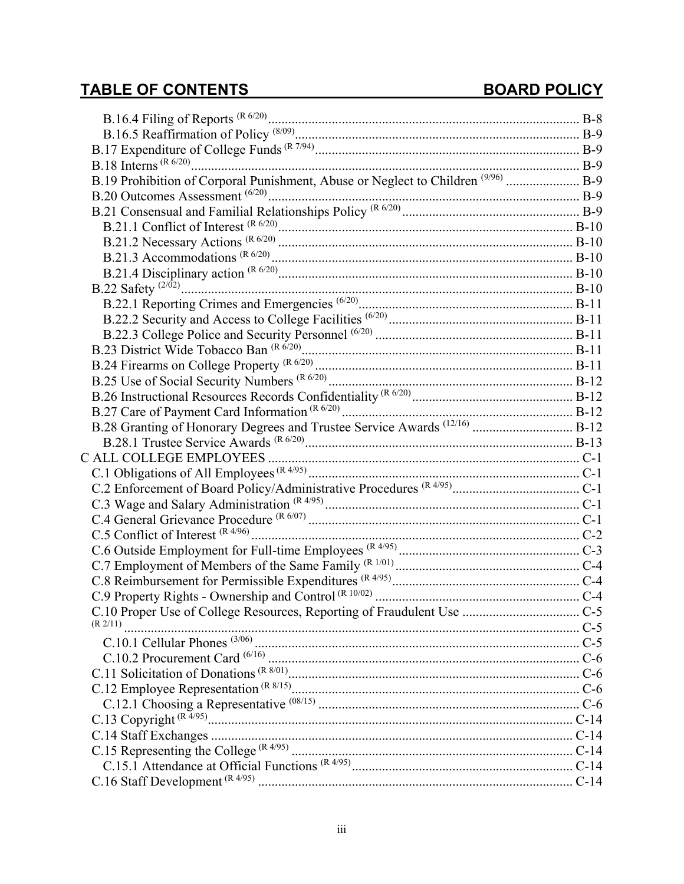# TABLE OF CONTENTS TABLE OF CONTENTS

| B.19 Prohibition of Corporal Punishment, Abuse or Neglect to Children <sup>(9/96)</sup> B-9 |  |
|---------------------------------------------------------------------------------------------|--|
|                                                                                             |  |
|                                                                                             |  |
|                                                                                             |  |
|                                                                                             |  |
|                                                                                             |  |
|                                                                                             |  |
|                                                                                             |  |
|                                                                                             |  |
|                                                                                             |  |
|                                                                                             |  |
|                                                                                             |  |
|                                                                                             |  |
|                                                                                             |  |
|                                                                                             |  |
|                                                                                             |  |
| B.28 Granting of Honorary Degrees and Trustee Service Awards <sup>(12/16)</sup> B-12        |  |
|                                                                                             |  |
|                                                                                             |  |
|                                                                                             |  |
|                                                                                             |  |
|                                                                                             |  |
|                                                                                             |  |
|                                                                                             |  |
|                                                                                             |  |
|                                                                                             |  |
|                                                                                             |  |
|                                                                                             |  |
|                                                                                             |  |
| (R 2/11)                                                                                    |  |
|                                                                                             |  |
|                                                                                             |  |
|                                                                                             |  |
|                                                                                             |  |
|                                                                                             |  |
|                                                                                             |  |
|                                                                                             |  |
|                                                                                             |  |
|                                                                                             |  |
|                                                                                             |  |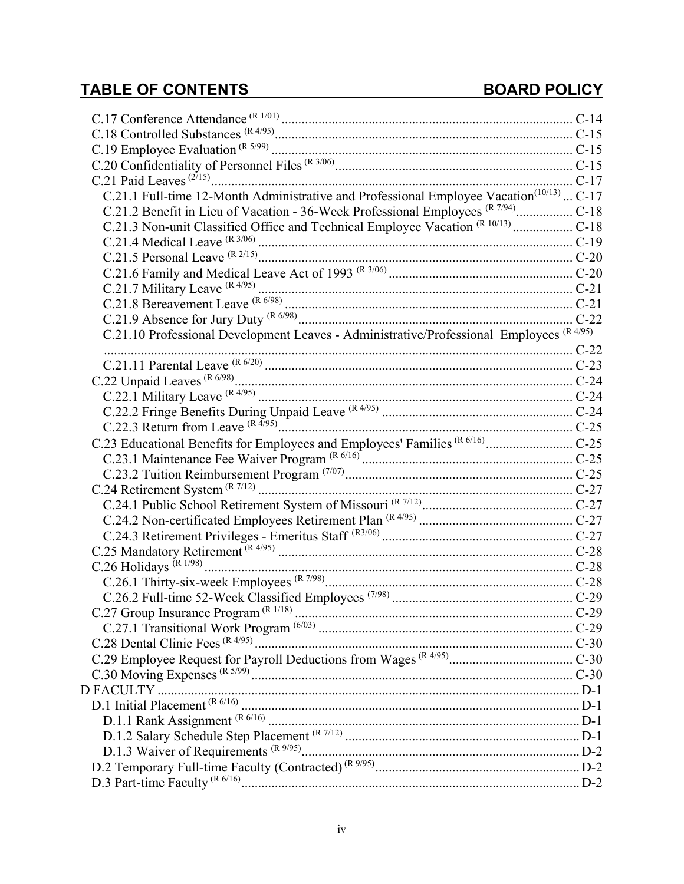| C.21.1 Full-time 12-Month Administrative and Professional Employee Vacation <sup>(10/13)</sup> C-17                                                                   |  |
|-----------------------------------------------------------------------------------------------------------------------------------------------------------------------|--|
| C.21.2 Benefit in Lieu of Vacation - 36-Week Professional Employees (R 7/94) C-18                                                                                     |  |
| C.21.3 Non-unit Classified Office and Technical Employee Vacation (R 10/13)  C-18                                                                                     |  |
|                                                                                                                                                                       |  |
|                                                                                                                                                                       |  |
|                                                                                                                                                                       |  |
|                                                                                                                                                                       |  |
|                                                                                                                                                                       |  |
|                                                                                                                                                                       |  |
| C.21.10 Professional Development Leaves - Administrative/Professional Employees (R 4/95)                                                                              |  |
|                                                                                                                                                                       |  |
|                                                                                                                                                                       |  |
|                                                                                                                                                                       |  |
|                                                                                                                                                                       |  |
|                                                                                                                                                                       |  |
|                                                                                                                                                                       |  |
| C.23 Educational Benefits for Employees and Employees' Families (R 6/16)  C-25                                                                                        |  |
|                                                                                                                                                                       |  |
|                                                                                                                                                                       |  |
| C.24 Retirement System (R 7/12)<br>C.24.1 Public School Retirement System of Missouri (R 7/12)<br>C.24.1 Public School Retirement System of Missouri (R 7/12)<br>C-27 |  |
|                                                                                                                                                                       |  |
|                                                                                                                                                                       |  |
|                                                                                                                                                                       |  |
|                                                                                                                                                                       |  |
|                                                                                                                                                                       |  |
|                                                                                                                                                                       |  |
|                                                                                                                                                                       |  |
|                                                                                                                                                                       |  |
|                                                                                                                                                                       |  |
|                                                                                                                                                                       |  |
|                                                                                                                                                                       |  |
|                                                                                                                                                                       |  |
|                                                                                                                                                                       |  |
|                                                                                                                                                                       |  |
|                                                                                                                                                                       |  |
|                                                                                                                                                                       |  |
|                                                                                                                                                                       |  |
|                                                                                                                                                                       |  |
|                                                                                                                                                                       |  |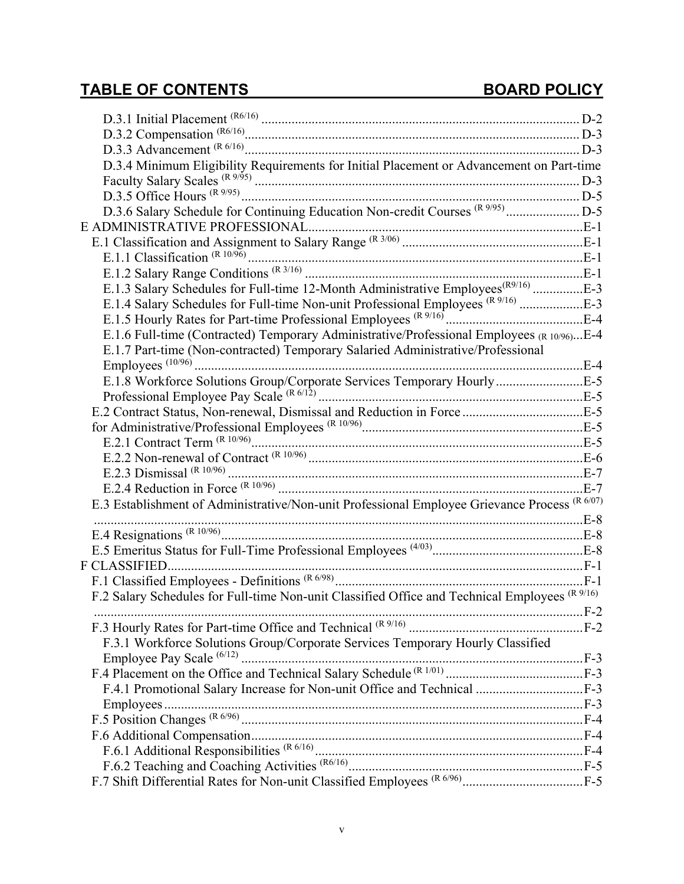| D.3.4 Minimum Eligibility Requirements for Initial Placement or Advancement on Part-time       |  |
|------------------------------------------------------------------------------------------------|--|
|                                                                                                |  |
|                                                                                                |  |
| D.3.6 Salary Schedule for Continuing Education Non-credit Courses (R 9/95)  D-5                |  |
|                                                                                                |  |
|                                                                                                |  |
|                                                                                                |  |
|                                                                                                |  |
| E.1.3 Salary Schedules for Full-time 12-Month Administrative Employees <sup>(R9/16)</sup> E-3  |  |
| E.1.4 Salary Schedules for Full-time Non-unit Professional Employees (R 9/16) E-3              |  |
|                                                                                                |  |
| E.1.6 Full-time (Contracted) Temporary Administrative/Professional Employees (R 10/96)E-4      |  |
| E.1.7 Part-time (Non-contracted) Temporary Salaried Administrative/Professional                |  |
|                                                                                                |  |
| E.1.8 Workforce Solutions Group/Corporate Services Temporary HourlyE-5                         |  |
|                                                                                                |  |
|                                                                                                |  |
|                                                                                                |  |
|                                                                                                |  |
|                                                                                                |  |
|                                                                                                |  |
|                                                                                                |  |
| E.3 Establishment of Administrative/Non-unit Professional Employee Grievance Process (R 6/07)  |  |
|                                                                                                |  |
|                                                                                                |  |
|                                                                                                |  |
|                                                                                                |  |
|                                                                                                |  |
| F.2 Salary Schedules for Full-time Non-unit Classified Office and Technical Employees (R 9/16) |  |
|                                                                                                |  |
|                                                                                                |  |
| F.3.1 Workforce Solutions Group/Corporate Services Temporary Hourly Classified                 |  |
|                                                                                                |  |
|                                                                                                |  |
|                                                                                                |  |
|                                                                                                |  |
|                                                                                                |  |
|                                                                                                |  |
|                                                                                                |  |
|                                                                                                |  |
|                                                                                                |  |
|                                                                                                |  |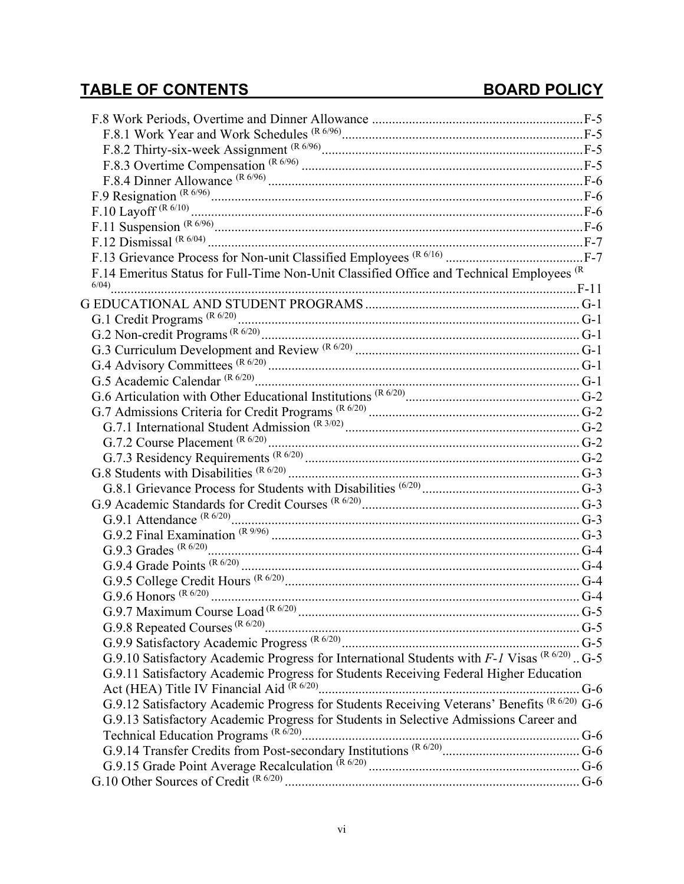| F.14 Emeritus Status for Full-Time Non-Unit Classified Office and Technical Employees (R          |  |
|---------------------------------------------------------------------------------------------------|--|
|                                                                                                   |  |
|                                                                                                   |  |
|                                                                                                   |  |
|                                                                                                   |  |
|                                                                                                   |  |
|                                                                                                   |  |
|                                                                                                   |  |
|                                                                                                   |  |
|                                                                                                   |  |
|                                                                                                   |  |
|                                                                                                   |  |
|                                                                                                   |  |
|                                                                                                   |  |
|                                                                                                   |  |
|                                                                                                   |  |
|                                                                                                   |  |
|                                                                                                   |  |
|                                                                                                   |  |
|                                                                                                   |  |
|                                                                                                   |  |
|                                                                                                   |  |
|                                                                                                   |  |
|                                                                                                   |  |
|                                                                                                   |  |
| G.9.10 Satisfactory Academic Progress for International Students with $F-I$ Visas $(R6/20)$ . G-5 |  |
| G.9.11 Satisfactory Academic Progress for Students Receiving Federal Higher Education             |  |
|                                                                                                   |  |
| G.9.12 Satisfactory Academic Progress for Students Receiving Veterans' Benefits (R 6/20) G-6      |  |
| G.9.13 Satisfactory Academic Progress for Students in Selective Admissions Career and             |  |
|                                                                                                   |  |
|                                                                                                   |  |
|                                                                                                   |  |
|                                                                                                   |  |
|                                                                                                   |  |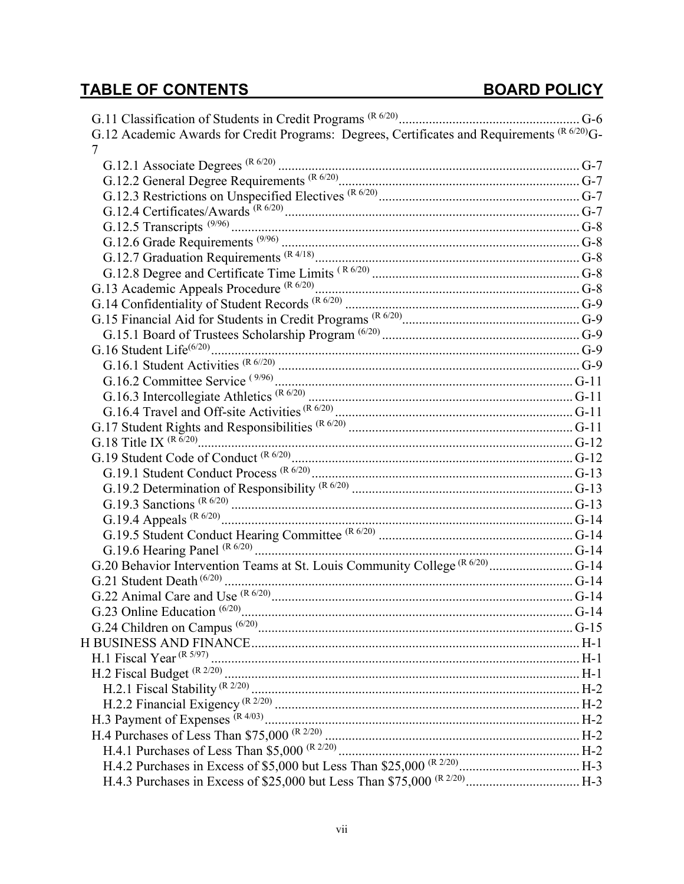# **TABLE OF CONTENTS**

| G.12 Academic Awards for Credit Programs: Degrees, Certificates and Requirements (R 6/20)G-                                                                           |  |
|-----------------------------------------------------------------------------------------------------------------------------------------------------------------------|--|
| 7                                                                                                                                                                     |  |
|                                                                                                                                                                       |  |
|                                                                                                                                                                       |  |
|                                                                                                                                                                       |  |
|                                                                                                                                                                       |  |
|                                                                                                                                                                       |  |
|                                                                                                                                                                       |  |
|                                                                                                                                                                       |  |
|                                                                                                                                                                       |  |
|                                                                                                                                                                       |  |
|                                                                                                                                                                       |  |
|                                                                                                                                                                       |  |
|                                                                                                                                                                       |  |
|                                                                                                                                                                       |  |
|                                                                                                                                                                       |  |
|                                                                                                                                                                       |  |
|                                                                                                                                                                       |  |
|                                                                                                                                                                       |  |
|                                                                                                                                                                       |  |
|                                                                                                                                                                       |  |
|                                                                                                                                                                       |  |
|                                                                                                                                                                       |  |
|                                                                                                                                                                       |  |
|                                                                                                                                                                       |  |
|                                                                                                                                                                       |  |
|                                                                                                                                                                       |  |
|                                                                                                                                                                       |  |
| G.20 Behavior Intervention Teams at St. Louis Community College (R 6/20)  G-14                                                                                        |  |
|                                                                                                                                                                       |  |
|                                                                                                                                                                       |  |
|                                                                                                                                                                       |  |
|                                                                                                                                                                       |  |
|                                                                                                                                                                       |  |
|                                                                                                                                                                       |  |
|                                                                                                                                                                       |  |
|                                                                                                                                                                       |  |
|                                                                                                                                                                       |  |
|                                                                                                                                                                       |  |
|                                                                                                                                                                       |  |
|                                                                                                                                                                       |  |
|                                                                                                                                                                       |  |
|                                                                                                                                                                       |  |
| H.2.2 Financial Exigency (R 2/20)<br>H.3 Payment of Expenses (R 4/03)<br>H.4 Purchases of Less Than \$75,000 (R 2/20)<br>H.4 Purchases of Less Than \$75,000 (R 2/20) |  |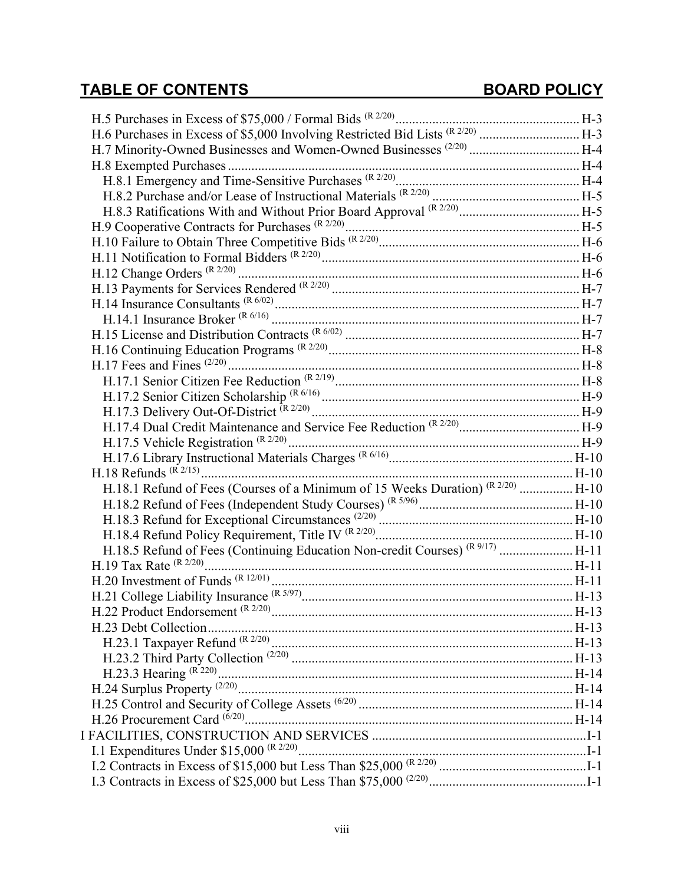| H.6 Purchases in Excess of \$5,000 Involving Restricted Bid Lists (R 2/20)  H-3         |  |
|-----------------------------------------------------------------------------------------|--|
| H.7 Minority-Owned Businesses and Women-Owned Businesses <sup>(2/20)</sup> H-4          |  |
|                                                                                         |  |
|                                                                                         |  |
|                                                                                         |  |
| H.8.3 Ratifications With and Without Prior Board Approval (R 2/20)  H-5                 |  |
|                                                                                         |  |
|                                                                                         |  |
|                                                                                         |  |
|                                                                                         |  |
|                                                                                         |  |
|                                                                                         |  |
|                                                                                         |  |
|                                                                                         |  |
|                                                                                         |  |
|                                                                                         |  |
|                                                                                         |  |
|                                                                                         |  |
|                                                                                         |  |
|                                                                                         |  |
|                                                                                         |  |
|                                                                                         |  |
|                                                                                         |  |
| H.18.1 Refund of Fees (Courses of a Minimum of 15 Weeks Duration) (R 2/20)  H-10        |  |
|                                                                                         |  |
|                                                                                         |  |
|                                                                                         |  |
| H.18.5 Refund of Fees (Continuing Education Non-credit Courses) <sup>(R9/17)</sup> H-11 |  |
|                                                                                         |  |
|                                                                                         |  |
|                                                                                         |  |
|                                                                                         |  |
|                                                                                         |  |
|                                                                                         |  |
|                                                                                         |  |
|                                                                                         |  |
|                                                                                         |  |
|                                                                                         |  |
|                                                                                         |  |
|                                                                                         |  |
|                                                                                         |  |
|                                                                                         |  |
|                                                                                         |  |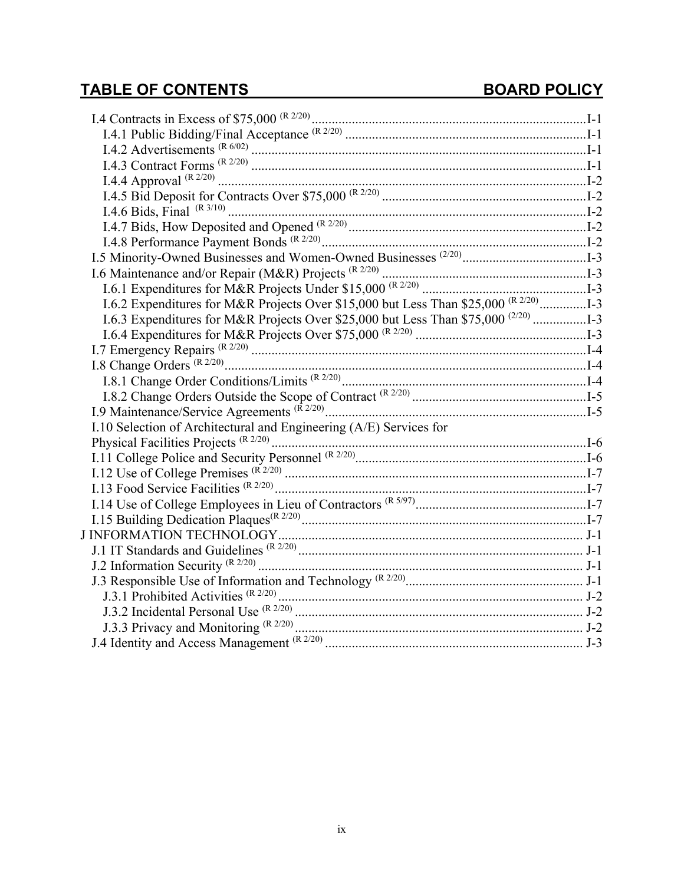| I.6.2 Expenditures for M&R Projects Over \$15,000 but Less Than \$25,000 <sup>(R 2/20)</sup> I-3 |
|--------------------------------------------------------------------------------------------------|
| I.6.3 Expenditures for M&R Projects Over \$25,000 but Less Than \$75,000 <sup>(2/20)</sup> 1-3   |
|                                                                                                  |
|                                                                                                  |
|                                                                                                  |
|                                                                                                  |
|                                                                                                  |
|                                                                                                  |
| I.10 Selection of Architectural and Engineering (A/E) Services for                               |
|                                                                                                  |
|                                                                                                  |
|                                                                                                  |
|                                                                                                  |
|                                                                                                  |
|                                                                                                  |
|                                                                                                  |
|                                                                                                  |
|                                                                                                  |
|                                                                                                  |
|                                                                                                  |
|                                                                                                  |
|                                                                                                  |
|                                                                                                  |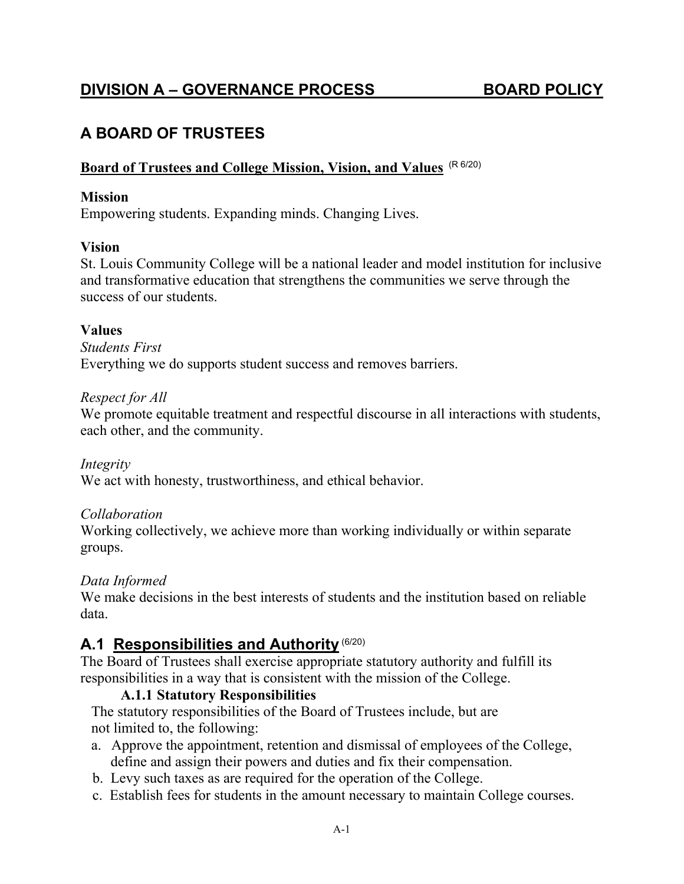## <span id="page-9-0"></span>**A BOARD OF TRUSTEES**

#### **Board of Trustees and College Mission, Vision, and Values** (R 6/20)

#### **Mission**

Empowering students. Expanding minds. Changing Lives.

#### **Vision**

St. Louis Community College will be a national leader and model institution for inclusive and transformative education that strengthens the communities we serve through the success of our students.

#### **Values**

*Students First* Everything we do supports student success and removes barriers.

#### *Respect for All*

We promote equitable treatment and respectful discourse in all interactions with students, each other, and the community.

*Integrity* We act with honesty, trustworthiness, and ethical behavior.

#### *Collaboration*

Working collectively, we achieve more than working individually or within separate groups.

#### *Data Informed*

We make decisions in the best interests of students and the institution based on reliable data.

## <span id="page-9-1"></span>**A.1 Responsibilities and Authority** (6/20)

The Board of Trustees shall exercise appropriate statutory authority and fulfill its responsibilities in a way that is consistent with the mission of the College.

#### **A.1.1 Statutory Responsibilities**

<span id="page-9-2"></span> The statutory responsibilities of the Board of Trustees include, but are not limited to, the following:

- a. Approve the appointment, retention and dismissal of employees of the College, define and assign their powers and duties and fix their compensation.
- b. Levy such taxes as are required for the operation of the College.
- c. Establish fees for students in the amount necessary to maintain College courses.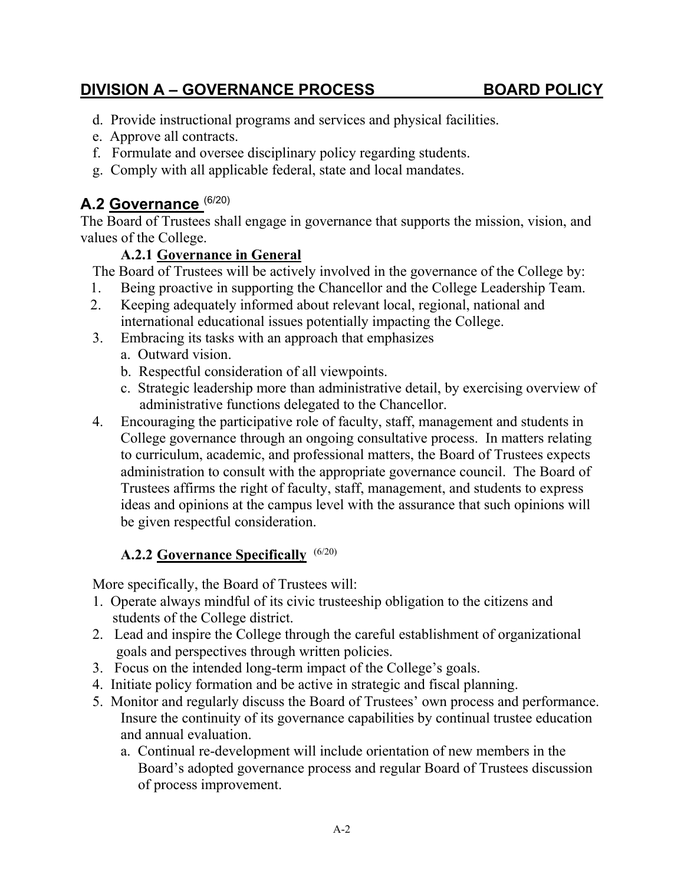- d. Provide instructional programs and services and physical facilities.
- e. Approve all contracts.
- f. Formulate and oversee disciplinary policy regarding students.
- g. Comply with all applicable federal, state and local mandates.

## <span id="page-10-0"></span>**A.2 Governance** (6/20)

The Board of Trustees shall engage in governance that supports the mission, vision, and values of the College.

### **A.2.1 Governance in General**

<span id="page-10-1"></span>The Board of Trustees will be actively involved in the governance of the College by:

- 1. Being proactive in supporting the Chancellor and the College Leadership Team.
- 2. Keeping adequately informed about relevant local, regional, national and international educational issues potentially impacting the College.
- 3. Embracing its tasks with an approach that emphasizes
	- a. Outward vision.
	- b. Respectful consideration of all viewpoints.
	- c. Strategic leadership more than administrative detail, by exercising overview of administrative functions delegated to the Chancellor.
- 4. Encouraging the participative role of faculty, staff, management and students in College governance through an ongoing consultative process. In matters relating to curriculum, academic, and professional matters, the Board of Trustees expects administration to consult with the appropriate governance council. The Board of Trustees affirms the right of faculty, staff, management, and students to express ideas and opinions at the campus level with the assurance that such opinions will be given respectful consideration.

## **A.2.2 Governance Specifically**  (6/20)

<span id="page-10-2"></span>More specifically, the Board of Trustees will:

- 1. Operate always mindful of its civic trusteeship obligation to the citizens and students of the College district.
- 2. Lead and inspire the College through the careful establishment of organizational goals and perspectives through written policies.
- 3. Focus on the intended long-term impact of the College's goals.
- 4. Initiate policy formation and be active in strategic and fiscal planning.
- 5. Monitor and regularly discuss the Board of Trustees' own process and performance. Insure the continuity of its governance capabilities by continual trustee education and annual evaluation.
	- a. Continual re-development will include orientation of new members in the Board's adopted governance process and regular Board of Trustees discussion of process improvement.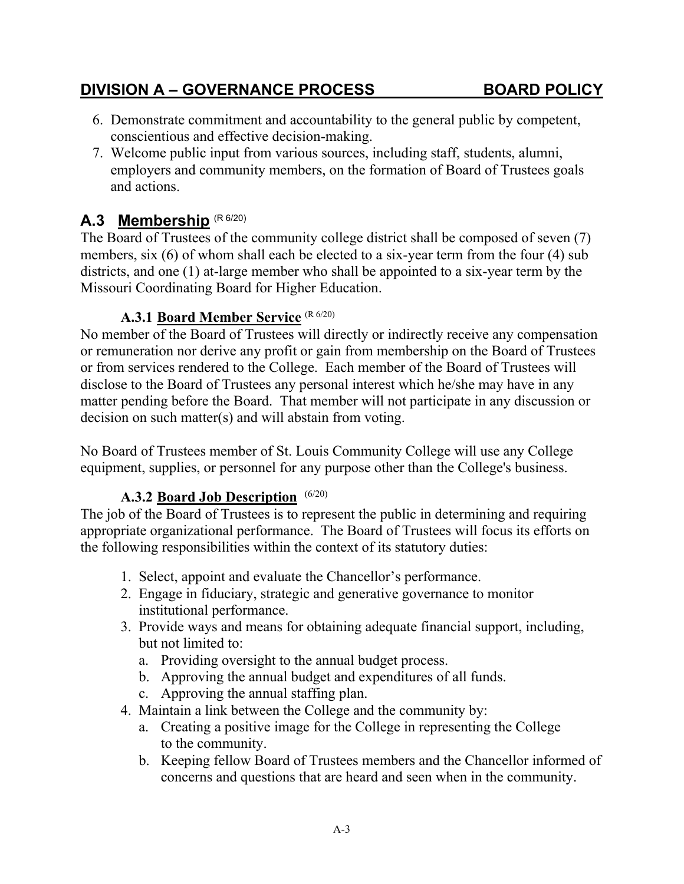### **A.3.1 Board Member Service** (R 6/20)

Missouri Coordinating Board for Higher Education.

<span id="page-11-1"></span>No member of the Board of Trustees will directly or indirectly receive any compensation or remuneration nor derive any profit or gain from membership on the Board of Trustees or from services rendered to the College. Each member of the Board of Trustees will disclose to the Board of Trustees any personal interest which he/she may have in any matter pending before the Board. That member will not participate in any discussion or decision on such matter(s) and will abstain from voting.

No Board of Trustees member of St. Louis Community College will use any College equipment, supplies, or personnel for any purpose other than the College's business.

#### **A.3.2 Board Job Description**  (6/20)

<span id="page-11-2"></span>The job of the Board of Trustees is to represent the public in determining and requiring appropriate organizational performance. The Board of Trustees will focus its efforts on the following responsibilities within the context of its statutory duties:

- 1. Select, appoint and evaluate the Chancellor's performance.
- 2. Engage in fiduciary, strategic and generative governance to monitor institutional performance.
- 3. Provide ways and means for obtaining adequate financial support, including, but not limited to:
	- a. Providing oversight to the annual budget process.
	- b. Approving the annual budget and expenditures of all funds.
	- c. Approving the annual staffing plan.
- 4. Maintain a link between the College and the community by:
	- a. Creating a positive image for the College in representing the College to the community.
	- b. Keeping fellow Board of Trustees members and the Chancellor informed of concerns and questions that are heard and seen when in the community.

#### members, six (6) of whom shall each be elected to a six-year term from the four (4) sub districts, and one (1) at-large member who shall be appointed to a six-year term by the

<span id="page-11-0"></span>A.3 Membership (R 6/20)

7. Welcome public input from various sources, including staff, students, alumni, employers and community members, on the formation of Board of Trustees goals and actions.

The Board of Trustees of the community college district shall be composed of seven (7)

6. Demonstrate commitment and accountability to the general public by competent,

## **DIVISION A – GOVERNANCE PROCESS BOARD POLICY**

conscientious and effective decision-making.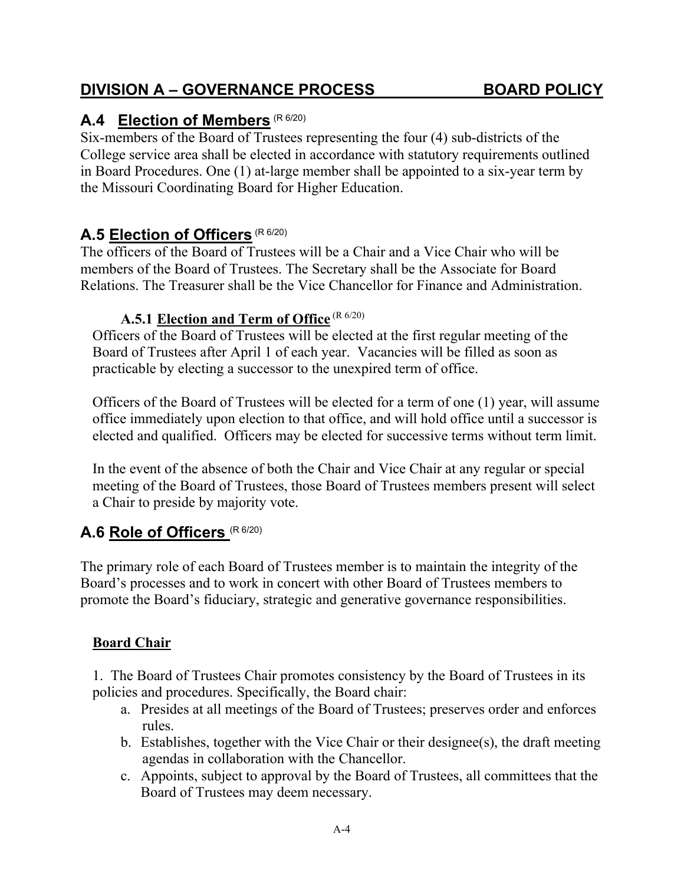## <span id="page-12-0"></span>**A.4 Election of Members** (R 6/20)

Six-members of the Board of Trustees representing the four (4) sub-districts of the College service area shall be elected in accordance with statutory requirements outlined in Board Procedures. One (1) at-large member shall be appointed to a six-year term by the Missouri Coordinating Board for Higher Education.

## <span id="page-12-1"></span>**A.5 Election of Officers** (R 6/20)

The officers of the Board of Trustees will be a Chair and a Vice Chair who will be members of the Board of Trustees. The Secretary shall be the Associate for Board Relations. The Treasurer shall be the Vice Chancellor for Finance and Administration.

#### **A.5.1 Election and Term of Office** (R 6/20)

<span id="page-12-2"></span>Officers of the Board of Trustees will be elected at the first regular meeting of the Board of Trustees after April 1 of each year. Vacancies will be filled as soon as practicable by electing a successor to the unexpired term of office.

Officers of the Board of Trustees will be elected for a term of one (1) year, will assume office immediately upon election to that office, and will hold office until a successor is elected and qualified. Officers may be elected for successive terms without term limit.

In the event of the absence of both the Chair and Vice Chair at any regular or special meeting of the Board of Trustees, those Board of Trustees members present will select a Chair to preside by majority vote.

## <span id="page-12-3"></span>**A.6 Role of Officers** (R 6/20)

The primary role of each Board of Trustees member is to maintain the integrity of the Board's processes and to work in concert with other Board of Trustees members to promote the Board's fiduciary, strategic and generative governance responsibilities.

#### **Board Chair**

1. The Board of Trustees Chair promotes consistency by the Board of Trustees in its policies and procedures. Specifically, the Board chair:

- a. Presides at all meetings of the Board of Trustees; preserves order and enforces rules.
- b. Establishes, together with the Vice Chair or their designee(s), the draft meeting agendas in collaboration with the Chancellor.
- c. Appoints, subject to approval by the Board of Trustees, all committees that the Board of Trustees may deem necessary.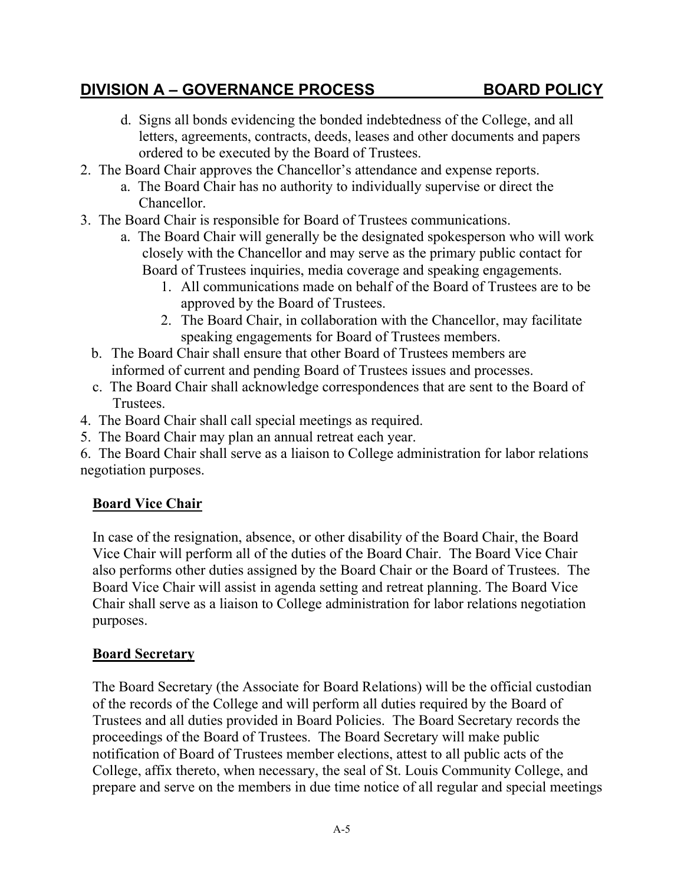- d. Signs all bonds evidencing the bonded indebtedness of the College, and all letters, agreements, contracts, deeds, leases and other documents and papers ordered to be executed by the Board of Trustees.
- 2. The Board Chair approves the Chancellor's attendance and expense reports.
	- a. The Board Chair has no authority to individually supervise or direct the Chancellor.
- 3. The Board Chair is responsible for Board of Trustees communications.
	- a. The Board Chair will generally be the designated spokesperson who will work closely with the Chancellor and may serve as the primary public contact for Board of Trustees inquiries, media coverage and speaking engagements.
		- 1. All communications made on behalf of the Board of Trustees are to be approved by the Board of Trustees.
		- 2. The Board Chair, in collaboration with the Chancellor, may facilitate speaking engagements for Board of Trustees members.
	- b. The Board Chair shall ensure that other Board of Trustees members are informed of current and pending Board of Trustees issues and processes.
	- c. The Board Chair shall acknowledge correspondences that are sent to the Board of Trustees.
- 4. The Board Chair shall call special meetings as required.
- 5. The Board Chair may plan an annual retreat each year.

6. The Board Chair shall serve as a liaison to College administration for labor relations negotiation purposes.

### **Board Vice Chair**

In case of the resignation, absence, or other disability of the Board Chair, the Board Vice Chair will perform all of the duties of the Board Chair. The Board Vice Chair also performs other duties assigned by the Board Chair or the Board of Trustees. The Board Vice Chair will assist in agenda setting and retreat planning. The Board Vice Chair shall serve as a liaison to College administration for labor relations negotiation purposes.

#### **Board Secretary**

The Board Secretary (the Associate for Board Relations) will be the official custodian of the records of the College and will perform all duties required by the Board of Trustees and all duties provided in Board Policies. The Board Secretary records the proceedings of the Board of Trustees. The Board Secretary will make public notification of Board of Trustees member elections, attest to all public acts of the College, affix thereto, when necessary, the seal of St. Louis Community College, and prepare and serve on the members in due time notice of all regular and special meetings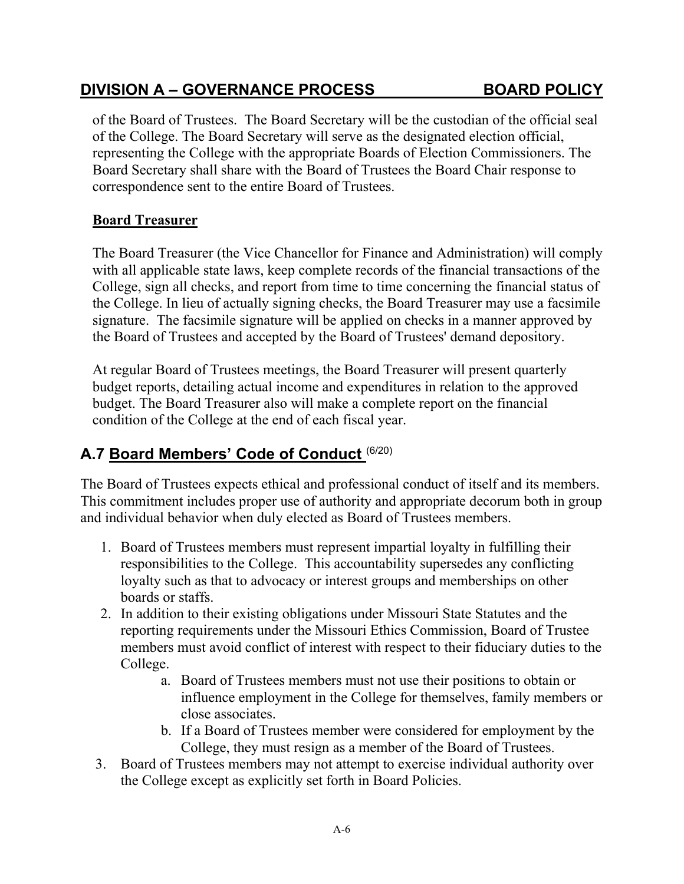correspondence sent to the entire Board of Trustees.

The Board Treasurer (the Vice Chancellor for Finance and Administration) will comply with all applicable state laws, keep complete records of the financial transactions of the College, sign all checks, and report from time to time concerning the financial status of the College. In lieu of actually signing checks, the Board Treasurer may use a facsimile signature. The facsimile signature will be applied on checks in a manner approved by the Board of Trustees and accepted by the Board of Trustees' demand depository.

of the Board of Trustees. The Board Secretary will be the custodian of the official seal

of the College. The Board Secretary will serve as the designated election official, representing the College with the appropriate Boards of Election Commissioners. The Board Secretary shall share with the Board of Trustees the Board Chair response to

At regular Board of Trustees meetings, the Board Treasurer will present quarterly budget reports, detailing actual income and expenditures in relation to the approved budget. The Board Treasurer also will make a complete report on the financial condition of the College at the end of each fiscal year.

### <span id="page-14-0"></span>**A.7 Board Members' Code of Conduct** (6/20)

The Board of Trustees expects ethical and professional conduct of itself and its members. This commitment includes proper use of authority and appropriate decorum both in group and individual behavior when duly elected as Board of Trustees members.

- 1. Board of Trustees members must represent impartial loyalty in fulfilling their responsibilities to the College. This accountability supersedes any conflicting loyalty such as that to advocacy or interest groups and memberships on other boards or staffs.
- 2. In addition to their existing obligations under Missouri State Statutes and the reporting requirements under the Missouri Ethics Commission, Board of Trustee members must avoid conflict of interest with respect to their fiduciary duties to the College.
	- a. Board of Trustees members must not use their positions to obtain or influence employment in the College for themselves, family members or close associates.
	- b. If a Board of Trustees member were considered for employment by the College, they must resign as a member of the Board of Trustees.
- 3. Board of Trustees members may not attempt to exercise individual authority over the College except as explicitly set forth in Board Policies.

### **DIVISION A – GOVERNANCE PROCESS BOARD POLICY**

**Board Treasurer**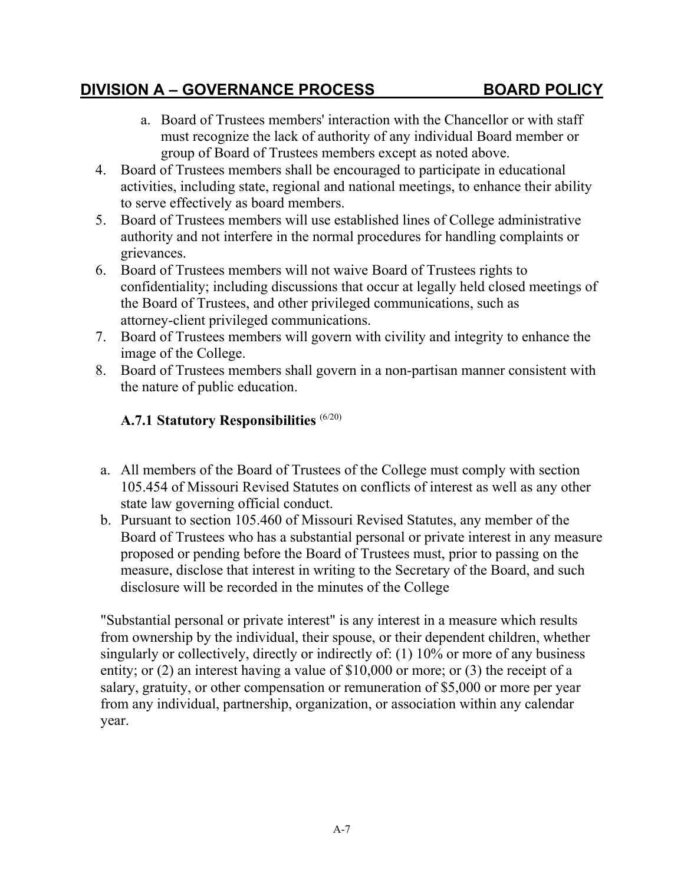- a. Board of Trustees members' interaction with the Chancellor or with staff must recognize the lack of authority of any individual Board member or group of Board of Trustees members except as noted above.
- 4. Board of Trustees members shall be encouraged to participate in educational activities, including state, regional and national meetings, to enhance their ability to serve effectively as board members.
- 5. Board of Trustees members will use established lines of College administrative authority and not interfere in the normal procedures for handling complaints or grievances.
- 6. Board of Trustees members will not waive Board of Trustees rights to confidentiality; including discussions that occur at legally held closed meetings of the Board of Trustees, and other privileged communications, such as attorney-client privileged communications.
- 7. Board of Trustees members will govern with civility and integrity to enhance the image of the College.
- 8. Board of Trustees members shall govern in a non-partisan manner consistent with the nature of public education.

### <span id="page-15-0"></span>**A.7.1 Statutory Responsibilities** (6/20)

- a. All members of the Board of Trustees of the College must comply with section 105.454 of Missouri Revised Statutes on conflicts of interest as well as any other state law governing official conduct.
- b. Pursuant to section 105.460 of Missouri Revised Statutes, any member of the Board of Trustees who has a substantial personal or private interest in any measure proposed or pending before the Board of Trustees must, prior to passing on the measure, disclose that interest in writing to the Secretary of the Board, and such disclosure will be recorded in the minutes of the College

"Substantial personal or private interest" is any interest in a measure which results from ownership by the individual, their spouse, or their dependent children, whether singularly or collectively, directly or indirectly of: (1) 10% or more of any business entity; or (2) an interest having a value of \$10,000 or more; or (3) the receipt of a salary, gratuity, or other compensation or remuneration of \$5,000 or more per year from any individual, partnership, organization, or association within any calendar year.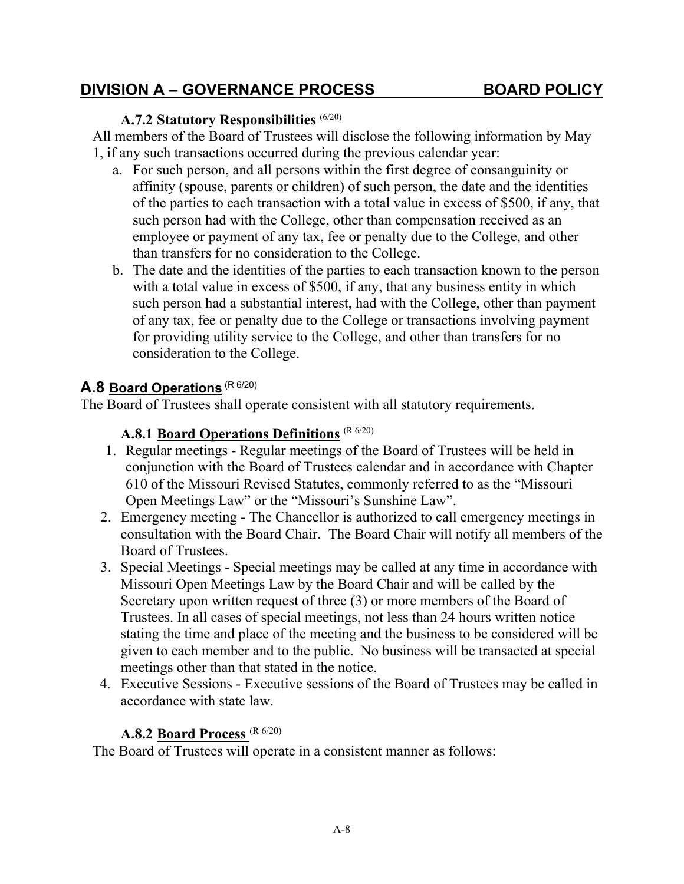#### **A.7.2 Statutory Responsibilities** (6/20)

<span id="page-16-0"></span>All members of the Board of Trustees will disclose the following information by May 1, if any such transactions occurred during the previous calendar year:

- a. For such person, and all persons within the first degree of consanguinity or affinity (spouse, parents or children) of such person, the date and the identities of the parties to each transaction with a total value in excess of \$500, if any, that such person had with the College, other than compensation received as an employee or payment of any tax, fee or penalty due to the College, and other than transfers for no consideration to the College.
- b. The date and the identities of the parties to each transaction known to the person with a total value in excess of \$500, if any, that any business entity in which such person had a substantial interest, had with the College, other than payment of any tax, fee or penalty due to the College or transactions involving payment for providing utility service to the College, and other than transfers for no consideration to the College.

#### <span id="page-16-1"></span>**A.8 Board Operations** (R 6/20)

<span id="page-16-2"></span>The Board of Trustees shall operate consistent with all statutory requirements.

#### **A.8.1 Board Operations Definitions** (R 6/20)

- 1. Regular meetings Regular meetings of the Board of Trustees will be held in conjunction with the Board of Trustees calendar and in accordance with Chapter 610 of the Missouri Revised Statutes, commonly referred to as the "Missouri Open Meetings Law" or the "Missouri's Sunshine Law".
- 2. Emergency meeting The Chancellor is authorized to call emergency meetings in consultation with the Board Chair. The Board Chair will notify all members of the Board of Trustees.
- 3. Special Meetings Special meetings may be called at any time in accordance with Missouri Open Meetings Law by the Board Chair and will be called by the Secretary upon written request of three (3) or more members of the Board of Trustees. In all cases of special meetings, not less than 24 hours written notice stating the time and place of the meeting and the business to be considered will be given to each member and to the public. No business will be transacted at special meetings other than that stated in the notice.
- 4. Executive Sessions Executive sessions of the Board of Trustees may be called in accordance with state law.

#### **A.8.2 Board Process** (R 6/20)

<span id="page-16-3"></span>The Board of Trustees will operate in a consistent manner as follows: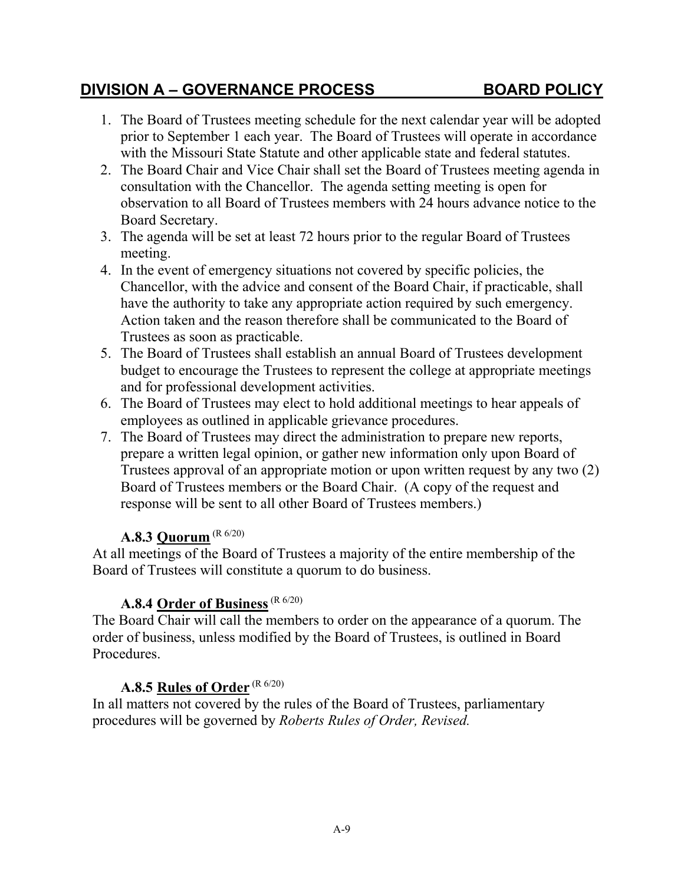- 1. The Board of Trustees meeting schedule for the next calendar year will be adopted prior to September 1 each year. The Board of Trustees will operate in accordance with the Missouri State Statute and other applicable state and federal statutes.
- 2. The Board Chair and Vice Chair shall set the Board of Trustees meeting agenda in consultation with the Chancellor. The agenda setting meeting is open for observation to all Board of Trustees members with 24 hours advance notice to the Board Secretary.
- 3. The agenda will be set at least 72 hours prior to the regular Board of Trustees meeting.
- 4. In the event of emergency situations not covered by specific policies, the Chancellor, with the advice and consent of the Board Chair, if practicable, shall have the authority to take any appropriate action required by such emergency. Action taken and the reason therefore shall be communicated to the Board of Trustees as soon as practicable.
- 5. The Board of Trustees shall establish an annual Board of Trustees development budget to encourage the Trustees to represent the college at appropriate meetings and for professional development activities.
- 6. The Board of Trustees may elect to hold additional meetings to hear appeals of employees as outlined in applicable grievance procedures.
- 7. The Board of Trustees may direct the administration to prepare new reports, prepare a written legal opinion, or gather new information only upon Board of Trustees approval of an appropriate motion or upon written request by any two (2) Board of Trustees members or the Board Chair. (A copy of the request and response will be sent to all other Board of Trustees members.)

#### **A.8.3 Quorum** (R 6/20)

<span id="page-17-0"></span>At all meetings of the Board of Trustees a majority of the entire membership of the Board of Trustees will constitute a quorum to do business.

#### A.8.4 Order of Business<sup>(R 6/20)</sup>

<span id="page-17-1"></span>The Board Chair will call the members to order on the appearance of a quorum. The order of business, unless modified by the Board of Trustees, is outlined in Board Procedures.

#### **A.8.5 Rules of Order** (R 6/20)

<span id="page-17-2"></span>In all matters not covered by the rules of the Board of Trustees, parliamentary procedures will be governed by *Roberts Rules of Order, Revised.*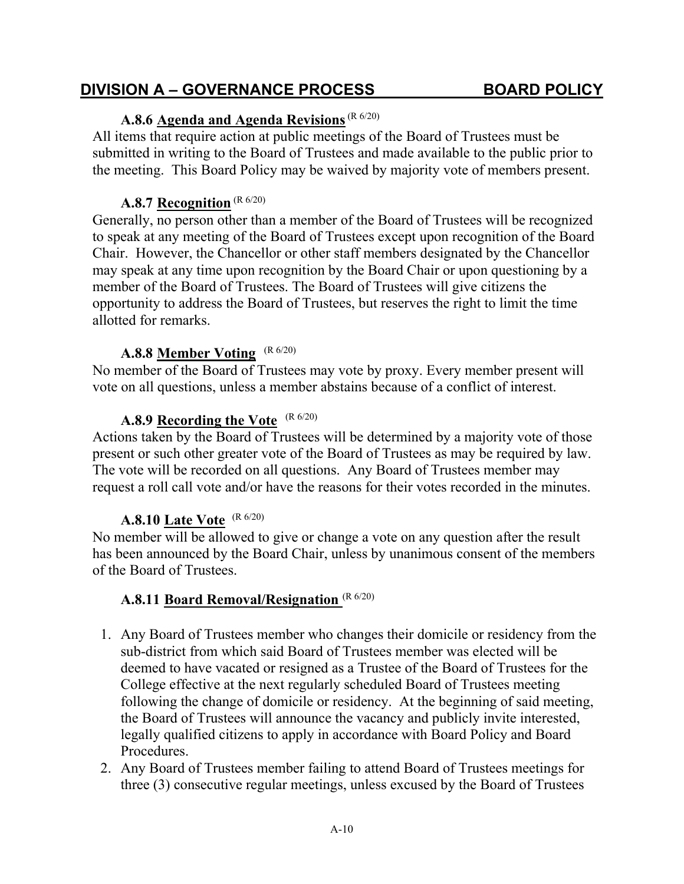## **A.8.6 Agenda and Agenda Revisions**(R 6/20)

<span id="page-18-0"></span>All items that require action at public meetings of the Board of Trustees must be submitted in writing to the Board of Trustees and made available to the public prior to the meeting. This Board Policy may be waived by majority vote of members present.

#### **A.8.7 Recognition** (R 6/20)

<span id="page-18-1"></span>Generally, no person other than a member of the Board of Trustees will be recognized to speak at any meeting of the Board of Trustees except upon recognition of the Board Chair. However, the Chancellor or other staff members designated by the Chancellor may speak at any time upon recognition by the Board Chair or upon questioning by a member of the Board of Trustees. The Board of Trustees will give citizens the opportunity to address the Board of Trustees, but reserves the right to limit the time allotted for remarks.

## **A.8.8 Member Voting** (R 6/20)

<span id="page-18-2"></span>No member of the Board of Trustees may vote by proxy. Every member present will vote on all questions, unless a member abstains because of a conflict of interest.

#### **A.8.9 Recording the Vote** (R 6/20)

<span id="page-18-3"></span>Actions taken by the Board of Trustees will be determined by a majority vote of those present or such other greater vote of the Board of Trustees as may be required by law. The vote will be recorded on all questions. Any Board of Trustees member may request a roll call vote and/or have the reasons for their votes recorded in the minutes.

#### **A.8.10 Late Vote** (R 6/20)

<span id="page-18-4"></span>No member will be allowed to give or change a vote on any question after the result has been announced by the Board Chair, unless by unanimous consent of the members of the Board of Trustees.

#### **A.8.11 Board Removal/Resignation** (R 6/20)

- <span id="page-18-5"></span>1. Any Board of Trustees member who changes their domicile or residency from the sub-district from which said Board of Trustees member was elected will be deemed to have vacated or resigned as a Trustee of the Board of Trustees for the College effective at the next regularly scheduled Board of Trustees meeting following the change of domicile or residency. At the beginning of said meeting, the Board of Trustees will announce the vacancy and publicly invite interested, legally qualified citizens to apply in accordance with Board Policy and Board Procedures.
- 2. Any Board of Trustees member failing to attend Board of Trustees meetings for three (3) consecutive regular meetings, unless excused by the Board of Trustees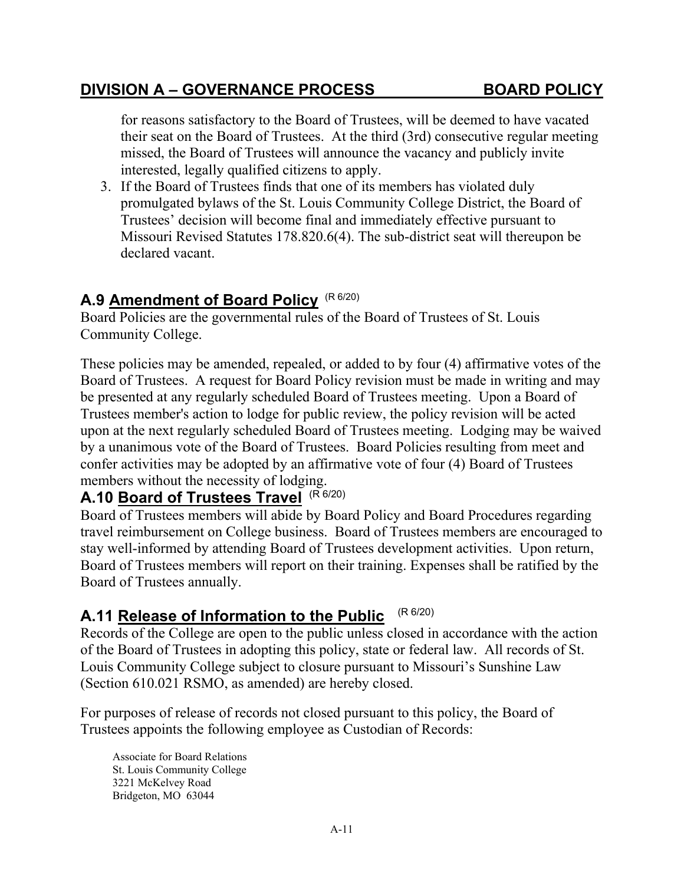for reasons satisfactory to the Board of Trustees, will be deemed to have vacated their seat on the Board of Trustees. At the third (3rd) consecutive regular meeting missed, the Board of Trustees will announce the vacancy and publicly invite interested, legally qualified citizens to apply.

3. If the Board of Trustees finds that one of its members has violated duly promulgated bylaws of the St. Louis Community College District, the Board of Trustees' decision will become final and immediately effective pursuant to Missouri Revised Statutes 178.820.6(4). The sub-district seat will thereupon be declared vacant.

## <span id="page-19-0"></span>**A.9 Amendment of Board Policy** (R 6/20)

Board Policies are the governmental rules of the Board of Trustees of St. Louis Community College.

These policies may be amended, repealed, or added to by four (4) affirmative votes of the Board of Trustees. A request for Board Policy revision must be made in writing and may be presented at any regularly scheduled Board of Trustees meeting. Upon a Board of Trustees member's action to lodge for public review, the policy revision will be acted upon at the next regularly scheduled Board of Trustees meeting. Lodging may be waived by a unanimous vote of the Board of Trustees. Board Policies resulting from meet and confer activities may be adopted by an affirmative vote of four (4) Board of Trustees members without the necessity of lodging.

# <span id="page-19-1"></span>**A.10 Board of Trustees Travel** (R 6/20)

Board of Trustees members will abide by Board Policy and Board Procedures regarding travel reimbursement on College business. Board of Trustees members are encouraged to stay well-informed by attending Board of Trustees development activities. Upon return, Board of Trustees members will report on their training. Expenses shall be ratified by the Board of Trustees annually.

## <span id="page-19-2"></span>**A.11 Release of Information to the Public** (R 6/20)

Records of the College are open to the public unless closed in accordance with the action of the Board of Trustees in adopting this policy, state or federal law. All records of St. Louis Community College subject to closure pursuant to Missouri's Sunshine Law (Section 610.021 RSMO, as amended) are hereby closed.

For purposes of release of records not closed pursuant to this policy, the Board of Trustees appoints the following employee as Custodian of Records:

Associate for Board Relations St. Louis Community College 3221 McKelvey Road Bridgeton, MO 63044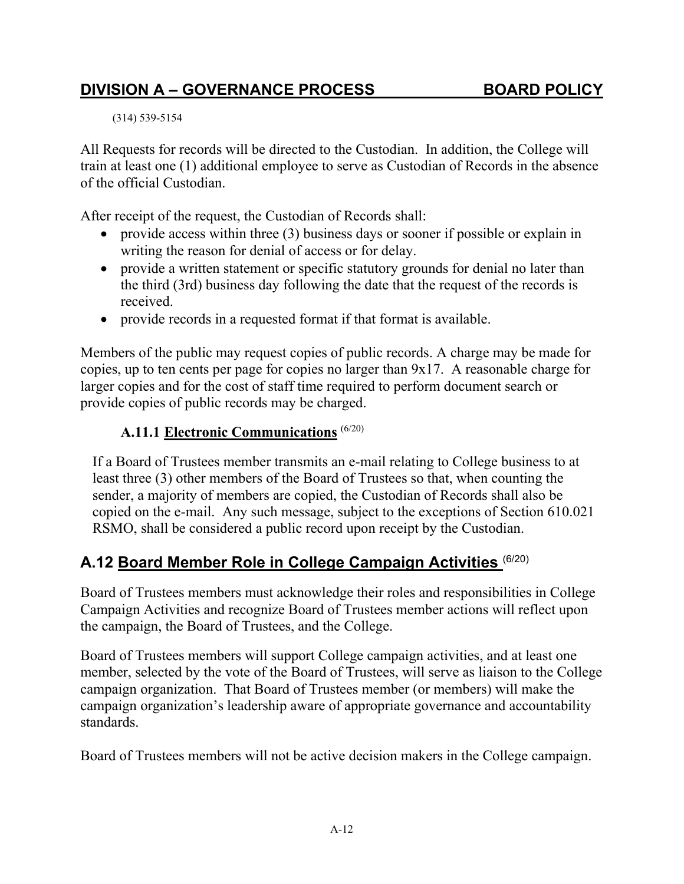(314) 539-5154

All Requests for records will be directed to the Custodian. In addition, the College will train at least one (1) additional employee to serve as Custodian of Records in the absence of the official Custodian.

After receipt of the request, the Custodian of Records shall:

- provide access within three (3) business days or sooner if possible or explain in writing the reason for denial of access or for delay.
- provide a written statement or specific statutory grounds for denial no later than the third (3rd) business day following the date that the request of the records is received.
- provide records in a requested format if that format is available.

Members of the public may request copies of public records. A charge may be made for copies, up to ten cents per page for copies no larger than 9x17. A reasonable charge for larger copies and for the cost of staff time required to perform document search or provide copies of public records may be charged.

#### **A.11.1 Electronic Communications** (6/20)

<span id="page-20-0"></span>If a Board of Trustees member transmits an e-mail relating to College business to at least three (3) other members of the Board of Trustees so that, when counting the sender, a majority of members are copied, the Custodian of Records shall also be copied on the e-mail. Any such message, subject to the exceptions of Section 610.021 RSMO, shall be considered a public record upon receipt by the Custodian.

## <span id="page-20-1"></span>**A.12 Board Member Role in College Campaign Activities** (6/20)

Board of Trustees members must acknowledge their roles and responsibilities in College Campaign Activities and recognize Board of Trustees member actions will reflect upon the campaign, the Board of Trustees, and the College.

Board of Trustees members will support College campaign activities, and at least one member, selected by the vote of the Board of Trustees, will serve as liaison to the College campaign organization. That Board of Trustees member (or members) will make the campaign organization's leadership aware of appropriate governance and accountability standards.

Board of Trustees members will not be active decision makers in the College campaign.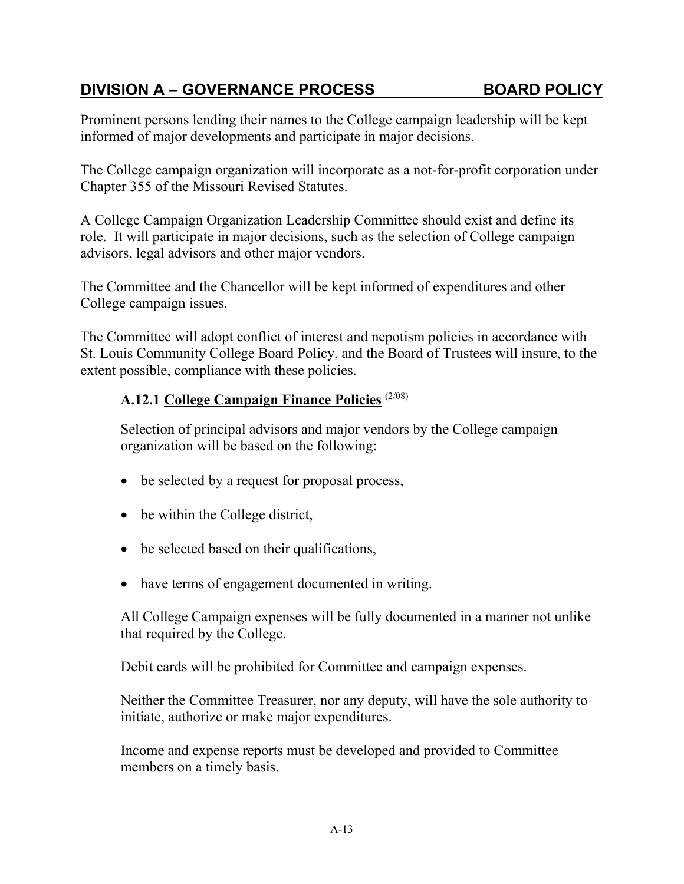Prominent persons lending their names to the College campaign leadership will be kept informed of major developments and participate in major decisions.

The College campaign organization will incorporate as a not-for-profit corporation under Chapter 355 of the Missouri Revised Statutes.

A College Campaign Organization Leadership Committee should exist and define its role. It will participate in major decisions, such as the selection of College campaign advisors, legal advisors and other major vendors.

The Committee and the Chancellor will be kept informed of expenditures and other College campaign issues.

The Committee will adopt conflict of interest and nepotism policies in accordance with St. Louis Community College Board Policy, and the Board of Trustees will insure, to the extent possible, compliance with these policies.

#### <span id="page-21-0"></span>**A.12.1 College Campaign Finance Policies** (2/08)

Selection of principal advisors and major vendors by the College campaign organization will be based on the following:

- be selected by a request for proposal process,
- be within the College district,
- be selected based on their qualifications,
- have terms of engagement documented in writing.

All College Campaign expenses will be fully documented in a manner not unlike that required by the College.

Debit cards will be prohibited for Committee and campaign expenses.

Neither the Committee Treasurer, nor any deputy, will have the sole authority to initiate, authorize or make major expenditures.

Income and expense reports must be developed and provided to Committee members on a timely basis.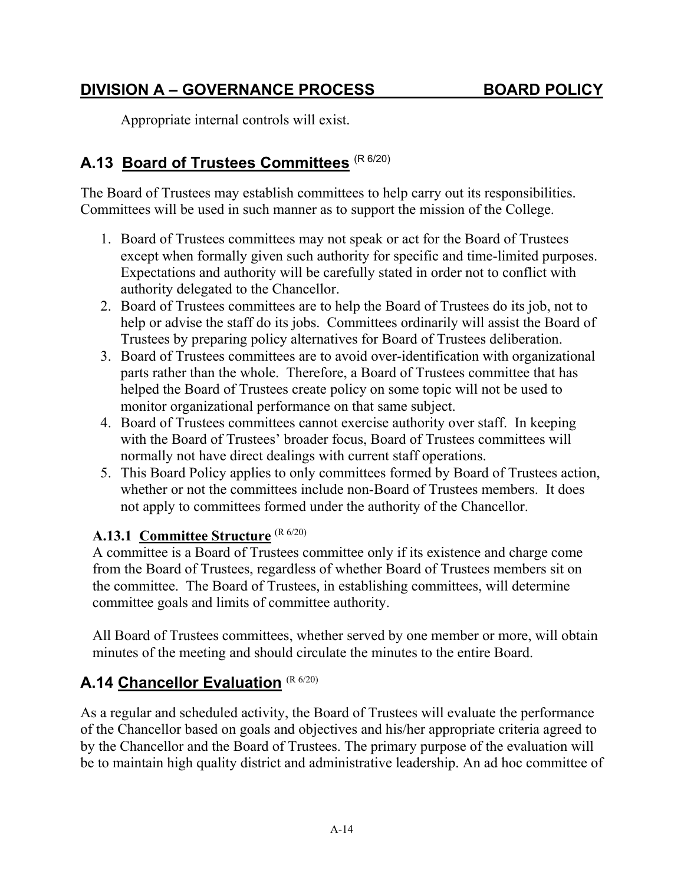Appropriate internal controls will exist.

## <span id="page-22-0"></span>**A.13 Board of Trustees Committees** (R 6/20)

The Board of Trustees may establish committees to help carry out its responsibilities. Committees will be used in such manner as to support the mission of the College.

- 1. Board of Trustees committees may not speak or act for the Board of Trustees except when formally given such authority for specific and time-limited purposes. Expectations and authority will be carefully stated in order not to conflict with authority delegated to the Chancellor.
- 2. Board of Trustees committees are to help the Board of Trustees do its job, not to help or advise the staff do its jobs. Committees ordinarily will assist the Board of Trustees by preparing policy alternatives for Board of Trustees deliberation.
- 3. Board of Trustees committees are to avoid over-identification with organizational parts rather than the whole. Therefore, a Board of Trustees committee that has helped the Board of Trustees create policy on some topic will not be used to monitor organizational performance on that same subject.
- 4. Board of Trustees committees cannot exercise authority over staff. In keeping with the Board of Trustees' broader focus, Board of Trustees committees will normally not have direct dealings with current staff operations.
- 5. This Board Policy applies to only committees formed by Board of Trustees action, whether or not the committees include non-Board of Trustees members. It does not apply to committees formed under the authority of the Chancellor.

#### **A.13.1 Committee Structure** (R 6/20)

A committee is a Board of Trustees committee only if its existence and charge come from the Board of Trustees, regardless of whether Board of Trustees members sit on the committee. The Board of Trustees, in establishing committees, will determine committee goals and limits of committee authority.

All Board of Trustees committees, whether served by one member or more, will obtain minutes of the meeting and should circulate the minutes to the entire Board.

## <span id="page-22-1"></span>**A.14 Chancellor Evaluation** (R 6/20)

As a regular and scheduled activity, the Board of Trustees will evaluate the performance of the Chancellor based on goals and objectives and his/her appropriate criteria agreed to by the Chancellor and the Board of Trustees. The primary purpose of the evaluation will be to maintain high quality district and administrative leadership. An ad hoc committee of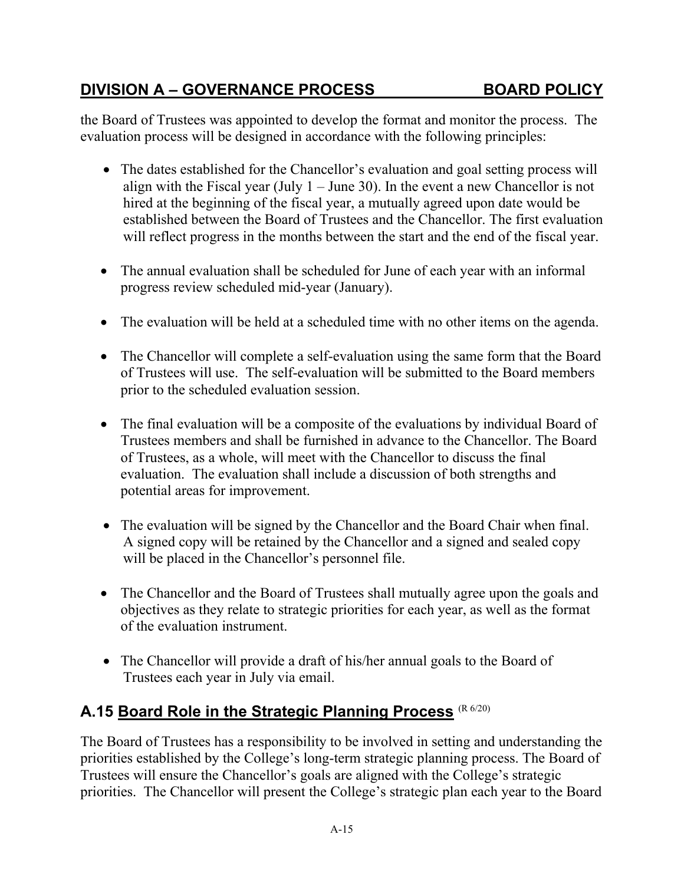the Board of Trustees was appointed to develop the format and monitor the process. The evaluation process will be designed in accordance with the following principles:

- The dates established for the Chancellor's evaluation and goal setting process will align with the Fiscal year (July  $1 -$  June 30). In the event a new Chancellor is not hired at the beginning of the fiscal year, a mutually agreed upon date would be established between the Board of Trustees and the Chancellor. The first evaluation will reflect progress in the months between the start and the end of the fiscal year.
- The annual evaluation shall be scheduled for June of each year with an informal progress review scheduled mid-year (January).
- The evaluation will be held at a scheduled time with no other items on the agenda.
- The Chancellor will complete a self-evaluation using the same form that the Board of Trustees will use. The self-evaluation will be submitted to the Board members prior to the scheduled evaluation session.
- The final evaluation will be a composite of the evaluations by individual Board of Trustees members and shall be furnished in advance to the Chancellor. The Board of Trustees, as a whole, will meet with the Chancellor to discuss the final evaluation. The evaluation shall include a discussion of both strengths and potential areas for improvement.
- The evaluation will be signed by the Chancellor and the Board Chair when final. A signed copy will be retained by the Chancellor and a signed and sealed copy will be placed in the Chancellor's personnel file.
- The Chancellor and the Board of Trustees shall mutually agree upon the goals and objectives as they relate to strategic priorities for each year, as well as the format of the evaluation instrument.
- The Chancellor will provide a draft of his/her annual goals to the Board of Trustees each year in July via email.

## <span id="page-23-0"></span>**A.15 Board Role in the Strategic Planning Process** (R 6/20)

The Board of Trustees has a responsibility to be involved in setting and understanding the priorities established by the College's long-term strategic planning process. The Board of Trustees will ensure the Chancellor's goals are aligned with the College's strategic priorities. The Chancellor will present the College's strategic plan each year to the Board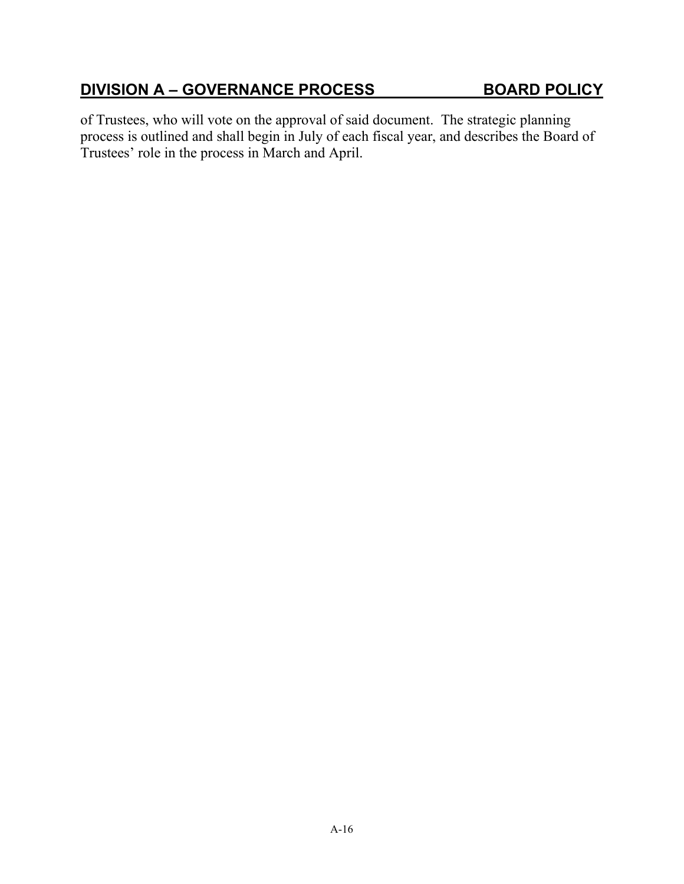of Trustees, who will vote on the approval of said document. The strategic planning process is outlined and shall begin in July of each fiscal year, and describes the Board of Trustees' role in the process in March and April.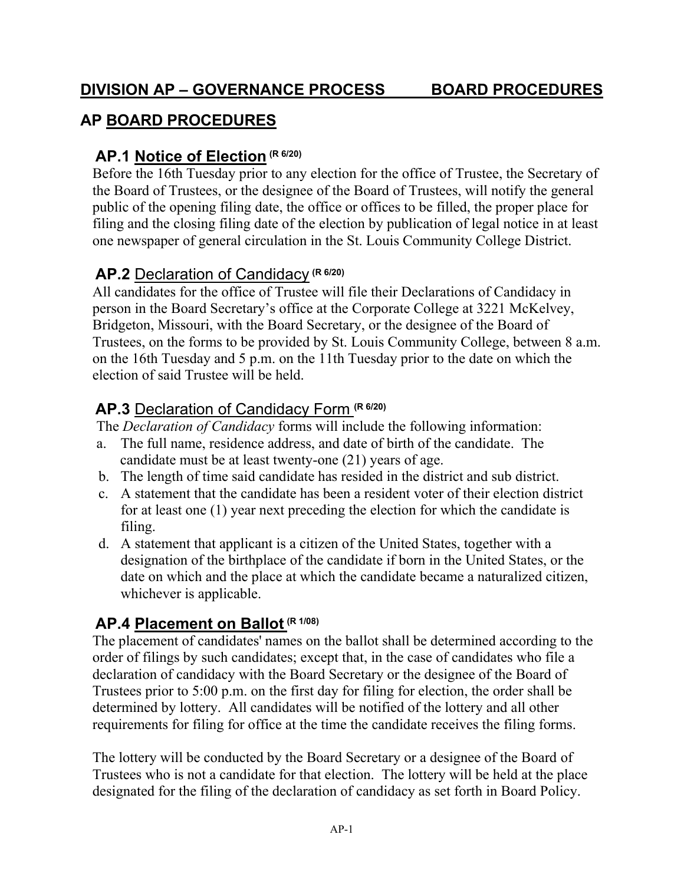## <span id="page-25-0"></span>**AP BOARD PROCEDURES**

## <span id="page-25-1"></span>**AP.1 Notice of Election (R 6/20)**

Before the 16th Tuesday prior to any election for the office of Trustee, the Secretary of the Board of Trustees, or the designee of the Board of Trustees, will notify the general public of the opening filing date, the office or offices to be filled, the proper place for filing and the closing filing date of the election by publication of legal notice in at least one newspaper of general circulation in the St. Louis Community College District.

## <span id="page-25-2"></span>**AP.2** Declaration of Candidacy **(R 6/20)**

All candidates for the office of Trustee will file their Declarations of Candidacy in person in the Board Secretary's office at the Corporate College at 3221 McKelvey, Bridgeton, Missouri, with the Board Secretary, or the designee of the Board of Trustees, on the forms to be provided by St. Louis Community College, between 8 a.m. on the 16th Tuesday and 5 p.m. on the 11th Tuesday prior to the date on which the election of said Trustee will be held.

## <span id="page-25-3"></span>**AP.3** Declaration of Candidacy Form **(R 6/20)**

The *Declaration of Candidacy* forms will include the following information:

- a. The full name, residence address, and date of birth of the candidate. The candidate must be at least twenty-one (21) years of age.
- b. The length of time said candidate has resided in the district and sub district.
- c. A statement that the candidate has been a resident voter of their election district for at least one (1) year next preceding the election for which the candidate is filing.
- d. A statement that applicant is a citizen of the United States, together with a designation of the birthplace of the candidate if born in the United States, or the date on which and the place at which the candidate became a naturalized citizen, whichever is applicable.

## <span id="page-25-4"></span>**AP.4 Placement on Ballot (R 1/08)**

The placement of candidates' names on the ballot shall be determined according to the order of filings by such candidates; except that, in the case of candidates who file a declaration of candidacy with the Board Secretary or the designee of the Board of Trustees prior to 5:00 p.m. on the first day for filing for election, the order shall be determined by lottery. All candidates will be notified of the lottery and all other requirements for filing for office at the time the candidate receives the filing forms.

The lottery will be conducted by the Board Secretary or a designee of the Board of Trustees who is not a candidate for that election. The lottery will be held at the place designated for the filing of the declaration of candidacy as set forth in Board Policy.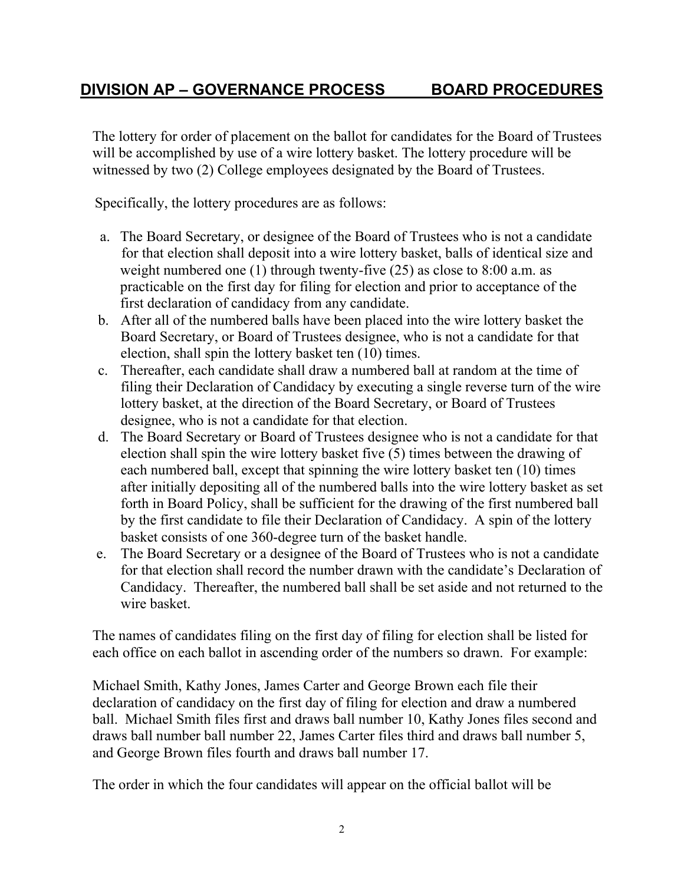The lottery for order of placement on the ballot for candidates for the Board of Trustees will be accomplished by use of a wire lottery basket. The lottery procedure will be witnessed by two (2) College employees designated by the Board of Trustees.

Specifically, the lottery procedures are as follows:

- a. The Board Secretary, or designee of the Board of Trustees who is not a candidate for that election shall deposit into a wire lottery basket, balls of identical size and weight numbered one (1) through twenty-five (25) as close to 8:00 a.m. as practicable on the first day for filing for election and prior to acceptance of the first declaration of candidacy from any candidate.
- b. After all of the numbered balls have been placed into the wire lottery basket the Board Secretary, or Board of Trustees designee, who is not a candidate for that election, shall spin the lottery basket ten (10) times.
- c. Thereafter, each candidate shall draw a numbered ball at random at the time of filing their Declaration of Candidacy by executing a single reverse turn of the wire lottery basket, at the direction of the Board Secretary, or Board of Trustees designee, who is not a candidate for that election.
- d. The Board Secretary or Board of Trustees designee who is not a candidate for that election shall spin the wire lottery basket five (5) times between the drawing of each numbered ball, except that spinning the wire lottery basket ten (10) times after initially depositing all of the numbered balls into the wire lottery basket as set forth in Board Policy, shall be sufficient for the drawing of the first numbered ball by the first candidate to file their Declaration of Candidacy. A spin of the lottery basket consists of one 360-degree turn of the basket handle.
- e. The Board Secretary or a designee of the Board of Trustees who is not a candidate for that election shall record the number drawn with the candidate's Declaration of Candidacy. Thereafter, the numbered ball shall be set aside and not returned to the wire basket.

The names of candidates filing on the first day of filing for election shall be listed for each office on each ballot in ascending order of the numbers so drawn. For example:

Michael Smith, Kathy Jones, James Carter and George Brown each file their declaration of candidacy on the first day of filing for election and draw a numbered ball. Michael Smith files first and draws ball number 10, Kathy Jones files second and draws ball number ball number 22, James Carter files third and draws ball number 5, and George Brown files fourth and draws ball number 17.

The order in which the four candidates will appear on the official ballot will be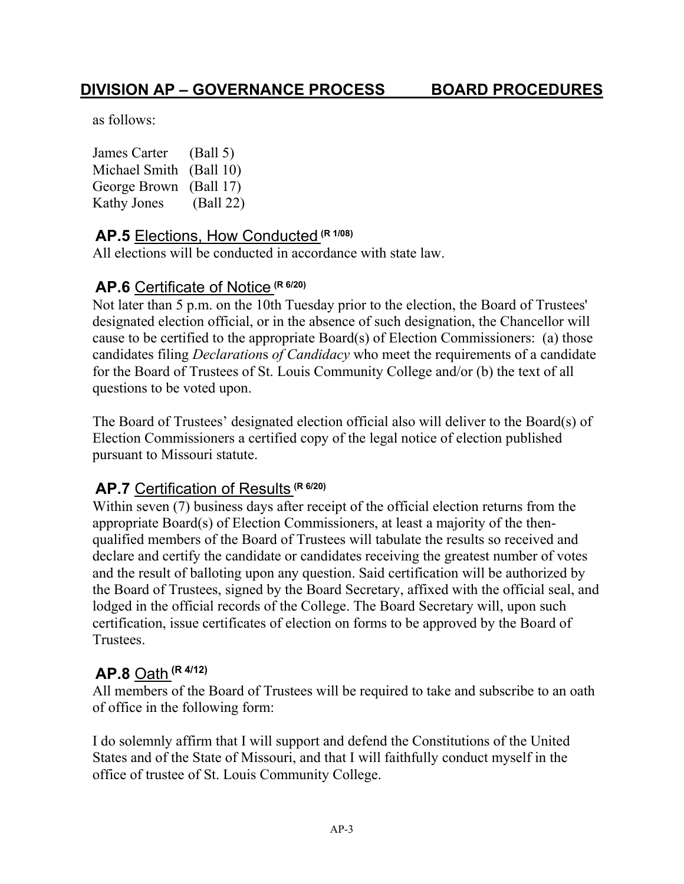as follows:

James Carter (Ball 5) Michael Smith (Ball 10) George Brown (Ball 17) Kathy Jones (Ball 22)

### <span id="page-27-0"></span>**AP.5** Elections, How Conducted **(R 1/08)**

All elections will be conducted in accordance with state law.

#### <span id="page-27-1"></span>**AP.6** Certificate of Notice **(R 6/20)**

Not later than 5 p.m. on the 10th Tuesday prior to the election, the Board of Trustees' designated election official, or in the absence of such designation, the Chancellor will cause to be certified to the appropriate Board(s) of Election Commissioners: (a) those candidates filing *Declaration*s *of Candidacy* who meet the requirements of a candidate for the Board of Trustees of St. Louis Community College and/or (b) the text of all questions to be voted upon.

The Board of Trustees' designated election official also will deliver to the Board(s) of Election Commissioners a certified copy of the legal notice of election published pursuant to Missouri statute.

### <span id="page-27-2"></span>**AP.7** Certification of Results **(R 6/20)**

Within seven (7) business days after receipt of the official election returns from the appropriate Board(s) of Election Commissioners, at least a majority of the thenqualified members of the Board of Trustees will tabulate the results so received and declare and certify the candidate or candidates receiving the greatest number of votes and the result of balloting upon any question. Said certification will be authorized by the Board of Trustees, signed by the Board Secretary, affixed with the official seal, and lodged in the official records of the College. The Board Secretary will, upon such certification, issue certificates of election on forms to be approved by the Board of Trustees.

### <span id="page-27-3"></span>**AP.8** Oath **(R 4/12)**

All members of the Board of Trustees will be required to take and subscribe to an oath of office in the following form:

I do solemnly affirm that I will support and defend the Constitutions of the United States and of the State of Missouri, and that I will faithfully conduct myself in the office of trustee of St. Louis Community College.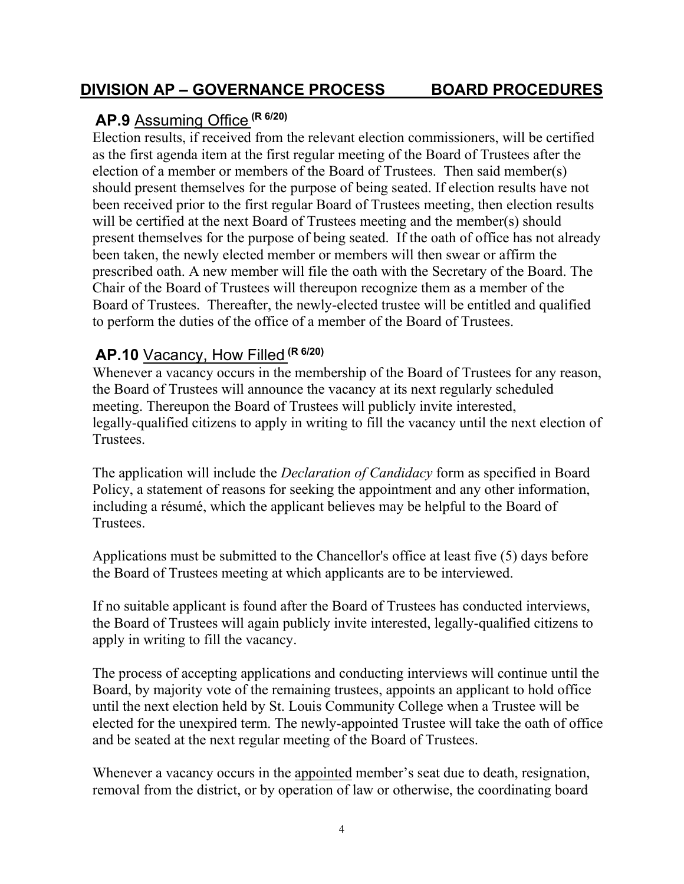## <span id="page-28-0"></span>**AP.9** Assuming Office **(R 6/20)**

Election results, if received from the relevant election commissioners, will be certified as the first agenda item at the first regular meeting of the Board of Trustees after the election of a member or members of the Board of Trustees. Then said member(s) should present themselves for the purpose of being seated. If election results have not been received prior to the first regular Board of Trustees meeting, then election results will be certified at the next Board of Trustees meeting and the member(s) should present themselves for the purpose of being seated. If the oath of office has not already been taken, the newly elected member or members will then swear or affirm the prescribed oath. A new member will file the oath with the Secretary of the Board. The Chair of the Board of Trustees will thereupon recognize them as a member of the Board of Trustees. Thereafter, the newly-elected trustee will be entitled and qualified to perform the duties of the office of a member of the Board of Trustees.

# <span id="page-28-1"></span>**AP.10** Vacancy, How Filled **(R 6/20)**

Whenever a vacancy occurs in the membership of the Board of Trustees for any reason, the Board of Trustees will announce the vacancy at its next regularly scheduled meeting. Thereupon the Board of Trustees will publicly invite interested, legally-qualified citizens to apply in writing to fill the vacancy until the next election of Trustees.

The application will include the *Declaration of Candidacy* form as specified in Board Policy, a statement of reasons for seeking the appointment and any other information, including a résumé, which the applicant believes may be helpful to the Board of Trustees.

Applications must be submitted to the Chancellor's office at least five (5) days before the Board of Trustees meeting at which applicants are to be interviewed.

If no suitable applicant is found after the Board of Trustees has conducted interviews, the Board of Trustees will again publicly invite interested, legally-qualified citizens to apply in writing to fill the vacancy.

The process of accepting applications and conducting interviews will continue until the Board, by majority vote of the remaining trustees, appoints an applicant to hold office until the next election held by St. Louis Community College when a Trustee will be elected for the unexpired term. The newly-appointed Trustee will take the oath of office and be seated at the next regular meeting of the Board of Trustees.

Whenever a vacancy occurs in the appointed member's seat due to death, resignation, removal from the district, or by operation of law or otherwise, the coordinating board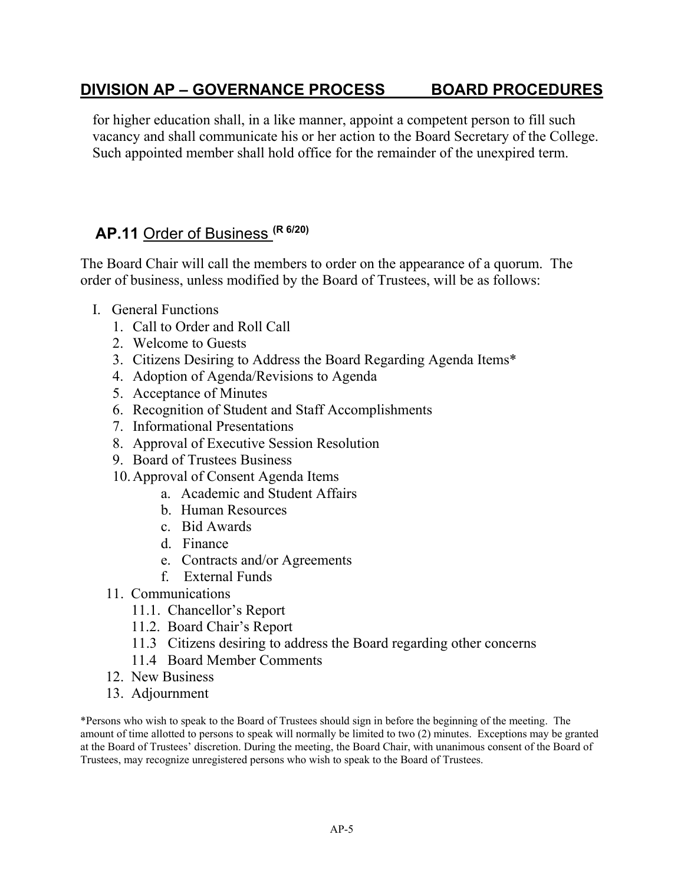for higher education shall, in a like manner, appoint a competent person to fill such vacancy and shall communicate his or her action to the Board Secretary of the College. Such appointed member shall hold office for the remainder of the unexpired term.

#### <span id="page-29-0"></span>**AP.11** Order of Business **(R 6/20)**

The Board Chair will call the members to order on the appearance of a quorum. The order of business, unless modified by the Board of Trustees, will be as follows:

- I. General Functions
	- 1. Call to Order and Roll Call
	- 2. Welcome to Guests
	- 3. Citizens Desiring to Address the Board Regarding Agenda Items\*
	- 4. Adoption of Agenda/Revisions to Agenda
	- 5. Acceptance of Minutes
	- 6. Recognition of Student and Staff Accomplishments
	- 7. Informational Presentations
	- 8. Approval of Executive Session Resolution
	- 9. Board of Trustees Business
	- 10.Approval of Consent Agenda Items
		- a. Academic and Student Affairs
			- b. Human Resources
			- c. Bid Awards
			- d. Finance
			- e. Contracts and/or Agreements
			- f. External Funds
	- 11. Communications
		- 11.1. Chancellor's Report
		- 11.2. Board Chair's Report
		- 11.3 Citizens desiring to address the Board regarding other concerns
		- 11.4 Board Member Comments
	- 12. New Business
	- 13. Adjournment

\*Persons who wish to speak to the Board of Trustees should sign in before the beginning of the meeting. The amount of time allotted to persons to speak will normally be limited to two (2) minutes. Exceptions may be granted at the Board of Trustees' discretion. During the meeting, the Board Chair, with unanimous consent of the Board of Trustees, may recognize unregistered persons who wish to speak to the Board of Trustees.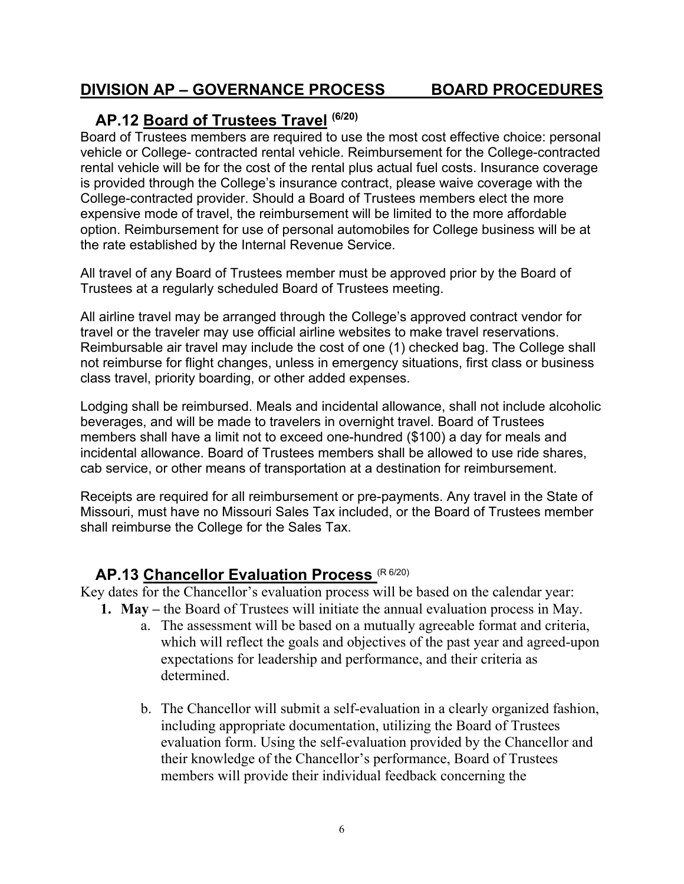#### <span id="page-30-0"></span>**AP.12 Board of Trustees Travel (6/20)**

Board of Trustees members are required to use the most cost effective choice: personal vehicle or College- contracted rental vehicle. Reimbursement for the College-contracted rental vehicle will be for the cost of the rental plus actual fuel costs. Insurance coverage is provided through the College's insurance contract, please waive coverage with the College-contracted provider. Should a Board of Trustees members elect the more expensive mode of travel, the reimbursement will be limited to the more affordable option. Reimbursement for use of personal automobiles for College business will be at the rate established by the Internal Revenue Service.

All travel of any Board of Trustees member must be approved prior by the Board of Trustees at a regularly scheduled Board of Trustees meeting.

All airline travel may be arranged through the College's approved contract vendor for travel or the traveler may use official airline websites to make travel reservations. Reimbursable air travel may include the cost of one (1) checked bag. The College shall not reimburse for flight changes, unless in emergency situations, first class or business class travel, priority boarding, or other added expenses.

Lodging shall be reimbursed. Meals and incidental allowance, shall not include alcoholic beverages, and will be made to travelers in overnight travel. Board of Trustees members shall have a limit not to exceed one-hundred (\$100) a day for meals and incidental allowance. Board of Trustees members shall be allowed to use ride shares, cab service, or other means of transportation at a destination for reimbursement.

Receipts are required for all reimbursement or pre-payments. Any travel in the State of Missouri, must have no Missouri Sales Tax included, or the Board of Trustees member shall reimburse the College for the Sales Tax.

## <span id="page-30-1"></span>**AP.13 Chancellor Evaluation Process** (R 6/20)

Key dates for the Chancellor's evaluation process will be based on the calendar year:

- **1. May –** the Board of Trustees will initiate the annual evaluation process in May.
	- a. The assessment will be based on a mutually agreeable format and criteria, which will reflect the goals and objectives of the past year and agreed-upon expectations for leadership and performance, and their criteria as determined.
	- b. The Chancellor will submit a self-evaluation in a clearly organized fashion, including appropriate documentation, utilizing the Board of Trustees evaluation form. Using the self-evaluation provided by the Chancellor and their knowledge of the Chancellor's performance, Board of Trustees members will provide their individual feedback concerning the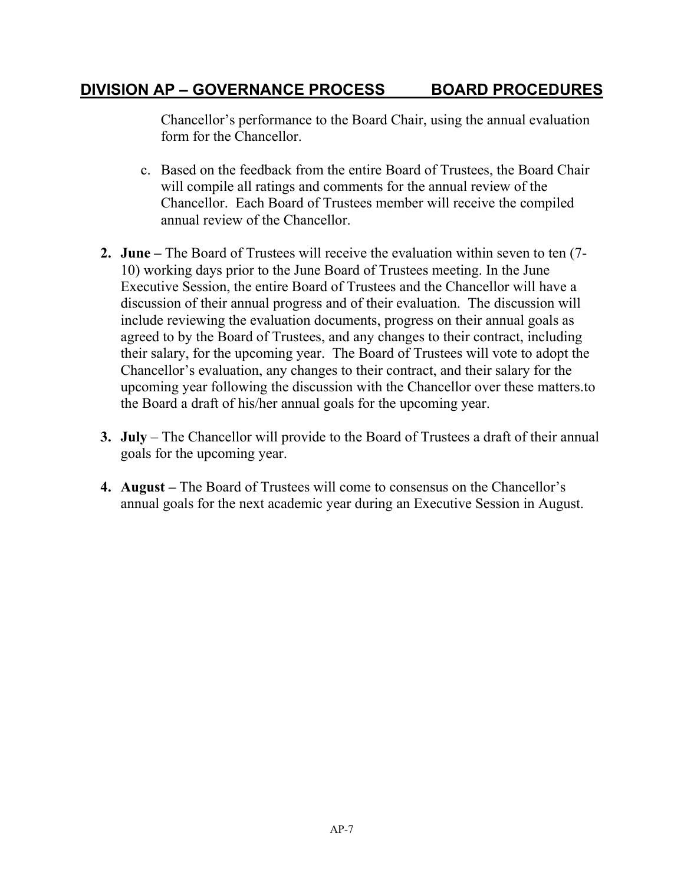Chancellor's performance to the Board Chair, using the annual evaluation form for the Chancellor.

- c. Based on the feedback from the entire Board of Trustees, the Board Chair will compile all ratings and comments for the annual review of the Chancellor. Each Board of Trustees member will receive the compiled annual review of the Chancellor.
- **2. June –** The Board of Trustees will receive the evaluation within seven to ten (7- 10) working days prior to the June Board of Trustees meeting. In the June Executive Session, the entire Board of Trustees and the Chancellor will have a discussion of their annual progress and of their evaluation. The discussion will include reviewing the evaluation documents, progress on their annual goals as agreed to by the Board of Trustees, and any changes to their contract, including their salary, for the upcoming year. The Board of Trustees will vote to adopt the Chancellor's evaluation, any changes to their contract, and their salary for the upcoming year following the discussion with the Chancellor over these matters.to the Board a draft of his/her annual goals for the upcoming year.
- **3. July** The Chancellor will provide to the Board of Trustees a draft of their annual goals for the upcoming year.
- **4. August –** The Board of Trustees will come to consensus on the Chancellor's annual goals for the next academic year during an Executive Session in August.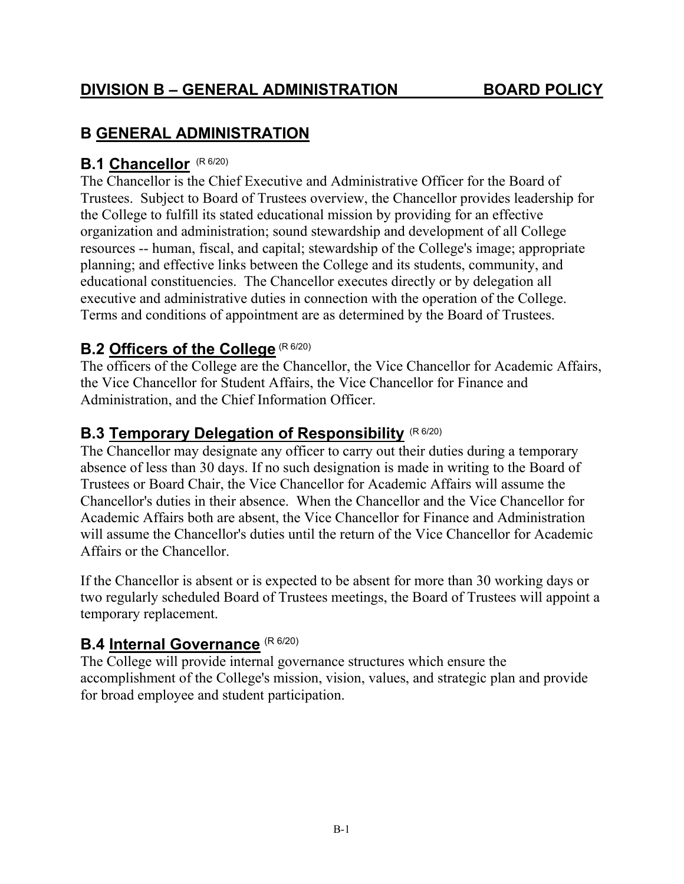## <span id="page-32-0"></span>**B GENERAL ADMINISTRATION**

## <span id="page-32-1"></span>**B.1 Chancellor** (R 6/20)

The Chancellor is the Chief Executive and Administrative Officer for the Board of Trustees. Subject to Board of Trustees overview, the Chancellor provides leadership for the College to fulfill its stated educational mission by providing for an effective organization and administration; sound stewardship and development of all College resources -- human, fiscal, and capital; stewardship of the College's image; appropriate planning; and effective links between the College and its students, community, and educational constituencies. The Chancellor executes directly or by delegation all executive and administrative duties in connection with the operation of the College. Terms and conditions of appointment are as determined by the Board of Trustees.

## <span id="page-32-2"></span>**B.2 Officers of the College** (R 6/20)

The officers of the College are the Chancellor, the Vice Chancellor for Academic Affairs, the Vice Chancellor for Student Affairs, the Vice Chancellor for Finance and Administration, and the Chief Information Officer.

## <span id="page-32-3"></span>**B.3 Temporary Delegation of Responsibility** (R 6/20)

The Chancellor may designate any officer to carry out their duties during a temporary absence of less than 30 days. If no such designation is made in writing to the Board of Trustees or Board Chair, the Vice Chancellor for Academic Affairs will assume the Chancellor's duties in their absence. When the Chancellor and the Vice Chancellor for Academic Affairs both are absent, the Vice Chancellor for Finance and Administration will assume the Chancellor's duties until the return of the Vice Chancellor for Academic Affairs or the Chancellor.

If the Chancellor is absent or is expected to be absent for more than 30 working days or two regularly scheduled Board of Trustees meetings, the Board of Trustees will appoint a temporary replacement.

## <span id="page-32-4"></span>**B.4 Internal Governance** (R 6/20)

The College will provide internal governance structures which ensure the accomplishment of the College's mission, vision, values, and strategic plan and provide for broad employee and student participation.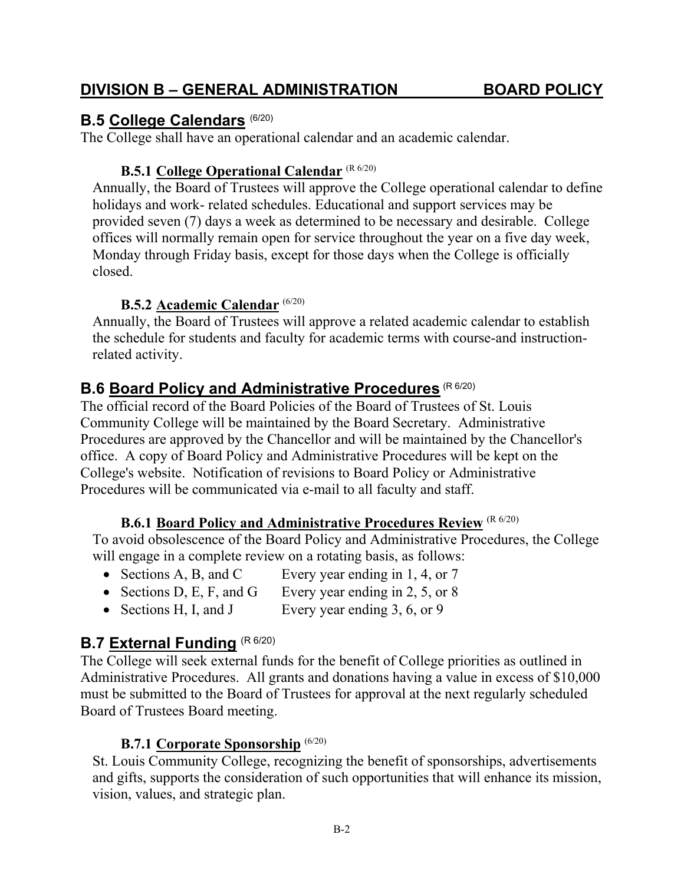<span id="page-33-3"></span>**B.6 Board Policy and Administrative Procedures** (R 6/20)

College's website. Notification of revisions to Board Policy or Administrative Procedures will be communicated via e-mail to all faculty and staff.

The official record of the Board Policies of the Board of Trustees of St. Louis Community College will be maintained by the Board Secretary. Administrative

#### **B.6.1 Board Policy and Administrative Procedures Review** (R 6/20)

Procedures are approved by the Chancellor and will be maintained by the Chancellor's

<span id="page-33-4"></span>To avoid obsolescence of the Board Policy and Administrative Procedures, the College will engage in a complete review on a rotating basis, as follows:

- Sections A, B, and C Every year ending in 1, 4, or 7
- Sections D, E, F, and G Every year ending in  $2, 5$ , or  $8$
- Sections H, I, and J Every year ending 3, 6, or 9

#### <span id="page-33-5"></span>**B.7 External Funding** (R 6/20)

The College will seek external funds for the benefit of College priorities as outlined in Administrative Procedures. All grants and donations having a value in excess of \$10,000 must be submitted to the Board of Trustees for approval at the next regularly scheduled Board of Trustees Board meeting.

#### **B.7.1 Corporate Sponsorship** (6/20)

<span id="page-33-6"></span>St. Louis Community College, recognizing the benefit of sponsorships, advertisements and gifts, supports the consideration of such opportunities that will enhance its mission, vision, values, and strategic plan.

#### **DIVISION B – GENERAL ADMINISTRATION BOARD POLICY**

**B.5.1 College Operational Calendar** (R 6/20)

**B.5.2 Academic Calendar** (6/20)

The College shall have an operational calendar and an academic calendar.

<span id="page-33-1"></span>Annually, the Board of Trustees will approve the College operational calendar to define

provided seven (7) days a week as determined to be necessary and desirable. College offices will normally remain open for service throughout the year on a five day week, Monday through Friday basis, except for those days when the College is officially

<span id="page-33-2"></span>Annually, the Board of Trustees will approve a related academic calendar to establish the schedule for students and faculty for academic terms with course-and instruction-

holidays and work- related schedules. Educational and support services may be

<span id="page-33-0"></span>**B.5 College Calendars** (6/20)

closed.

related activity.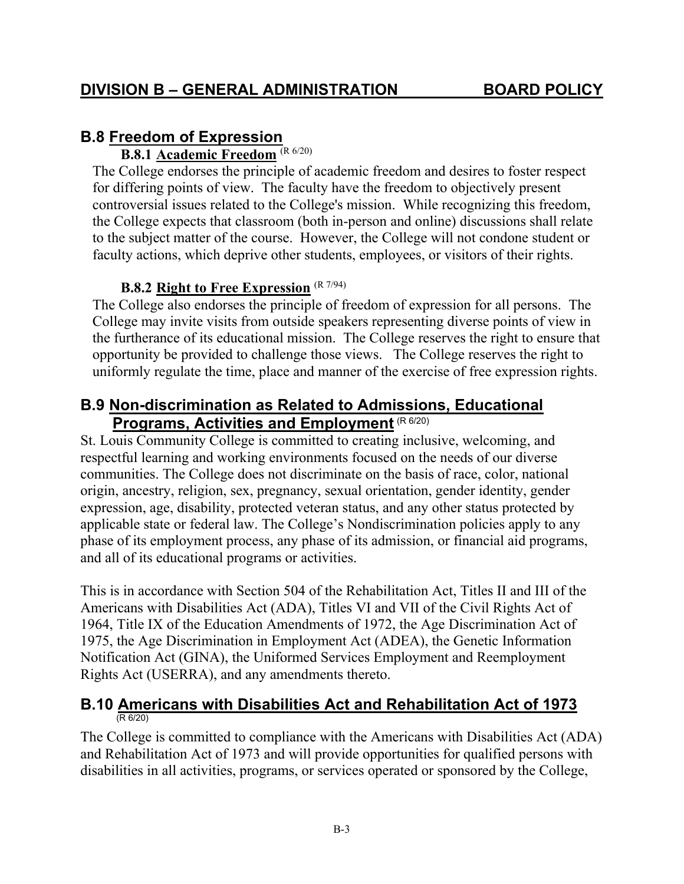## <span id="page-34-1"></span><span id="page-34-0"></span>**B.8 Freedom of Expression**

#### **B.8.1 Academic Freedom** (R 6/20)

The College endorses the principle of academic freedom and desires to foster respect for differing points of view. The faculty have the freedom to objectively present controversial issues related to the College's mission. While recognizing this freedom, the College expects that classroom (both in-person and online) discussions shall relate to the subject matter of the course. However, the College will not condone student or faculty actions, which deprive other students, employees, or visitors of their rights.

### **B.8.2 Right to Free Expression** (R 7/94)

<span id="page-34-2"></span>The College also endorses the principle of freedom of expression for all persons. The College may invite visits from outside speakers representing diverse points of view in the furtherance of its educational mission. The College reserves the right to ensure that opportunity be provided to challenge those views. The College reserves the right to uniformly regulate the time, place and manner of the exercise of free expression rights.

## <span id="page-34-3"></span>**B.9 Non-discrimination as Related to Admissions, Educational Programs, Activities and Employment (R 6/20)**

St. Louis Community College is committed to creating inclusive, welcoming, and respectful learning and working environments focused on the needs of our diverse communities. The College does not discriminate on the basis of race, color, national origin, ancestry, religion, sex, pregnancy, sexual orientation, gender identity, gender expression, age, disability, protected veteran status, and any other status protected by applicable state or federal law. The College's Nondiscrimination policies apply to any phase of its employment process, any phase of its admission, or financial aid programs, and all of its educational programs or activities.

This is in accordance with Section 504 of the Rehabilitation Act, Titles II and III of the Americans with Disabilities Act (ADA), Titles VI and VII of the Civil Rights Act of 1964, Title IX of the Education Amendments of 1972, the Age Discrimination Act of 1975, the Age Discrimination in Employment Act (ADEA), the Genetic Information Notification Act (GINA), the Uniformed Services Employment and Reemployment Rights Act (USERRA), and any amendments thereto.

#### <span id="page-34-4"></span>**B.10 Americans with Disabilities Act and Rehabilitation Act of 1973**  $(R 6/20)$ I

<span id="page-34-5"></span>The College is committed to compliance with the Americans with Disabilities Act (ADA) and Rehabilitation Act of 1973 and will provide opportunities for qualified persons with disabilities in all activities, programs, or services operated or sponsored by the College,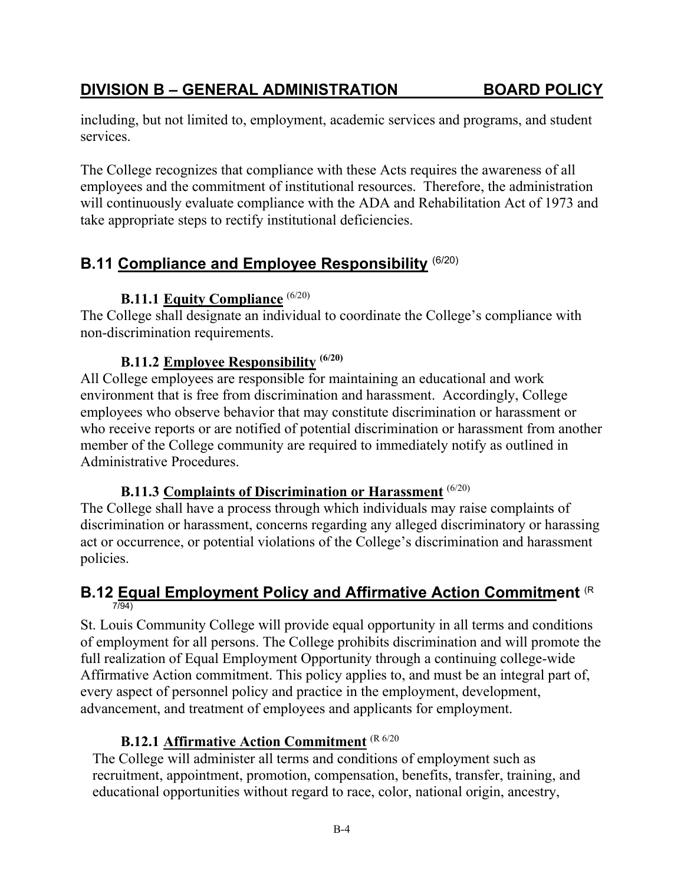#### non-discrimination requirements.

<span id="page-35-0"></span>**B.11 Compliance and Employee Responsibility** (6/20)

take appropriate steps to rectify institutional deficiencies.

#### **B.11.2 Employee Responsibility (6/20)**

**B.11.1 Equity Compliance** (6/20)

<span id="page-35-3"></span>All College employees are responsible for maintaining an educational and work environment that is free from discrimination and harassment. Accordingly, College employees who observe behavior that may constitute discrimination or harassment or who receive reports or are notified of potential discrimination or harassment from another member of the College community are required to immediately notify as outlined in Administrative Procedures.

<span id="page-35-2"></span><span id="page-35-1"></span>The College shall designate an individual to coordinate the College's compliance with

including, but not limited to, employment, academic services and programs, and student

The College recognizes that compliance with these Acts requires the awareness of all employees and the commitment of institutional resources. Therefore, the administration will continuously evaluate compliance with the ADA and Rehabilitation Act of 1973 and

#### **B.11.3 Complaints of Discrimination or Harassment** (6/20)

<span id="page-35-4"></span>The College shall have a process through which individuals may raise complaints of discrimination or harassment, concerns regarding any alleged discriminatory or harassing act or occurrence, or potential violations of the College's discrimination and harassment policies.

#### <span id="page-35-5"></span>**B.12 Equal Employment Policy and Affirmative Action Commitment** (R 7/94)

St. Louis Community College will provide equal opportunity in all terms and conditions of employment for all persons. The College prohibits discrimination and will promote the full realization of Equal Employment Opportunity through a continuing college-wide Affirmative Action commitment. This policy applies to, and must be an integral part of, every aspect of personnel policy and practice in the employment, development, advancement, and treatment of employees and applicants for employment.

#### **B.12.1 Affirmative Action Commitment** (R 6/20

<span id="page-35-6"></span>The College will administer all terms and conditions of employment such as recruitment, appointment, promotion, compensation, benefits, transfer, training, and educational opportunities without regard to race, color, national origin, ancestry,

services.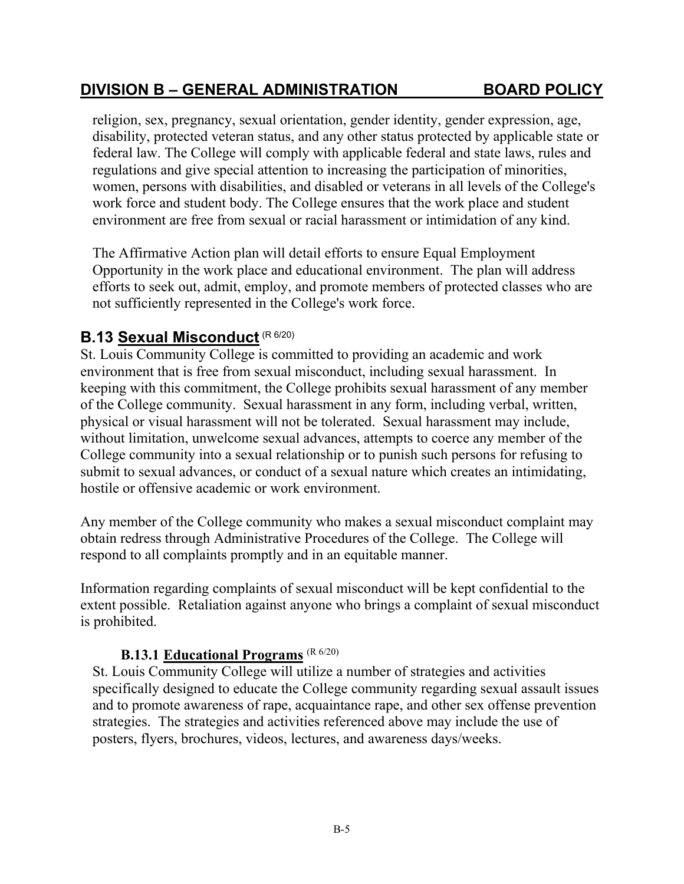## **DIVISION B – GENERAL ADMINISTRATION BOARD POLICY**

religion, sex, pregnancy, sexual orientation, gender identity, gender expression, age, disability, protected veteran status, and any other status protected by applicable state or federal law. The College will comply with applicable federal and state laws, rules and regulations and give special attention to increasing the participation of minorities, women, persons with disabilities, and disabled or veterans in all levels of the College's work force and student body. The College ensures that the work place and student environment are free from sexual or racial harassment or intimidation of any kind.

The Affirmative Action plan will detail efforts to ensure Equal Employment Opportunity in the work place and educational environment. The plan will address efforts to seek out, admit, employ, and promote members of protected classes who are not sufficiently represented in the College's work force.

# **B.13 Sexual Misconduct** (R 6/20)

St. Louis Community College is committed to providing an academic and work environment that is free from sexual misconduct, including sexual harassment. In keeping with this commitment, the College prohibits sexual harassment of any member of the College community. Sexual harassment in any form, including verbal, written, physical or visual harassment will not be tolerated. Sexual harassment may include, without limitation, unwelcome sexual advances, attempts to coerce any member of the College community into a sexual relationship or to punish such persons for refusing to submit to sexual advances, or conduct of a sexual nature which creates an intimidating, hostile or offensive academic or work environment.

Any member of the College community who makes a sexual misconduct complaint may obtain redress through Administrative Procedures of the College. The College will respond to all complaints promptly and in an equitable manner.

Information regarding complaints of sexual misconduct will be kept confidential to the extent possible. Retaliation against anyone who brings a complaint of sexual misconduct is prohibited.

#### **B.13.1 Educational Programs** (R 6/20)

St. Louis Community College will utilize a number of strategies and activities specifically designed to educate the College community regarding sexual assault issues and to promote awareness of rape, acquaintance rape, and other sex offense prevention strategies. The strategies and activities referenced above may include the use of posters, flyers, brochures, videos, lectures, and awareness days/weeks.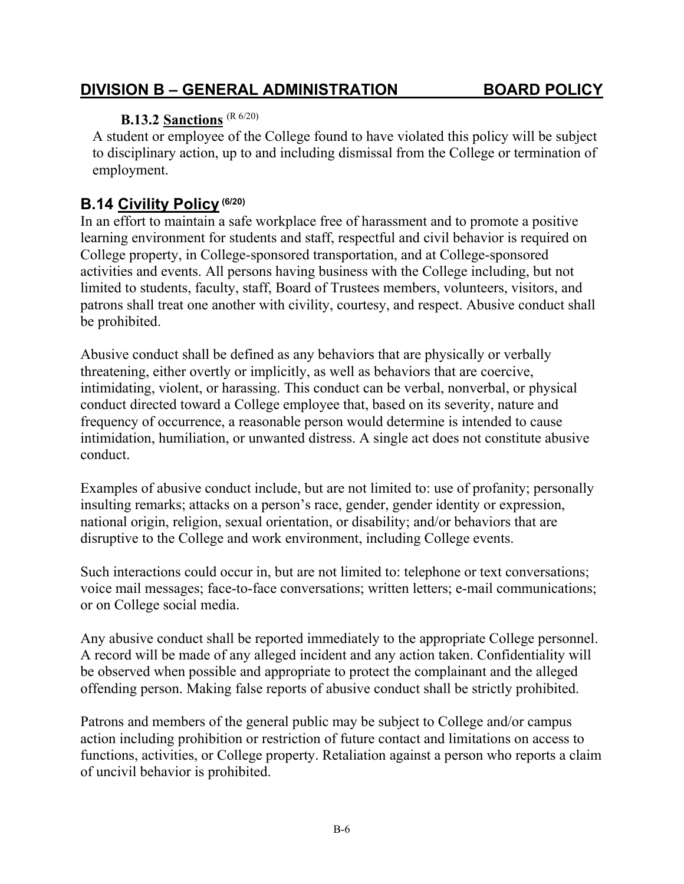#### B-6

## **DIVISION B – GENERAL ADMINISTRATION BOARD POLICY**

## **B.13.2 Sanctions** (R 6/20)

A student or employee of the College found to have violated this policy will be subject to disciplinary action, up to and including dismissal from the College or termination of employment.

## **B.14 Civility Policy (6/20)**

In an effort to maintain a safe workplace free of harassment and to promote a positive learning environment for students and staff, respectful and civil behavior is required on College property, in College-sponsored transportation, and at College-sponsored activities and events. All persons having business with the College including, but not limited to students, faculty, staff, Board of Trustees members, volunteers, visitors, and patrons shall treat one another with civility, courtesy, and respect. Abusive conduct shall be prohibited.

Abusive conduct shall be defined as any behaviors that are physically or verbally threatening, either overtly or implicitly, as well as behaviors that are coercive, intimidating, violent, or harassing. This conduct can be verbal, nonverbal, or physical conduct directed toward a College employee that, based on its severity, nature and frequency of occurrence, a reasonable person would determine is intended to cause intimidation, humiliation, or unwanted distress. A single act does not constitute abusive conduct.

Examples of abusive conduct include, but are not limited to: use of profanity; personally insulting remarks; attacks on a person's race, gender, gender identity or expression, national origin, religion, sexual orientation, or disability; and/or behaviors that are disruptive to the College and work environment, including College events.

Such interactions could occur in, but are not limited to: telephone or text conversations; voice mail messages; face-to-face conversations; written letters; e-mail communications; or on College social media.

Any abusive conduct shall be reported immediately to the appropriate College personnel. A record will be made of any alleged incident and any action taken. Confidentiality will be observed when possible and appropriate to protect the complainant and the alleged offending person. Making false reports of abusive conduct shall be strictly prohibited.

Patrons and members of the general public may be subject to College and/or campus action including prohibition or restriction of future contact and limitations on access to functions, activities, or College property. Retaliation against a person who reports a claim of uncivil behavior is prohibited.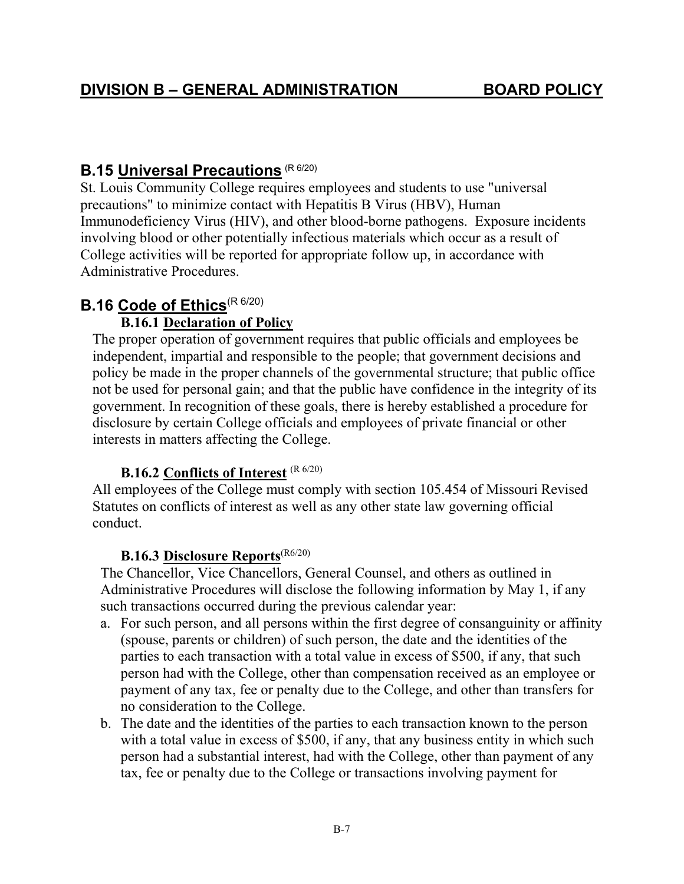# **B.15 Universal Precautions** (R 6/20)

St. Louis Community College requires employees and students to use "universal precautions" to minimize contact with Hepatitis B Virus (HBV), Human Immunodeficiency Virus (HIV), and other blood-borne pathogens. Exposure incidents involving blood or other potentially infectious materials which occur as a result of College activities will be reported for appropriate follow up, in accordance with Administrative Procedures.

# **B.16** Code of Ethics<sup>(R 6/20)</sup>

## **B.16.1 Declaration of Policy**

The proper operation of government requires that public officials and employees be independent, impartial and responsible to the people; that government decisions and policy be made in the proper channels of the governmental structure; that public office not be used for personal gain; and that the public have confidence in the integrity of its government. In recognition of these goals, there is hereby established a procedure for disclosure by certain College officials and employees of private financial or other interests in matters affecting the College.

## **B.16.2 Conflicts of Interest** (R 6/20)

All employees of the College must comply with section 105.454 of Missouri Revised Statutes on conflicts of interest as well as any other state law governing official conduct.

## **B.16.3 Disclosure Reports**(R6/20)

The Chancellor, Vice Chancellors, General Counsel, and others as outlined in Administrative Procedures will disclose the following information by May 1, if any such transactions occurred during the previous calendar year:

- a. For such person, and all persons within the first degree of consanguinity or affinity (spouse, parents or children) of such person, the date and the identities of the parties to each transaction with a total value in excess of \$500, if any, that such person had with the College, other than compensation received as an employee or payment of any tax, fee or penalty due to the College, and other than transfers for no consideration to the College.
- b. The date and the identities of the parties to each transaction known to the person with a total value in excess of \$500, if any, that any business entity in which such person had a substantial interest, had with the College, other than payment of any tax, fee or penalty due to the College or transactions involving payment for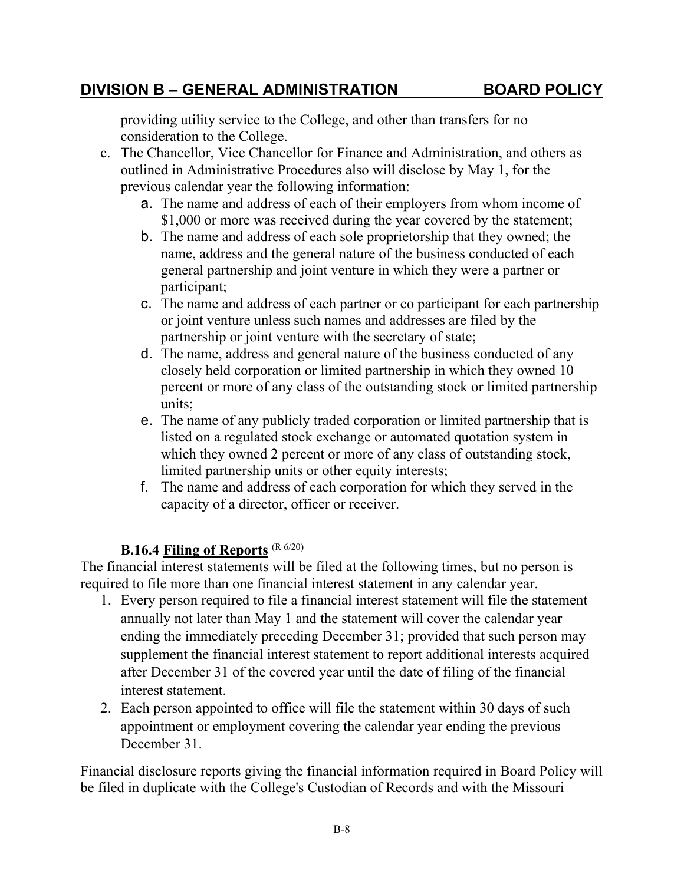#### B-8

## **DIVISION B – GENERAL ADMINISTRATION BOARD POLICY**

providing utility service to the College, and other than transfers for no consideration to the College.

- c. The Chancellor, Vice Chancellor for Finance and Administration, and others as outlined in Administrative Procedures also will disclose by May 1, for the previous calendar year the following information:
	- a. The name and address of each of their employers from whom income of \$1,000 or more was received during the year covered by the statement;
	- b. The name and address of each sole proprietorship that they owned; the name, address and the general nature of the business conducted of each general partnership and joint venture in which they were a partner or participant;
	- c. The name and address of each partner or co participant for each partnership or joint venture unless such names and addresses are filed by the partnership or joint venture with the secretary of state;
	- d. The name, address and general nature of the business conducted of any closely held corporation or limited partnership in which they owned 10 percent or more of any class of the outstanding stock or limited partnership units;
	- e. The name of any publicly traded corporation or limited partnership that is listed on a regulated stock exchange or automated quotation system in which they owned 2 percent or more of any class of outstanding stock, limited partnership units or other equity interests;
	- f. The name and address of each corporation for which they served in the capacity of a director, officer or receiver.

#### **B.16.4 Filing of Reports** (R 6/20)

The financial interest statements will be filed at the following times, but no person is required to file more than one financial interest statement in any calendar year.

- 1. Every person required to file a financial interest statement will file the statement annually not later than May 1 and the statement will cover the calendar year ending the immediately preceding December 31; provided that such person may supplement the financial interest statement to report additional interests acquired after December 31 of the covered year until the date of filing of the financial interest statement.
- 2. Each person appointed to office will file the statement within 30 days of such appointment or employment covering the calendar year ending the previous December 31.

Financial disclosure reports giving the financial information required in Board Policy will be filed in duplicate with the College's Custodian of Records and with the Missouri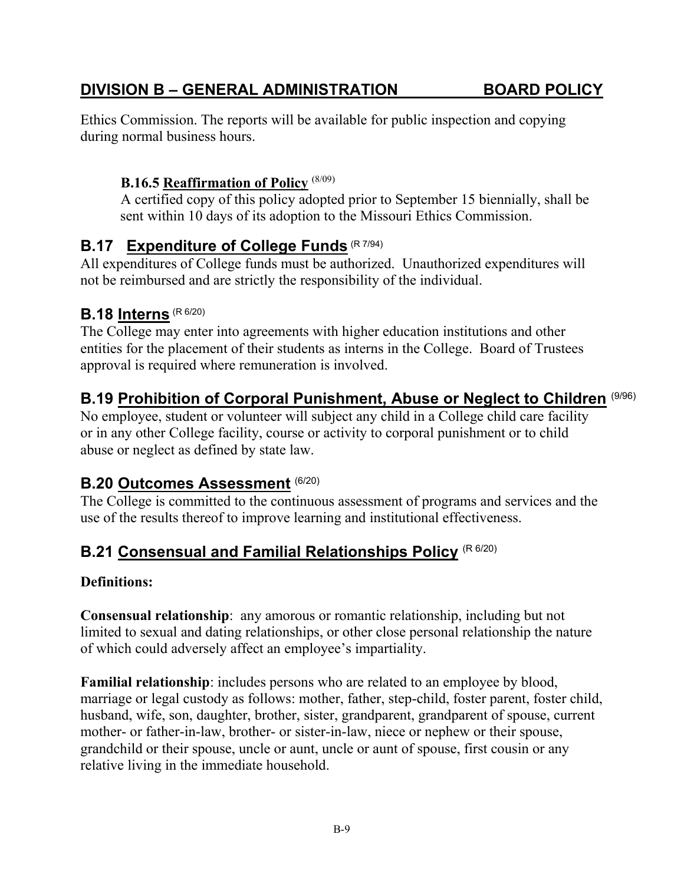# **B.18 Interns** (R 6/20)

not be reimbursed and are strictly the responsibility of the individual.

**B.16.5 Reaffirmation of Policy** (8/09)

**B.17** Expenditure of College Funds (R 7/94)

The College may enter into agreements with higher education institutions and other entities for the placement of their students as interns in the College. Board of Trustees approval is required where remuneration is involved.

Ethics Commission. The reports will be available for public inspection and copying

sent within 10 days of its adoption to the Missouri Ethics Commission.

All expenditures of College funds must be authorized. Unauthorized expenditures will

## **B.19 Prohibition of Corporal Punishment, Abuse or Neglect to Children** (9/96)

A certified copy of this policy adopted prior to September 15 biennially, shall be

No employee, student or volunteer will subject any child in a College child care facility or in any other College facility, course or activity to corporal punishment or to child abuse or neglect as defined by state law.

#### **B.20 Outcomes Assessment** (6/20)

during normal business hours.

The College is committed to the continuous assessment of programs and services and the use of the results thereof to improve learning and institutional effectiveness.

# **B.21 Consensual and Familial Relationships Policy** (R 6/20)

#### **Definitions:**

**Consensual relationship**: any amorous or romantic relationship, including but not limited to sexual and dating relationships, or other close personal relationship the nature of which could adversely affect an employee's impartiality.

**Familial relationship**: includes persons who are related to an employee by blood, marriage or legal custody as follows: mother, father, step-child, foster parent, foster child, husband, wife, son, daughter, brother, sister, grandparent, grandparent of spouse, current mother- or father-in-law, brother- or sister-in-law, niece or nephew or their spouse, grandchild or their spouse, uncle or aunt, uncle or aunt of spouse, first cousin or any relative living in the immediate household.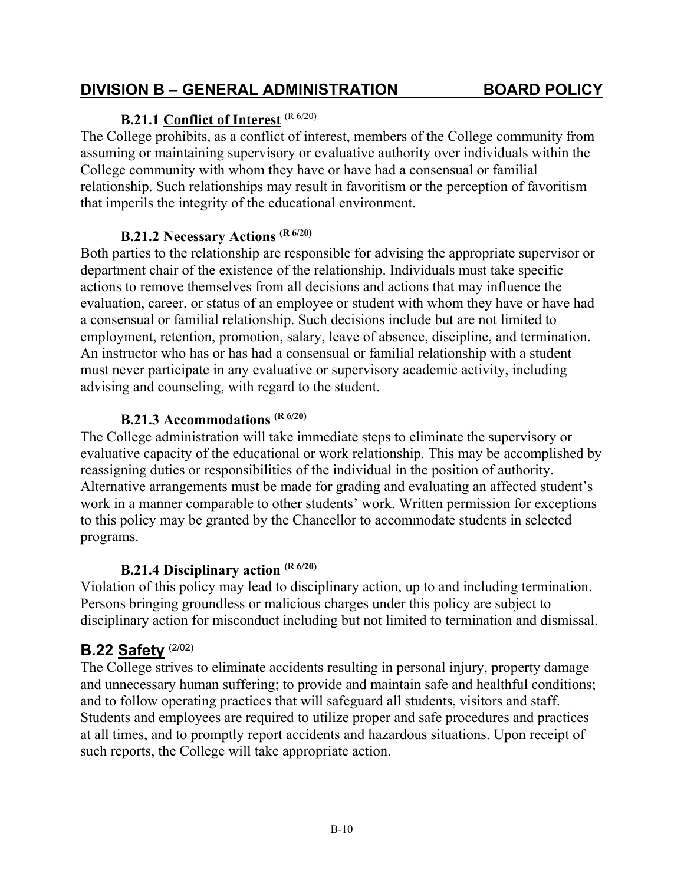#### **B.21.3 Accommodations (R 6/20)**

The College administration will take immediate steps to eliminate the supervisory or evaluative capacity of the educational or work relationship. This may be accomplished by reassigning duties or responsibilities of the individual in the position of authority. Alternative arrangements must be made for grading and evaluating an affected student's work in a manner comparable to other students' work. Written permission for exceptions to this policy may be granted by the Chancellor to accommodate students in selected programs.

#### **B.21.4 Disciplinary action (R 6/20)**

Violation of this policy may lead to disciplinary action, up to and including termination. Persons bringing groundless or malicious charges under this policy are subject to disciplinary action for misconduct including but not limited to termination and dismissal.

#### **B.22 Safety** (2/02)

The College strives to eliminate accidents resulting in personal injury, property damage and unnecessary human suffering; to provide and maintain safe and healthful conditions; and to follow operating practices that will safeguard all students, visitors and staff. Students and employees are required to utilize proper and safe procedures and practices at all times, and to promptly report accidents and hazardous situations. Upon receipt of such reports, the College will take appropriate action.

assuming or maintaining supervisory or evaluative authority over individuals within the College community with whom they have or have had a consensual or familial relationship. Such relationships may result in favoritism or the perception of favoritism that imperils the integrity of the educational environment.

The College prohibits, as a conflict of interest, members of the College community from

#### **B.21.2 Necessary Actions (R 6/20)**

**B.21.1 Conflict of Interest** (R 6/20)

Both parties to the relationship are responsible for advising the appropriate supervisor or department chair of the existence of the relationship. Individuals must take specific actions to remove themselves from all decisions and actions that may influence the evaluation, career, or status of an employee or student with whom they have or have had a consensual or familial relationship. Such decisions include but are not limited to employment, retention, promotion, salary, leave of absence, discipline, and termination. An instructor who has or has had a consensual or familial relationship with a student must never participate in any evaluative or supervisory academic activity, including advising and counseling, with regard to the student.

## **DIVISION B – GENERAL ADMINISTRATION BOARD POLICY**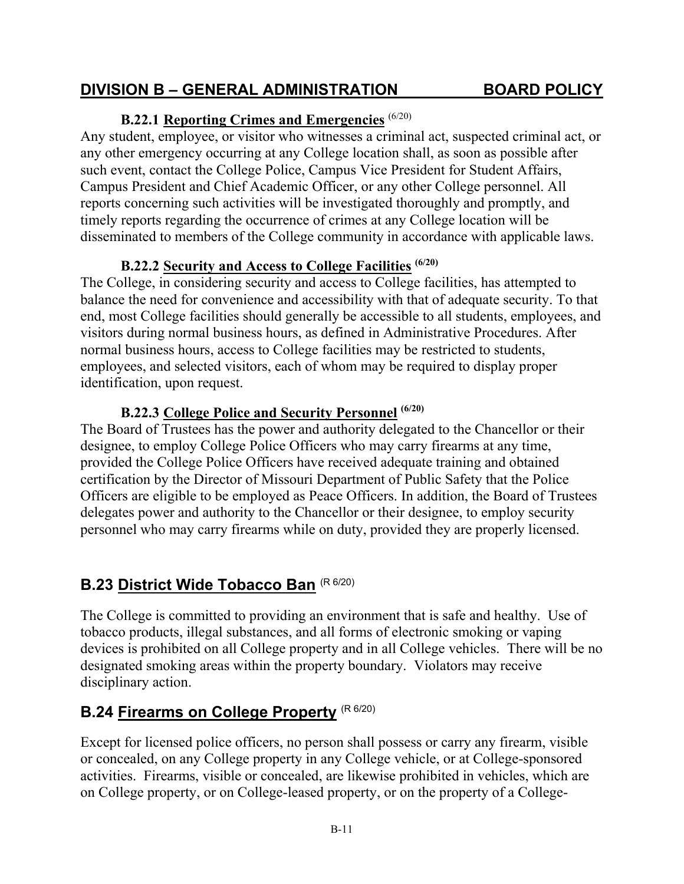## **DIVISION B – GENERAL ADMINISTRATION BOARD POLICY**

## **B.22.1 Reporting Crimes and Emergencies** (6/20)

Any student, employee, or visitor who witnesses a criminal act, suspected criminal act, or any other emergency occurring at any College location shall, as soon as possible after such event, contact the College Police, Campus Vice President for Student Affairs, Campus President and Chief Academic Officer, or any other College personnel. All reports concerning such activities will be investigated thoroughly and promptly, and timely reports regarding the occurrence of crimes at any College location will be disseminated to members of the College community in accordance with applicable laws.

## **B.22.2 Security and Access to College Facilities (6/20)**

The College, in considering security and access to College facilities, has attempted to balance the need for convenience and accessibility with that of adequate security. To that end, most College facilities should generally be accessible to all students, employees, and visitors during normal business hours, as defined in Administrative Procedures. After normal business hours, access to College facilities may be restricted to students, employees, and selected visitors, each of whom may be required to display proper identification, upon request.

## **B.22.3 College Police and Security Personnel (6/20)**

The Board of Trustees has the power and authority delegated to the Chancellor or their designee, to employ College Police Officers who may carry firearms at any time, provided the College Police Officers have received adequate training and obtained certification by the Director of Missouri Department of Public Safety that the Police Officers are eligible to be employed as Peace Officers. In addition, the Board of Trustees delegates power and authority to the Chancellor or their designee, to employ security personnel who may carry firearms while on duty, provided they are properly licensed.

# **B.23 District Wide Tobacco Ban** (R 6/20)

The College is committed to providing an environment that is safe and healthy. Use of tobacco products, illegal substances, and all forms of electronic smoking or vaping devices is prohibited on all College property and in all College vehicles. There will be no designated smoking areas within the property boundary. Violators may receive disciplinary action.

# **B.24 Firearms on College Property (R 6/20)**

Except for licensed police officers, no person shall possess or carry any firearm, visible or concealed, on any College property in any College vehicle, or at College-sponsored activities. Firearms, visible or concealed, are likewise prohibited in vehicles, which are on College property, or on College-leased property, or on the property of a College-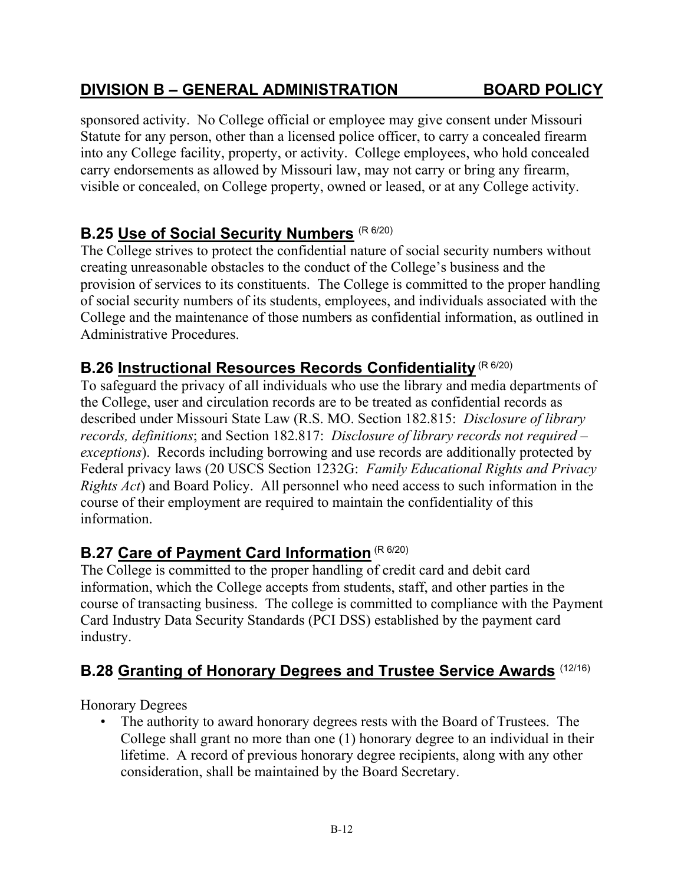## **DIVISION B – GENERAL ADMINISTRATION BOARD POLICY**

sponsored activity. No College official or employee may give consent under Missouri Statute for any person, other than a licensed police officer, to carry a concealed firearm into any College facility, property, or activity. College employees, who hold concealed carry endorsements as allowed by Missouri law, may not carry or bring any firearm, visible or concealed, on College property, owned or leased, or at any College activity.

## **B.25 Use of Social Security Numbers** (R 6/20)

The College strives to protect the confidential nature of social security numbers without creating unreasonable obstacles to the conduct of the College's business and the provision of services to its constituents. The College is committed to the proper handling of social security numbers of its students, employees, and individuals associated with the College and the maintenance of those numbers as confidential information, as outlined in Administrative Procedures.

## **B.26 Instructional Resources Records Confidentiality (R 6/20)**

To safeguard the privacy of all individuals who use the library and media departments of the College, user and circulation records are to be treated as confidential records as described under Missouri State Law (R.S. MO. Section 182.815: *Disclosure of library records, definitions*; and Section 182.817: *Disclosure of library records not required – exceptions*). Records including borrowing and use records are additionally protected by Federal privacy laws (20 USCS Section 1232G: *Family Educational Rights and Privacy Rights Act*) and Board Policy. All personnel who need access to such information in the course of their employment are required to maintain the confidentiality of this information.

## **B.27 Care of Payment Card Information** (R 6/20)

The College is committed to the proper handling of credit card and debit card information, which the College accepts from students, staff, and other parties in the course of transacting business. The college is committed to compliance with the Payment Card Industry Data Security Standards (PCI DSS) established by the payment card industry.

## **B.28 Granting of Honorary Degrees and Trustee Service Awards** (12/16)

Honorary Degrees

• The authority to award honorary degrees rests with the Board of Trustees. The College shall grant no more than one (1) honorary degree to an individual in their lifetime. A record of previous honorary degree recipients, along with any other consideration, shall be maintained by the Board Secretary.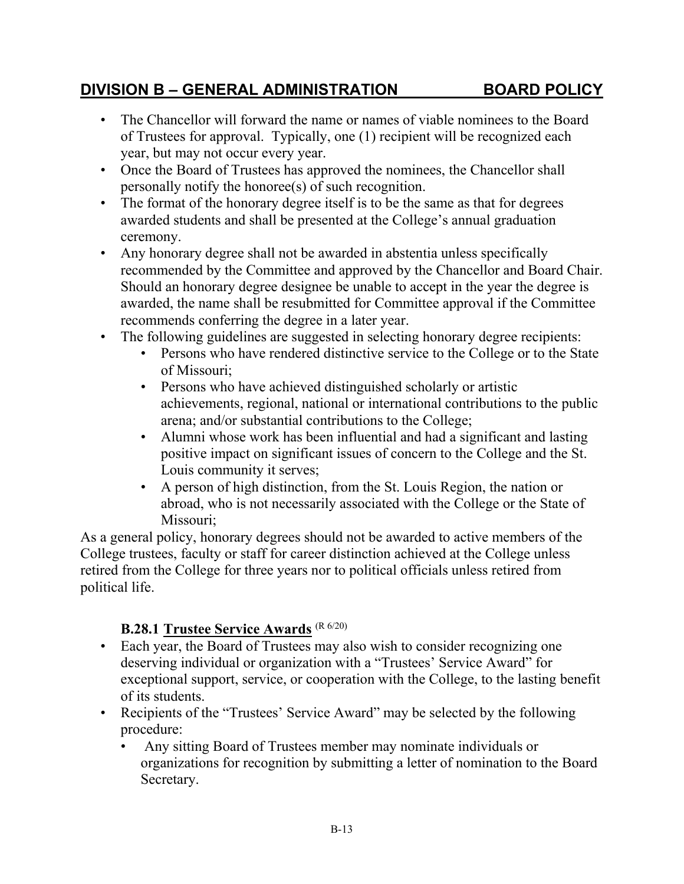#### B-13

## **DIVISION B – GENERAL ADMINISTRATION BOARD POLICY**

- The Chancellor will forward the name or names of viable nominees to the Board of Trustees for approval. Typically, one (1) recipient will be recognized each year, but may not occur every year.
- Once the Board of Trustees has approved the nominees, the Chancellor shall personally notify the honoree(s) of such recognition.
- The format of the honorary degree itself is to be the same as that for degrees awarded students and shall be presented at the College's annual graduation ceremony.
- Any honorary degree shall not be awarded in abstentia unless specifically recommended by the Committee and approved by the Chancellor and Board Chair. Should an honorary degree designee be unable to accept in the year the degree is awarded, the name shall be resubmitted for Committee approval if the Committee recommends conferring the degree in a later year.
- The following guidelines are suggested in selecting honorary degree recipients:
	- Persons who have rendered distinctive service to the College or to the State of Missouri;
	- Persons who have achieved distinguished scholarly or artistic achievements, regional, national or international contributions to the public arena; and/or substantial contributions to the College;
	- Alumni whose work has been influential and had a significant and lasting positive impact on significant issues of concern to the College and the St. Louis community it serves;
	- A person of high distinction, from the St. Louis Region, the nation or abroad, who is not necessarily associated with the College or the State of Missouri;

As a general policy, honorary degrees should not be awarded to active members of the College trustees, faculty or staff for career distinction achieved at the College unless retired from the College for three years nor to political officials unless retired from political life.

## **B.28.1 Trustee Service Awards** (R 6/20)

- Each year, the Board of Trustees may also wish to consider recognizing one deserving individual or organization with a "Trustees' Service Award" for exceptional support, service, or cooperation with the College, to the lasting benefit of its students.
- Recipients of the "Trustees' Service Award" may be selected by the following procedure:
	- Any sitting Board of Trustees member may nominate individuals or organizations for recognition by submitting a letter of nomination to the Board Secretary.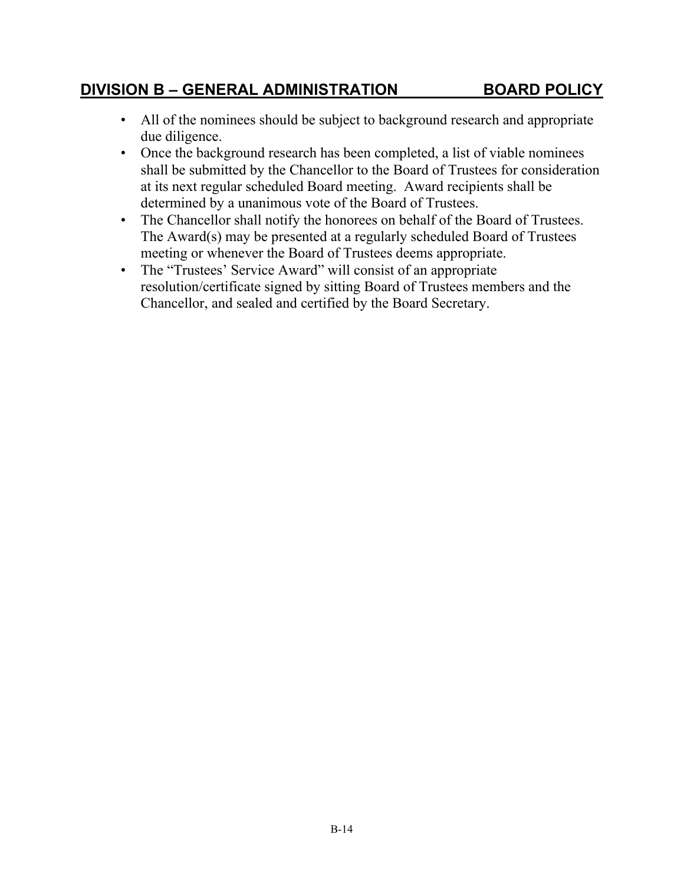# **DIVISION B – GENERAL ADMINISTRATION BOARD POLICY**

- All of the nominees should be subject to background research and appropriate due diligence.
	- Once the background research has been completed, a list of viable nominees shall be submitted by the Chancellor to the Board of Trustees for consideration at its next regular scheduled Board meeting. Award recipients shall be determined by a unanimous vote of the Board of Trustees.
- The Chancellor shall notify the honorees on behalf of the Board of Trustees. The Award(s) may be presented at a regularly scheduled Board of Trustees meeting or whenever the Board of Trustees deems appropriate.
- The "Trustees' Service Award" will consist of an appropriate resolution/certificate signed by sitting Board of Trustees members and the Chancellor, and sealed and certified by the Board Secretary.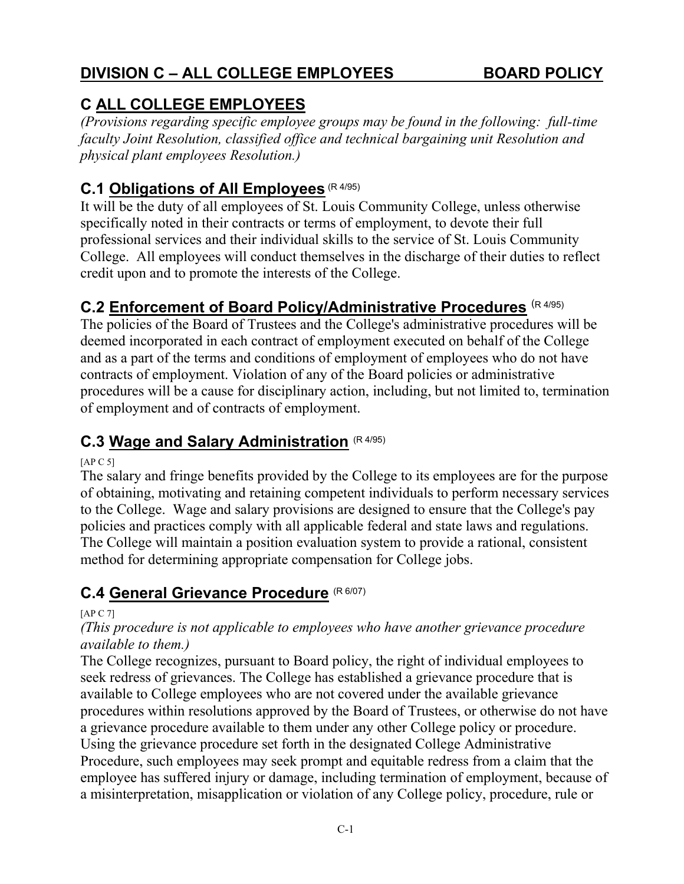# **C ALL COLLEGE EMPLOYEES**

*(Provisions regarding specific employee groups may be found in the following: full-time faculty Joint Resolution, classified office and technical bargaining unit Resolution and physical plant employees Resolution.)* 

# **C.1 Obligations of All Employees** (R 4/95)

It will be the duty of all employees of St. Louis Community College, unless otherwise specifically noted in their contracts or terms of employment, to devote their full professional services and their individual skills to the service of St. Louis Community College. All employees will conduct themselves in the discharge of their duties to reflect credit upon and to promote the interests of the College.

## **C.2 Enforcement of Board Policy/Administrative Procedures** (R 4/95)

The policies of the Board of Trustees and the College's administrative procedures will be deemed incorporated in each contract of employment executed on behalf of the College and as a part of the terms and conditions of employment of employees who do not have contracts of employment. Violation of any of the Board policies or administrative procedures will be a cause for disciplinary action, including, but not limited to, termination of employment and of contracts of employment.

## **C.3 Wage and Salary Administration** (R 4/95)

[ $AP C 5$ ]

The salary and fringe benefits provided by the College to its employees are for the purpose of obtaining, motivating and retaining competent individuals to perform necessary services to the College. Wage and salary provisions are designed to ensure that the College's pay policies and practices comply with all applicable federal and state laws and regulations. The College will maintain a position evaluation system to provide a rational, consistent method for determining appropriate compensation for College jobs.

## **C.4 General Grievance Procedure** (R 6/07)

[AP C 7]

#### *(This procedure is not applicable to employees who have another grievance procedure available to them.)*

The College recognizes, pursuant to Board policy, the right of individual employees to seek redress of grievances. The College has established a grievance procedure that is available to College employees who are not covered under the available grievance procedures within resolutions approved by the Board of Trustees, or otherwise do not have a grievance procedure available to them under any other College policy or procedure. Using the grievance procedure set forth in the designated College Administrative Procedure, such employees may seek prompt and equitable redress from a claim that the employee has suffered injury or damage, including termination of employment, because of a misinterpretation, misapplication or violation of any College policy, procedure, rule or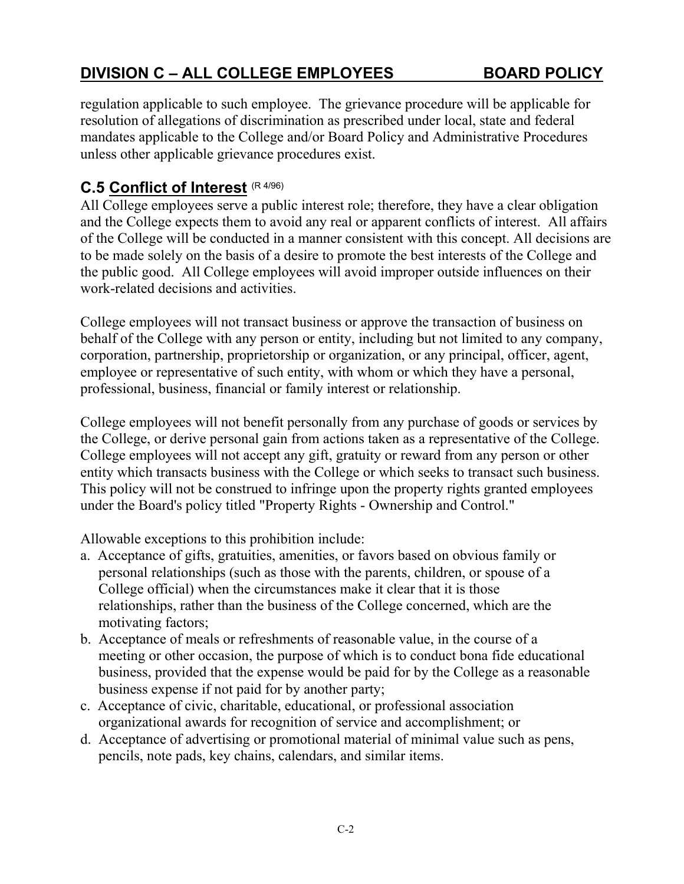regulation applicable to such employee. The grievance procedure will be applicable for resolution of allegations of discrimination as prescribed under local, state and federal mandates applicable to the College and/or Board Policy and Administrative Procedures unless other applicable grievance procedures exist.

## **C.5 Conflict of Interest** (R 4/96)

All College employees serve a public interest role; therefore, they have a clear obligation and the College expects them to avoid any real or apparent conflicts of interest. All affairs of the College will be conducted in a manner consistent with this concept. All decisions are to be made solely on the basis of a desire to promote the best interests of the College and the public good. All College employees will avoid improper outside influences on their work-related decisions and activities.

College employees will not transact business or approve the transaction of business on behalf of the College with any person or entity, including but not limited to any company, corporation, partnership, proprietorship or organization, or any principal, officer, agent, employee or representative of such entity, with whom or which they have a personal, professional, business, financial or family interest or relationship.

College employees will not benefit personally from any purchase of goods or services by the College, or derive personal gain from actions taken as a representative of the College. College employees will not accept any gift, gratuity or reward from any person or other entity which transacts business with the College or which seeks to transact such business. This policy will not be construed to infringe upon the property rights granted employees under the Board's policy titled "Property Rights - Ownership and Control."

Allowable exceptions to this prohibition include:

- a. Acceptance of gifts, gratuities, amenities, or favors based on obvious family or personal relationships (such as those with the parents, children, or spouse of a College official) when the circumstances make it clear that it is those relationships, rather than the business of the College concerned, which are the motivating factors;
- b. Acceptance of meals or refreshments of reasonable value, in the course of a meeting or other occasion, the purpose of which is to conduct bona fide educational business, provided that the expense would be paid for by the College as a reasonable business expense if not paid for by another party;
- c. Acceptance of civic, charitable, educational, or professional association organizational awards for recognition of service and accomplishment; or
- d. Acceptance of advertising or promotional material of minimal value such as pens, pencils, note pads, key chains, calendars, and similar items.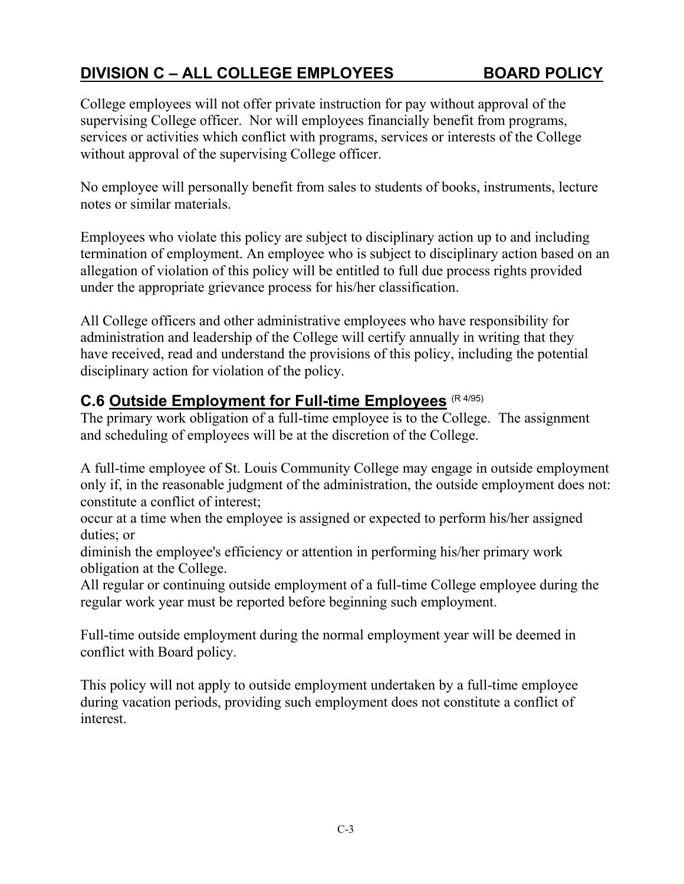College employees will not offer private instruction for pay without approval of the supervising College officer. Nor will employees financially benefit from programs, services or activities which conflict with programs, services or interests of the College without approval of the supervising College officer.

No employee will personally benefit from sales to students of books, instruments, lecture notes or similar materials.

Employees who violate this policy are subject to disciplinary action up to and including termination of employment. An employee who is subject to disciplinary action based on an allegation of violation of this policy will be entitled to full due process rights provided under the appropriate grievance process for his/her classification.

All College officers and other administrative employees who have responsibility for administration and leadership of the College will certify annually in writing that they have received, read and understand the provisions of this policy, including the potential disciplinary action for violation of the policy.

## **C.6 Outside Employment for Full-time Employees** (R 4/95)

The primary work obligation of a full-time employee is to the College. The assignment and scheduling of employees will be at the discretion of the College.

A full-time employee of St. Louis Community College may engage in outside employment only if, in the reasonable judgment of the administration, the outside employment does not: constitute a conflict of interest;

occur at a time when the employee is assigned or expected to perform his/her assigned duties; or

diminish the employee's efficiency or attention in performing his/her primary work obligation at the College.

All regular or continuing outside employment of a full-time College employee during the regular work year must be reported before beginning such employment.

Full-time outside employment during the normal employment year will be deemed in conflict with Board policy.

This policy will not apply to outside employment undertaken by a full-time employee during vacation periods, providing such employment does not constitute a conflict of interest.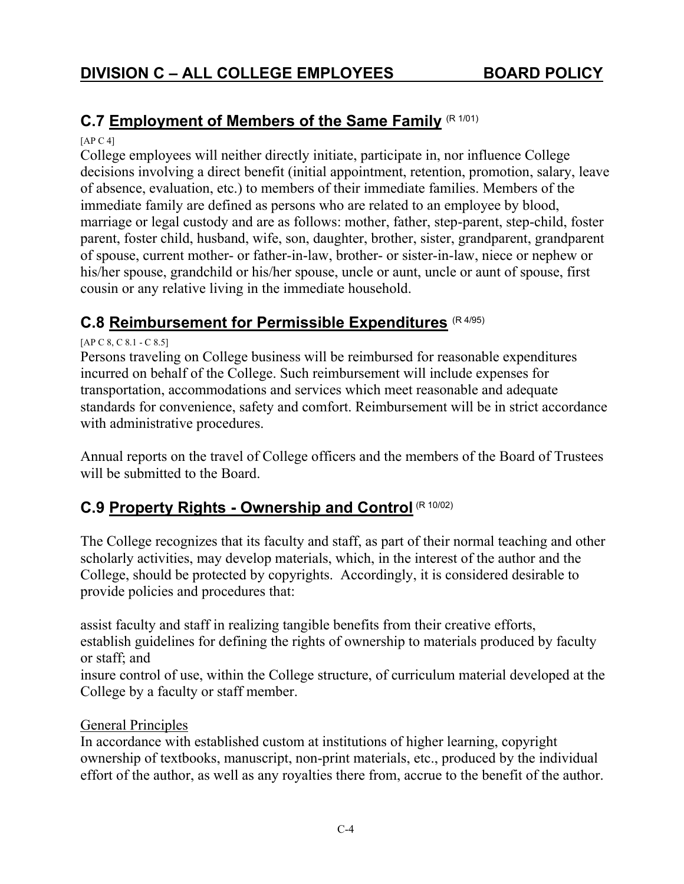## **C.7 Employment of Members of the Same Family (R 1/01)**

 $[AP C 4]$ 

College employees will neither directly initiate, participate in, nor influence College decisions involving a direct benefit (initial appointment, retention, promotion, salary, leave of absence, evaluation, etc.) to members of their immediate families. Members of the immediate family are defined as persons who are related to an employee by blood, marriage or legal custody and are as follows: mother, father, step-parent, step-child, foster parent, foster child, husband, wife, son, daughter, brother, sister, grandparent, grandparent of spouse, current mother- or father-in-law, brother- or sister-in-law, niece or nephew or his/her spouse, grandchild or his/her spouse, uncle or aunt, uncle or aunt of spouse, first cousin or any relative living in the immediate household.

## **C.8 Reimbursement for Permissible Expenditures** (R 4/95)

[AP C 8, C 8.1 - C 8.5]

Persons traveling on College business will be reimbursed for reasonable expenditures incurred on behalf of the College. Such reimbursement will include expenses for transportation, accommodations and services which meet reasonable and adequate standards for convenience, safety and comfort. Reimbursement will be in strict accordance with administrative procedures.

Annual reports on the travel of College officers and the members of the Board of Trustees will be submitted to the Board.

# **C.9 Property Rights - Ownership and Control** (R 10/02)

The College recognizes that its faculty and staff, as part of their normal teaching and other scholarly activities, may develop materials, which, in the interest of the author and the College, should be protected by copyrights. Accordingly, it is considered desirable to provide policies and procedures that:

assist faculty and staff in realizing tangible benefits from their creative efforts, establish guidelines for defining the rights of ownership to materials produced by faculty or staff; and

insure control of use, within the College structure, of curriculum material developed at the College by a faculty or staff member.

#### General Principles

In accordance with established custom at institutions of higher learning, copyright ownership of textbooks, manuscript, non-print materials, etc., produced by the individual effort of the author, as well as any royalties there from, accrue to the benefit of the author.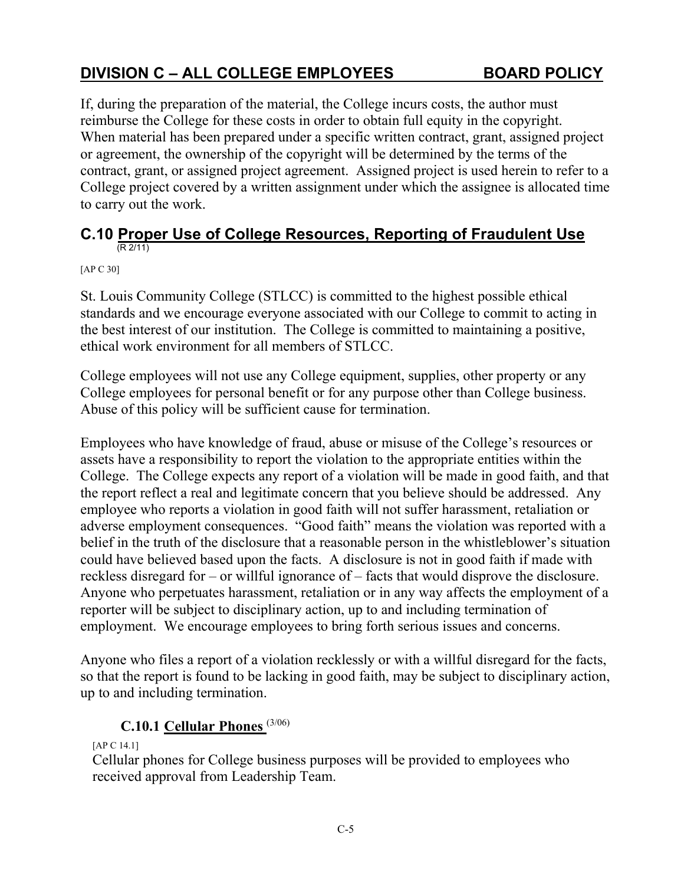If, during the preparation of the material, the College incurs costs, the author must reimburse the College for these costs in order to obtain full equity in the copyright. When material has been prepared under a specific written contract, grant, assigned project or agreement, the ownership of the copyright will be determined by the terms of the contract, grant, or assigned project agreement. Assigned project is used herein to refer to a College project covered by a written assignment under which the assignee is allocated time to carry out the work.

#### **C.10 Proper Use of College Resources, Reporting of Fraudulent Use** (R 2/11)

[AP C 30]

St. Louis Community College (STLCC) is committed to the highest possible ethical standards and we encourage everyone associated with our College to commit to acting in the best interest of our institution. The College is committed to maintaining a positive, ethical work environment for all members of STLCC.

College employees will not use any College equipment, supplies, other property or any College employees for personal benefit or for any purpose other than College business. Abuse of this policy will be sufficient cause for termination.

Employees who have knowledge of fraud, abuse or misuse of the College's resources or assets have a responsibility to report the violation to the appropriate entities within the College. The College expects any report of a violation will be made in good faith, and that the report reflect a real and legitimate concern that you believe should be addressed. Any employee who reports a violation in good faith will not suffer harassment, retaliation or adverse employment consequences. "Good faith" means the violation was reported with a belief in the truth of the disclosure that a reasonable person in the whistleblower's situation could have believed based upon the facts. A disclosure is not in good faith if made with reckless disregard for – or willful ignorance of – facts that would disprove the disclosure. Anyone who perpetuates harassment, retaliation or in any way affects the employment of a reporter will be subject to disciplinary action, up to and including termination of employment. We encourage employees to bring forth serious issues and concerns.

Anyone who files a report of a violation recklessly or with a willful disregard for the facts, so that the report is found to be lacking in good faith, may be subject to disciplinary action, up to and including termination.

## **C.10.1 Cellular Phones** (3/06)

[AP C 14.1]

Cellular phones for College business purposes will be provided to employees who received approval from Leadership Team.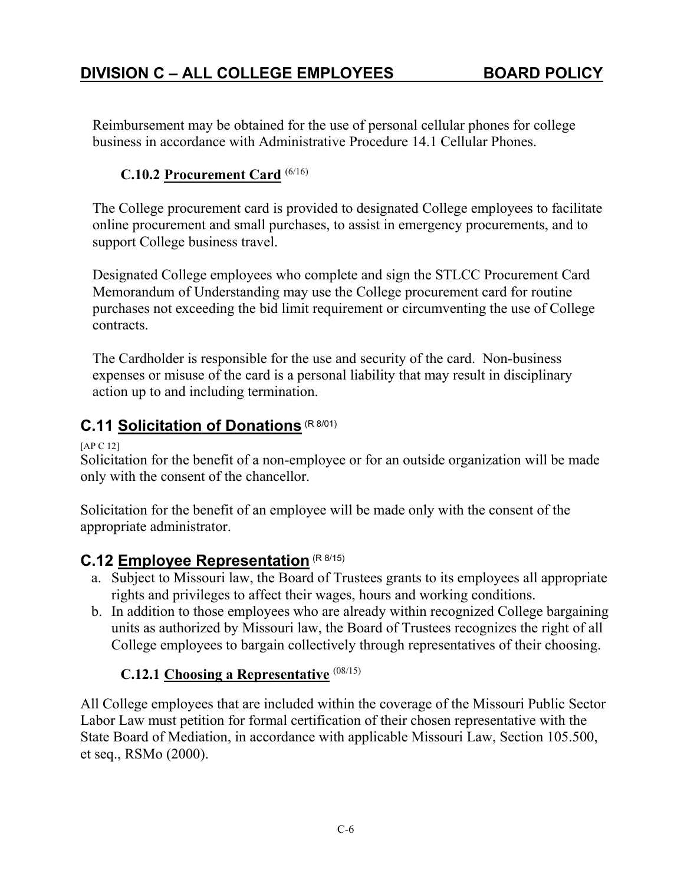Reimbursement may be obtained for the use of personal cellular phones for college business in accordance with Administrative Procedure 14.1 Cellular Phones.

## **C.10.2 Procurement Card** (6/16)

The College procurement card is provided to designated College employees to facilitate online procurement and small purchases, to assist in emergency procurements, and to support College business travel.

Designated College employees who complete and sign the STLCC Procurement Card Memorandum of Understanding may use the College procurement card for routine purchases not exceeding the bid limit requirement or circumventing the use of College contracts.

The Cardholder is responsible for the use and security of the card. Non-business expenses or misuse of the card is a personal liability that may result in disciplinary action up to and including termination.

# **C.11 Solicitation of Donations** (R 8/01)

[AP C 12]

Solicitation for the benefit of a non-employee or for an outside organization will be made only with the consent of the chancellor.

Solicitation for the benefit of an employee will be made only with the consent of the appropriate administrator.

# **C.12 Employee Representation** (R 8/15)

- a. Subject to Missouri law, the Board of Trustees grants to its employees all appropriate rights and privileges to affect their wages, hours and working conditions.
- b. In addition to those employees who are already within recognized College bargaining units as authorized by Missouri law, the Board of Trustees recognizes the right of all College employees to bargain collectively through representatives of their choosing.

## **C.12.1 Choosing a Representative** (08/15)

All College employees that are included within the coverage of the Missouri Public Sector Labor Law must petition for formal certification of their chosen representative with the State Board of Mediation, in accordance with applicable Missouri Law, Section 105.500, et seq., RSMo (2000).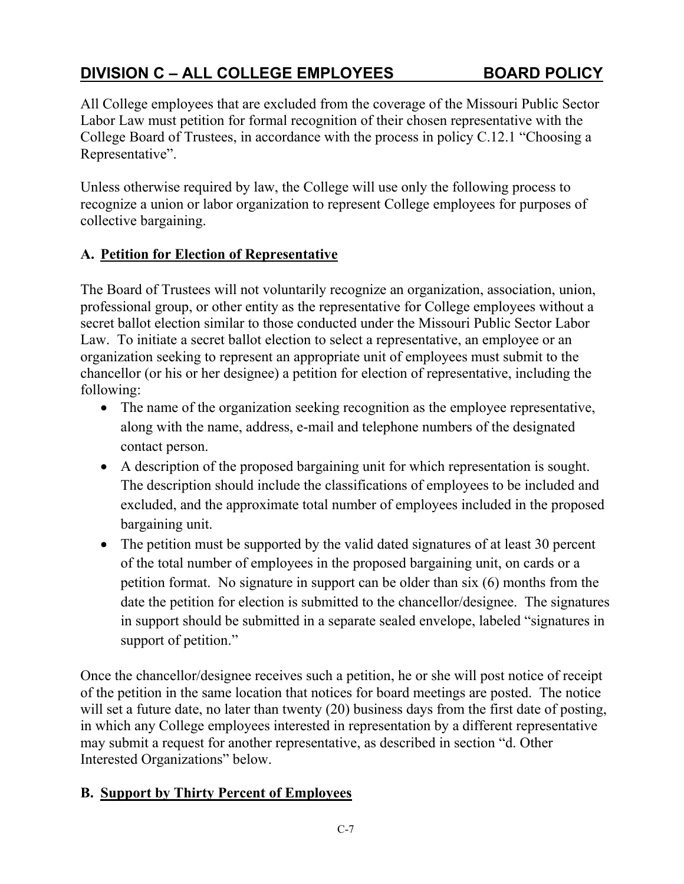All College employees that are excluded from the coverage of the Missouri Public Sector Labor Law must petition for formal recognition of their chosen representative with the College Board of Trustees, in accordance with the process in policy C.12.1 "Choosing a Representative".

Unless otherwise required by law, the College will use only the following process to recognize a union or labor organization to represent College employees for purposes of collective bargaining.

## **A. Petition for Election of Representative**

The Board of Trustees will not voluntarily recognize an organization, association, union, professional group, or other entity as the representative for College employees without a secret ballot election similar to those conducted under the Missouri Public Sector Labor Law. To initiate a secret ballot election to select a representative, an employee or an organization seeking to represent an appropriate unit of employees must submit to the chancellor (or his or her designee) a petition for election of representative, including the following:

- The name of the organization seeking recognition as the employee representative, along with the name, address, e-mail and telephone numbers of the designated contact person.
- A description of the proposed bargaining unit for which representation is sought. The description should include the classifications of employees to be included and excluded, and the approximate total number of employees included in the proposed bargaining unit.
- The petition must be supported by the valid dated signatures of at least 30 percent of the total number of employees in the proposed bargaining unit, on cards or a petition format. No signature in support can be older than six (6) months from the date the petition for election is submitted to the chancellor/designee. The signatures in support should be submitted in a separate sealed envelope, labeled "signatures in support of petition."

Once the chancellor/designee receives such a petition, he or she will post notice of receipt of the petition in the same location that notices for board meetings are posted. The notice will set a future date, no later than twenty (20) business days from the first date of posting, in which any College employees interested in representation by a different representative may submit a request for another representative, as described in section "d. Other Interested Organizations" below.

## **B. Support by Thirty Percent of Employees**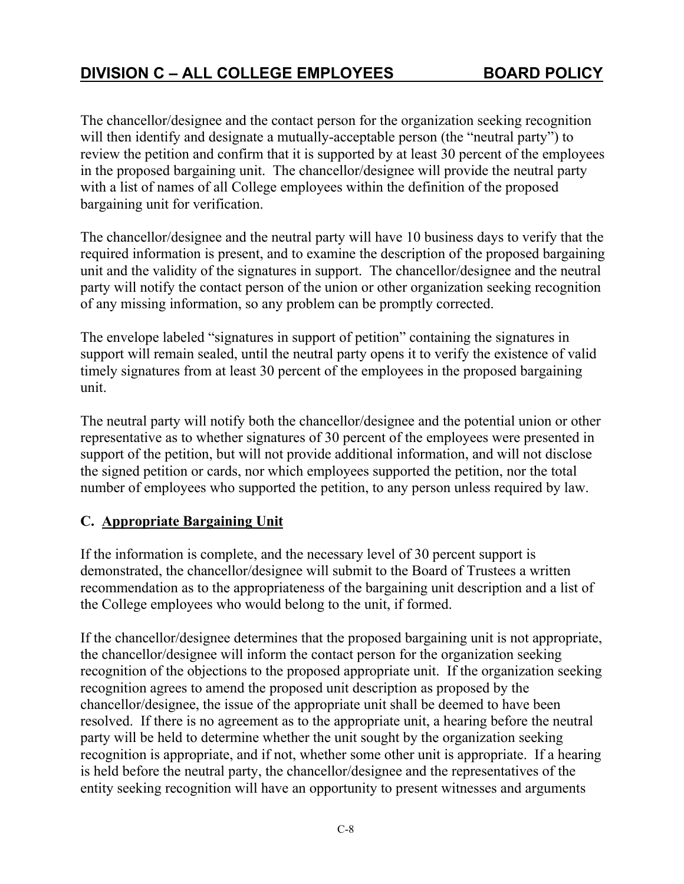The chancellor/designee and the contact person for the organization seeking recognition will then identify and designate a mutually-acceptable person (the "neutral party") to review the petition and confirm that it is supported by at least 30 percent of the employees in the proposed bargaining unit. The chancellor/designee will provide the neutral party with a list of names of all College employees within the definition of the proposed bargaining unit for verification.

The chancellor/designee and the neutral party will have 10 business days to verify that the required information is present, and to examine the description of the proposed bargaining unit and the validity of the signatures in support. The chancellor/designee and the neutral party will notify the contact person of the union or other organization seeking recognition of any missing information, so any problem can be promptly corrected.

The envelope labeled "signatures in support of petition" containing the signatures in support will remain sealed, until the neutral party opens it to verify the existence of valid timely signatures from at least 30 percent of the employees in the proposed bargaining unit.

The neutral party will notify both the chancellor/designee and the potential union or other representative as to whether signatures of 30 percent of the employees were presented in support of the petition, but will not provide additional information, and will not disclose the signed petition or cards, nor which employees supported the petition, nor the total number of employees who supported the petition, to any person unless required by law.

## **C. Appropriate Bargaining Unit**

If the information is complete, and the necessary level of 30 percent support is demonstrated, the chancellor/designee will submit to the Board of Trustees a written recommendation as to the appropriateness of the bargaining unit description and a list of the College employees who would belong to the unit, if formed.

If the chancellor/designee determines that the proposed bargaining unit is not appropriate, the chancellor/designee will inform the contact person for the organization seeking recognition of the objections to the proposed appropriate unit. If the organization seeking recognition agrees to amend the proposed unit description as proposed by the chancellor/designee, the issue of the appropriate unit shall be deemed to have been resolved. If there is no agreement as to the appropriate unit, a hearing before the neutral party will be held to determine whether the unit sought by the organization seeking recognition is appropriate, and if not, whether some other unit is appropriate. If a hearing is held before the neutral party, the chancellor/designee and the representatives of the entity seeking recognition will have an opportunity to present witnesses and arguments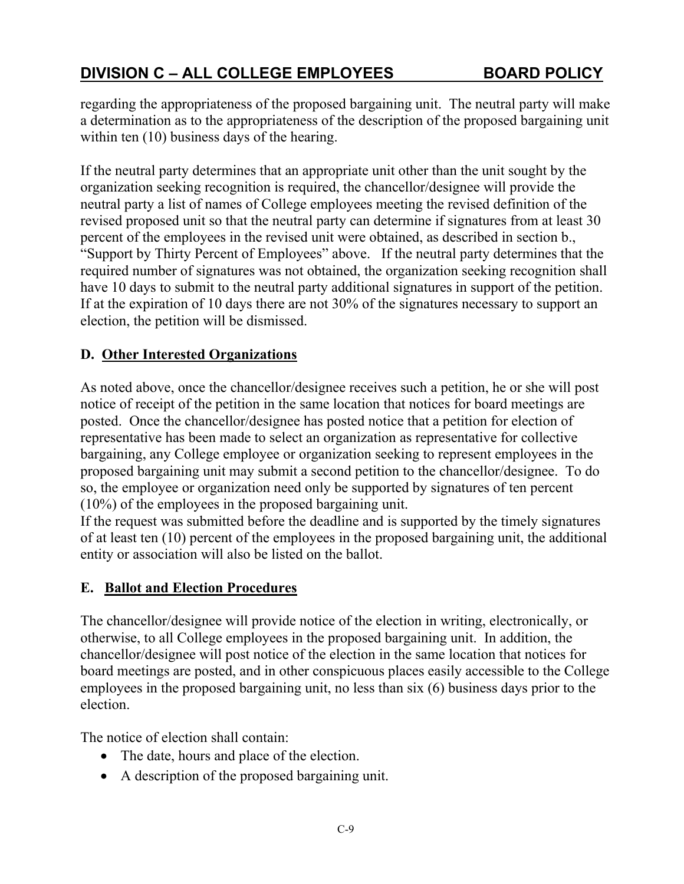regarding the appropriateness of the proposed bargaining unit. The neutral party will make a determination as to the appropriateness of the description of the proposed bargaining unit within ten (10) business days of the hearing.

If the neutral party determines that an appropriate unit other than the unit sought by the organization seeking recognition is required, the chancellor/designee will provide the neutral party a list of names of College employees meeting the revised definition of the revised proposed unit so that the neutral party can determine if signatures from at least 30 percent of the employees in the revised unit were obtained, as described in section b., "Support by Thirty Percent of Employees" above. If the neutral party determines that the required number of signatures was not obtained, the organization seeking recognition shall have 10 days to submit to the neutral party additional signatures in support of the petition. If at the expiration of 10 days there are not 30% of the signatures necessary to support an election, the petition will be dismissed.

## **D. Other Interested Organizations**

As noted above, once the chancellor/designee receives such a petition, he or she will post notice of receipt of the petition in the same location that notices for board meetings are posted. Once the chancellor/designee has posted notice that a petition for election of representative has been made to select an organization as representative for collective bargaining, any College employee or organization seeking to represent employees in the proposed bargaining unit may submit a second petition to the chancellor/designee. To do so, the employee or organization need only be supported by signatures of ten percent (10%) of the employees in the proposed bargaining unit.

If the request was submitted before the deadline and is supported by the timely signatures of at least ten (10) percent of the employees in the proposed bargaining unit, the additional entity or association will also be listed on the ballot.

## **E. Ballot and Election Procedures**

The chancellor/designee will provide notice of the election in writing, electronically, or otherwise, to all College employees in the proposed bargaining unit. In addition, the chancellor/designee will post notice of the election in the same location that notices for board meetings are posted, and in other conspicuous places easily accessible to the College employees in the proposed bargaining unit, no less than six (6) business days prior to the election.

The notice of election shall contain:

- The date, hours and place of the election.
- A description of the proposed bargaining unit.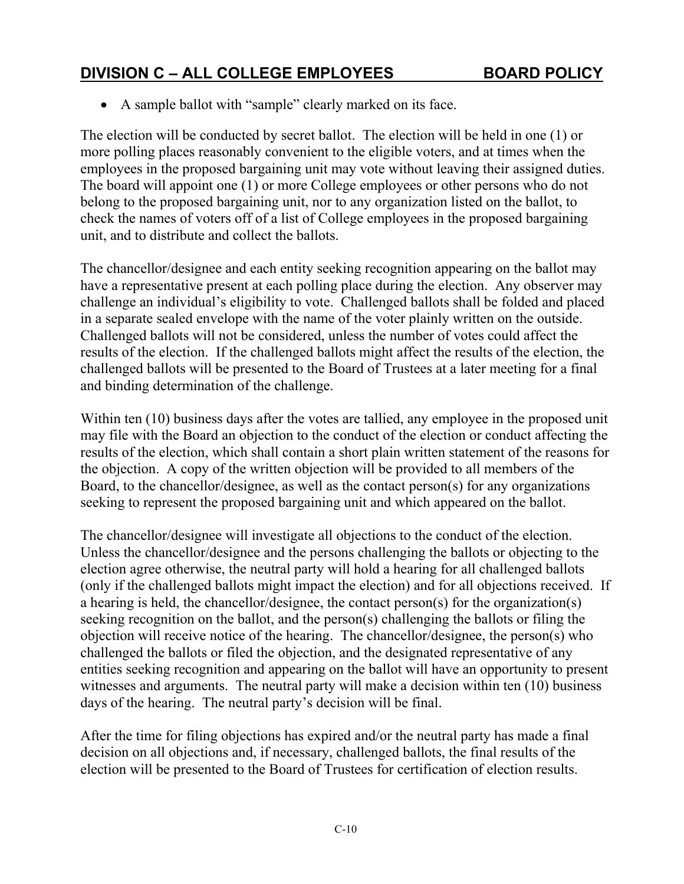A sample ballot with "sample" clearly marked on its face.

The election will be conducted by secret ballot. The election will be held in one (1) or more polling places reasonably convenient to the eligible voters, and at times when the employees in the proposed bargaining unit may vote without leaving their assigned duties. The board will appoint one (1) or more College employees or other persons who do not belong to the proposed bargaining unit, nor to any organization listed on the ballot, to check the names of voters off of a list of College employees in the proposed bargaining unit, and to distribute and collect the ballots.

The chancellor/designee and each entity seeking recognition appearing on the ballot may have a representative present at each polling place during the election. Any observer may challenge an individual's eligibility to vote. Challenged ballots shall be folded and placed in a separate sealed envelope with the name of the voter plainly written on the outside. Challenged ballots will not be considered, unless the number of votes could affect the results of the election. If the challenged ballots might affect the results of the election, the challenged ballots will be presented to the Board of Trustees at a later meeting for a final and binding determination of the challenge.

Within ten (10) business days after the votes are tallied, any employee in the proposed unit may file with the Board an objection to the conduct of the election or conduct affecting the results of the election, which shall contain a short plain written statement of the reasons for the objection. A copy of the written objection will be provided to all members of the Board, to the chancellor/designee, as well as the contact person(s) for any organizations seeking to represent the proposed bargaining unit and which appeared on the ballot.

The chancellor/designee will investigate all objections to the conduct of the election. Unless the chancellor/designee and the persons challenging the ballots or objecting to the election agree otherwise, the neutral party will hold a hearing for all challenged ballots (only if the challenged ballots might impact the election) and for all objections received. If a hearing is held, the chancellor/designee, the contact person(s) for the organization(s) seeking recognition on the ballot, and the person(s) challenging the ballots or filing the objection will receive notice of the hearing. The chancellor/designee, the person(s) who challenged the ballots or filed the objection, and the designated representative of any entities seeking recognition and appearing on the ballot will have an opportunity to present witnesses and arguments. The neutral party will make a decision within ten (10) business days of the hearing. The neutral party's decision will be final.

After the time for filing objections has expired and/or the neutral party has made a final decision on all objections and, if necessary, challenged ballots, the final results of the election will be presented to the Board of Trustees for certification of election results.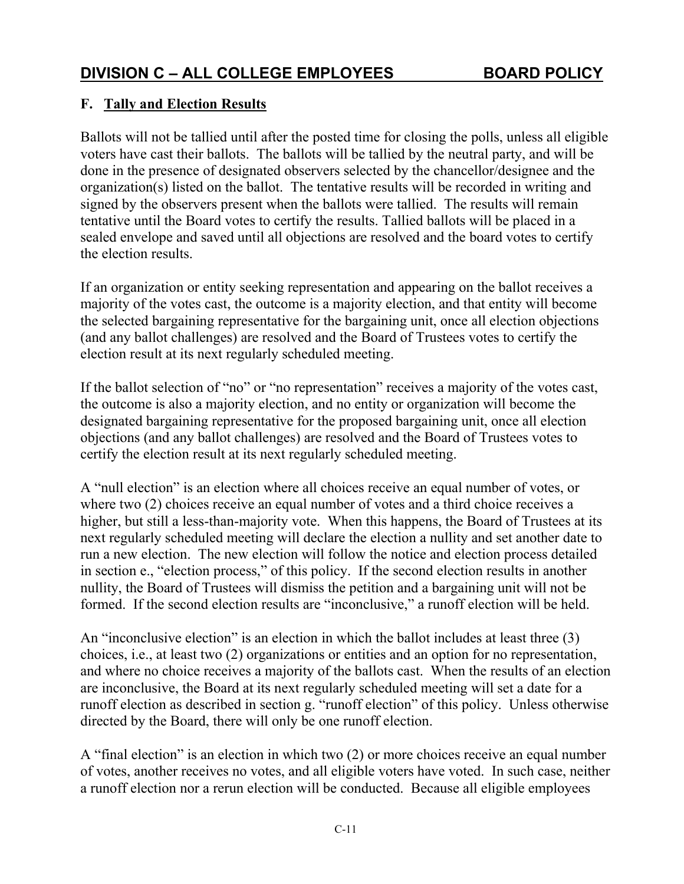## **F. Tally and Election Results**

Ballots will not be tallied until after the posted time for closing the polls, unless all eligible voters have cast their ballots. The ballots will be tallied by the neutral party, and will be done in the presence of designated observers selected by the chancellor/designee and the organization(s) listed on the ballot. The tentative results will be recorded in writing and signed by the observers present when the ballots were tallied. The results will remain tentative until the Board votes to certify the results. Tallied ballots will be placed in a sealed envelope and saved until all objections are resolved and the board votes to certify the election results.

If an organization or entity seeking representation and appearing on the ballot receives a majority of the votes cast, the outcome is a majority election, and that entity will become the selected bargaining representative for the bargaining unit, once all election objections (and any ballot challenges) are resolved and the Board of Trustees votes to certify the election result at its next regularly scheduled meeting.

If the ballot selection of "no" or "no representation" receives a majority of the votes cast, the outcome is also a majority election, and no entity or organization will become the designated bargaining representative for the proposed bargaining unit, once all election objections (and any ballot challenges) are resolved and the Board of Trustees votes to certify the election result at its next regularly scheduled meeting.

A "null election" is an election where all choices receive an equal number of votes, or where two (2) choices receive an equal number of votes and a third choice receives a higher, but still a less-than-majority vote. When this happens, the Board of Trustees at its next regularly scheduled meeting will declare the election a nullity and set another date to run a new election. The new election will follow the notice and election process detailed in section e., "election process," of this policy. If the second election results in another nullity, the Board of Trustees will dismiss the petition and a bargaining unit will not be formed. If the second election results are "inconclusive," a runoff election will be held.

An "inconclusive election" is an election in which the ballot includes at least three (3) choices, i.e., at least two (2) organizations or entities and an option for no representation, and where no choice receives a majority of the ballots cast. When the results of an election are inconclusive, the Board at its next regularly scheduled meeting will set a date for a runoff election as described in section g. "runoff election" of this policy. Unless otherwise directed by the Board, there will only be one runoff election.

A "final election" is an election in which two (2) or more choices receive an equal number of votes, another receives no votes, and all eligible voters have voted. In such case, neither a runoff election nor a rerun election will be conducted. Because all eligible employees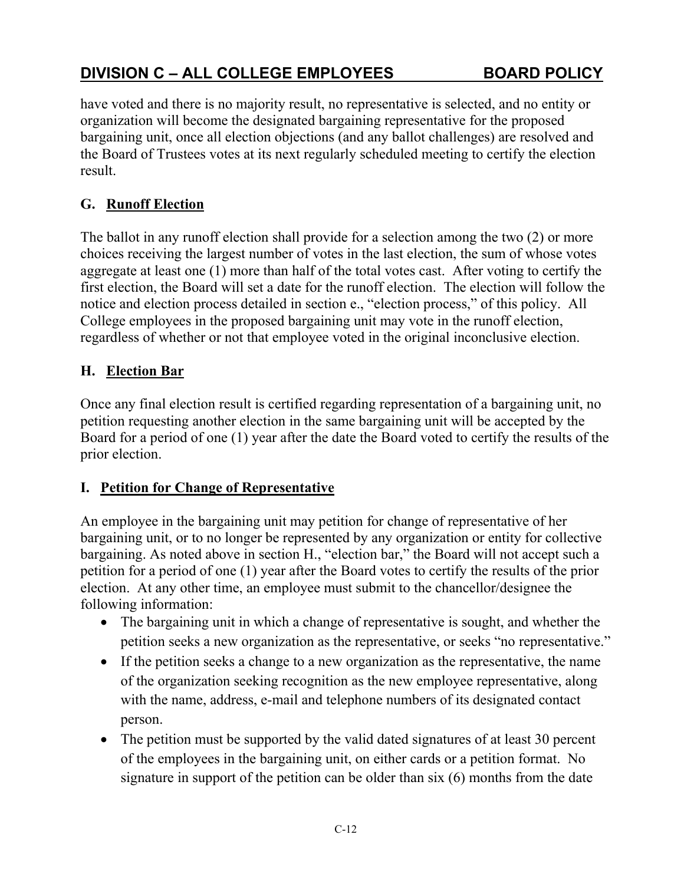have voted and there is no majority result, no representative is selected, and no entity or organization will become the designated bargaining representative for the proposed bargaining unit, once all election objections (and any ballot challenges) are resolved and the Board of Trustees votes at its next regularly scheduled meeting to certify the election result.

## **G. Runoff Election**

The ballot in any runoff election shall provide for a selection among the two (2) or more choices receiving the largest number of votes in the last election, the sum of whose votes aggregate at least one (1) more than half of the total votes cast. After voting to certify the first election, the Board will set a date for the runoff election. The election will follow the notice and election process detailed in section e., "election process," of this policy. All College employees in the proposed bargaining unit may vote in the runoff election, regardless of whether or not that employee voted in the original inconclusive election.

## **H. Election Bar**

Once any final election result is certified regarding representation of a bargaining unit, no petition requesting another election in the same bargaining unit will be accepted by the Board for a period of one (1) year after the date the Board voted to certify the results of the prior election.

## **I. Petition for Change of Representative**

An employee in the bargaining unit may petition for change of representative of her bargaining unit, or to no longer be represented by any organization or entity for collective bargaining. As noted above in section H., "election bar," the Board will not accept such a petition for a period of one (1) year after the Board votes to certify the results of the prior election. At any other time, an employee must submit to the chancellor/designee the following information:

- The bargaining unit in which a change of representative is sought, and whether the petition seeks a new organization as the representative, or seeks "no representative."
- If the petition seeks a change to a new organization as the representative, the name of the organization seeking recognition as the new employee representative, along with the name, address, e-mail and telephone numbers of its designated contact person.
- The petition must be supported by the valid dated signatures of at least 30 percent of the employees in the bargaining unit, on either cards or a petition format. No signature in support of the petition can be older than six (6) months from the date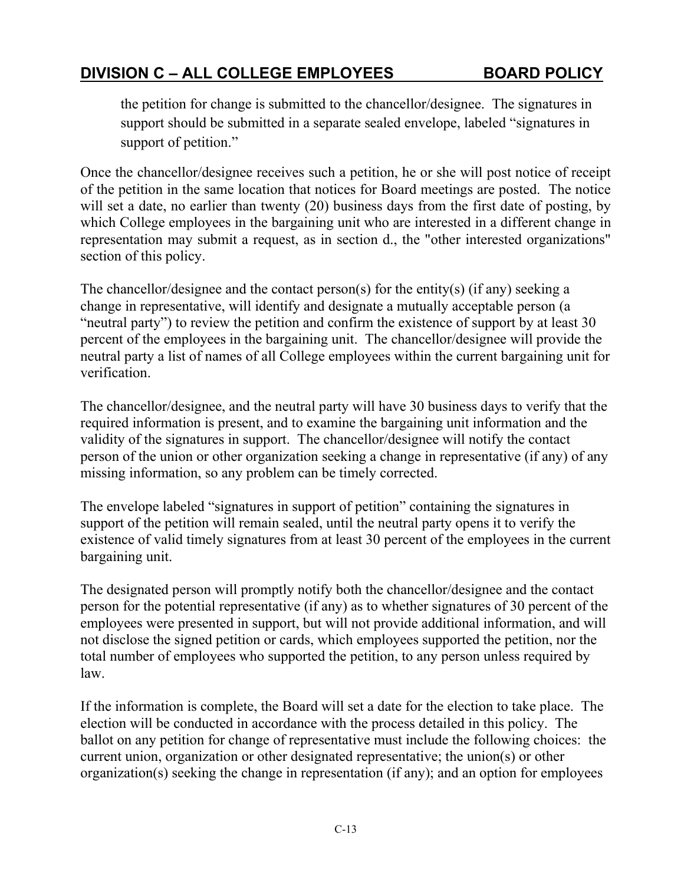the petition for change is submitted to the chancellor/designee. The signatures in support should be submitted in a separate sealed envelope, labeled "signatures in support of petition."

Once the chancellor/designee receives such a petition, he or she will post notice of receipt of the petition in the same location that notices for Board meetings are posted. The notice will set a date, no earlier than twenty (20) business days from the first date of posting, by which College employees in the bargaining unit who are interested in a different change in representation may submit a request, as in section d., the "other interested organizations" section of this policy.

The chancellor/designee and the contact person(s) for the entity(s) (if any) seeking a change in representative, will identify and designate a mutually acceptable person (a "neutral party") to review the petition and confirm the existence of support by at least 30 percent of the employees in the bargaining unit. The chancellor/designee will provide the neutral party a list of names of all College employees within the current bargaining unit for verification.

The chancellor/designee, and the neutral party will have 30 business days to verify that the required information is present, and to examine the bargaining unit information and the validity of the signatures in support. The chancellor/designee will notify the contact person of the union or other organization seeking a change in representative (if any) of any missing information, so any problem can be timely corrected.

The envelope labeled "signatures in support of petition" containing the signatures in support of the petition will remain sealed, until the neutral party opens it to verify the existence of valid timely signatures from at least 30 percent of the employees in the current bargaining unit.

The designated person will promptly notify both the chancellor/designee and the contact person for the potential representative (if any) as to whether signatures of 30 percent of the employees were presented in support, but will not provide additional information, and will not disclose the signed petition or cards, which employees supported the petition, nor the total number of employees who supported the petition, to any person unless required by law.

If the information is complete, the Board will set a date for the election to take place. The election will be conducted in accordance with the process detailed in this policy. The ballot on any petition for change of representative must include the following choices: the current union, organization or other designated representative; the union(s) or other organization(s) seeking the change in representation (if any); and an option for employees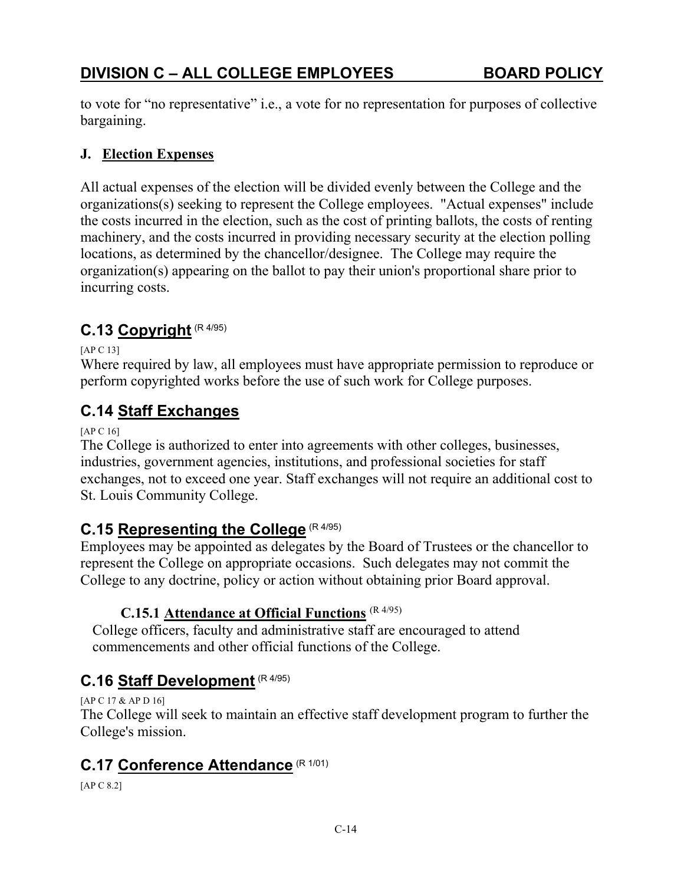to vote for "no representative" i.e., a vote for no representation for purposes of collective bargaining.

#### **J. Election Expenses**

All actual expenses of the election will be divided evenly between the College and the organizations(s) seeking to represent the College employees. "Actual expenses" include the costs incurred in the election, such as the cost of printing ballots, the costs of renting machinery, and the costs incurred in providing necessary security at the election polling locations, as determined by the chancellor/designee. The College may require the organization(s) appearing on the ballot to pay their union's proportional share prior to incurring costs.

# **C.13 Copyright** (R 4/95)

[AP C 13]

Where required by law, all employees must have appropriate permission to reproduce or perform copyrighted works before the use of such work for College purposes.

## **C.14 Staff Exchanges**

[AP C 16]

The College is authorized to enter into agreements with other colleges, businesses, industries, government agencies, institutions, and professional societies for staff exchanges, not to exceed one year. Staff exchanges will not require an additional cost to St. Louis Community College.

# **C.15 Representing the College** (R 4/95)

Employees may be appointed as delegates by the Board of Trustees or the chancellor to represent the College on appropriate occasions. Such delegates may not commit the College to any doctrine, policy or action without obtaining prior Board approval.

## **C.15.1 Attendance at Official Functions** (R 4/95)

College officers, faculty and administrative staff are encouraged to attend commencements and other official functions of the College.

# **C.16 Staff Development** (R 4/95)

[AP C 17 & AP D 16] The College will seek to maintain an effective staff development program to further the College's mission.

## **C.17 Conference Attendance** (R 1/01)

[AP C 8.2]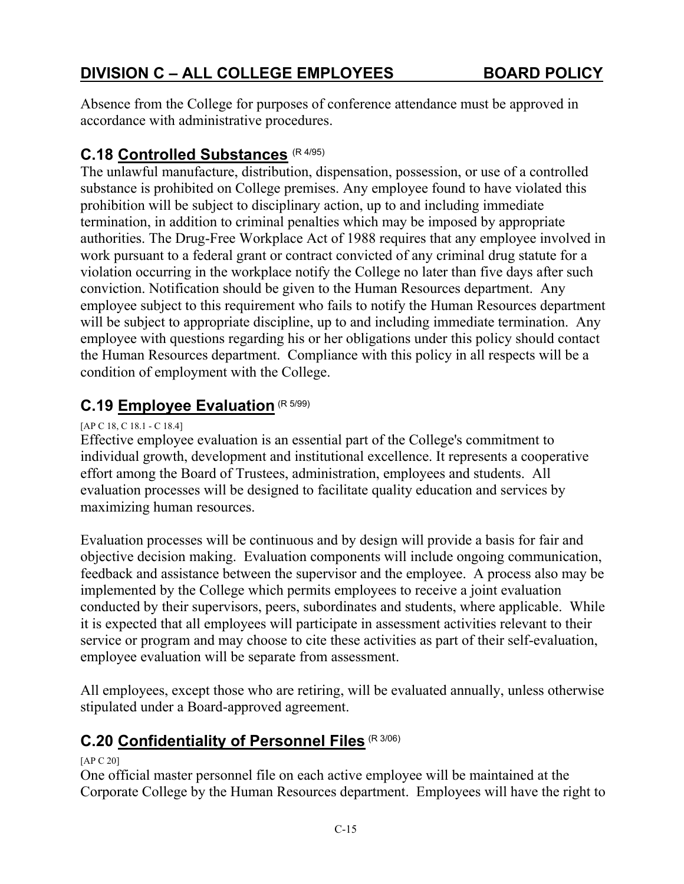Absence from the College for purposes of conference attendance must be approved in accordance with administrative procedures.

# **C.18 Controlled Substances** (R 4/95)

The unlawful manufacture, distribution, dispensation, possession, or use of a controlled substance is prohibited on College premises. Any employee found to have violated this prohibition will be subject to disciplinary action, up to and including immediate termination, in addition to criminal penalties which may be imposed by appropriate authorities. The Drug-Free Workplace Act of 1988 requires that any employee involved in work pursuant to a federal grant or contract convicted of any criminal drug statute for a violation occurring in the workplace notify the College no later than five days after such conviction. Notification should be given to the Human Resources department. Any employee subject to this requirement who fails to notify the Human Resources department will be subject to appropriate discipline, up to and including immediate termination. Any employee with questions regarding his or her obligations under this policy should contact the Human Resources department. Compliance with this policy in all respects will be a condition of employment with the College.

# **C.19 Employee Evaluation** (R 5/99)

#### [AP C 18, C 18.1 - C 18.4]

Effective employee evaluation is an essential part of the College's commitment to individual growth, development and institutional excellence. It represents a cooperative effort among the Board of Trustees, administration, employees and students. All evaluation processes will be designed to facilitate quality education and services by maximizing human resources.

Evaluation processes will be continuous and by design will provide a basis for fair and objective decision making. Evaluation components will include ongoing communication, feedback and assistance between the supervisor and the employee. A process also may be implemented by the College which permits employees to receive a joint evaluation conducted by their supervisors, peers, subordinates and students, where applicable. While it is expected that all employees will participate in assessment activities relevant to their service or program and may choose to cite these activities as part of their self-evaluation, employee evaluation will be separate from assessment.

All employees, except those who are retiring, will be evaluated annually, unless otherwise stipulated under a Board-approved agreement.

# **C.20 Confidentiality of Personnel Files** (R 3/06)

#### [AP C 20]

One official master personnel file on each active employee will be maintained at the Corporate College by the Human Resources department. Employees will have the right to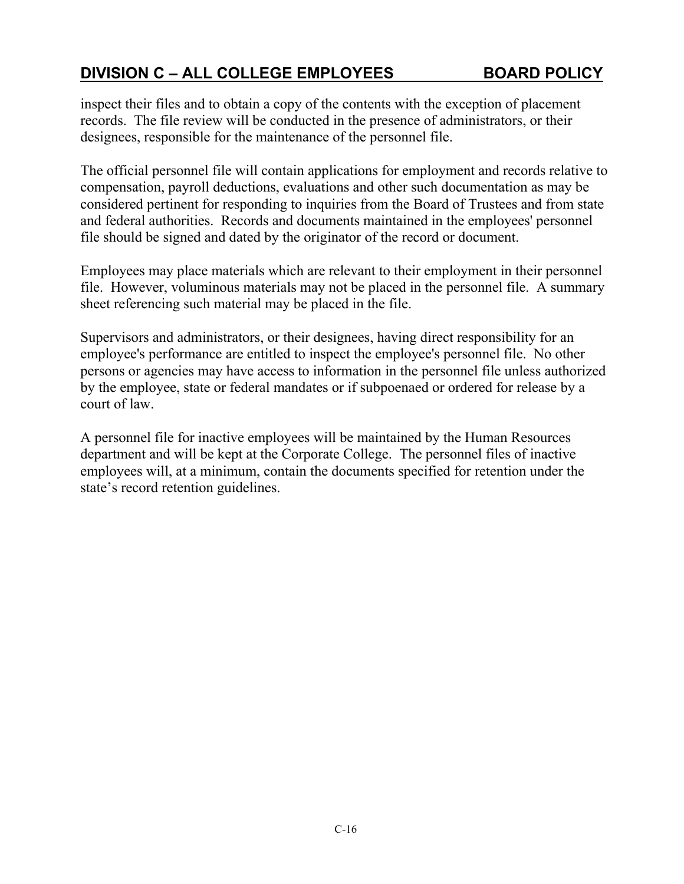inspect their files and to obtain a copy of the contents with the exception of placement records. The file review will be conducted in the presence of administrators, or their designees, responsible for the maintenance of the personnel file.

The official personnel file will contain applications for employment and records relative to compensation, payroll deductions, evaluations and other such documentation as may be considered pertinent for responding to inquiries from the Board of Trustees and from state and federal authorities. Records and documents maintained in the employees' personnel file should be signed and dated by the originator of the record or document.

Employees may place materials which are relevant to their employment in their personnel file. However, voluminous materials may not be placed in the personnel file. A summary sheet referencing such material may be placed in the file.

Supervisors and administrators, or their designees, having direct responsibility for an employee's performance are entitled to inspect the employee's personnel file. No other persons or agencies may have access to information in the personnel file unless authorized by the employee, state or federal mandates or if subpoenaed or ordered for release by a court of law.

A personnel file for inactive employees will be maintained by the Human Resources department and will be kept at the Corporate College. The personnel files of inactive employees will, at a minimum, contain the documents specified for retention under the state's record retention guidelines.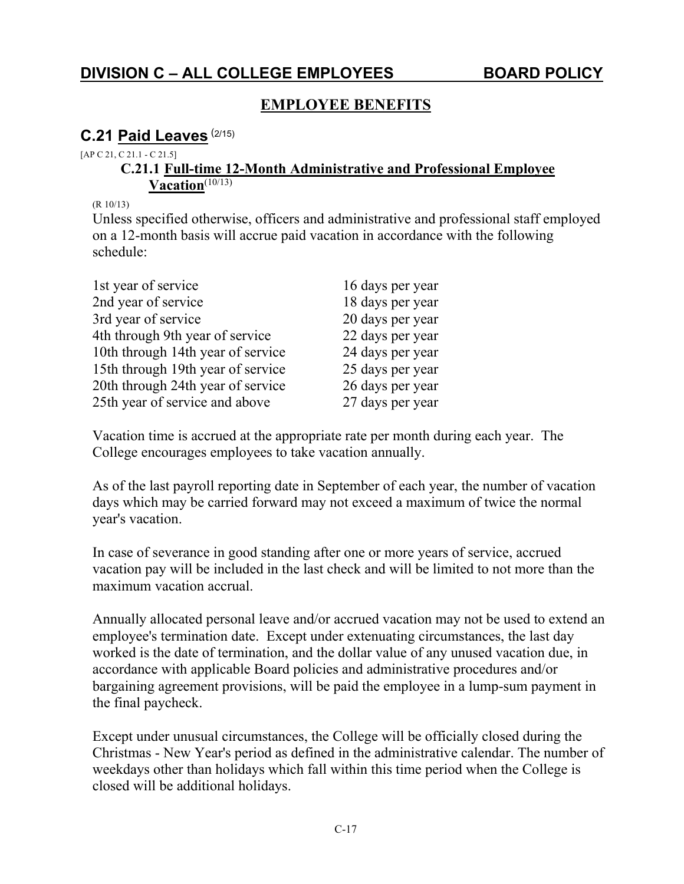## **EMPLOYEE BENEFITS**

## **C.21 Paid Leaves** (2/15)

#### [AP C 21, C 21.1 - C 21.5]

#### **C.21.1 Full-time 12-Month Administrative and Professional Employee**  Vacation<sup>(10/13)</sup>

(R 10/13)

Unless specified otherwise, officers and administrative and professional staff employed on a 12-month basis will accrue paid vacation in accordance with the following schedule:

| 1st year of service               | 16 days per year |
|-----------------------------------|------------------|
| 2nd year of service               | 18 days per year |
| 3rd year of service               | 20 days per year |
| 4th through 9th year of service   | 22 days per year |
| 10th through 14th year of service | 24 days per year |
| 15th through 19th year of service | 25 days per year |
| 20th through 24th year of service | 26 days per year |
| 25th year of service and above    | 27 days per year |

Vacation time is accrued at the appropriate rate per month during each year. The College encourages employees to take vacation annually.

As of the last payroll reporting date in September of each year, the number of vacation days which may be carried forward may not exceed a maximum of twice the normal year's vacation.

In case of severance in good standing after one or more years of service, accrued vacation pay will be included in the last check and will be limited to not more than the maximum vacation accrual.

Annually allocated personal leave and/or accrued vacation may not be used to extend an employee's termination date. Except under extenuating circumstances, the last day worked is the date of termination, and the dollar value of any unused vacation due, in accordance with applicable Board policies and administrative procedures and/or bargaining agreement provisions, will be paid the employee in a lump-sum payment in the final paycheck.

Except under unusual circumstances, the College will be officially closed during the Christmas - New Year's period as defined in the administrative calendar. The number of weekdays other than holidays which fall within this time period when the College is closed will be additional holidays.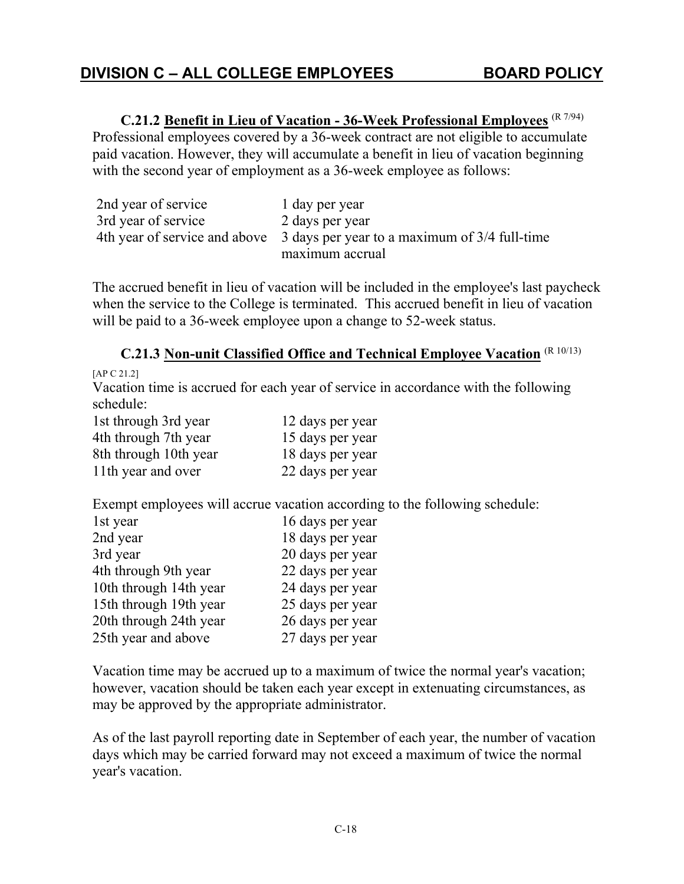**C.21.2 Benefit in Lieu of Vacation - 36-Week Professional Employees** (R 7/94) Professional employees covered by a 36-week contract are not eligible to accumulate paid vacation. However, they will accumulate a benefit in lieu of vacation beginning with the second year of employment as a 36-week employee as follows:

| 2nd year of service | 1 day per year                                                              |
|---------------------|-----------------------------------------------------------------------------|
| 3rd year of service | 2 days per year                                                             |
|                     | 4th year of service and above 3 days per year to a maximum of 3/4 full-time |
|                     | maximum accrual                                                             |

The accrued benefit in lieu of vacation will be included in the employee's last paycheck when the service to the College is terminated. This accrued benefit in lieu of vacation will be paid to a 36-week employee upon a change to 52-week status.

**C.21.3 Non-unit Classified Office and Technical Employee Vacation** (R 10/13)

```
[AP C 21.2]
```
Vacation time is accrued for each year of service in accordance with the following schedule:

| 1st through 3rd year  | 12 days per year |
|-----------------------|------------------|
| 4th through 7th year  | 15 days per year |
| 8th through 10th year | 18 days per year |
| 11th year and over    | 22 days per year |

Exempt employees will accrue vacation according to the following schedule:

| 1st year               | 16 days per year |
|------------------------|------------------|
| 2nd year               | 18 days per year |
| 3rd year               | 20 days per year |
| 4th through 9th year   | 22 days per year |
| 10th through 14th year | 24 days per year |
| 15th through 19th year | 25 days per year |
| 20th through 24th year | 26 days per year |
| 25th year and above    | 27 days per year |

Vacation time may be accrued up to a maximum of twice the normal year's vacation; however, vacation should be taken each year except in extenuating circumstances, as may be approved by the appropriate administrator.

As of the last payroll reporting date in September of each year, the number of vacation days which may be carried forward may not exceed a maximum of twice the normal year's vacation.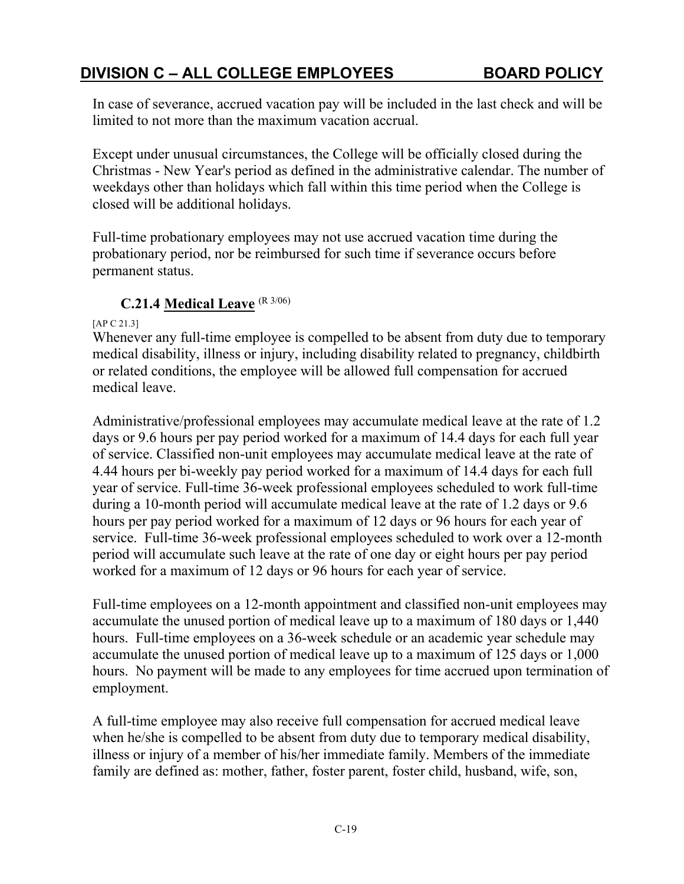In case of severance, accrued vacation pay will be included in the last check and will be limited to not more than the maximum vacation accrual.

Except under unusual circumstances, the College will be officially closed during the Christmas - New Year's period as defined in the administrative calendar. The number of weekdays other than holidays which fall within this time period when the College is closed will be additional holidays.

Full-time probationary employees may not use accrued vacation time during the probationary period, nor be reimbursed for such time if severance occurs before permanent status.

#### **C.21.4 Medical Leave** (R 3/06)

[AP C 21.3]

Whenever any full-time employee is compelled to be absent from duty due to temporary medical disability, illness or injury, including disability related to pregnancy, childbirth or related conditions, the employee will be allowed full compensation for accrued medical leave.

Administrative/professional employees may accumulate medical leave at the rate of 1.2 days or 9.6 hours per pay period worked for a maximum of 14.4 days for each full year of service. Classified non-unit employees may accumulate medical leave at the rate of 4.44 hours per bi-weekly pay period worked for a maximum of 14.4 days for each full year of service. Full-time 36-week professional employees scheduled to work full-time during a 10-month period will accumulate medical leave at the rate of 1.2 days or 9.6 hours per pay period worked for a maximum of 12 days or 96 hours for each year of service. Full-time 36-week professional employees scheduled to work over a 12-month period will accumulate such leave at the rate of one day or eight hours per pay period worked for a maximum of 12 days or 96 hours for each year of service.

Full-time employees on a 12-month appointment and classified non-unit employees may accumulate the unused portion of medical leave up to a maximum of 180 days or 1,440 hours. Full-time employees on a 36-week schedule or an academic year schedule may accumulate the unused portion of medical leave up to a maximum of 125 days or 1,000 hours. No payment will be made to any employees for time accrued upon termination of employment.

A full-time employee may also receive full compensation for accrued medical leave when he/she is compelled to be absent from duty due to temporary medical disability, illness or injury of a member of his/her immediate family. Members of the immediate family are defined as: mother, father, foster parent, foster child, husband, wife, son,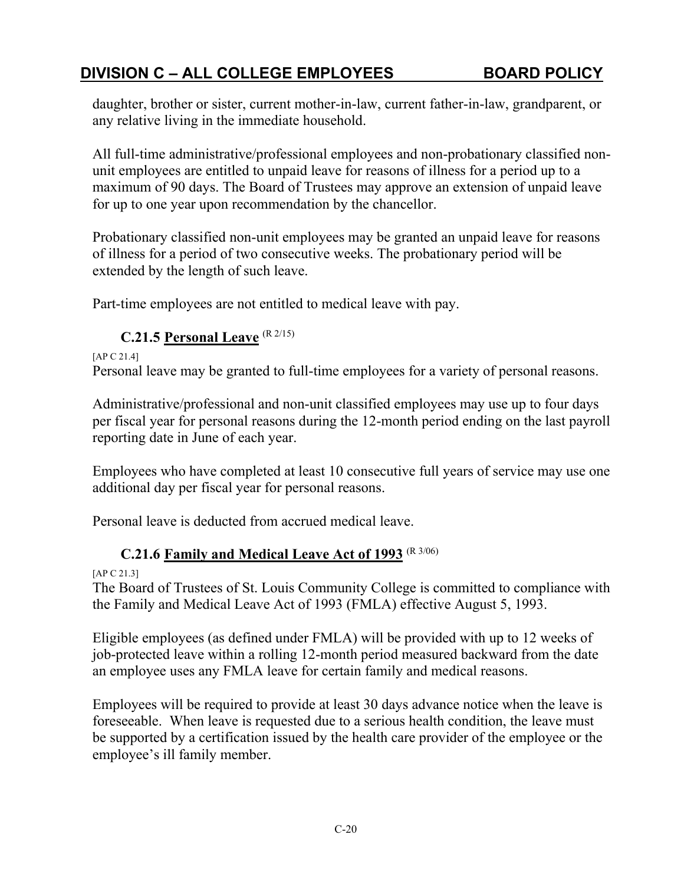daughter, brother or sister, current mother-in-law, current father-in-law, grandparent, or any relative living in the immediate household.

All full-time administrative/professional employees and non-probationary classified nonunit employees are entitled to unpaid leave for reasons of illness for a period up to a maximum of 90 days. The Board of Trustees may approve an extension of unpaid leave for up to one year upon recommendation by the chancellor.

Probationary classified non-unit employees may be granted an unpaid leave for reasons of illness for a period of two consecutive weeks. The probationary period will be extended by the length of such leave.

Part-time employees are not entitled to medical leave with pay.

#### **C.21.5 Personal Leave** (R 2/15)

[AP C 21.4] Personal leave may be granted to full-time employees for a variety of personal reasons.

Administrative/professional and non-unit classified employees may use up to four days per fiscal year for personal reasons during the 12-month period ending on the last payroll reporting date in June of each year.

Employees who have completed at least 10 consecutive full years of service may use one additional day per fiscal year for personal reasons.

Personal leave is deducted from accrued medical leave.

## **C.21.6 Family and Medical Leave Act of 1993** (R 3/06)

[AP C 21.3]

The Board of Trustees of St. Louis Community College is committed to compliance with the Family and Medical Leave Act of 1993 (FMLA) effective August 5, 1993.

Eligible employees (as defined under FMLA) will be provided with up to 12 weeks of job-protected leave within a rolling 12-month period measured backward from the date an employee uses any FMLA leave for certain family and medical reasons.

Employees will be required to provide at least 30 days advance notice when the leave is foreseeable. When leave is requested due to a serious health condition, the leave must be supported by a certification issued by the health care provider of the employee or the employee's ill family member.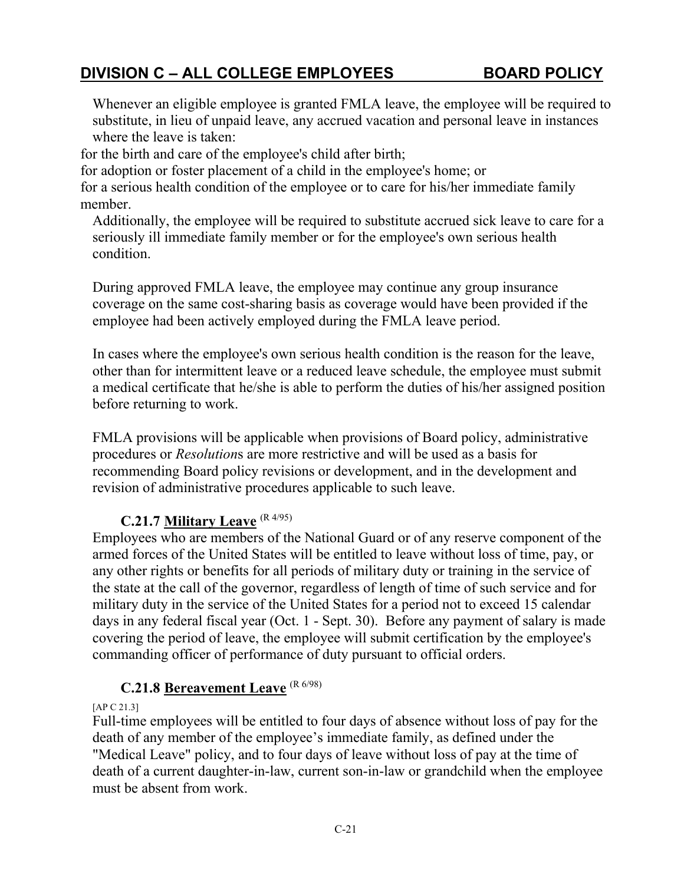Whenever an eligible employee is granted FMLA leave, the employee will be required to substitute, in lieu of unpaid leave, any accrued vacation and personal leave in instances where the leave is taken:

for the birth and care of the employee's child after birth;

for adoption or foster placement of a child in the employee's home; or

for a serious health condition of the employee or to care for his/her immediate family member.

Additionally, the employee will be required to substitute accrued sick leave to care for a seriously ill immediate family member or for the employee's own serious health condition.

During approved FMLA leave, the employee may continue any group insurance coverage on the same cost-sharing basis as coverage would have been provided if the employee had been actively employed during the FMLA leave period.

In cases where the employee's own serious health condition is the reason for the leave, other than for intermittent leave or a reduced leave schedule, the employee must submit a medical certificate that he/she is able to perform the duties of his/her assigned position before returning to work.

FMLA provisions will be applicable when provisions of Board policy, administrative procedures or *Resolution*s are more restrictive and will be used as a basis for recommending Board policy revisions or development, and in the development and revision of administrative procedures applicable to such leave.

## **C.21.7 Military Leave** (R 4/95)

Employees who are members of the National Guard or of any reserve component of the armed forces of the United States will be entitled to leave without loss of time, pay, or any other rights or benefits for all periods of military duty or training in the service of the state at the call of the governor, regardless of length of time of such service and for military duty in the service of the United States for a period not to exceed 15 calendar days in any federal fiscal year (Oct. 1 - Sept. 30). Before any payment of salary is made covering the period of leave, the employee will submit certification by the employee's commanding officer of performance of duty pursuant to official orders.

## **C.21.8 Bereavement Leave** (R 6/98)

[AP C 21.3]

Full-time employees will be entitled to four days of absence without loss of pay for the death of any member of the employee's immediate family, as defined under the "Medical Leave" policy, and to four days of leave without loss of pay at the time of death of a current daughter-in-law, current son-in-law or grandchild when the employee must be absent from work.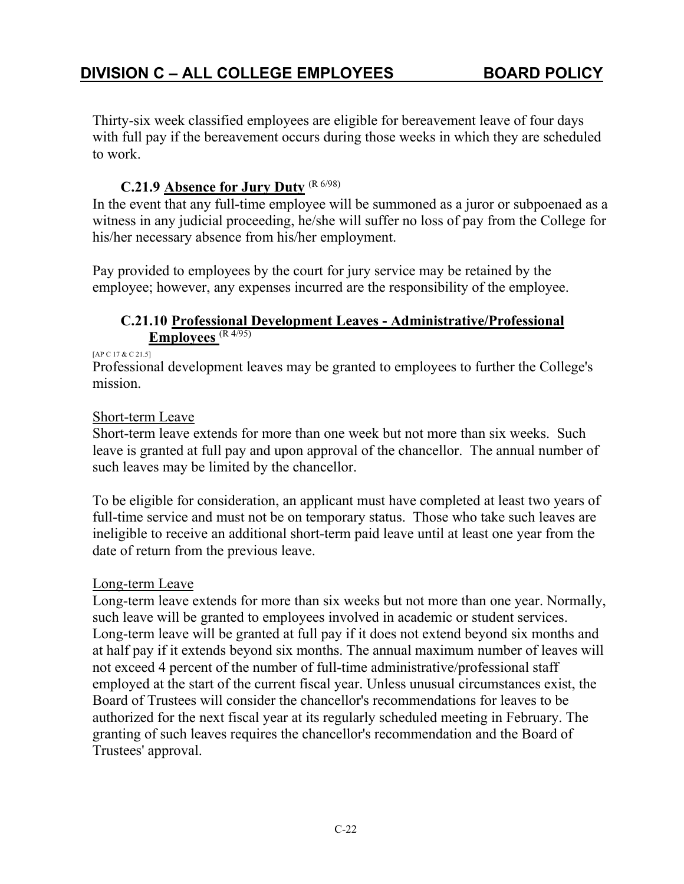Thirty-six week classified employees are eligible for bereavement leave of four days with full pay if the bereavement occurs during those weeks in which they are scheduled to work.

#### **C.21.9 Absence for Jury Duty** (R 6/98)

In the event that any full-time employee will be summoned as a juror or subpoenaed as a witness in any judicial proceeding, he/she will suffer no loss of pay from the College for his/her necessary absence from his/her employment.

Pay provided to employees by the court for jury service may be retained by the employee; however, any expenses incurred are the responsibility of the employee.

#### **C.21.10 Professional Development Leaves - Administrative/Professional Employees** (R 4/95)

#### [AP C 17 & C 21.5]

Professional development leaves may be granted to employees to further the College's mission.

#### Short-term Leave

Short-term leave extends for more than one week but not more than six weeks. Such leave is granted at full pay and upon approval of the chancellor. The annual number of such leaves may be limited by the chancellor.

To be eligible for consideration, an applicant must have completed at least two years of full-time service and must not be on temporary status. Those who take such leaves are ineligible to receive an additional short-term paid leave until at least one year from the date of return from the previous leave.

#### Long-term Leave

Long-term leave extends for more than six weeks but not more than one year. Normally, such leave will be granted to employees involved in academic or student services. Long-term leave will be granted at full pay if it does not extend beyond six months and at half pay if it extends beyond six months. The annual maximum number of leaves will not exceed 4 percent of the number of full-time administrative/professional staff employed at the start of the current fiscal year. Unless unusual circumstances exist, the Board of Trustees will consider the chancellor's recommendations for leaves to be authorized for the next fiscal year at its regularly scheduled meeting in February. The granting of such leaves requires the chancellor's recommendation and the Board of Trustees' approval.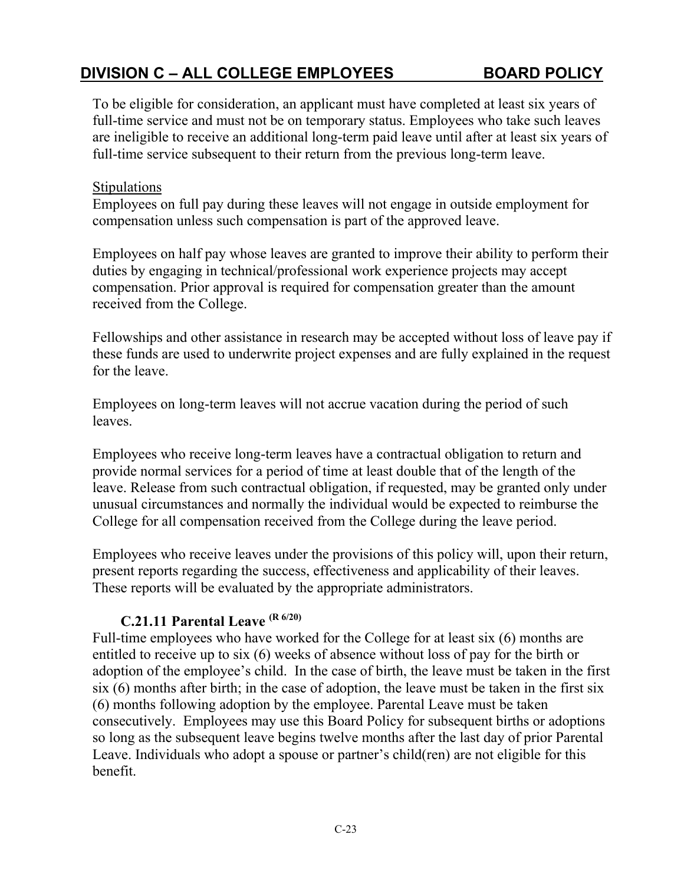To be eligible for consideration, an applicant must have completed at least six years of full-time service and must not be on temporary status. Employees who take such leaves are ineligible to receive an additional long-term paid leave until after at least six years of full-time service subsequent to their return from the previous long-term leave.

#### **Stipulations**

Employees on full pay during these leaves will not engage in outside employment for compensation unless such compensation is part of the approved leave.

Employees on half pay whose leaves are granted to improve their ability to perform their duties by engaging in technical/professional work experience projects may accept compensation. Prior approval is required for compensation greater than the amount received from the College.

Fellowships and other assistance in research may be accepted without loss of leave pay if these funds are used to underwrite project expenses and are fully explained in the request for the leave.

Employees on long-term leaves will not accrue vacation during the period of such leaves.

Employees who receive long-term leaves have a contractual obligation to return and provide normal services for a period of time at least double that of the length of the leave. Release from such contractual obligation, if requested, may be granted only under unusual circumstances and normally the individual would be expected to reimburse the College for all compensation received from the College during the leave period.

Employees who receive leaves under the provisions of this policy will, upon their return, present reports regarding the success, effectiveness and applicability of their leaves. These reports will be evaluated by the appropriate administrators.

#### **C.21.11 Parental Leave (R 6/20)**

Full-time employees who have worked for the College for at least six (6) months are entitled to receive up to six (6) weeks of absence without loss of pay for the birth or adoption of the employee's child. In the case of birth, the leave must be taken in the first six (6) months after birth; in the case of adoption, the leave must be taken in the first six (6) months following adoption by the employee. Parental Leave must be taken consecutively. Employees may use this Board Policy for subsequent births or adoptions so long as the subsequent leave begins twelve months after the last day of prior Parental Leave. Individuals who adopt a spouse or partner's child(ren) are not eligible for this benefit.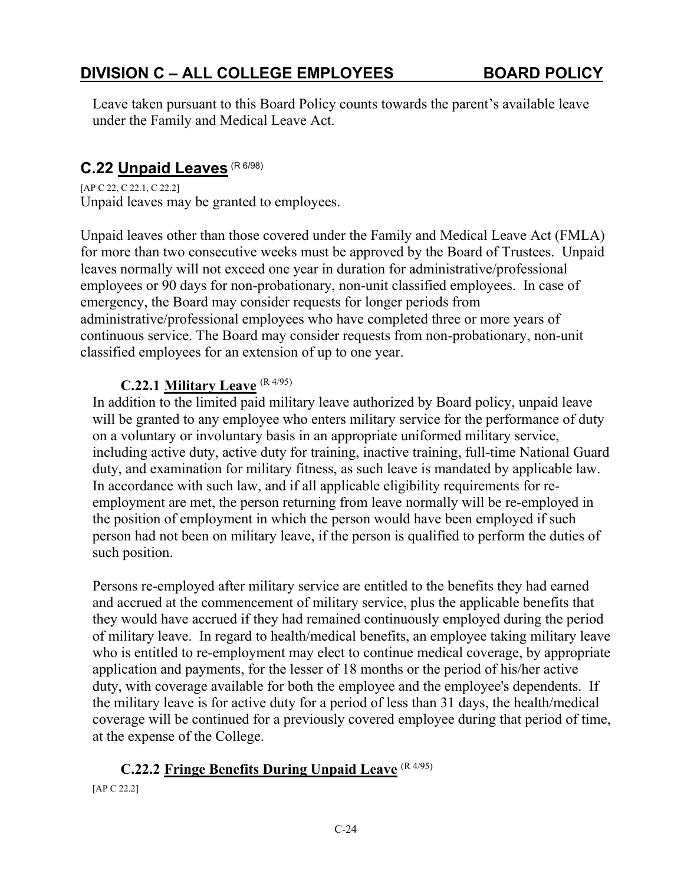Leave taken pursuant to this Board Policy counts towards the parent's available leave under the Family and Medical Leave Act.

# **C.22 Unpaid Leaves** (R 6/98)

[AP C 22, C 22.1, C 22.2] Unpaid leaves may be granted to employees.

Unpaid leaves other than those covered under the Family and Medical Leave Act (FMLA) for more than two consecutive weeks must be approved by the Board of Trustees. Unpaid leaves normally will not exceed one year in duration for administrative/professional employees or 90 days for non-probationary, non-unit classified employees. In case of emergency, the Board may consider requests for longer periods from administrative/professional employees who have completed three or more years of continuous service. The Board may consider requests from non-probationary, non-unit classified employees for an extension of up to one year.

#### **C.22.1 Military Leave** (R 4/95)

In addition to the limited paid military leave authorized by Board policy, unpaid leave will be granted to any employee who enters military service for the performance of duty on a voluntary or involuntary basis in an appropriate uniformed military service, including active duty, active duty for training, inactive training, full-time National Guard duty, and examination for military fitness, as such leave is mandated by applicable law. In accordance with such law, and if all applicable eligibility requirements for reemployment are met, the person returning from leave normally will be re-employed in the position of employment in which the person would have been employed if such person had not been on military leave, if the person is qualified to perform the duties of such position.

Persons re-employed after military service are entitled to the benefits they had earned and accrued at the commencement of military service, plus the applicable benefits that they would have accrued if they had remained continuously employed during the period of military leave. In regard to health/medical benefits, an employee taking military leave who is entitled to re-employment may elect to continue medical coverage, by appropriate application and payments, for the lesser of 18 months or the period of his/her active duty, with coverage available for both the employee and the employee's dependents. If the military leave is for active duty for a period of less than 31 days, the health/medical coverage will be continued for a previously covered employee during that period of time, at the expense of the College.

## **C.22.2 Fringe Benefits During Unpaid Leave** (R 4/95)

[AP C 22.2]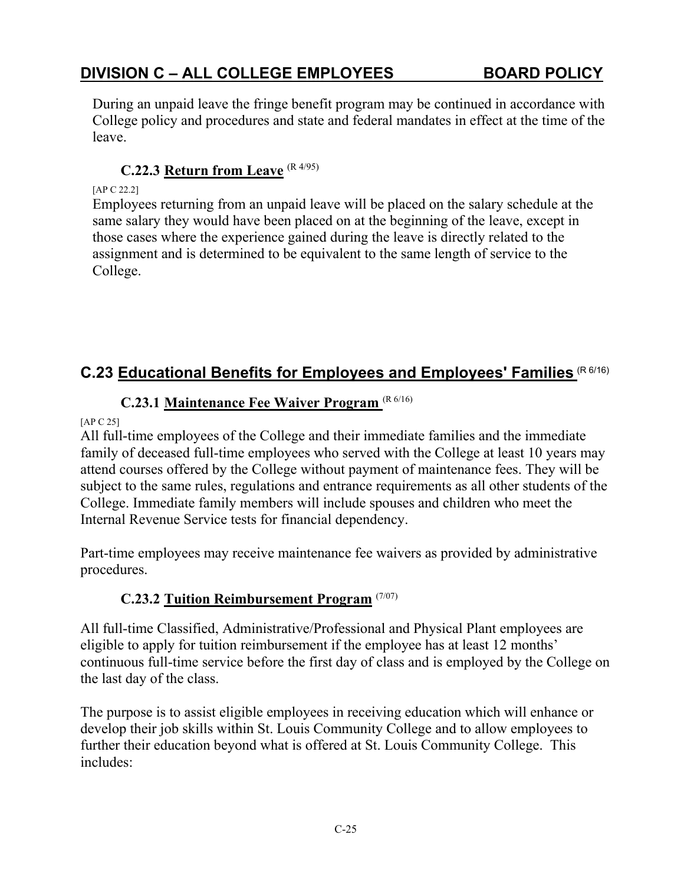During an unpaid leave the fringe benefit program may be continued in accordance with College policy and procedures and state and federal mandates in effect at the time of the leave.

#### **C.22.3 Return from Leave** (R 4/95)

#### [AP C 22.2]

Employees returning from an unpaid leave will be placed on the salary schedule at the same salary they would have been placed on at the beginning of the leave, except in those cases where the experience gained during the leave is directly related to the assignment and is determined to be equivalent to the same length of service to the College.

## **C.23 Educational Benefits for Employees and Employees' Families** (R 6/16)

## **C.23.1 Maintenance Fee Waiver Program** (R 6/16)

#### [AP C 25]

All full-time employees of the College and their immediate families and the immediate family of deceased full-time employees who served with the College at least 10 years may attend courses offered by the College without payment of maintenance fees. They will be subject to the same rules, regulations and entrance requirements as all other students of the College. Immediate family members will include spouses and children who meet the Internal Revenue Service tests for financial dependency.

Part-time employees may receive maintenance fee waivers as provided by administrative procedures.

## **C.23.2 Tuition Reimbursement Program** (7/07)

All full-time Classified, Administrative/Professional and Physical Plant employees are eligible to apply for tuition reimbursement if the employee has at least 12 months' continuous full-time service before the first day of class and is employed by the College on the last day of the class.

The purpose is to assist eligible employees in receiving education which will enhance or develop their job skills within St. Louis Community College and to allow employees to further their education beyond what is offered at St. Louis Community College. This includes: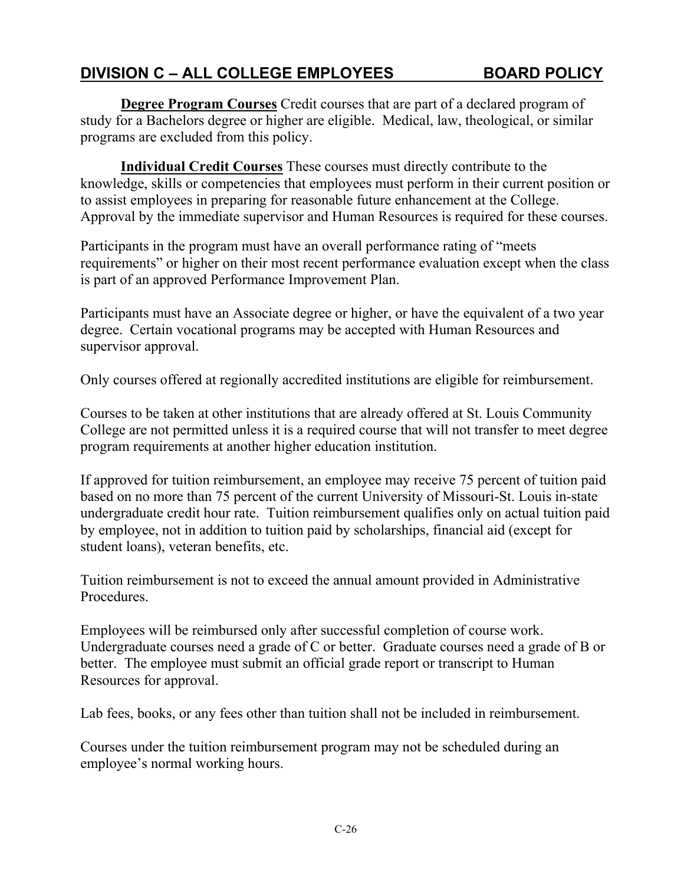**Degree Program Courses** Credit courses that are part of a declared program of study for a Bachelors degree or higher are eligible. Medical, law, theological, or similar programs are excluded from this policy.

**Individual Credit Courses** These courses must directly contribute to the knowledge, skills or competencies that employees must perform in their current position or to assist employees in preparing for reasonable future enhancement at the College. Approval by the immediate supervisor and Human Resources is required for these courses.

Participants in the program must have an overall performance rating of "meets requirements" or higher on their most recent performance evaluation except when the class is part of an approved Performance Improvement Plan.

Participants must have an Associate degree or higher, or have the equivalent of a two year degree. Certain vocational programs may be accepted with Human Resources and supervisor approval.

Only courses offered at regionally accredited institutions are eligible for reimbursement.

Courses to be taken at other institutions that are already offered at St. Louis Community College are not permitted unless it is a required course that will not transfer to meet degree program requirements at another higher education institution.

If approved for tuition reimbursement, an employee may receive 75 percent of tuition paid based on no more than 75 percent of the current University of Missouri-St. Louis in-state undergraduate credit hour rate. Tuition reimbursement qualifies only on actual tuition paid by employee, not in addition to tuition paid by scholarships, financial aid (except for student loans), veteran benefits, etc.

Tuition reimbursement is not to exceed the annual amount provided in Administrative Procedures.

Employees will be reimbursed only after successful completion of course work. Undergraduate courses need a grade of C or better. Graduate courses need a grade of B or better. The employee must submit an official grade report or transcript to Human Resources for approval.

Lab fees, books, or any fees other than tuition shall not be included in reimbursement.

Courses under the tuition reimbursement program may not be scheduled during an employee's normal working hours.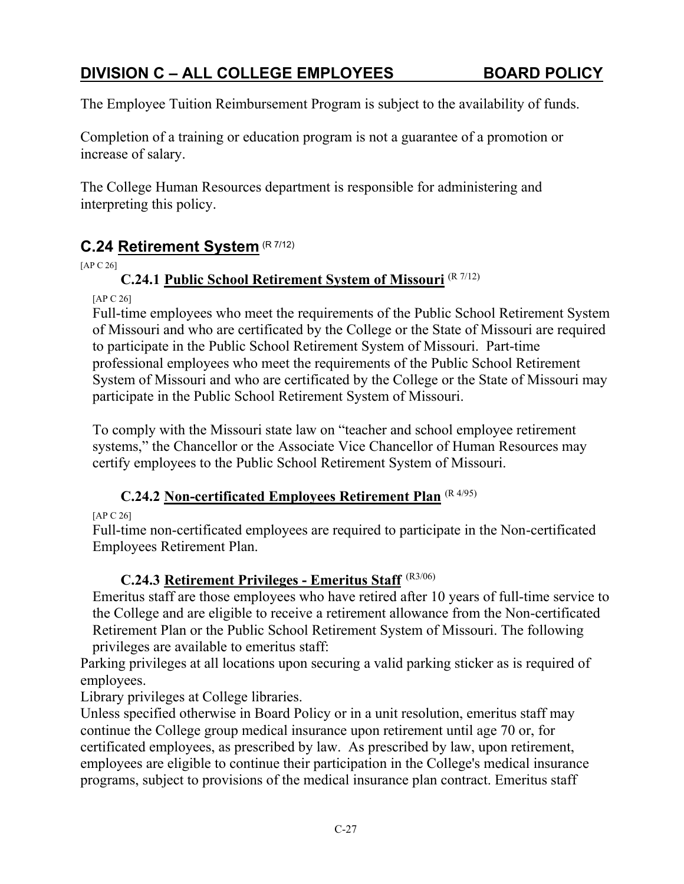The Employee Tuition Reimbursement Program is subject to the availability of funds.

Completion of a training or education program is not a guarantee of a promotion or increase of salary.

The College Human Resources department is responsible for administering and interpreting this policy.

# **C.24 Retirement System** (R 7/12)

[AP C 26]

### **C.24.1 Public School Retirement System of Missouri** (R 7/12)

[AP C 26]

Full-time employees who meet the requirements of the Public School Retirement System of Missouri and who are certificated by the College or the State of Missouri are required to participate in the Public School Retirement System of Missouri. Part-time professional employees who meet the requirements of the Public School Retirement System of Missouri and who are certificated by the College or the State of Missouri may participate in the Public School Retirement System of Missouri.

To comply with the Missouri state law on "teacher and school employee retirement systems," the Chancellor or the Associate Vice Chancellor of Human Resources may certify employees to the Public School Retirement System of Missouri.

### **C.24.2 Non-certificated Employees Retirement Plan** (R 4/95)

[AP C 26]

Full-time non-certificated employees are required to participate in the Non-certificated Employees Retirement Plan.

### **C.24.3 Retirement Privileges - Emeritus Staff** (R3/06)

Emeritus staff are those employees who have retired after 10 years of full-time service to the College and are eligible to receive a retirement allowance from the Non-certificated Retirement Plan or the Public School Retirement System of Missouri. The following privileges are available to emeritus staff:

Parking privileges at all locations upon securing a valid parking sticker as is required of employees.

Library privileges at College libraries.

Unless specified otherwise in Board Policy or in a unit resolution, emeritus staff may continue the College group medical insurance upon retirement until age 70 or, for certificated employees, as prescribed by law. As prescribed by law, upon retirement, employees are eligible to continue their participation in the College's medical insurance programs, subject to provisions of the medical insurance plan contract. Emeritus staff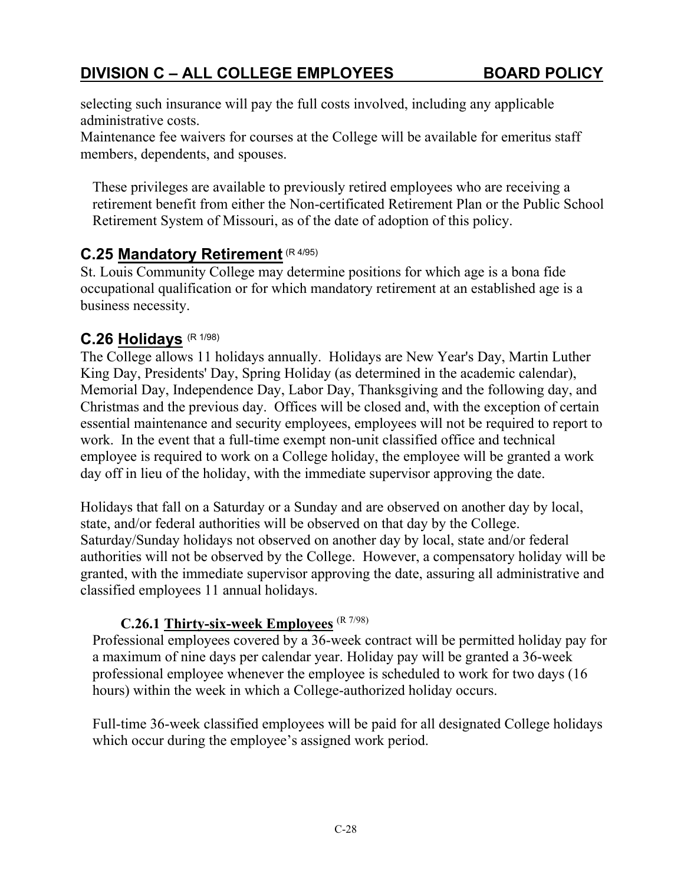selecting such insurance will pay the full costs involved, including any applicable administrative costs.

Maintenance fee waivers for courses at the College will be available for emeritus staff members, dependents, and spouses.

These privileges are available to previously retired employees who are receiving a retirement benefit from either the Non-certificated Retirement Plan or the Public School Retirement System of Missouri, as of the date of adoption of this policy.

# **C.25 Mandatory Retirement** (R 4/95)

St. Louis Community College may determine positions for which age is a bona fide occupational qualification or for which mandatory retirement at an established age is a business necessity.

## **C.26 Holidays** (R 1/98)

The College allows 11 holidays annually. Holidays are New Year's Day, Martin Luther King Day, Presidents' Day, Spring Holiday (as determined in the academic calendar), Memorial Day, Independence Day, Labor Day, Thanksgiving and the following day, and Christmas and the previous day. Offices will be closed and, with the exception of certain essential maintenance and security employees, employees will not be required to report to work. In the event that a full-time exempt non-unit classified office and technical employee is required to work on a College holiday, the employee will be granted a work day off in lieu of the holiday, with the immediate supervisor approving the date.

Holidays that fall on a Saturday or a Sunday and are observed on another day by local, state, and/or federal authorities will be observed on that day by the College. Saturday/Sunday holidays not observed on another day by local, state and/or federal authorities will not be observed by the College. However, a compensatory holiday will be granted, with the immediate supervisor approving the date, assuring all administrative and classified employees 11 annual holidays.

### **C.26.1 Thirty-six-week Employees** (R 7/98)

Professional employees covered by a 36-week contract will be permitted holiday pay for a maximum of nine days per calendar year. Holiday pay will be granted a 36-week professional employee whenever the employee is scheduled to work for two days (16 hours) within the week in which a College-authorized holiday occurs.

Full-time 36-week classified employees will be paid for all designated College holidays which occur during the employee's assigned work period.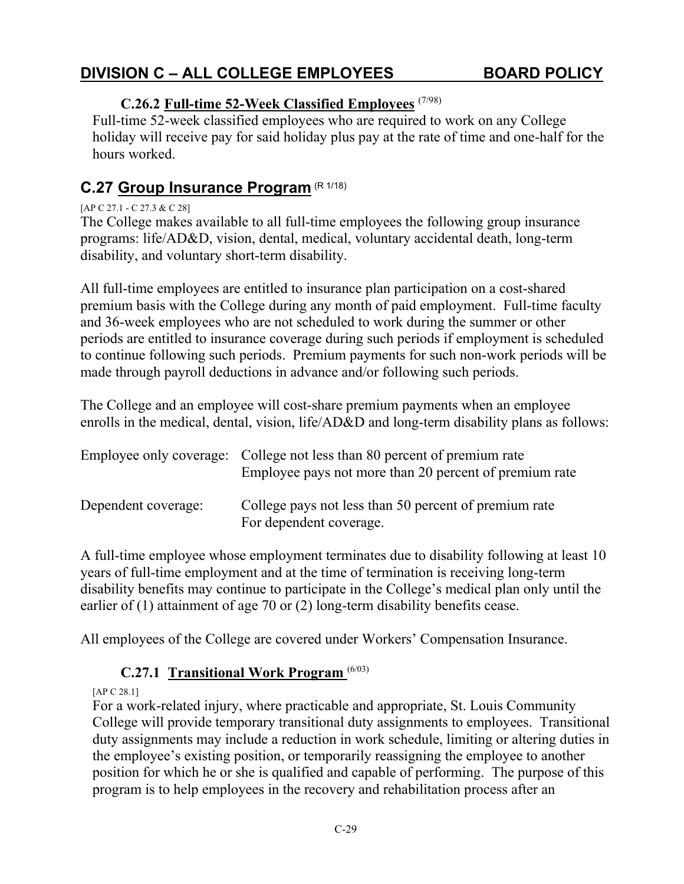### **C.26.2 Full-time 52-Week Classified Employees** (7/98)

Full-time 52-week classified employees who are required to work on any College holiday will receive pay for said holiday plus pay at the rate of time and one-half for the hours worked.

## **C.27 Group Insurance Program** (R 1/18)

#### [AP C 27.1 - C 27.3 & C 28]

The College makes available to all full-time employees the following group insurance programs: life/AD&D, vision, dental, medical, voluntary accidental death, long-term disability, and voluntary short-term disability.

All full-time employees are entitled to insurance plan participation on a cost-shared premium basis with the College during any month of paid employment. Full-time faculty and 36-week employees who are not scheduled to work during the summer or other periods are entitled to insurance coverage during such periods if employment is scheduled to continue following such periods. Premium payments for such non-work periods will be made through payroll deductions in advance and/or following such periods.

The College and an employee will cost-share premium payments when an employee enrolls in the medical, dental, vision, life/AD&D and long-term disability plans as follows:

|                     | Employee only coverage: College not less than 80 percent of premium rate<br>Employee pays not more than 20 percent of premium rate |
|---------------------|------------------------------------------------------------------------------------------------------------------------------------|
| Dependent coverage: | College pays not less than 50 percent of premium rate<br>For dependent coverage.                                                   |

A full-time employee whose employment terminates due to disability following at least 10 years of full-time employment and at the time of termination is receiving long-term disability benefits may continue to participate in the College's medical plan only until the earlier of (1) attainment of age 70 or (2) long-term disability benefits cease.

All employees of the College are covered under Workers' Compensation Insurance.

### **C.27.1 Transitional Work Program** (6/03)

[AP C 28.1]

For a work-related injury, where practicable and appropriate, St. Louis Community College will provide temporary transitional duty assignments to employees. Transitional duty assignments may include a reduction in work schedule, limiting or altering duties in the employee's existing position, or temporarily reassigning the employee to another position for which he or she is qualified and capable of performing. The purpose of this program is to help employees in the recovery and rehabilitation process after an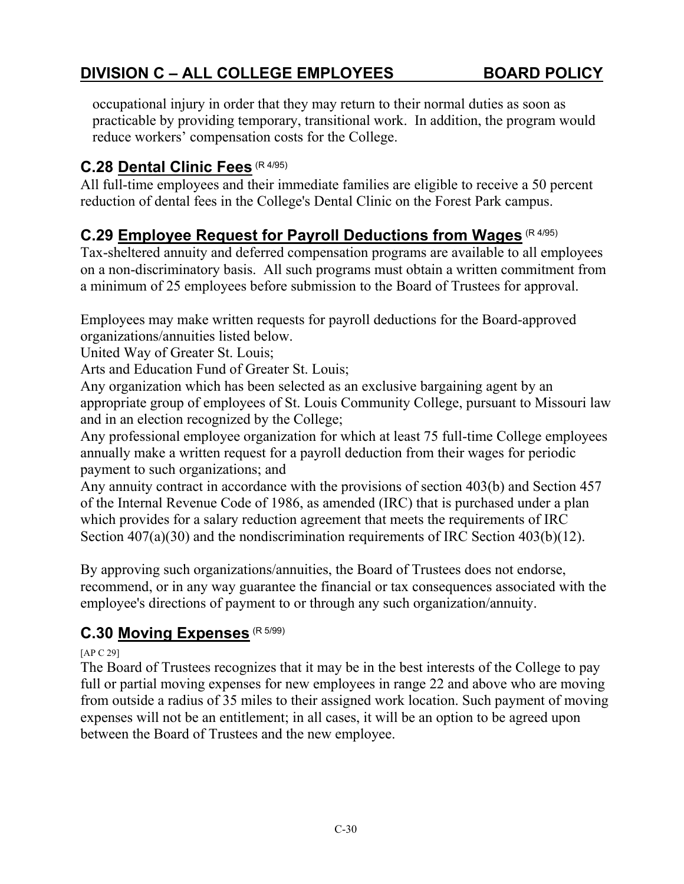occupational injury in order that they may return to their normal duties as soon as practicable by providing temporary, transitional work. In addition, the program would reduce workers' compensation costs for the College.

# **C.28 Dental Clinic Fees** (R 4/95)

All full-time employees and their immediate families are eligible to receive a 50 percent reduction of dental fees in the College's Dental Clinic on the Forest Park campus.

# **C.29 Employee Request for Payroll Deductions from Wages** (R 4/95)

Tax-sheltered annuity and deferred compensation programs are available to all employees on a non-discriminatory basis. All such programs must obtain a written commitment from a minimum of 25 employees before submission to the Board of Trustees for approval.

Employees may make written requests for payroll deductions for the Board-approved organizations/annuities listed below.

United Way of Greater St. Louis;

Arts and Education Fund of Greater St. Louis;

Any organization which has been selected as an exclusive bargaining agent by an appropriate group of employees of St. Louis Community College, pursuant to Missouri law and in an election recognized by the College;

Any professional employee organization for which at least 75 full-time College employees annually make a written request for a payroll deduction from their wages for periodic payment to such organizations; and

Any annuity contract in accordance with the provisions of section 403(b) and Section 457 of the Internal Revenue Code of 1986, as amended (IRC) that is purchased under a plan which provides for a salary reduction agreement that meets the requirements of IRC Section 407(a)(30) and the nondiscrimination requirements of IRC Section 403(b)(12).

By approving such organizations/annuities, the Board of Trustees does not endorse, recommend, or in any way guarantee the financial or tax consequences associated with the employee's directions of payment to or through any such organization/annuity.

# **C.30 Moving Expenses** (R 5/99)

#### [AP C 29]

The Board of Trustees recognizes that it may be in the best interests of the College to pay full or partial moving expenses for new employees in range 22 and above who are moving from outside a radius of 35 miles to their assigned work location. Such payment of moving expenses will not be an entitlement; in all cases, it will be an option to be agreed upon between the Board of Trustees and the new employee.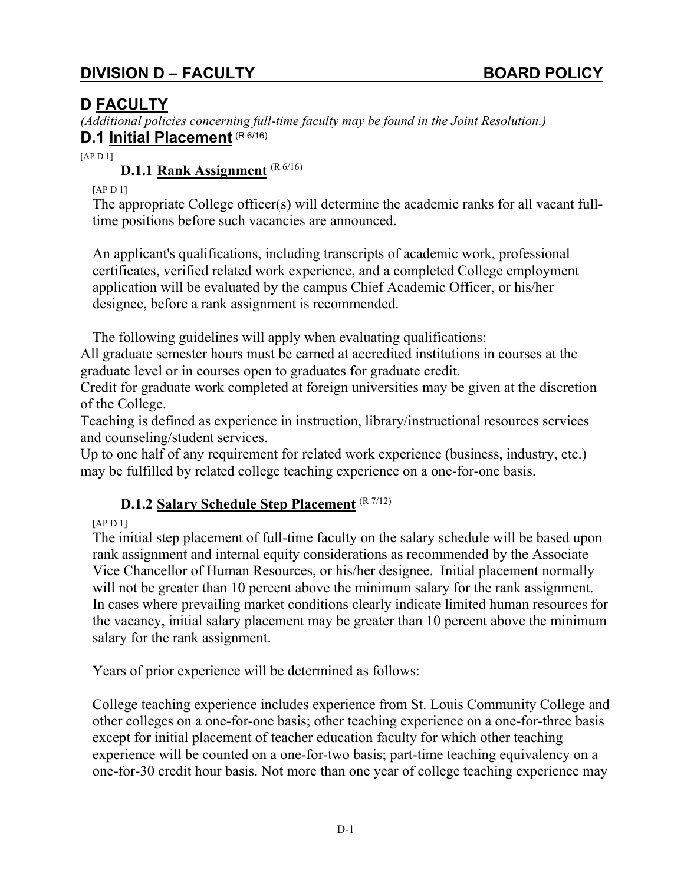## **D FACULTY**

*(Additional policies concerning full-time faculty may be found in the Joint Resolution.)* **D.1** Initial Placement (R 6/16)

 $[APD1]$ 

#### **D.1.1 Rank Assignment** (R 6/16)

[AP D 1]

The appropriate College officer(s) will determine the academic ranks for all vacant fulltime positions before such vacancies are announced.

An applicant's qualifications, including transcripts of academic work, professional certificates, verified related work experience, and a completed College employment application will be evaluated by the campus Chief Academic Officer, or his/her designee, before a rank assignment is recommended.

The following guidelines will apply when evaluating qualifications:

All graduate semester hours must be earned at accredited institutions in courses at the graduate level or in courses open to graduates for graduate credit.

Credit for graduate work completed at foreign universities may be given at the discretion of the College.

Teaching is defined as experience in instruction, library/instructional resources services and counseling/student services.

Up to one half of any requirement for related work experience (business, industry, etc.) may be fulfilled by related college teaching experience on a one-for-one basis.

### **D.1.2 Salary Schedule Step Placement** (R 7/12)

[AP D 1]

The initial step placement of full-time faculty on the salary schedule will be based upon rank assignment and internal equity considerations as recommended by the Associate Vice Chancellor of Human Resources, or his/her designee. Initial placement normally will not be greater than 10 percent above the minimum salary for the rank assignment. In cases where prevailing market conditions clearly indicate limited human resources for the vacancy, initial salary placement may be greater than 10 percent above the minimum salary for the rank assignment.

Years of prior experience will be determined as follows:

College teaching experience includes experience from St. Louis Community College and other colleges on a one-for-one basis; other teaching experience on a one-for-three basis except for initial placement of teacher education faculty for which other teaching experience will be counted on a one-for-two basis; part-time teaching equivalency on a one-for-30 credit hour basis. Not more than one year of college teaching experience may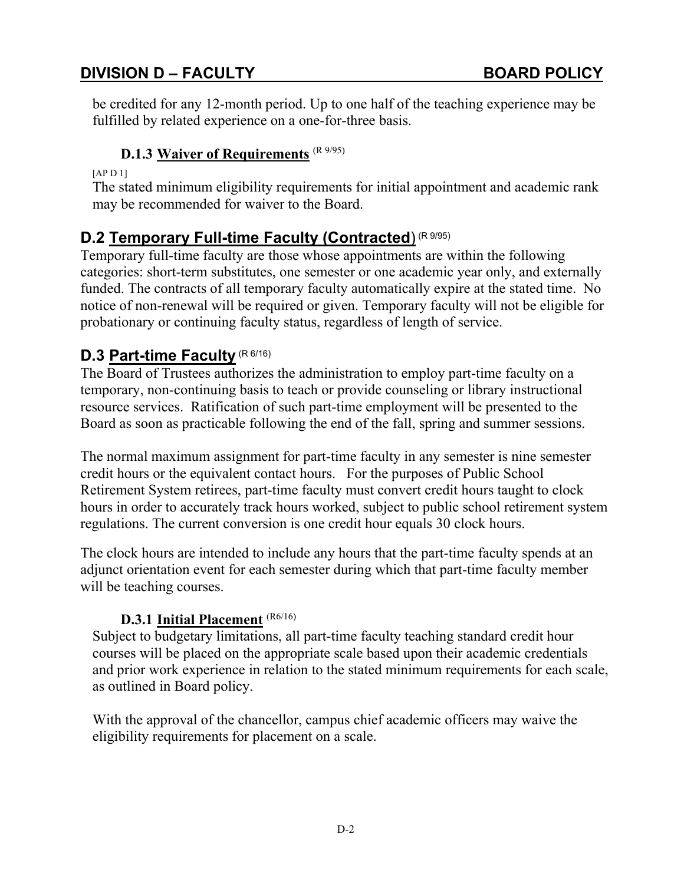be credited for any 12-month period. Up to one half of the teaching experience may be fulfilled by related experience on a one-for-three basis.

### **D.1.3 Waiver of Requirements** (R 9/95)

[AP D 1]

The stated minimum eligibility requirements for initial appointment and academic rank may be recommended for waiver to the Board.

## **D.2 Temporary Full-time Faculty (Contracted**) (R 9/95)

Temporary full-time faculty are those whose appointments are within the following categories: short-term substitutes, one semester or one academic year only, and externally funded. The contracts of all temporary faculty automatically expire at the stated time. No notice of non-renewal will be required or given. Temporary faculty will not be eligible for probationary or continuing faculty status, regardless of length of service.

# **D.3 Part-time Faculty (R 6/16)**

The Board of Trustees authorizes the administration to employ part-time faculty on a temporary, non-continuing basis to teach or provide counseling or library instructional resource services. Ratification of such part-time employment will be presented to the Board as soon as practicable following the end of the fall, spring and summer sessions.

The normal maximum assignment for part-time faculty in any semester is nine semester credit hours or the equivalent contact hours. For the purposes of Public School Retirement System retirees, part-time faculty must convert credit hours taught to clock hours in order to accurately track hours worked, subject to public school retirement system regulations. The current conversion is one credit hour equals 30 clock hours.

The clock hours are intended to include any hours that the part-time faculty spends at an adjunct orientation event for each semester during which that part-time faculty member will be teaching courses.

#### **D.3.1 Initial Placement** (R6/16)

Subject to budgetary limitations, all part-time faculty teaching standard credit hour courses will be placed on the appropriate scale based upon their academic credentials and prior work experience in relation to the stated minimum requirements for each scale, as outlined in Board policy.

With the approval of the chancellor, campus chief academic officers may waive the eligibility requirements for placement on a scale.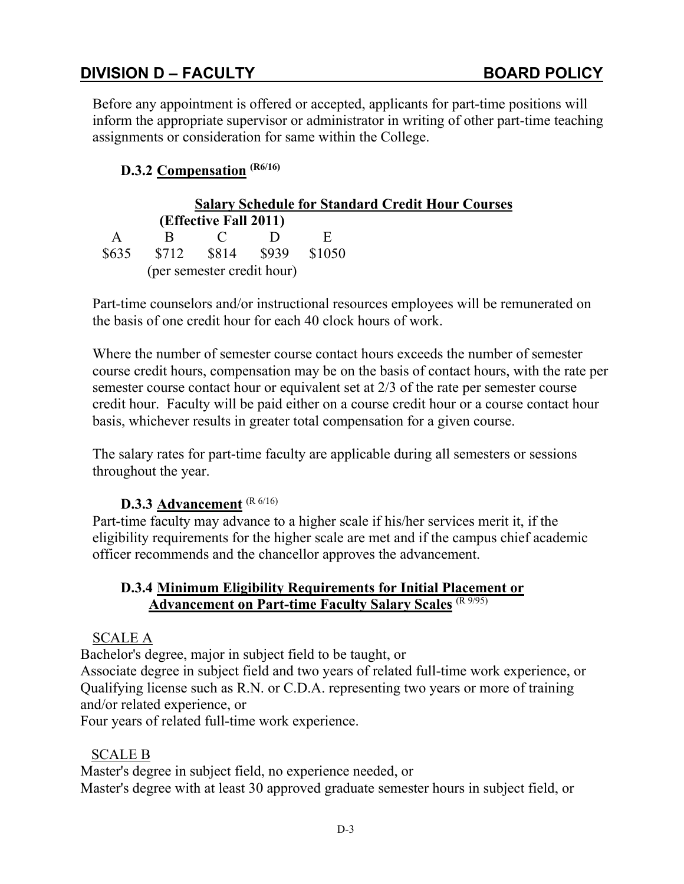Before any appointment is offered or accepted, applicants for part-time positions will inform the appropriate supervisor or administrator in writing of other part-time teaching assignments or consideration for same within the College.

### **D.3.2 Compensation (R6/16)**

|              |   |                            |        | <b>Salary Schedule for Standard Credit Hour Courses</b> |
|--------------|---|----------------------------|--------|---------------------------------------------------------|
|              |   | (Effective Fall 2011)      |        |                                                         |
| $\mathbf{A}$ | к |                            |        |                                                         |
| \$635        |   | \$712 \$814 \$939          | \$1050 |                                                         |
|              |   | (per semester credit hour) |        |                                                         |

Part-time counselors and/or instructional resources employees will be remunerated on the basis of one credit hour for each 40 clock hours of work.

Where the number of semester course contact hours exceeds the number of semester course credit hours, compensation may be on the basis of contact hours, with the rate per semester course contact hour or equivalent set at 2/3 of the rate per semester course credit hour. Faculty will be paid either on a course credit hour or a course contact hour basis, whichever results in greater total compensation for a given course.

The salary rates for part-time faculty are applicable during all semesters or sessions throughout the year.

#### **D.3.3 Advancement** (R 6/16)

Part-time faculty may advance to a higher scale if his/her services merit it, if the eligibility requirements for the higher scale are met and if the campus chief academic officer recommends and the chancellor approves the advancement.

#### **D.3.4 Minimum Eligibility Requirements for Initial Placement or Advancement on Part-time Faculty Salary Scales** (R 9/95)

#### SCALE A

Bachelor's degree, major in subject field to be taught, or

Associate degree in subject field and two years of related full-time work experience, or Qualifying license such as R.N. or C.D.A. representing two years or more of training and/or related experience, or

Four years of related full-time work experience.

#### SCALE B

Master's degree in subject field, no experience needed, or Master's degree with at least 30 approved graduate semester hours in subject field, or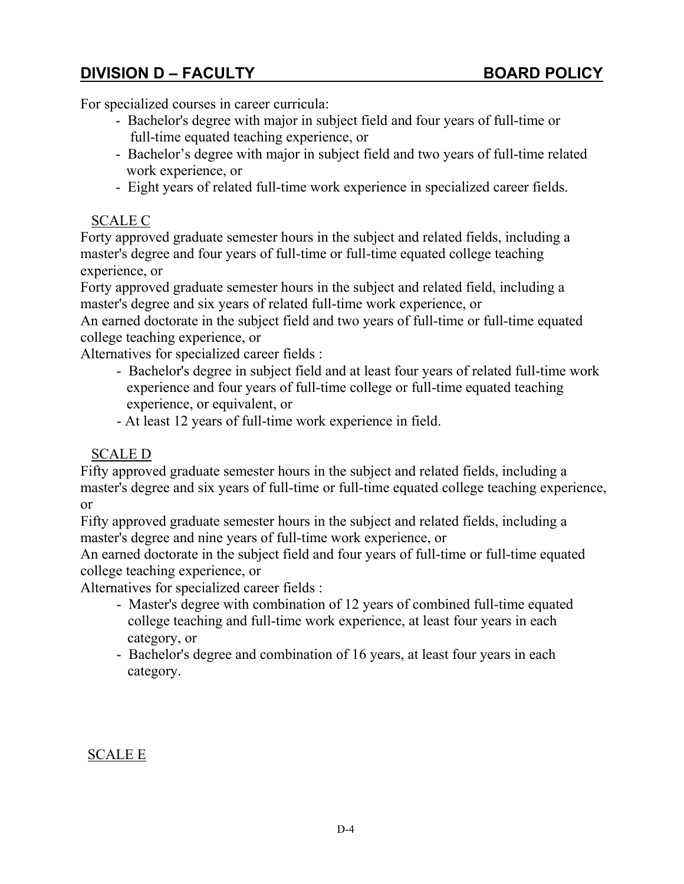For specialized courses in career curricula:

- Bachelor's degree with major in subject field and four years of full-time or full-time equated teaching experience, or
- Bachelor's degree with major in subject field and two years of full-time related work experience, or
- Eight years of related full-time work experience in specialized career fields.

#### SCALE C

Forty approved graduate semester hours in the subject and related fields, including a master's degree and four years of full-time or full-time equated college teaching experience, or

Forty approved graduate semester hours in the subject and related field, including a master's degree and six years of related full-time work experience, or

An earned doctorate in the subject field and two years of full-time or full-time equated college teaching experience, or

Alternatives for specialized career fields :

- Bachelor's degree in subject field and at least four years of related full-time work experience and four years of full-time college or full-time equated teaching experience, or equivalent, or
- At least 12 years of full-time work experience in field.

### SCALE D

Fifty approved graduate semester hours in the subject and related fields, including a master's degree and six years of full-time or full-time equated college teaching experience, or

Fifty approved graduate semester hours in the subject and related fields, including a master's degree and nine years of full-time work experience, or

An earned doctorate in the subject field and four years of full-time or full-time equated college teaching experience, or

Alternatives for specialized career fields :

- Master's degree with combination of 12 years of combined full-time equated college teaching and full-time work experience, at least four years in each category, or
- Bachelor's degree and combination of 16 years, at least four years in each category.

### SCALE E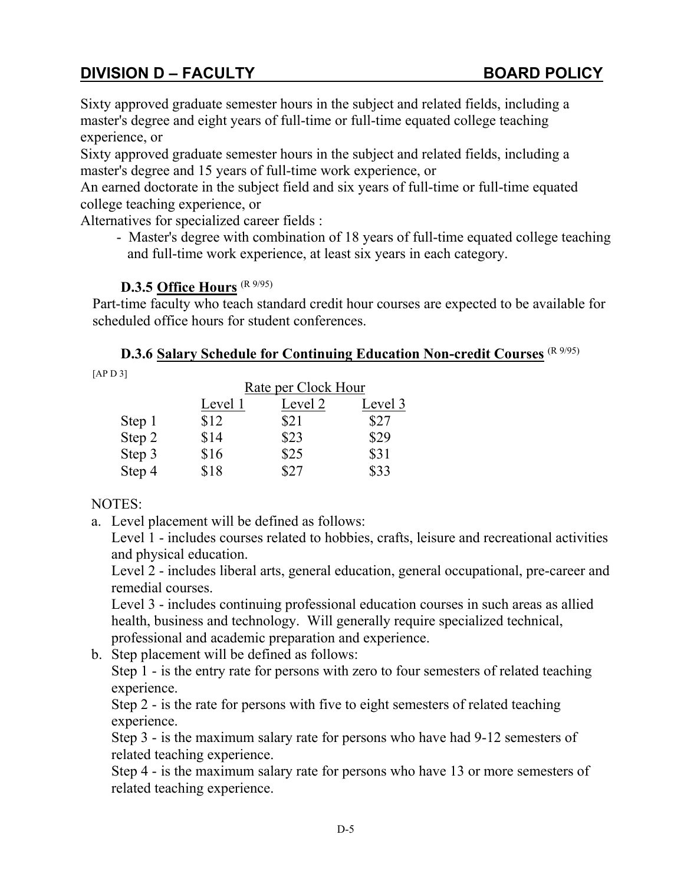Sixty approved graduate semester hours in the subject and related fields, including a master's degree and eight years of full-time or full-time equated college teaching experience, or

Sixty approved graduate semester hours in the subject and related fields, including a master's degree and 15 years of full-time work experience, or

An earned doctorate in the subject field and six years of full-time or full-time equated college teaching experience, or

Alternatives for specialized career fields :

- Master's degree with combination of 18 years of full-time equated college teaching and full-time work experience, at least six years in each category.

### **D.3.5 Office Hours** (R 9/95)

Part-time faculty who teach standard credit hour courses are expected to be available for scheduled office hours for student conferences.

**D.3.6 Salary Schedule for Continuing Education Non-credit Courses** (R 9/95)

[AP D 3]

|        | Rate per Clock Hour |         |         |
|--------|---------------------|---------|---------|
|        | Level 1             | Level 2 | Level 3 |
| Step 1 | \$12                | \$21    | \$27    |
| Step 2 | \$14                | \$23    | \$29    |
| Step 3 | \$16                | \$25    | \$31    |
| Step 4 | \$18                | \$27    | \$33    |

### NOTES:

a. Level placement will be defined as follows:

Level 1 - includes courses related to hobbies, crafts, leisure and recreational activities and physical education.

Level 2 - includes liberal arts, general education, general occupational, pre-career and remedial courses.

Level 3 - includes continuing professional education courses in such areas as allied health, business and technology. Will generally require specialized technical, professional and academic preparation and experience.

b. Step placement will be defined as follows:

Step 1 - is the entry rate for persons with zero to four semesters of related teaching experience.

Step 2 - is the rate for persons with five to eight semesters of related teaching experience.

Step 3 - is the maximum salary rate for persons who have had 9-12 semesters of related teaching experience.

Step 4 - is the maximum salary rate for persons who have 13 or more semesters of related teaching experience.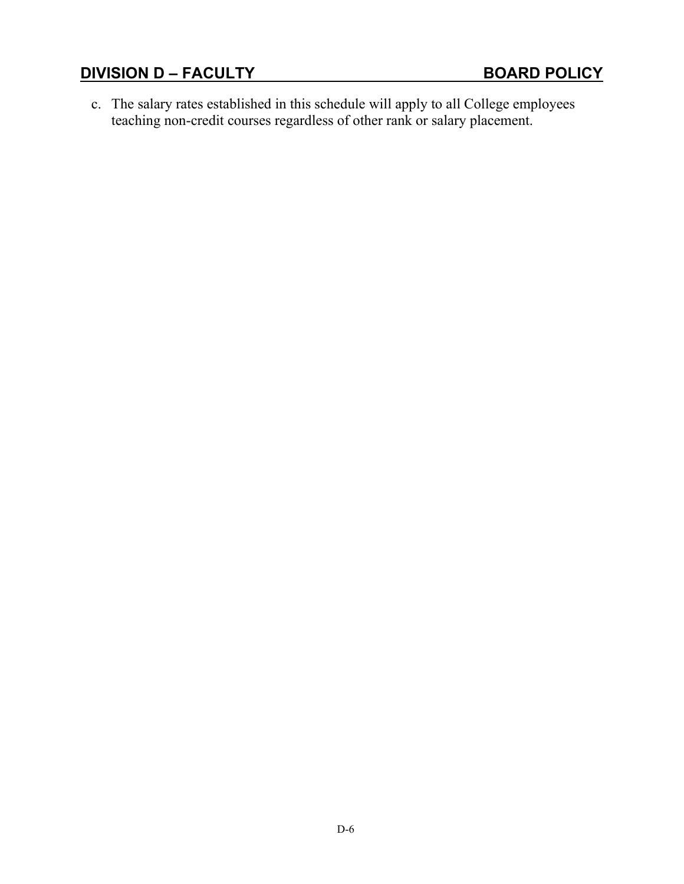c. The salary rates established in this schedule will apply to all College employees teaching non-credit courses regardless of other rank or salary placement.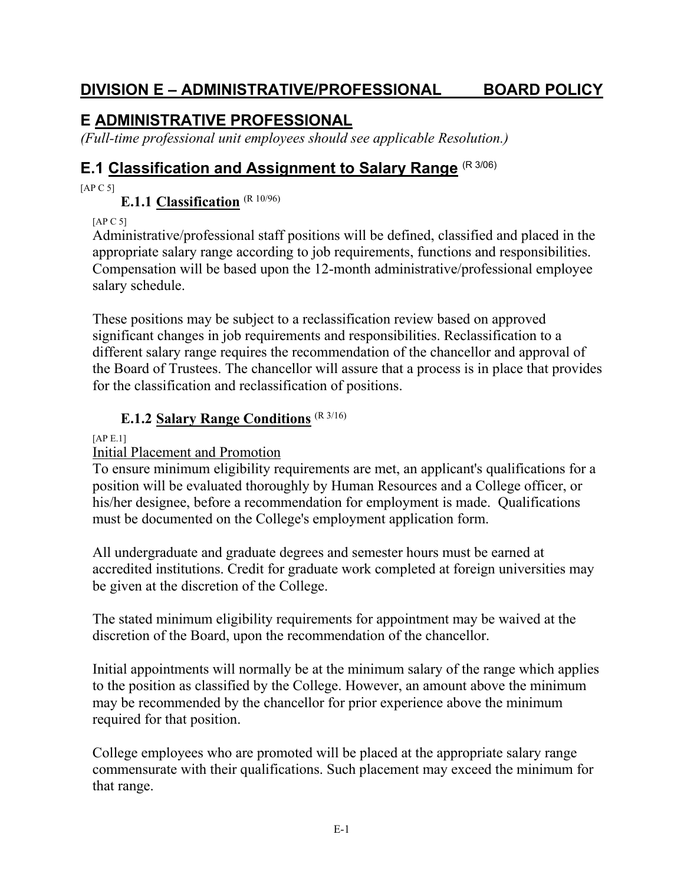## **DIVISION E – ADMINISTRATIVE/PROFESSIONAL BOARD POLICY**

# **E ADMINISTRATIVE PROFESSIONAL**

*(Full-time professional unit employees should see applicable Resolution.)*

## **E.1 Classification and Assignment to Salary Range** (R 3/06)

 $[AP C 5]$ 

### **E.1.1 Classification** (R 10/96)

[AP C 5]

Administrative/professional staff positions will be defined, classified and placed in the appropriate salary range according to job requirements, functions and responsibilities. Compensation will be based upon the 12-month administrative/professional employee salary schedule.

These positions may be subject to a reclassification review based on approved significant changes in job requirements and responsibilities. Reclassification to a different salary range requires the recommendation of the chancellor and approval of the Board of Trustees. The chancellor will assure that a process is in place that provides for the classification and reclassification of positions.

### **E.1.2 Salary Range Conditions** (R 3/16)

[AP E.1]

### Initial Placement and Promotion

To ensure minimum eligibility requirements are met, an applicant's qualifications for a position will be evaluated thoroughly by Human Resources and a College officer, or his/her designee, before a recommendation for employment is made. Qualifications must be documented on the College's employment application form.

All undergraduate and graduate degrees and semester hours must be earned at accredited institutions. Credit for graduate work completed at foreign universities may be given at the discretion of the College.

The stated minimum eligibility requirements for appointment may be waived at the discretion of the Board, upon the recommendation of the chancellor.

Initial appointments will normally be at the minimum salary of the range which applies to the position as classified by the College. However, an amount above the minimum may be recommended by the chancellor for prior experience above the minimum required for that position.

College employees who are promoted will be placed at the appropriate salary range commensurate with their qualifications. Such placement may exceed the minimum for that range.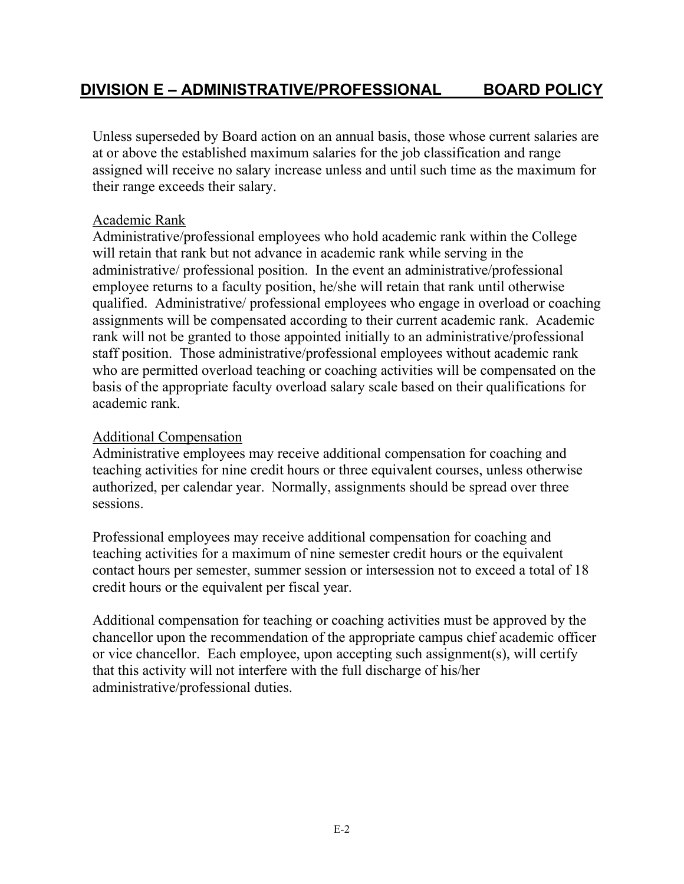Unless superseded by Board action on an annual basis, those whose current salaries are at or above the established maximum salaries for the job classification and range assigned will receive no salary increase unless and until such time as the maximum for their range exceeds their salary.

### Academic Rank

Administrative/professional employees who hold academic rank within the College will retain that rank but not advance in academic rank while serving in the administrative/ professional position. In the event an administrative/professional employee returns to a faculty position, he/she will retain that rank until otherwise qualified. Administrative/ professional employees who engage in overload or coaching assignments will be compensated according to their current academic rank. Academic rank will not be granted to those appointed initially to an administrative/professional staff position. Those administrative/professional employees without academic rank who are permitted overload teaching or coaching activities will be compensated on the basis of the appropriate faculty overload salary scale based on their qualifications for academic rank.

### Additional Compensation

Administrative employees may receive additional compensation for coaching and teaching activities for nine credit hours or three equivalent courses, unless otherwise authorized, per calendar year. Normally, assignments should be spread over three sessions.

Professional employees may receive additional compensation for coaching and teaching activities for a maximum of nine semester credit hours or the equivalent contact hours per semester, summer session or intersession not to exceed a total of 18 credit hours or the equivalent per fiscal year.

Additional compensation for teaching or coaching activities must be approved by the chancellor upon the recommendation of the appropriate campus chief academic officer or vice chancellor. Each employee, upon accepting such assignment(s), will certify that this activity will not interfere with the full discharge of his/her administrative/professional duties.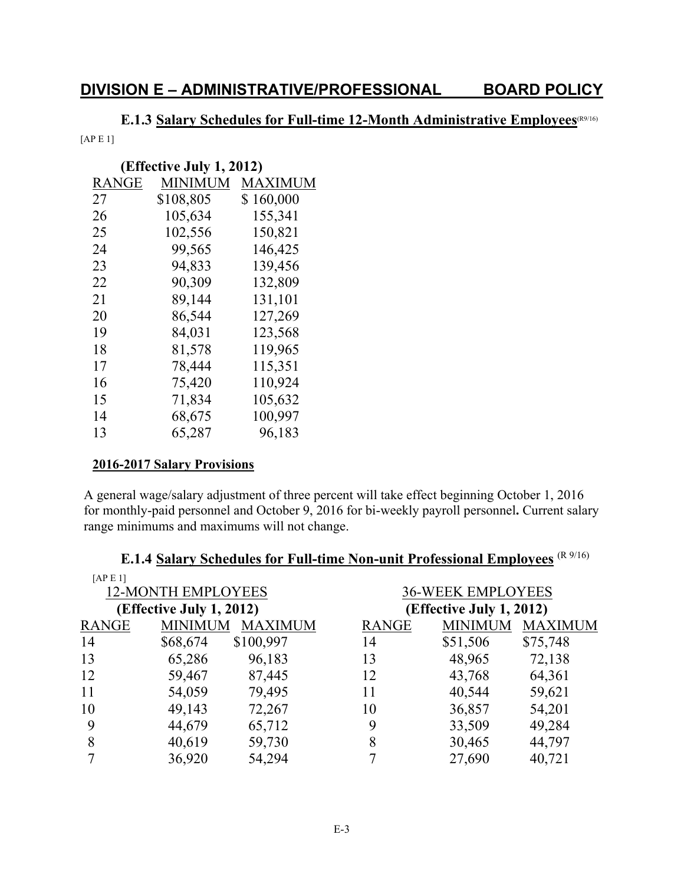### **E.1.3 Salary Schedules for Full-time 12-Month Administrative Employees**(R9/16)

[AP E 1]

| (Effective July 1, 2012) |                |  |  |  |
|--------------------------|----------------|--|--|--|
| <b>MINIMUM</b>           | <b>MAXIMUM</b> |  |  |  |
| \$108,805                | \$160,000      |  |  |  |
| 105,634                  | 155,341        |  |  |  |
| 102,556                  | 150,821        |  |  |  |
| 99,565                   | 146,425        |  |  |  |
| 94,833                   | 139,456        |  |  |  |
| 90,309                   | 132,809        |  |  |  |
| 89,144                   | 131,101        |  |  |  |
| 86,544                   | 127,269        |  |  |  |
| 84,031                   | 123,568        |  |  |  |
| 81,578                   | 119,965        |  |  |  |
| 78,444                   | 115,351        |  |  |  |
| 75,420                   | 110,924        |  |  |  |
| 71,834                   | 105,632        |  |  |  |
| 68,675                   | 100,997        |  |  |  |
| 65,287                   | 96,183         |  |  |  |
|                          |                |  |  |  |

#### **2016-2017 Salary Provisions**

A general wage/salary adjustment of three percent will take effect beginning October 1, 2016 for monthly-paid personnel and October 9, 2016 for bi-weekly payroll personnel**.** Current salary range minimums and maximums will not change.

| [APE1]                   |                           |                |              |                          |                |  |  |
|--------------------------|---------------------------|----------------|--------------|--------------------------|----------------|--|--|
|                          | <b>12-MONTH EMPLOYEES</b> |                |              | <b>36-WEEK EMPLOYEES</b> |                |  |  |
| (Effective July 1, 2012) |                           |                |              | (Effective July 1, 2012) |                |  |  |
| <b>RANGE</b>             | <b>MINIMUM</b>            | <b>MAXIMUM</b> | <b>RANGE</b> | <b>MINIMUM</b>           | <b>MAXIMUM</b> |  |  |
| 14                       | \$68,674                  | \$100,997      | 14           | \$51,506                 | \$75,748       |  |  |
| 13                       | 65,286                    | 96,183         | 13           | 48,965                   | 72,138         |  |  |
| 12                       | 59,467                    | 87,445         | 12           | 43,768                   | 64,361         |  |  |
| 11                       | 54,059                    | 79,495         | 11           | 40,544                   | 59,621         |  |  |
| 10                       | 49,143                    | 72,267         | 10           | 36,857                   | 54,201         |  |  |
| 9                        | 44,679                    | 65,712         | 9            | 33,509                   | 49,284         |  |  |
| 8                        | 40,619                    | 59,730         | 8            | 30,465                   | 44,797         |  |  |
|                          | 36,920                    | 54,294         |              | 27,690                   | 40,721         |  |  |

# **E.1.4 Salary Schedules for Full-time Non-unit Professional Employees** (R 9/16)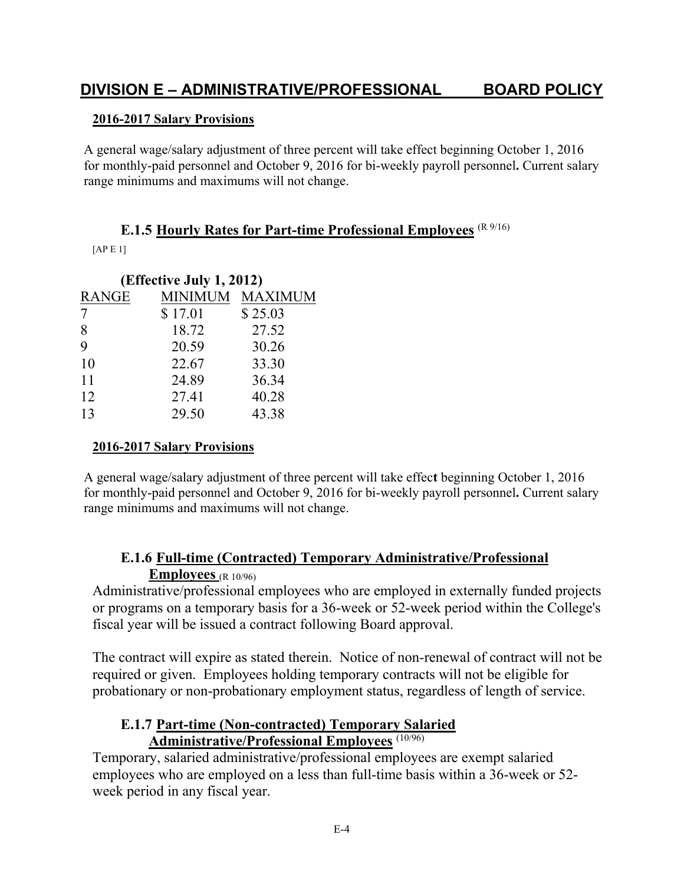## **DIVISION E – ADMINISTRATIVE/PROFESSIONAL BOARD POLICY**

#### **2016-2017 Salary Provisions**

A general wage/salary adjustment of three percent will take effect beginning October 1, 2016 for monthly-paid personnel and October 9, 2016 for bi-weekly payroll personnel**.** Current salary range minimums and maximums will not change.

#### **E.1.5 Hourly Rates for Part-time Professional Employees** (R 9/16)

[AP E 1]

| (Effective July 1, 2012) |         |                 |  |
|--------------------------|---------|-----------------|--|
| <b>RANGE</b>             |         | MINIMUM MAXIMUM |  |
|                          | \$17.01 | \$25.03         |  |
| 8                        | 18.72   | 27.52           |  |
| 9                        | 20.59   | 30.26           |  |
| 10                       | 22.67   | 33.30           |  |
| 11                       | 24.89   | 36.34           |  |
| 12                       | 27.41   | 40.28           |  |
| 13                       | 29.50   | 43.38           |  |
|                          |         |                 |  |

#### **2016-2017 Salary Provisions**

A general wage/salary adjustment of three percent will take effec**t** beginning October 1, 2016 for monthly-paid personnel and October 9, 2016 for bi-weekly payroll personnel**.** Current salary range minimums and maximums will not change.

#### **E.1.6 Full-time (Contracted) Temporary Administrative/Professional Employees** (R 10/96)

Administrative/professional employees who are employed in externally funded projects or programs on a temporary basis for a 36-week or 52-week period within the College's fiscal year will be issued a contract following Board approval.

The contract will expire as stated therein. Notice of non-renewal of contract will not be required or given. Employees holding temporary contracts will not be eligible for probationary or non-probationary employment status, regardless of length of service.

#### **E.1.7 Part-time (Non-contracted) Temporary Salaried Administrative/Professional Employees** (10/96)

Temporary, salaried administrative/professional employees are exempt salaried employees who are employed on a less than full-time basis within a 36-week or 52 week period in any fiscal year.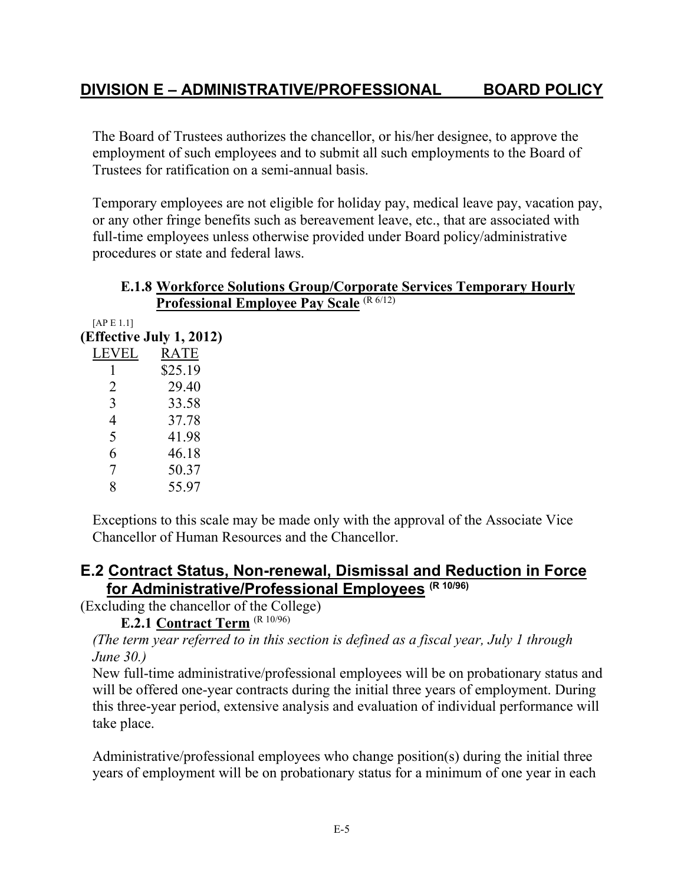The Board of Trustees authorizes the chancellor, or his/her designee, to approve the employment of such employees and to submit all such employments to the Board of Trustees for ratification on a semi-annual basis.

Temporary employees are not eligible for holiday pay, medical leave pay, vacation pay, or any other fringe benefits such as bereavement leave, etc., that are associated with full-time employees unless otherwise provided under Board policy/administrative procedures or state and federal laws.

|              | <b>E.1.8 Workforce Solutions Group/Corporate Services Temporary Hourly</b> |
|--------------|----------------------------------------------------------------------------|
|              | <b>Professional Employee Pay Scale (R 6/12)</b>                            |
| [ $APE1.1$ ] |                                                                            |
|              | (Effective July 1, 2012)                                                   |
| LEVEL        | RATE                                                                       |
|              | \$25.19                                                                    |
| 2            | 29.40                                                                      |
| 3            | 33.58                                                                      |
| 4            | 37.78                                                                      |
| 5            | 41.98                                                                      |
| 6            | 46.18                                                                      |
|              | 50.37                                                                      |

Exceptions to this scale may be made only with the approval of the Associate Vice Chancellor of Human Resources and the Chancellor.

### **E.2 Contract Status, Non-renewal, Dismissal and Reduction in Force for Administrative/Professional Employees (R 10/96)**

(Excluding the chancellor of the College)

**E.2.1 Contract Term** (R 10/96)

8 55.97

*(The term year referred to in this section is defined as a fiscal year, July 1 through June 30.)*

New full-time administrative/professional employees will be on probationary status and will be offered one-year contracts during the initial three years of employment. During this three-year period, extensive analysis and evaluation of individual performance will take place.

Administrative/professional employees who change position(s) during the initial three years of employment will be on probationary status for a minimum of one year in each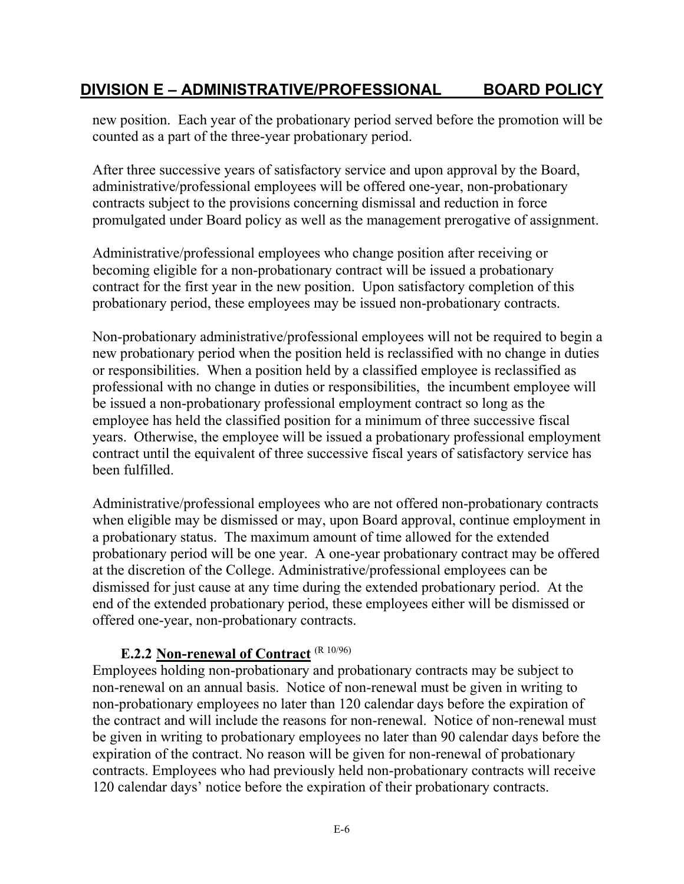## **DIVISION E – ADMINISTRATIVE/PROFESSIONAL BOARD POLICY**

new position. Each year of the probationary period served before the promotion will be counted as a part of the three-year probationary period.

After three successive years of satisfactory service and upon approval by the Board, administrative/professional employees will be offered one-year, non-probationary contracts subject to the provisions concerning dismissal and reduction in force promulgated under Board policy as well as the management prerogative of assignment.

Administrative/professional employees who change position after receiving or becoming eligible for a non-probationary contract will be issued a probationary contract for the first year in the new position. Upon satisfactory completion of this probationary period, these employees may be issued non-probationary contracts.

Non-probationary administrative/professional employees will not be required to begin a new probationary period when the position held is reclassified with no change in duties or responsibilities. When a position held by a classified employee is reclassified as professional with no change in duties or responsibilities, the incumbent employee will be issued a non-probationary professional employment contract so long as the employee has held the classified position for a minimum of three successive fiscal years. Otherwise, the employee will be issued a probationary professional employment contract until the equivalent of three successive fiscal years of satisfactory service has been fulfilled.

Administrative/professional employees who are not offered non-probationary contracts when eligible may be dismissed or may, upon Board approval, continue employment in a probationary status. The maximum amount of time allowed for the extended probationary period will be one year. A one-year probationary contract may be offered at the discretion of the College. Administrative/professional employees can be dismissed for just cause at any time during the extended probationary period. At the end of the extended probationary period, these employees either will be dismissed or offered one-year, non-probationary contracts.

### **E.2.2 Non-renewal of Contract** (R 10/96)

Employees holding non-probationary and probationary contracts may be subject to non-renewal on an annual basis. Notice of non-renewal must be given in writing to non-probationary employees no later than 120 calendar days before the expiration of the contract and will include the reasons for non-renewal. Notice of non-renewal must be given in writing to probationary employees no later than 90 calendar days before the expiration of the contract. No reason will be given for non-renewal of probationary contracts. Employees who had previously held non-probationary contracts will receive 120 calendar days' notice before the expiration of their probationary contracts.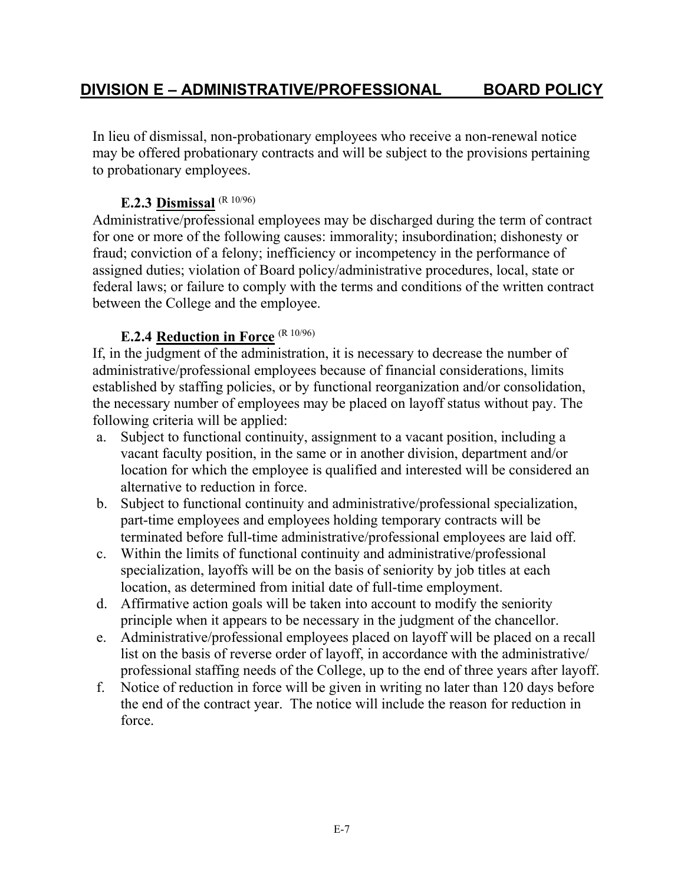In lieu of dismissal, non-probationary employees who receive a non-renewal notice may be offered probationary contracts and will be subject to the provisions pertaining to probationary employees.

### **E.2.3 Dismissal** (R 10/96)

Administrative/professional employees may be discharged during the term of contract for one or more of the following causes: immorality; insubordination; dishonesty or fraud; conviction of a felony; inefficiency or incompetency in the performance of assigned duties; violation of Board policy/administrative procedures, local, state or federal laws; or failure to comply with the terms and conditions of the written contract between the College and the employee.

## **E.2.4 Reduction in Force** (R 10/96)

If, in the judgment of the administration, it is necessary to decrease the number of administrative/professional employees because of financial considerations, limits established by staffing policies, or by functional reorganization and/or consolidation, the necessary number of employees may be placed on layoff status without pay. The following criteria will be applied:

- a. Subject to functional continuity, assignment to a vacant position, including a vacant faculty position, in the same or in another division, department and/or location for which the employee is qualified and interested will be considered an alternative to reduction in force.
- b. Subject to functional continuity and administrative/professional specialization, part-time employees and employees holding temporary contracts will be terminated before full-time administrative/professional employees are laid off.
- c. Within the limits of functional continuity and administrative/professional specialization, layoffs will be on the basis of seniority by job titles at each location, as determined from initial date of full-time employment.
- d. Affirmative action goals will be taken into account to modify the seniority principle when it appears to be necessary in the judgment of the chancellor.
- e. Administrative/professional employees placed on layoff will be placed on a recall list on the basis of reverse order of layoff, in accordance with the administrative/ professional staffing needs of the College, up to the end of three years after layoff.
- f. Notice of reduction in force will be given in writing no later than 120 days before the end of the contract year. The notice will include the reason for reduction in force.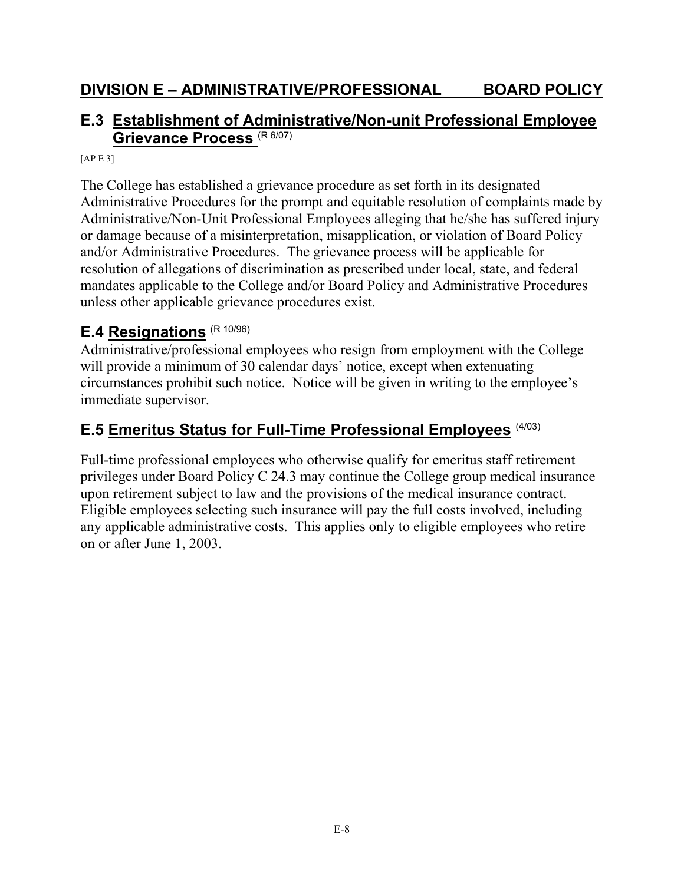## **E.3 Establishment of Administrative/Non-unit Professional Employee Grievance Process** (R 6/07)

 $[AP E 3]$ 

The College has established a grievance procedure as set forth in its designated Administrative Procedures for the prompt and equitable resolution of complaints made by Administrative/Non-Unit Professional Employees alleging that he/she has suffered injury or damage because of a misinterpretation, misapplication, or violation of Board Policy and/or Administrative Procedures. The grievance process will be applicable for resolution of allegations of discrimination as prescribed under local, state, and federal mandates applicable to the College and/or Board Policy and Administrative Procedures unless other applicable grievance procedures exist.

## **E.4 Resignations** (R 10/96)

Administrative/professional employees who resign from employment with the College will provide a minimum of 30 calendar days' notice, except when extenuating circumstances prohibit such notice. Notice will be given in writing to the employee's immediate supervisor.

## **E.5 Emeritus Status for Full-Time Professional Employees** (4/03)

Full-time professional employees who otherwise qualify for emeritus staff retirement privileges under Board Policy C 24.3 may continue the College group medical insurance upon retirement subject to law and the provisions of the medical insurance contract. Eligible employees selecting such insurance will pay the full costs involved, including any applicable administrative costs. This applies only to eligible employees who retire on or after June 1, 2003.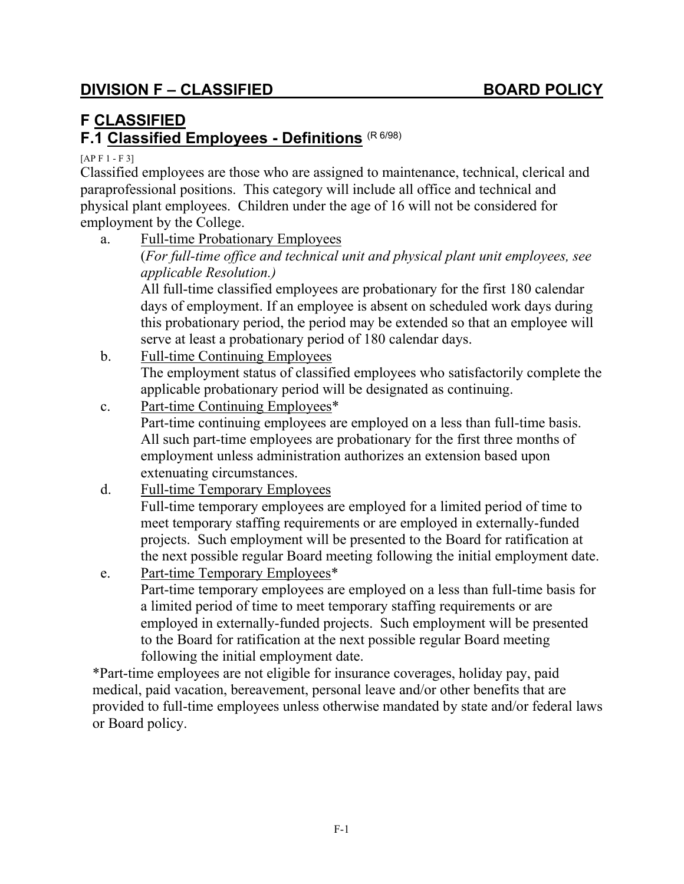# **F CLASSIFIED**

## **F.1 Classified Employees - Definitions** (R 6/98)

 $[AP F 1 - F 3]$ 

Classified employees are those who are assigned to maintenance, technical, clerical and paraprofessional positions. This category will include all office and technical and physical plant employees. Children under the age of 16 will not be considered for employment by the College.

a. Full-time Probationary Employees (*For full-time office and technical unit and physical plant unit employees, see applicable Resolution.)*

All full-time classified employees are probationary for the first 180 calendar days of employment. If an employee is absent on scheduled work days during this probationary period, the period may be extended so that an employee will serve at least a probationary period of 180 calendar days.

- b. Full-time Continuing Employees The employment status of classified employees who satisfactorily complete the applicable probationary period will be designated as continuing.
- c. Part-time Continuing Employees\* Part-time continuing employees are employed on a less than full-time basis. All such part-time employees are probationary for the first three months of employment unless administration authorizes an extension based upon extenuating circumstances.
- d. Full-time Temporary Employees Full-time temporary employees are employed for a limited period of time to

meet temporary staffing requirements or are employed in externally-funded projects. Such employment will be presented to the Board for ratification at the next possible regular Board meeting following the initial employment date.

e. Part-time Temporary Employees\* Part-time temporary employees are employed on a less than full-time basis for a limited period of time to meet temporary staffing requirements or are employed in externally-funded projects. Such employment will be presented to the Board for ratification at the next possible regular Board meeting following the initial employment date.

\*Part-time employees are not eligible for insurance coverages, holiday pay, paid medical, paid vacation, bereavement, personal leave and/or other benefits that are provided to full-time employees unless otherwise mandated by state and/or federal laws or Board policy.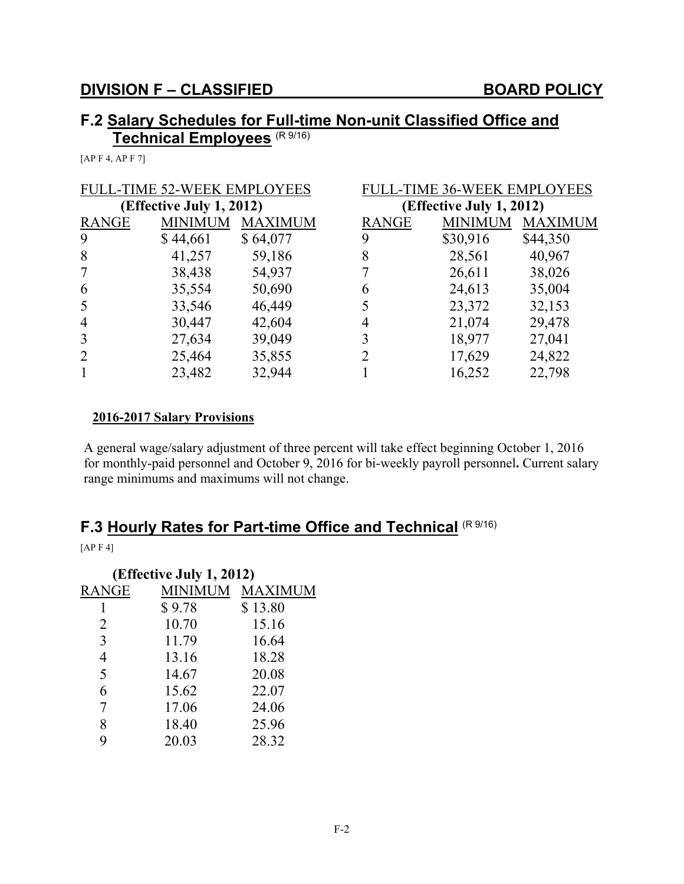## **F.2 Salary Schedules for Full-time Non-unit Classified Office and Technical Employees** (R 9/16)

[AP F 4, AP F 7]

| <b>FULL-TIME 52-WEEK EMPLOYEES</b> |                |                | <b>FULL-TIME 36-WEEK EMPLOYEES</b> |                          |                |  |
|------------------------------------|----------------|----------------|------------------------------------|--------------------------|----------------|--|
| (Effective July 1, 2012)           |                |                |                                    | (Effective July 1, 2012) |                |  |
| <b>RANGE</b>                       | <b>MINIMUM</b> | <b>MAXIMUM</b> | <b>RANGE</b>                       | <b>MINIMUM</b>           | <b>MAXIMUM</b> |  |
| 9                                  | \$44,661       | \$64,077       | 9                                  | \$30,916                 | \$44,350       |  |
| 8                                  | 41,257         | 59,186         | 8                                  | 28,561                   | 40,967         |  |
|                                    | 38,438         | 54,937         |                                    | 26,611                   | 38,026         |  |
| 6                                  | 35,554         | 50,690         | 6                                  | 24,613                   | 35,004         |  |
| 5                                  | 33,546         | 46,449         |                                    | 23,372                   | 32,153         |  |
| $\overline{4}$                     | 30,447         | 42,604         |                                    | 21,074                   | 29,478         |  |
| 3                                  | 27,634         | 39,049         |                                    | 18,977                   | 27,041         |  |
| $\overline{2}$                     | 25,464         | 35,855         |                                    | 17,629                   | 24,822         |  |
|                                    | 23,482         | 32,944         |                                    | 16,252                   | 22,798         |  |

#### **2016-2017 Salary Provisions**

A general wage/salary adjustment of three percent will take effect beginning October 1, 2016 for monthly-paid personnel and October 9, 2016 for bi-weekly payroll personnel**.** Current salary range minimums and maximums will not change.

# **F.3 Hourly Rates for Part-time Office and Technical** (R 9/16)

[AP F 4]

| (Effective July 1, 2012) |         |                |  |  |
|--------------------------|---------|----------------|--|--|
| RANGE                    | MINIMUM | <b>MAXIMUM</b> |  |  |
| 1                        | \$9.78  | \$13.80        |  |  |
| 2                        | 10.70   | 15.16          |  |  |
| 3                        | 11.79   | 16.64          |  |  |
| $\overline{4}$           | 13.16   | 18.28          |  |  |
| 5                        | 14.67   | 20.08          |  |  |
| 6                        | 15.62   | 22.07          |  |  |
| 7                        | 17.06   | 24.06          |  |  |
| 8                        | 18.40   | 25.96          |  |  |
| 9                        | 20.03   | 28.32          |  |  |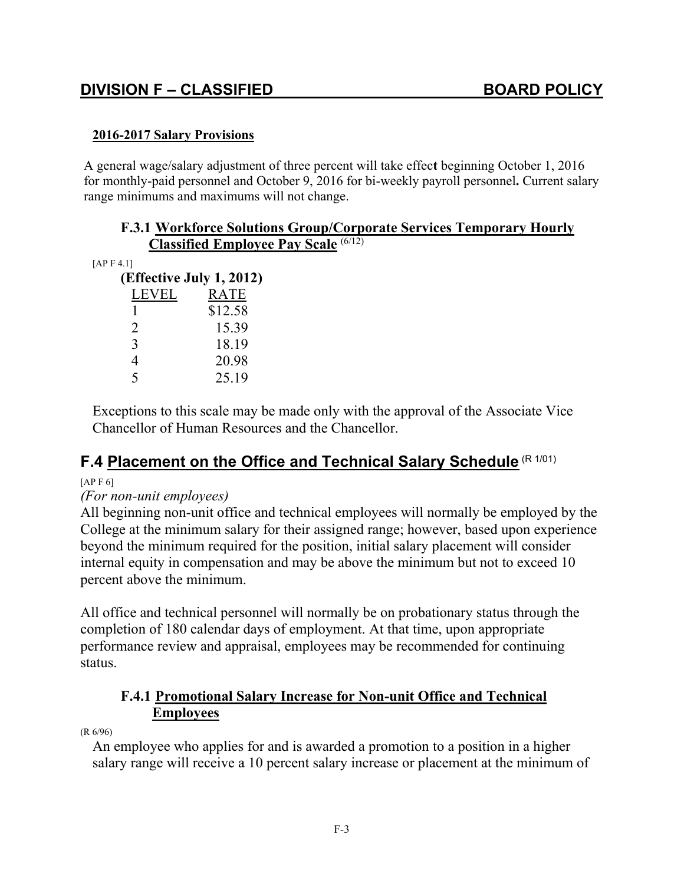### **2016-2017 Salary Provisions**

A general wage/salary adjustment of three percent will take effec**t** beginning October 1, 2016 for monthly-paid personnel and October 9, 2016 for bi-weekly payroll personnel**.** Current salary range minimums and maximums will not change.

|                          | <b>Classified Employee Pay Scale (6/12)</b> |  |  |
|--------------------------|---------------------------------------------|--|--|
| [APF4.1]                 |                                             |  |  |
| (Effective July 1, 2012) |                                             |  |  |
| LEVEL                    | RATE                                        |  |  |
|                          | \$12.58                                     |  |  |
|                          | 15.39                                       |  |  |
| 3                        | 18.19                                       |  |  |
| 4                        | 20.98                                       |  |  |
| 5                        | 25.19                                       |  |  |

Exceptions to this scale may be made only with the approval of the Associate Vice Chancellor of Human Resources and the Chancellor.

# **F.4 Placement on the Office and Technical Salary Schedule** (R 1/01)

#### $[APF6]$

#### *(For non-unit employees)*

All beginning non-unit office and technical employees will normally be employed by the College at the minimum salary for their assigned range; however, based upon experience beyond the minimum required for the position, initial salary placement will consider internal equity in compensation and may be above the minimum but not to exceed 10 percent above the minimum.

All office and technical personnel will normally be on probationary status through the completion of 180 calendar days of employment. At that time, upon appropriate performance review and appraisal, employees may be recommended for continuing status.

### **F.4.1 Promotional Salary Increase for Non-unit Office and Technical Employees**

(R 6/96)

An employee who applies for and is awarded a promotion to a position in a higher salary range will receive a 10 percent salary increase or placement at the minimum of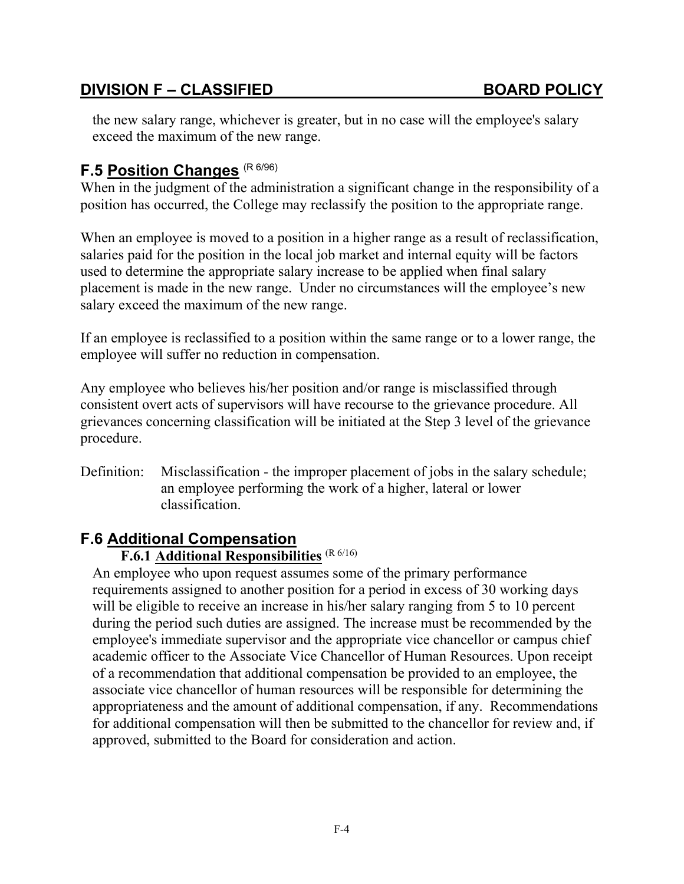the new salary range, whichever is greater, but in no case will the employee's salary exceed the maximum of the new range.

## **F.5 Position Changes** (R 6/96)

When in the judgment of the administration a significant change in the responsibility of a position has occurred, the College may reclassify the position to the appropriate range.

When an employee is moved to a position in a higher range as a result of reclassification, salaries paid for the position in the local job market and internal equity will be factors used to determine the appropriate salary increase to be applied when final salary placement is made in the new range. Under no circumstances will the employee's new salary exceed the maximum of the new range.

If an employee is reclassified to a position within the same range or to a lower range, the employee will suffer no reduction in compensation.

Any employee who believes his/her position and/or range is misclassified through consistent overt acts of supervisors will have recourse to the grievance procedure. All grievances concerning classification will be initiated at the Step 3 level of the grievance procedure.

Definition: Misclassification - the improper placement of jobs in the salary schedule; an employee performing the work of a higher, lateral or lower classification.

### **F.6 Additional Compensation**

### **F.6.1 Additional Responsibilities** (R 6/16)

An employee who upon request assumes some of the primary performance requirements assigned to another position for a period in excess of 30 working days will be eligible to receive an increase in his/her salary ranging from 5 to 10 percent during the period such duties are assigned. The increase must be recommended by the employee's immediate supervisor and the appropriate vice chancellor or campus chief academic officer to the Associate Vice Chancellor of Human Resources. Upon receipt of a recommendation that additional compensation be provided to an employee, the associate vice chancellor of human resources will be responsible for determining the appropriateness and the amount of additional compensation, if any. Recommendations for additional compensation will then be submitted to the chancellor for review and, if approved, submitted to the Board for consideration and action.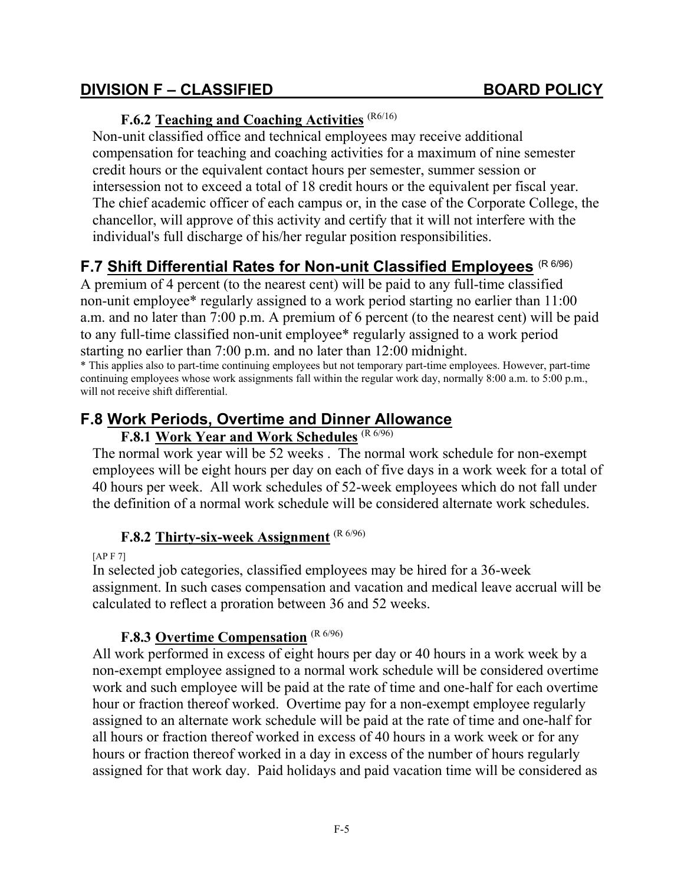### **F.6.2 Teaching and Coaching Activities** (R6/16)

Non-unit classified office and technical employees may receive additional compensation for teaching and coaching activities for a maximum of nine semester credit hours or the equivalent contact hours per semester, summer session or intersession not to exceed a total of 18 credit hours or the equivalent per fiscal year. The chief academic officer of each campus or, in the case of the Corporate College, the chancellor, will approve of this activity and certify that it will not interfere with the individual's full discharge of his/her regular position responsibilities.

## **F.7 Shift Differential Rates for Non-unit Classified Employees** (R 6/96)

A premium of 4 percent (to the nearest cent) will be paid to any full-time classified non-unit employee\* regularly assigned to a work period starting no earlier than 11:00 a.m. and no later than 7:00 p.m. A premium of 6 percent (to the nearest cent) will be paid to any full-time classified non-unit employee\* regularly assigned to a work period starting no earlier than 7:00 p.m. and no later than 12:00 midnight.

\* This applies also to part-time continuing employees but not temporary part-time employees. However, part-time continuing employees whose work assignments fall within the regular work day, normally 8:00 a.m. to 5:00 p.m., will not receive shift differential.

## **F.8 Work Periods, Overtime and Dinner Allowance**

## **F.8.1 Work Year and Work Schedules** (R 6/96)

The normal work year will be 52 weeks . The normal work schedule for non-exempt employees will be eight hours per day on each of five days in a work week for a total of 40 hours per week. All work schedules of 52-week employees which do not fall under the definition of a normal work schedule will be considered alternate work schedules.

### **F.8.2 Thirty-six-week Assignment** (R 6/96)

[AP F 7]

In selected job categories, classified employees may be hired for a 36-week assignment. In such cases compensation and vacation and medical leave accrual will be calculated to reflect a proration between 36 and 52 weeks.

### **F.8.3 Overtime Compensation** (R 6/96)

All work performed in excess of eight hours per day or 40 hours in a work week by a non-exempt employee assigned to a normal work schedule will be considered overtime work and such employee will be paid at the rate of time and one-half for each overtime hour or fraction thereof worked. Overtime pay for a non-exempt employee regularly assigned to an alternate work schedule will be paid at the rate of time and one-half for all hours or fraction thereof worked in excess of 40 hours in a work week or for any hours or fraction thereof worked in a day in excess of the number of hours regularly assigned for that work day. Paid holidays and paid vacation time will be considered as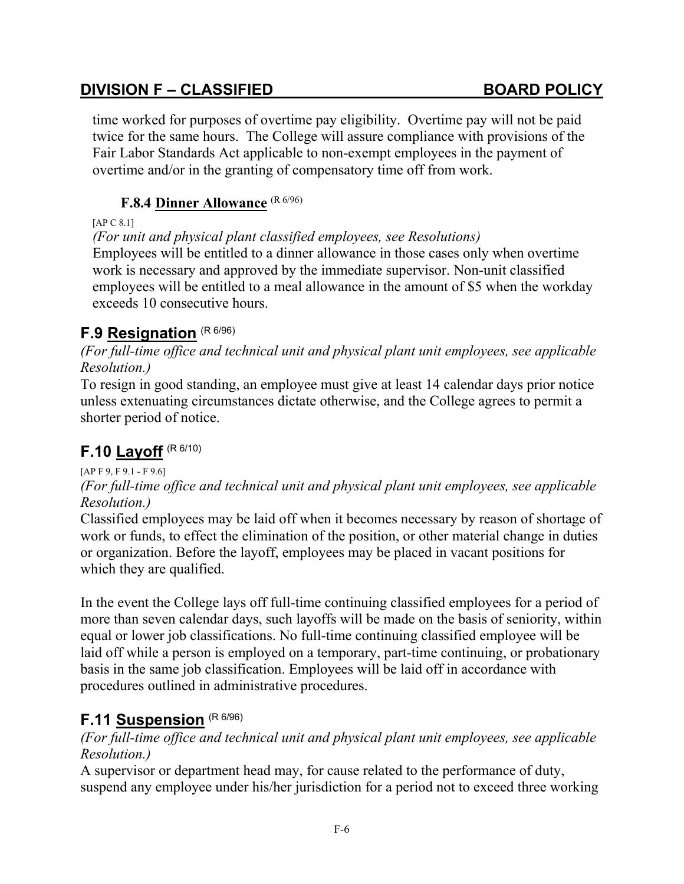time worked for purposes of overtime pay eligibility. Overtime pay will not be paid twice for the same hours. The College will assure compliance with provisions of the Fair Labor Standards Act applicable to non-exempt employees in the payment of overtime and/or in the granting of compensatory time off from work.

### **F.8.4 Dinner Allowance** (R 6/96)

#### [AP C 8.1]

*(For unit and physical plant classified employees, see Resolutions)*

Employees will be entitled to a dinner allowance in those cases only when overtime work is necessary and approved by the immediate supervisor. Non-unit classified employees will be entitled to a meal allowance in the amount of \$5 when the workday exceeds 10 consecutive hours.

## **F.9 Resignation** (R 6/96)

*(For full-time office and technical unit and physical plant unit employees, see applicable Resolution.)*

To resign in good standing, an employee must give at least 14 calendar days prior notice unless extenuating circumstances dictate otherwise, and the College agrees to permit a shorter period of notice.

# **F.10 Layoff** (R 6/10)

### [AP F 9, F 9.1 - F 9.6]

### *(For full-time office and technical unit and physical plant unit employees, see applicable Resolution.)*

Classified employees may be laid off when it becomes necessary by reason of shortage of work or funds, to effect the elimination of the position, or other material change in duties or organization. Before the layoff, employees may be placed in vacant positions for which they are qualified.

In the event the College lays off full-time continuing classified employees for a period of more than seven calendar days, such layoffs will be made on the basis of seniority, within equal or lower job classifications. No full-time continuing classified employee will be laid off while a person is employed on a temporary, part-time continuing, or probationary basis in the same job classification. Employees will be laid off in accordance with procedures outlined in administrative procedures.

## **F.11 Suspension** (R 6/96)

*(For full-time office and technical unit and physical plant unit employees, see applicable Resolution.)*

A supervisor or department head may, for cause related to the performance of duty, suspend any employee under his/her jurisdiction for a period not to exceed three working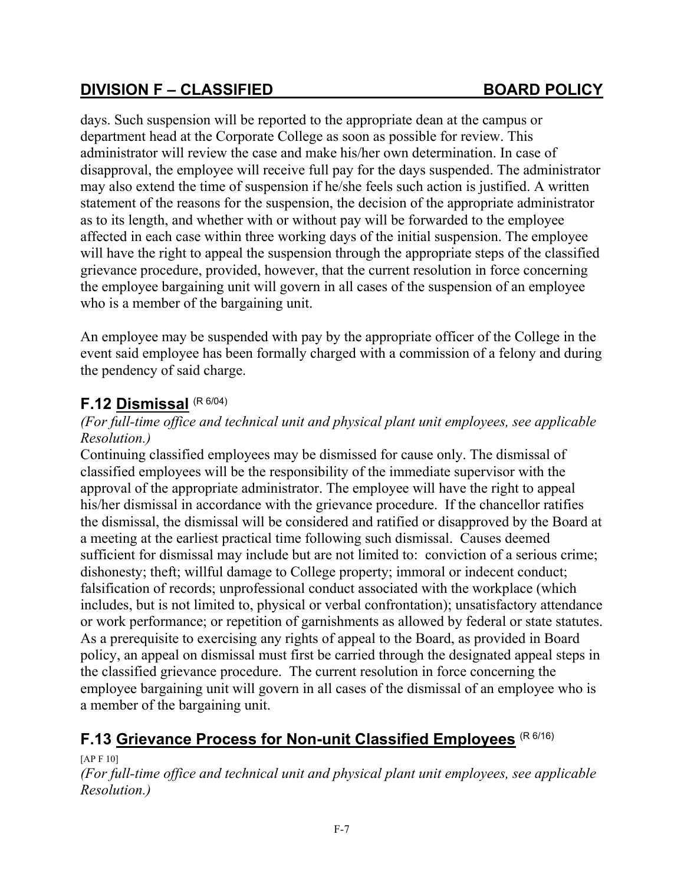days. Such suspension will be reported to the appropriate dean at the campus or department head at the Corporate College as soon as possible for review. This administrator will review the case and make his/her own determination. In case of disapproval, the employee will receive full pay for the days suspended. The administrator may also extend the time of suspension if he/she feels such action is justified. A written statement of the reasons for the suspension, the decision of the appropriate administrator as to its length, and whether with or without pay will be forwarded to the employee affected in each case within three working days of the initial suspension. The employee will have the right to appeal the suspension through the appropriate steps of the classified grievance procedure, provided, however, that the current resolution in force concerning the employee bargaining unit will govern in all cases of the suspension of an employee who is a member of the bargaining unit.

An employee may be suspended with pay by the appropriate officer of the College in the event said employee has been formally charged with a commission of a felony and during the pendency of said charge.

## **F.12 Dismissal** (R 6/04)

### *(For full-time office and technical unit and physical plant unit employees, see applicable Resolution.)*

Continuing classified employees may be dismissed for cause only. The dismissal of classified employees will be the responsibility of the immediate supervisor with the approval of the appropriate administrator. The employee will have the right to appeal his/her dismissal in accordance with the grievance procedure. If the chancellor ratifies the dismissal, the dismissal will be considered and ratified or disapproved by the Board at a meeting at the earliest practical time following such dismissal. Causes deemed sufficient for dismissal may include but are not limited to: conviction of a serious crime; dishonesty; theft; willful damage to College property; immoral or indecent conduct; falsification of records; unprofessional conduct associated with the workplace (which includes, but is not limited to, physical or verbal confrontation); unsatisfactory attendance or work performance; or repetition of garnishments as allowed by federal or state statutes. As a prerequisite to exercising any rights of appeal to the Board, as provided in Board policy, an appeal on dismissal must first be carried through the designated appeal steps in the classified grievance procedure. The current resolution in force concerning the employee bargaining unit will govern in all cases of the dismissal of an employee who is a member of the bargaining unit.

# **F.13 Grievance Process for Non-unit Classified Employees** (R 6/16)

[AP F 10]

*(For full-time office and technical unit and physical plant unit employees, see applicable Resolution.)*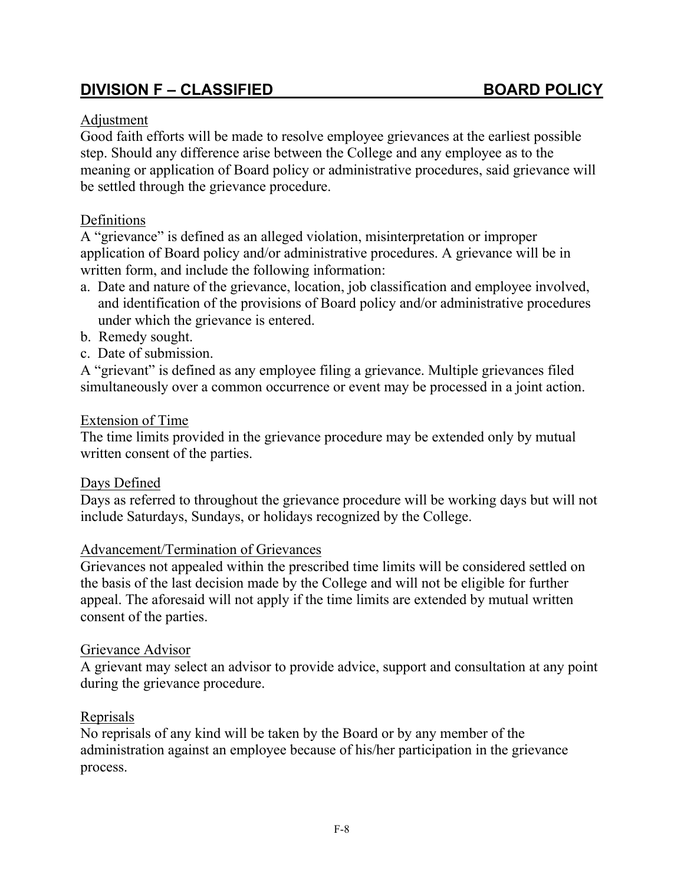#### Adjustment

Good faith efforts will be made to resolve employee grievances at the earliest possible step. Should any difference arise between the College and any employee as to the meaning or application of Board policy or administrative procedures, said grievance will be settled through the grievance procedure.

#### Definitions

A "grievance" is defined as an alleged violation, misinterpretation or improper application of Board policy and/or administrative procedures. A grievance will be in written form, and include the following information:

- a. Date and nature of the grievance, location, job classification and employee involved, and identification of the provisions of Board policy and/or administrative procedures under which the grievance is entered.
- b. Remedy sought.
- c. Date of submission.

A "grievant" is defined as any employee filing a grievance. Multiple grievances filed simultaneously over a common occurrence or event may be processed in a joint action.

#### Extension of Time

The time limits provided in the grievance procedure may be extended only by mutual written consent of the parties.

#### Days Defined

Days as referred to throughout the grievance procedure will be working days but will not include Saturdays, Sundays, or holidays recognized by the College.

#### Advancement/Termination of Grievances

Grievances not appealed within the prescribed time limits will be considered settled on the basis of the last decision made by the College and will not be eligible for further appeal. The aforesaid will not apply if the time limits are extended by mutual written consent of the parties.

#### Grievance Advisor

A grievant may select an advisor to provide advice, support and consultation at any point during the grievance procedure.

#### Reprisals

No reprisals of any kind will be taken by the Board or by any member of the administration against an employee because of his/her participation in the grievance process.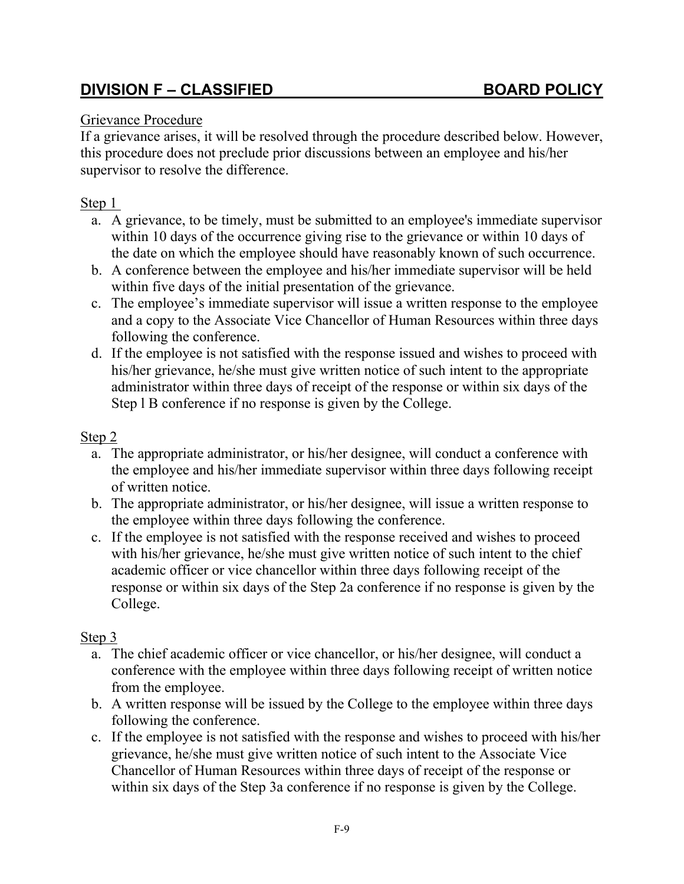### Grievance Procedure

If a grievance arises, it will be resolved through the procedure described below. However, this procedure does not preclude prior discussions between an employee and his/her supervisor to resolve the difference.

### Step 1

- a. A grievance, to be timely, must be submitted to an employee's immediate supervisor within 10 days of the occurrence giving rise to the grievance or within 10 days of the date on which the employee should have reasonably known of such occurrence.
- b. A conference between the employee and his/her immediate supervisor will be held within five days of the initial presentation of the grievance.
- c. The employee's immediate supervisor will issue a written response to the employee and a copy to the Associate Vice Chancellor of Human Resources within three days following the conference.
- d. If the employee is not satisfied with the response issued and wishes to proceed with his/her grievance, he/she must give written notice of such intent to the appropriate administrator within three days of receipt of the response or within six days of the Step l B conference if no response is given by the College.

### Step 2

- a. The appropriate administrator, or his/her designee, will conduct a conference with the employee and his/her immediate supervisor within three days following receipt of written notice.
- b. The appropriate administrator, or his/her designee, will issue a written response to the employee within three days following the conference.
- c. If the employee is not satisfied with the response received and wishes to proceed with his/her grievance, he/she must give written notice of such intent to the chief academic officer or vice chancellor within three days following receipt of the response or within six days of the Step 2a conference if no response is given by the College.

### Step 3

- a. The chief academic officer or vice chancellor, or his/her designee, will conduct a conference with the employee within three days following receipt of written notice from the employee.
- b. A written response will be issued by the College to the employee within three days following the conference.
- c. If the employee is not satisfied with the response and wishes to proceed with his/her grievance, he/she must give written notice of such intent to the Associate Vice Chancellor of Human Resources within three days of receipt of the response or within six days of the Step 3a conference if no response is given by the College.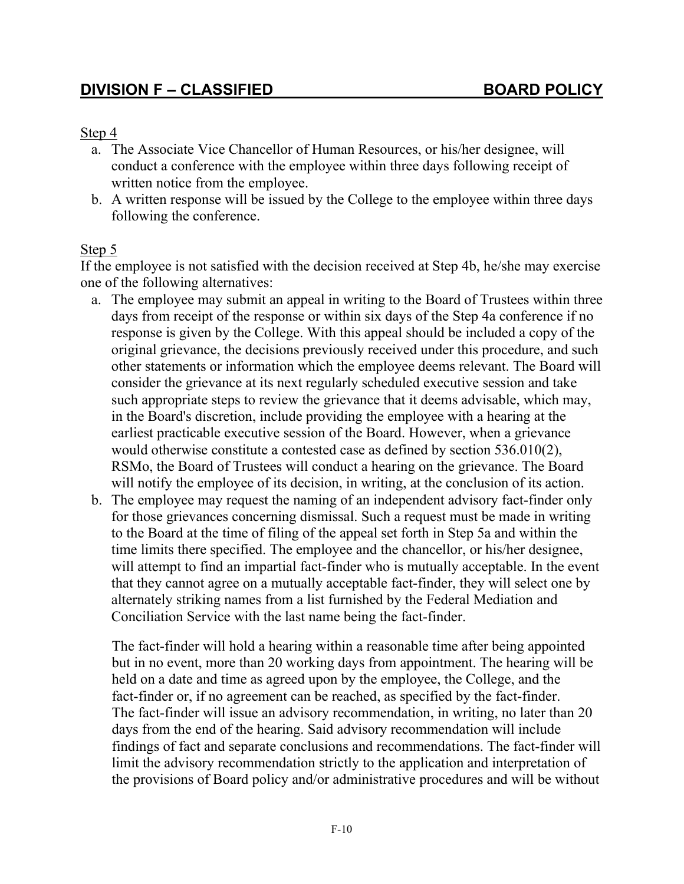#### Step 4

- a. The Associate Vice Chancellor of Human Resources, or his/her designee, will conduct a conference with the employee within three days following receipt of written notice from the employee.
- b. A written response will be issued by the College to the employee within three days following the conference.

#### Step 5

If the employee is not satisfied with the decision received at Step 4b, he/she may exercise one of the following alternatives:

- a. The employee may submit an appeal in writing to the Board of Trustees within three days from receipt of the response or within six days of the Step 4a conference if no response is given by the College. With this appeal should be included a copy of the original grievance, the decisions previously received under this procedure, and such other statements or information which the employee deems relevant. The Board will consider the grievance at its next regularly scheduled executive session and take such appropriate steps to review the grievance that it deems advisable, which may, in the Board's discretion, include providing the employee with a hearing at the earliest practicable executive session of the Board. However, when a grievance would otherwise constitute a contested case as defined by section 536.010(2), RSMo, the Board of Trustees will conduct a hearing on the grievance. The Board will notify the employee of its decision, in writing, at the conclusion of its action.
- b. The employee may request the naming of an independent advisory fact-finder only for those grievances concerning dismissal. Such a request must be made in writing to the Board at the time of filing of the appeal set forth in Step 5a and within the time limits there specified. The employee and the chancellor, or his/her designee, will attempt to find an impartial fact-finder who is mutually acceptable. In the event that they cannot agree on a mutually acceptable fact-finder, they will select one by alternately striking names from a list furnished by the Federal Mediation and Conciliation Service with the last name being the fact-finder.

The fact-finder will hold a hearing within a reasonable time after being appointed but in no event, more than 20 working days from appointment. The hearing will be held on a date and time as agreed upon by the employee, the College, and the fact-finder or, if no agreement can be reached, as specified by the fact-finder. The fact-finder will issue an advisory recommendation, in writing, no later than 20 days from the end of the hearing. Said advisory recommendation will include findings of fact and separate conclusions and recommendations. The fact-finder will limit the advisory recommendation strictly to the application and interpretation of the provisions of Board policy and/or administrative procedures and will be without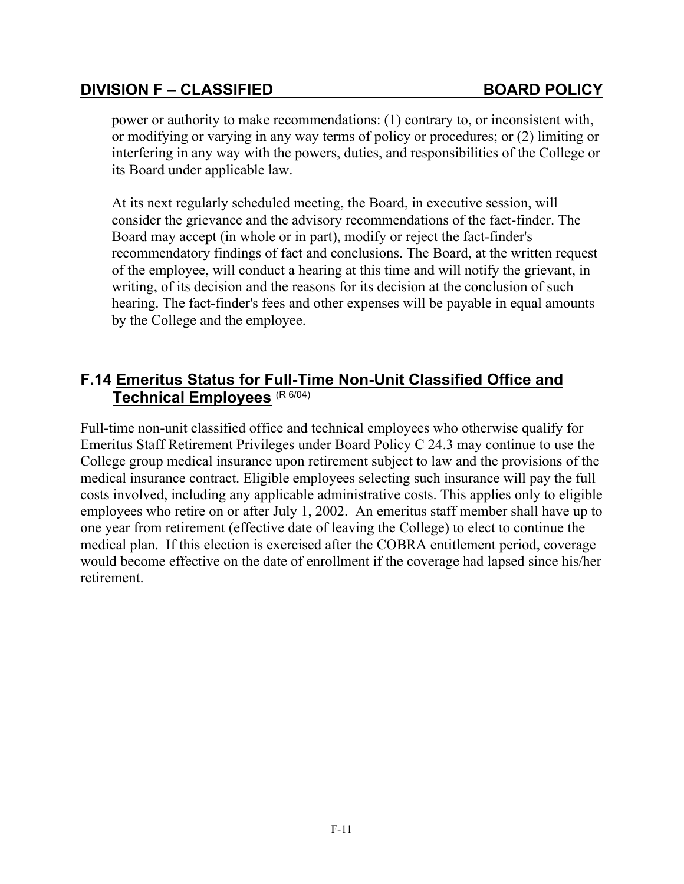power or authority to make recommendations: (1) contrary to, or inconsistent with, or modifying or varying in any way terms of policy or procedures; or (2) limiting or interfering in any way with the powers, duties, and responsibilities of the College or its Board under applicable law.

At its next regularly scheduled meeting, the Board, in executive session, will consider the grievance and the advisory recommendations of the fact-finder. The Board may accept (in whole or in part), modify or reject the fact-finder's recommendatory findings of fact and conclusions. The Board, at the written request of the employee, will conduct a hearing at this time and will notify the grievant, in writing, of its decision and the reasons for its decision at the conclusion of such hearing. The fact-finder's fees and other expenses will be payable in equal amounts by the College and the employee.

## **F.14 Emeritus Status for Full-Time Non-Unit Classified Office and Technical Employees** (R 6/04)

Full-time non-unit classified office and technical employees who otherwise qualify for Emeritus Staff Retirement Privileges under Board Policy C 24.3 may continue to use the College group medical insurance upon retirement subject to law and the provisions of the medical insurance contract. Eligible employees selecting such insurance will pay the full costs involved, including any applicable administrative costs. This applies only to eligible employees who retire on or after July 1, 2002. An emeritus staff member shall have up to one year from retirement (effective date of leaving the College) to elect to continue the medical plan. If this election is exercised after the COBRA entitlement period, coverage would become effective on the date of enrollment if the coverage had lapsed since his/her retirement.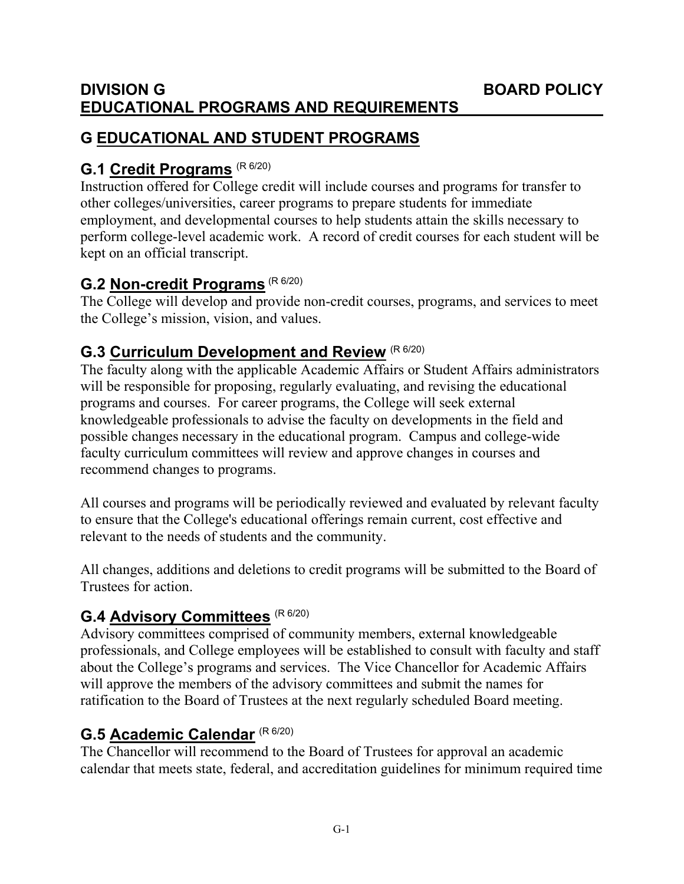### **DIVISION G BOARD POLICY EDUCATIONAL PROGRAMS AND REQUIREMENTS**

# **G EDUCATIONAL AND STUDENT PROGRAMS**

# **G.1 Credit Programs** (R 6/20)

Instruction offered for College credit will include courses and programs for transfer to other colleges/universities, career programs to prepare students for immediate employment, and developmental courses to help students attain the skills necessary to perform college-level academic work. A record of credit courses for each student will be kept on an official transcript.

# **G.2 Non-credit Programs** (R 6/20)

The College will develop and provide non-credit courses, programs, and services to meet the College's mission, vision, and values.

# **G.3 Curriculum Development and Review** (R 6/20)

The faculty along with the applicable Academic Affairs or Student Affairs administrators will be responsible for proposing, regularly evaluating, and revising the educational programs and courses. For career programs, the College will seek external knowledgeable professionals to advise the faculty on developments in the field and possible changes necessary in the educational program. Campus and college-wide faculty curriculum committees will review and approve changes in courses and recommend changes to programs.

All courses and programs will be periodically reviewed and evaluated by relevant faculty to ensure that the College's educational offerings remain current, cost effective and relevant to the needs of students and the community.

All changes, additions and deletions to credit programs will be submitted to the Board of Trustees for action.

# **G.4 Advisory Committees** (R 6/20)

Advisory committees comprised of community members, external knowledgeable professionals, and College employees will be established to consult with faculty and staff about the College's programs and services. The Vice Chancellor for Academic Affairs will approve the members of the advisory committees and submit the names for ratification to the Board of Trustees at the next regularly scheduled Board meeting.

## **G.5 Academic Calendar** (R 6/20)

The Chancellor will recommend to the Board of Trustees for approval an academic calendar that meets state, federal, and accreditation guidelines for minimum required time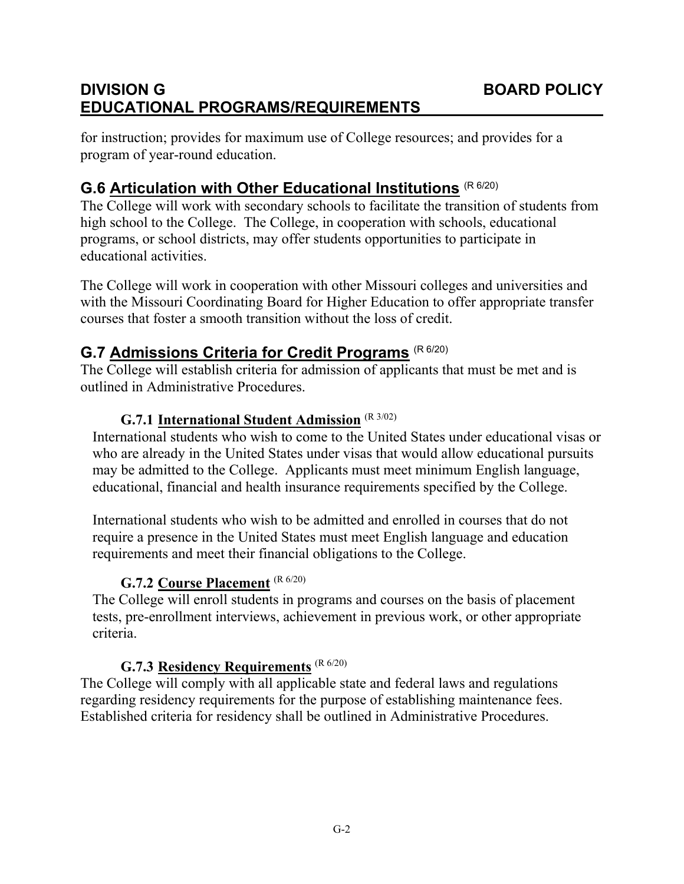# **DIVISION G BOARD POLICY EDUCATIONAL PROGRAMS/REQUIREMENTS**

for instruction; provides for maximum use of College resources; and provides for a program of year-round education.

## **G.6 Articulation with Other Educational Institutions** (R 6/20)

The College will work with secondary schools to facilitate the transition of students from high school to the College. The College, in cooperation with schools, educational programs, or school districts, may offer students opportunities to participate in educational activities.

The College will work in cooperation with other Missouri colleges and universities and with the Missouri Coordinating Board for Higher Education to offer appropriate transfer courses that foster a smooth transition without the loss of credit.

### **G.7 Admissions Criteria for Credit Programs** (R 6/20)

The College will establish criteria for admission of applicants that must be met and is outlined in Administrative Procedures.

#### **G.7.1 International Student Admission** (R 3/02)

International students who wish to come to the United States under educational visas or who are already in the United States under visas that would allow educational pursuits may be admitted to the College. Applicants must meet minimum English language, educational, financial and health insurance requirements specified by the College.

International students who wish to be admitted and enrolled in courses that do not require a presence in the United States must meet English language and education requirements and meet their financial obligations to the College.

### **G.7.2 Course Placement** (R 6/20)

The College will enroll students in programs and courses on the basis of placement tests, pre-enrollment interviews, achievement in previous work, or other appropriate criteria.

### **G.7.3 Residency Requirements** (R 6/20)

The College will comply with all applicable state and federal laws and regulations regarding residency requirements for the purpose of establishing maintenance fees. Established criteria for residency shall be outlined in Administrative Procedures.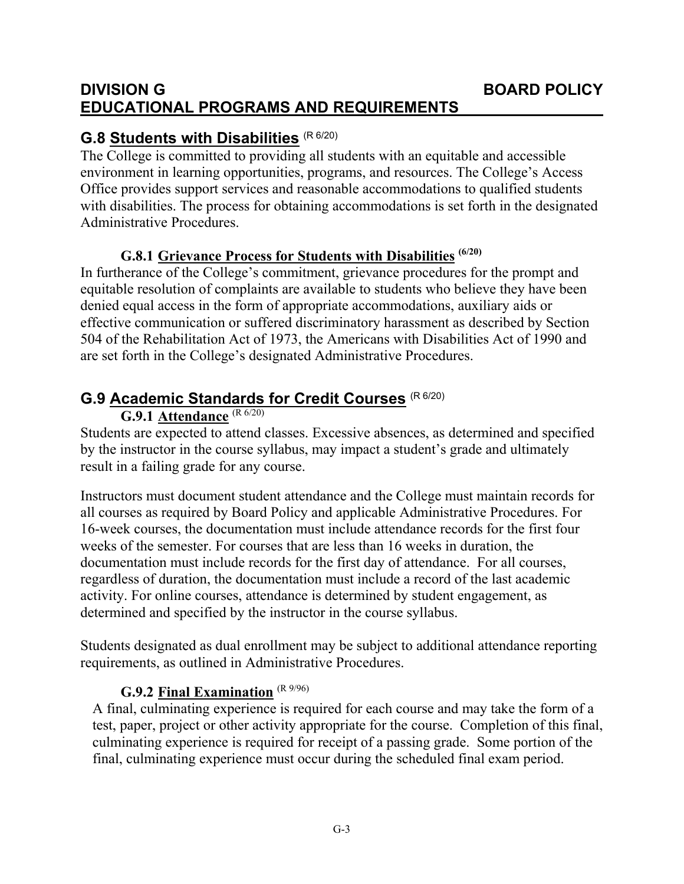### **DIVISION G BOARD POLICY EDUCATIONAL PROGRAMS AND REQUIREMENTS**

# **G.8 Students with Disabilities** (R 6/20)

The College is committed to providing all students with an equitable and accessible environment in learning opportunities, programs, and resources. The College's Access Office provides support services and reasonable accommodations to qualified students with disabilities. The process for obtaining accommodations is set forth in the designated Administrative Procedures.

### **G.8.1 Grievance Process for Students with Disabilities (6/20)**

In furtherance of the College's commitment, grievance procedures for the prompt and equitable resolution of complaints are available to students who believe they have been denied equal access in the form of appropriate accommodations, auxiliary aids or effective communication or suffered discriminatory harassment as described by Section 504 of the Rehabilitation Act of 1973, the Americans with Disabilities Act of 1990 and are set forth in the College's designated Administrative Procedures.

# **G.9 Academic Standards for Credit Courses** (R 6/20)

### **G.9.1 Attendance** (R 6/20)

Students are expected to attend classes. Excessive absences, as determined and specified by the instructor in the course syllabus, may impact a student's grade and ultimately result in a failing grade for any course.

Instructors must document student attendance and the College must maintain records for all courses as required by Board Policy and applicable Administrative Procedures. For 16-week courses, the documentation must include attendance records for the first four weeks of the semester. For courses that are less than 16 weeks in duration, the documentation must include records for the first day of attendance. For all courses, regardless of duration, the documentation must include a record of the last academic activity. For online courses, attendance is determined by student engagement, as determined and specified by the instructor in the course syllabus.

Students designated as dual enrollment may be subject to additional attendance reporting requirements, as outlined in Administrative Procedures.

### **G.9.2 Final Examination** (R 9/96)

A final, culminating experience is required for each course and may take the form of a test, paper, project or other activity appropriate for the course. Completion of this final, culminating experience is required for receipt of a passing grade. Some portion of the final, culminating experience must occur during the scheduled final exam period.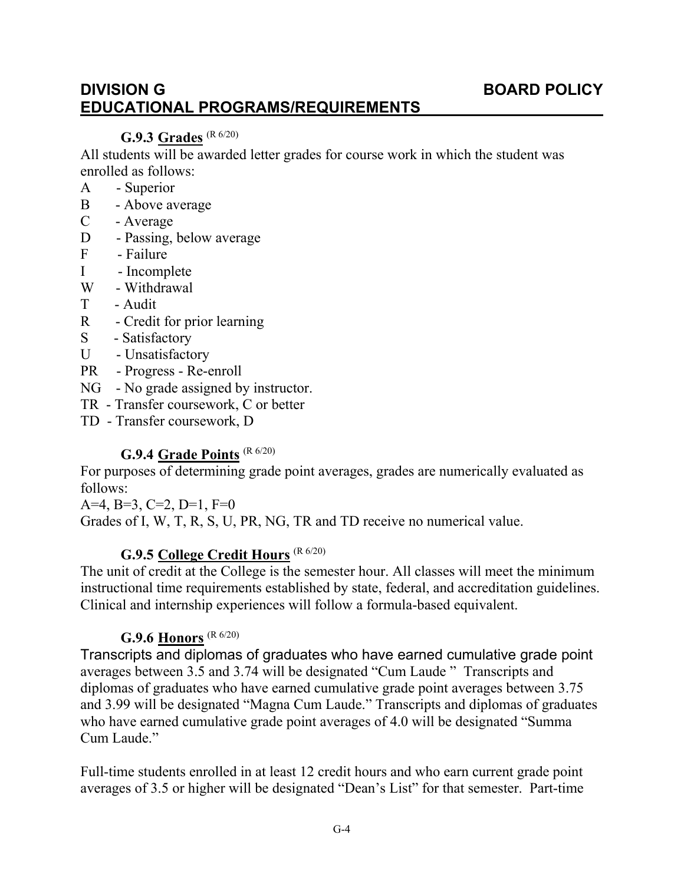### **DIVISION G BOARD POLICY EDUCATIONAL PROGRAMS/REQUIREMENTS**

### **G.9.3 Grades** (R 6/20)

All students will be awarded letter grades for course work in which the student was enrolled as follows:

- A Superior
- B Above average
- C Average
- D Passing, below average
- F Failure
- I Incomplete
- W Withdrawal
- T Audit
- R Credit for prior learning
- S Satisfactory
- U Unsatisfactory
- PR Progress Re-enroll
- NG No grade assigned by instructor.
- TR Transfer coursework, C or better
- TD Transfer coursework, D

### **G.9.4 Grade Points** (R 6/20)

For purposes of determining grade point averages, grades are numerically evaluated as follows:

A=4, B=3, C=2, D=1,  $F=0$ Grades of I, W, T, R, S, U, PR, NG, TR and TD receive no numerical value.

### **G.9.5 College Credit Hours** (R 6/20)

The unit of credit at the College is the semester hour. All classes will meet the minimum instructional time requirements established by state, federal, and accreditation guidelines. Clinical and internship experiences will follow a formula-based equivalent.

## **G.9.6 Honors** (R 6/20)

Transcripts and diplomas of graduates who have earned cumulative grade point averages between 3.5 and 3.74 will be designated "Cum Laude " Transcripts and diplomas of graduates who have earned cumulative grade point averages between 3.75 and 3.99 will be designated "Magna Cum Laude." Transcripts and diplomas of graduates who have earned cumulative grade point averages of 4.0 will be designated "Summa Cum Laude."

Full-time students enrolled in at least 12 credit hours and who earn current grade point averages of 3.5 or higher will be designated "Dean's List" for that semester. Part-time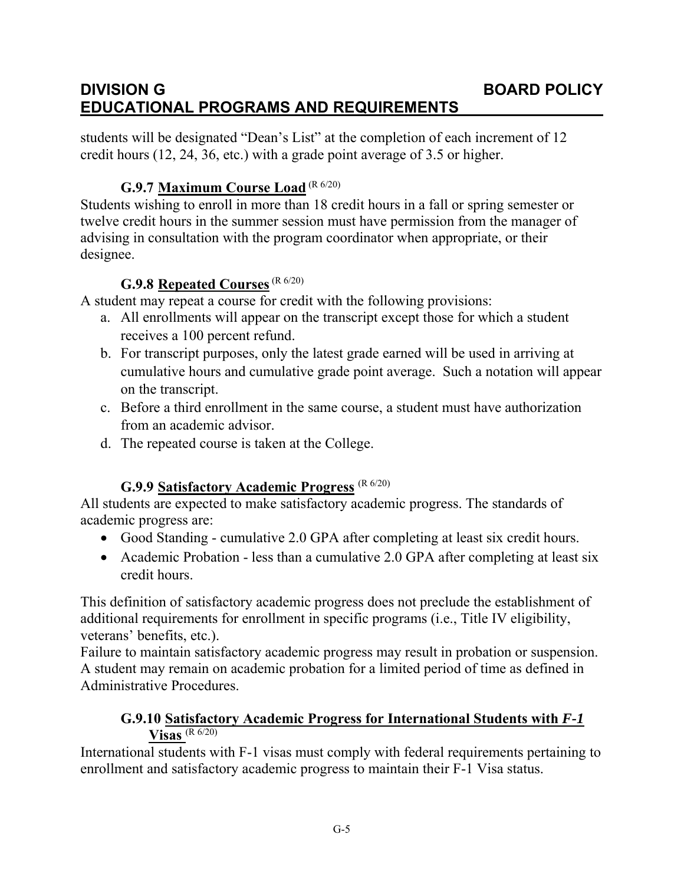## **DIVISION G BOARD POLICY EDUCATIONAL PROGRAMS AND REQUIREMENTS**

students will be designated "Dean's List" at the completion of each increment of 12 credit hours (12, 24, 36, etc.) with a grade point average of 3.5 or higher.

### **G.9.7 Maximum Course Load** (R 6/20)

Students wishing to enroll in more than 18 credit hours in a fall or spring semester or twelve credit hours in the summer session must have permission from the manager of advising in consultation with the program coordinator when appropriate, or their designee.

### **G.9.8** Repeated Courses<sup>(R 6/20)</sup>

A student may repeat a course for credit with the following provisions:

- a. All enrollments will appear on the transcript except those for which a student receives a 100 percent refund.
- b. For transcript purposes, only the latest grade earned will be used in arriving at cumulative hours and cumulative grade point average. Such a notation will appear on the transcript.
- c. Before a third enrollment in the same course, a student must have authorization from an academic advisor.
- d. The repeated course is taken at the College.

### **G.9.9 Satisfactory Academic Progress** (R 6/20)

All students are expected to make satisfactory academic progress. The standards of academic progress are:

- Good Standing cumulative 2.0 GPA after completing at least six credit hours.
- Academic Probation less than a cumulative 2.0 GPA after completing at least six credit hours.

This definition of satisfactory academic progress does not preclude the establishment of additional requirements for enrollment in specific programs (i.e., Title IV eligibility, veterans' benefits, etc.).

Failure to maintain satisfactory academic progress may result in probation or suspension. A student may remain on academic probation for a limited period of time as defined in Administrative Procedures.

### **G.9.10 Satisfactory Academic Progress for International Students with** *F-1* **Visas** (R 6/20)

International students with F-1 visas must comply with federal requirements pertaining to enrollment and satisfactory academic progress to maintain their F-1 Visa status.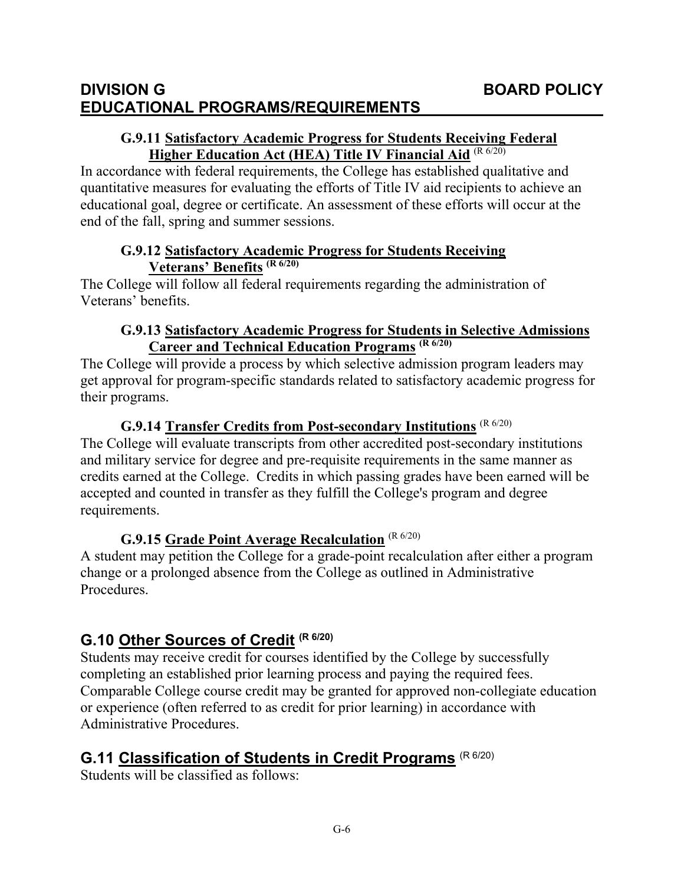### **DIVISION G BOARD POLICY EDUCATIONAL PROGRAMS/REQUIREMENTS**

### **G.9.11 Satisfactory Academic Progress for Students Receiving Federal Higher Education Act (HEA) Title IV Financial Aid** (R 6/20)

In accordance with federal requirements, the College has established qualitative and quantitative measures for evaluating the efforts of Title IV aid recipients to achieve an educational goal, degree or certificate. An assessment of these efforts will occur at the end of the fall, spring and summer sessions.

#### **G.9.12 Satisfactory Academic Progress for Students Receiving Veterans' Benefits (R 6/20)**

The College will follow all federal requirements regarding the administration of Veterans' benefits.

### **G.9.13 Satisfactory Academic Progress for Students in Selective Admissions Career and Technical Education Programs (R 6/20)**

The College will provide a process by which selective admission program leaders may get approval for program-specific standards related to satisfactory academic progress for their programs.

### **G.9.14 Transfer Credits from Post-secondary Institutions** (R 6/20)

The College will evaluate transcripts from other accredited post-secondary institutions and military service for degree and pre-requisite requirements in the same manner as credits earned at the College. Credits in which passing grades have been earned will be accepted and counted in transfer as they fulfill the College's program and degree requirements.

## **G.9.15 Grade Point Average Recalculation** (R 6/20)

A student may petition the College for a grade-point recalculation after either a program change or a prolonged absence from the College as outlined in Administrative Procedures.

# **G.10 Other Sources of Credit (R 6/20)**

Students may receive credit for courses identified by the College by successfully completing an established prior learning process and paying the required fees. Comparable College course credit may be granted for approved non-collegiate education or experience (often referred to as credit for prior learning) in accordance with Administrative Procedures.

# **G.11 Classification of Students in Credit Programs** (R 6/20)

Students will be classified as follows: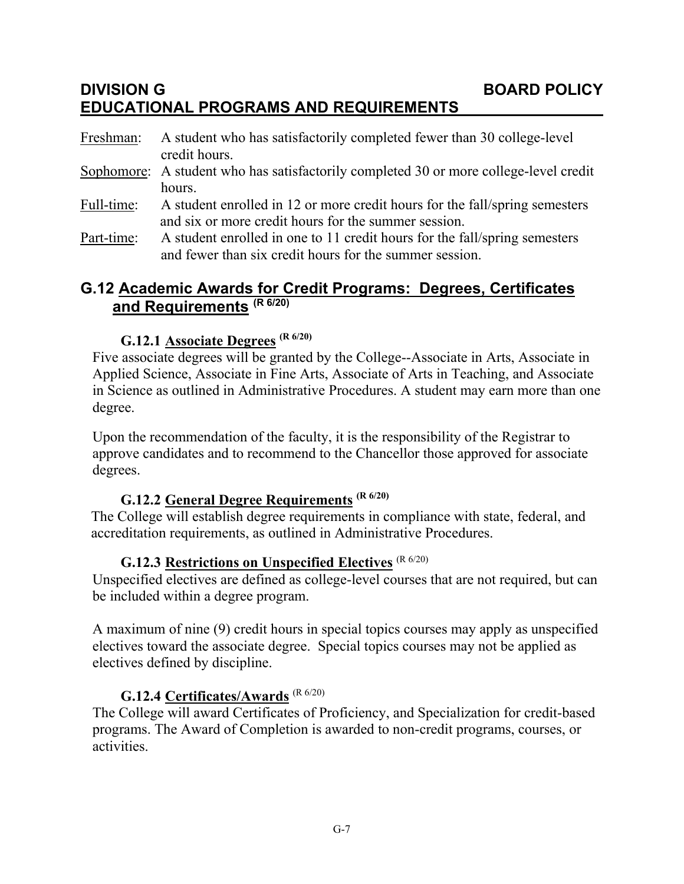## **DIVISION G BOARD POLICY EDUCATIONAL PROGRAMS AND REQUIREMENTS**

| Freshman:  | A student who has satisfactorily completed fewer than 30 college-level<br>credit hours. |
|------------|-----------------------------------------------------------------------------------------|
|            | Sophomore: A student who has satisfactorily completed 30 or more college-level credit   |
|            | hours.                                                                                  |
| Full-time: | A student enrolled in 12 or more credit hours for the fall/spring semesters             |
|            | and six or more credit hours for the summer session.                                    |
|            |                                                                                         |

Part-time: A student enrolled in one to 11 credit hours for the fall/spring semesters and fewer than six credit hours for the summer session.

### **G.12 Academic Awards for Credit Programs: Degrees, Certificates and Requirements (R 6/20)**

### **G.12.1 Associate Degrees (R 6/20)**

Five associate degrees will be granted by the College--Associate in Arts, Associate in Applied Science, Associate in Fine Arts, Associate of Arts in Teaching, and Associate in Science as outlined in Administrative Procedures. A student may earn more than one degree.

Upon the recommendation of the faculty, it is the responsibility of the Registrar to approve candidates and to recommend to the Chancellor those approved for associate degrees.

# **G.12.2 General Degree Requirements (R 6/20)**

The College will establish degree requirements in compliance with state, federal, and accreditation requirements, as outlined in Administrative Procedures.

## **G.12.3 Restrictions on Unspecified Electives** (R 6/20)

Unspecified electives are defined as college-level courses that are not required, but can be included within a degree program.

A maximum of nine (9) credit hours in special topics courses may apply as unspecified electives toward the associate degree. Special topics courses may not be applied as electives defined by discipline.

### **G.12.4 Certificates/Awards** (R 6/20)

The College will award Certificates of Proficiency, and Specialization for credit-based programs. The Award of Completion is awarded to non-credit programs, courses, or activities.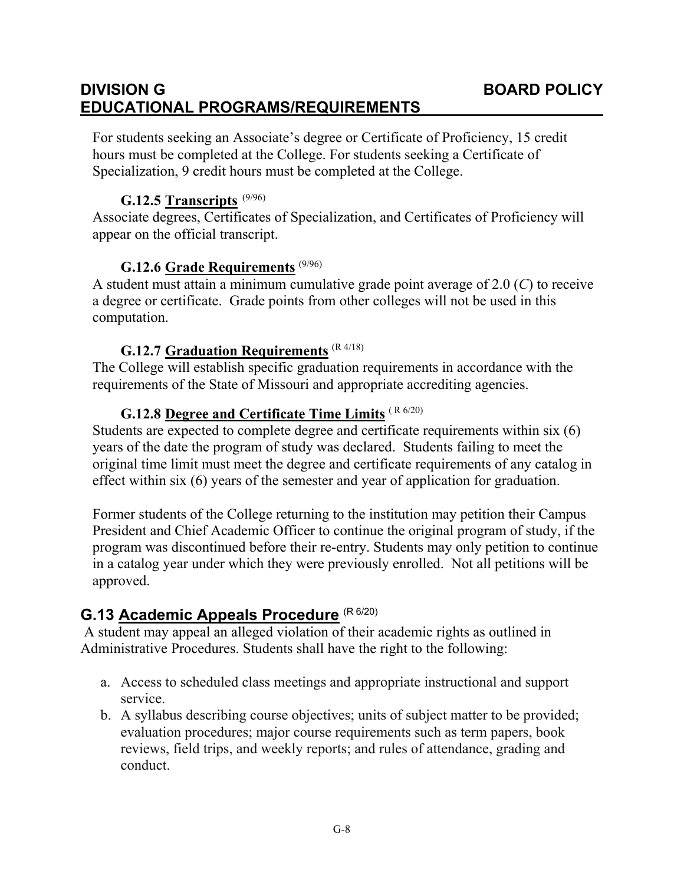# **DIVISION G BOARD POLICY EDUCATIONAL PROGRAMS/REQUIREMENTS**

For students seeking an Associate's degree or Certificate of Proficiency, 15 credit hours must be completed at the College. For students seeking a Certificate of Specialization, 9 credit hours must be completed at the College.

#### **G.12.5 Transcripts** (9/96)

Associate degrees, Certificates of Specialization, and Certificates of Proficiency will appear on the official transcript.

#### **G.12.6 Grade Requirements** (9/96)

A student must attain a minimum cumulative grade point average of 2.0 (*C*) to receive a degree or certificate. Grade points from other colleges will not be used in this computation.

#### **G.12.7 Graduation Requirements** (R 4/18)

The College will establish specific graduation requirements in accordance with the requirements of the State of Missouri and appropriate accrediting agencies.

## **G.12.8 Degree and Certificate Time Limits** ( R 6/20)

Students are expected to complete degree and certificate requirements within six (6) years of the date the program of study was declared. Students failing to meet the original time limit must meet the degree and certificate requirements of any catalog in effect within six (6) years of the semester and year of application for graduation.

Former students of the College returning to the institution may petition their Campus President and Chief Academic Officer to continue the original program of study, if the program was discontinued before their re-entry. Students may only petition to continue in a catalog year under which they were previously enrolled. Not all petitions will be approved.

# **G.13 Academic Appeals Procedure** (R 6/20)

A student may appeal an alleged violation of their academic rights as outlined in Administrative Procedures. Students shall have the right to the following:

- a. Access to scheduled class meetings and appropriate instructional and support service.
- b. A syllabus describing course objectives; units of subject matter to be provided; evaluation procedures; major course requirements such as term papers, book reviews, field trips, and weekly reports; and rules of attendance, grading and conduct.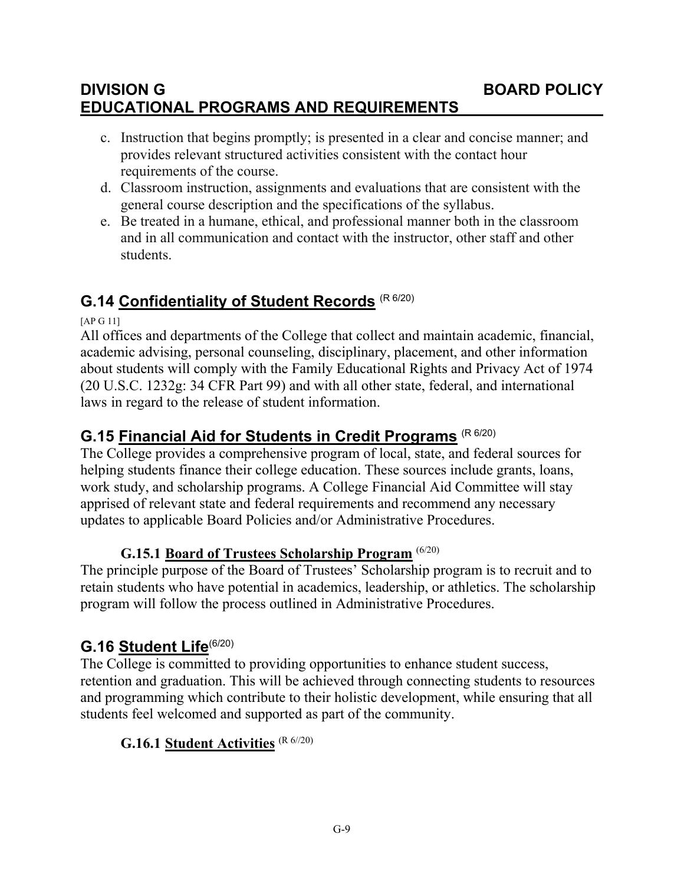# **DIVISION G BOARD POLICY EDUCATIONAL PROGRAMS AND REQUIREMENTS**

- c. Instruction that begins promptly; is presented in a clear and concise manner; and provides relevant structured activities consistent with the contact hour requirements of the course.
- d. Classroom instruction, assignments and evaluations that are consistent with the general course description and the specifications of the syllabus.
- e. Be treated in a humane, ethical, and professional manner both in the classroom and in all communication and contact with the instructor, other staff and other students.

# **G.14 Confidentiality of Student Records** (R 6/20)

[AP G 11]

All offices and departments of the College that collect and maintain academic, financial, academic advising, personal counseling, disciplinary, placement, and other information about students will comply with the Family Educational Rights and Privacy Act of 1974 (20 U.S.C. 1232g: 34 CFR Part 99) and with all other state, federal, and international laws in regard to the release of student information.

# **G.15 Financial Aid for Students in Credit Programs** (R 6/20)

The College provides a comprehensive program of local, state, and federal sources for helping students finance their college education. These sources include grants, loans, work study, and scholarship programs. A College Financial Aid Committee will stay apprised of relevant state and federal requirements and recommend any necessary updates to applicable Board Policies and/or Administrative Procedures.

## **G.15.1 Board of Trustees Scholarship Program** (6/20)

The principle purpose of the Board of Trustees' Scholarship program is to recruit and to retain students who have potential in academics, leadership, or athletics. The scholarship program will follow the process outlined in Administrative Procedures.

# **G.16 Student Life**(6/20)

The College is committed to providing opportunities to enhance student success, retention and graduation. This will be achieved through connecting students to resources and programming which contribute to their holistic development, while ensuring that all students feel welcomed and supported as part of the community.

## **G.16.1 Student Activities** (R 6//20)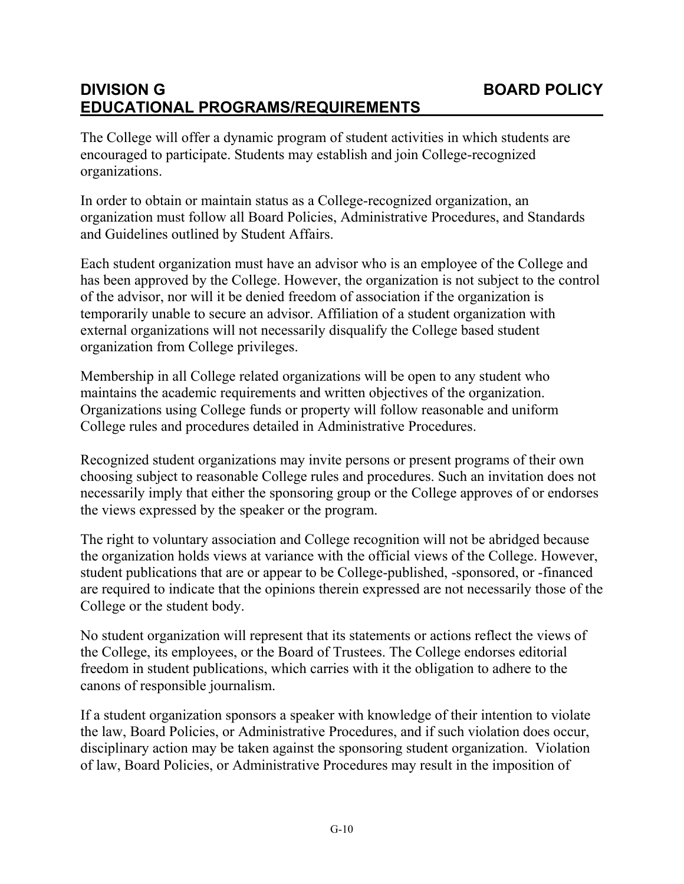# **DIVISION G BOARD POLICY EDUCATIONAL PROGRAMS/REQUIREMENTS**

The College will offer a dynamic program of student activities in which students are encouraged to participate. Students may establish and join College-recognized organizations.

In order to obtain or maintain status as a College-recognized organization, an organization must follow all Board Policies, Administrative Procedures, and Standards and Guidelines outlined by Student Affairs.

Each student organization must have an advisor who is an employee of the College and has been approved by the College. However, the organization is not subject to the control of the advisor, nor will it be denied freedom of association if the organization is temporarily unable to secure an advisor. Affiliation of a student organization with external organizations will not necessarily disqualify the College based student organization from College privileges.

Membership in all College related organizations will be open to any student who maintains the academic requirements and written objectives of the organization. Organizations using College funds or property will follow reasonable and uniform College rules and procedures detailed in Administrative Procedures.

Recognized student organizations may invite persons or present programs of their own choosing subject to reasonable College rules and procedures. Such an invitation does not necessarily imply that either the sponsoring group or the College approves of or endorses the views expressed by the speaker or the program.

The right to voluntary association and College recognition will not be abridged because the organization holds views at variance with the official views of the College. However, student publications that are or appear to be College-published, -sponsored, or -financed are required to indicate that the opinions therein expressed are not necessarily those of the College or the student body.

No student organization will represent that its statements or actions reflect the views of the College, its employees, or the Board of Trustees. The College endorses editorial freedom in student publications, which carries with it the obligation to adhere to the canons of responsible journalism.

If a student organization sponsors a speaker with knowledge of their intention to violate the law, Board Policies, or Administrative Procedures, and if such violation does occur, disciplinary action may be taken against the sponsoring student organization. Violation of law, Board Policies, or Administrative Procedures may result in the imposition of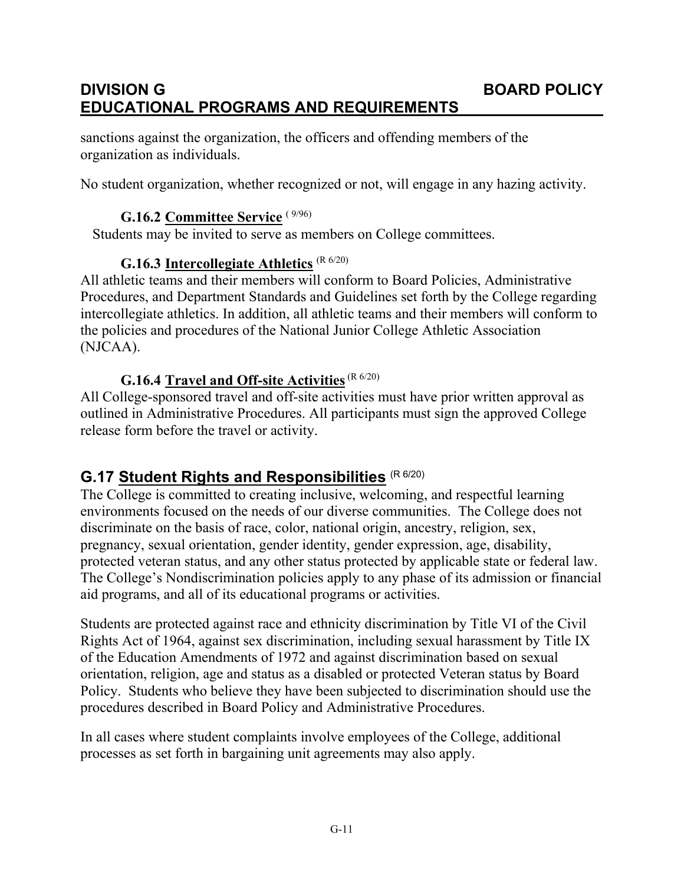# **DIVISION G BOARD POLICY EDUCATIONAL PROGRAMS AND REQUIREMENTS**

sanctions against the organization, the officers and offending members of the organization as individuals.

No student organization, whether recognized or not, will engage in any hazing activity.

#### **G.16.2 Committee Service** ( 9/96)

Students may be invited to serve as members on College committees.

# **G.16.3 Intercollegiate Athletics** (R 6/20)

All athletic teams and their members will conform to Board Policies, Administrative Procedures, and Department Standards and Guidelines set forth by the College regarding intercollegiate athletics. In addition, all athletic teams and their members will conform to the policies and procedures of the National Junior College Athletic Association (NJCAA).

#### G.16.4 **Travel and Off-site Activities** (R 6/20)

All College-sponsored travel and off-site activities must have prior written approval as outlined in Administrative Procedures. All participants must sign the approved College release form before the travel or activity.

# **G.17 Student Rights and Responsibilities** (R 6/20)

The College is committed to creating inclusive, welcoming, and respectful learning environments focused on the needs of our diverse communities. The College does not discriminate on the basis of race, color, national origin, ancestry, religion, sex, pregnancy, sexual orientation, gender identity, gender expression, age, disability, protected veteran status, and any other status protected by applicable state or federal law. The College's Nondiscrimination policies apply to any phase of its admission or financial aid programs, and all of its educational programs or activities.

Students are protected against race and ethnicity discrimination by Title VI of the Civil Rights Act of 1964, against sex discrimination, including sexual harassment by Title IX of the Education Amendments of 1972 and against discrimination based on sexual orientation, religion, age and status as a disabled or protected Veteran status by Board Policy. Students who believe they have been subjected to discrimination should use the procedures described in Board Policy and Administrative Procedures.

In all cases where student complaints involve employees of the College, additional processes as set forth in bargaining unit agreements may also apply.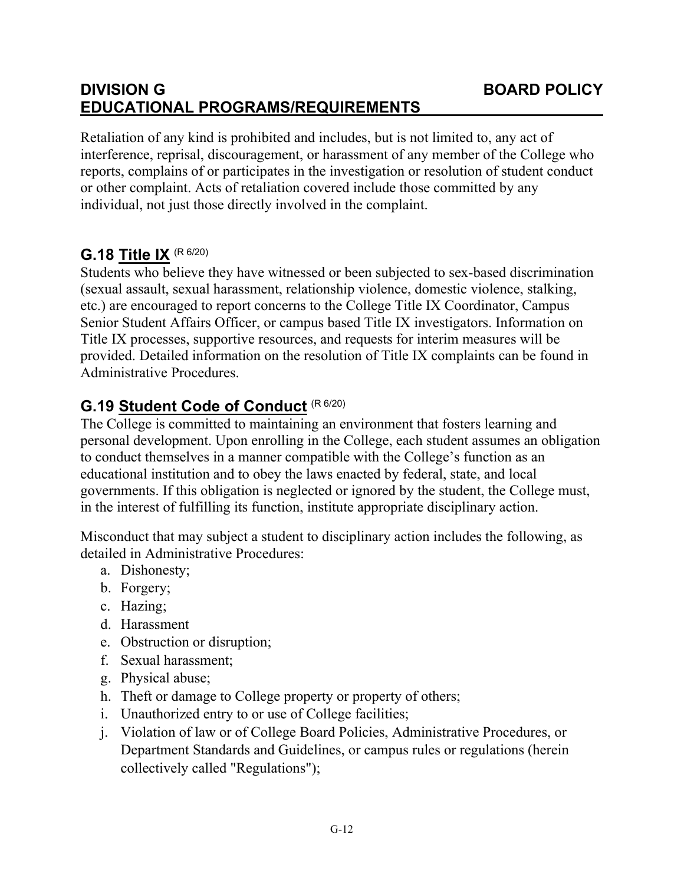# **DIVISION G BOARD POLICY EDUCATIONAL PROGRAMS/REQUIREMENTS**

Retaliation of any kind is prohibited and includes, but is not limited to, any act of interference, reprisal, discouragement, or harassment of any member of the College who reports, complains of or participates in the investigation or resolution of student conduct or other complaint. Acts of retaliation covered include those committed by any individual, not just those directly involved in the complaint.

# **G.18 Title IX** (R 6/20)

Students who believe they have witnessed or been subjected to sex-based discrimination (sexual assault, sexual harassment, relationship violence, domestic violence, stalking, etc.) are encouraged to report concerns to the College Title IX Coordinator, Campus Senior Student Affairs Officer, or campus based Title IX investigators. Information on Title IX processes, supportive resources, and requests for interim measures will be provided. Detailed information on the resolution of Title IX complaints can be found in Administrative Procedures.

# **G.19 Student Code of Conduct** (R 6/20)

The College is committed to maintaining an environment that fosters learning and personal development. Upon enrolling in the College, each student assumes an obligation to conduct themselves in a manner compatible with the College's function as an educational institution and to obey the laws enacted by federal, state, and local governments. If this obligation is neglected or ignored by the student, the College must, in the interest of fulfilling its function, institute appropriate disciplinary action.

Misconduct that may subject a student to disciplinary action includes the following, as detailed in Administrative Procedures:

- a. Dishonesty;
- b. Forgery;
- c. Hazing;
- d. Harassment
- e. Obstruction or disruption;
- f. Sexual harassment;
- g. Physical abuse;
- h. Theft or damage to College property or property of others;
- i. Unauthorized entry to or use of College facilities;
- j. Violation of law or of College Board Policies, Administrative Procedures, or Department Standards and Guidelines, or campus rules or regulations (herein collectively called "Regulations");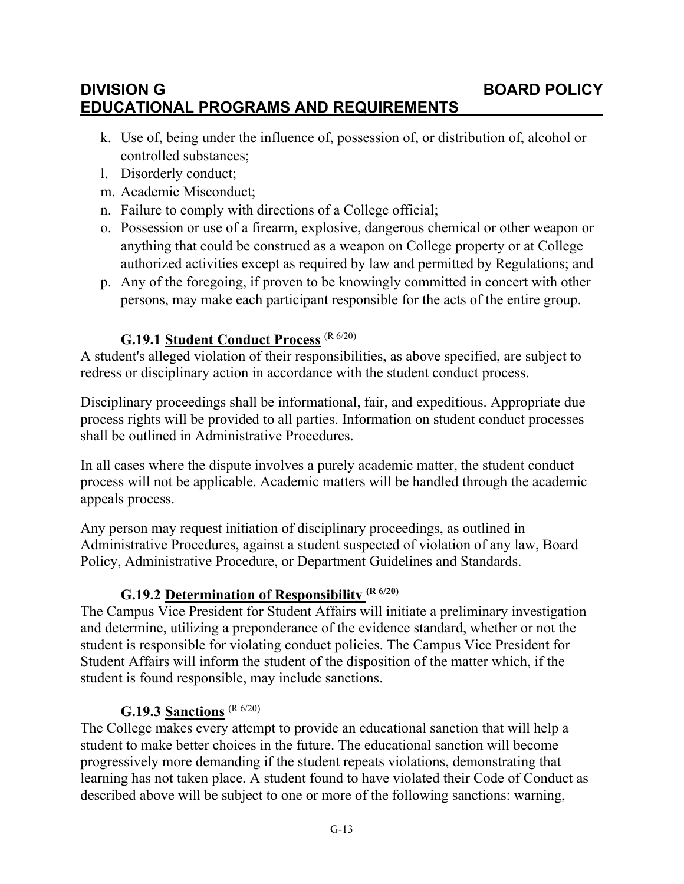## **DIVISION G BOARD POLICY EDUCATIONAL PROGRAMS AND REQUIREMENTS**

- k. Use of, being under the influence of, possession of, or distribution of, alcohol or controlled substances;
- l. Disorderly conduct;
- m. Academic Misconduct;
- n. Failure to comply with directions of a College official;
- o. Possession or use of a firearm, explosive, dangerous chemical or other weapon or anything that could be construed as a weapon on College property or at College authorized activities except as required by law and permitted by Regulations; and
- p. Any of the foregoing, if proven to be knowingly committed in concert with other persons, may make each participant responsible for the acts of the entire group.

## **G.19.1 Student Conduct Process** (R 6/20)

A student's alleged violation of their responsibilities, as above specified, are subject to redress or disciplinary action in accordance with the student conduct process.

Disciplinary proceedings shall be informational, fair, and expeditious. Appropriate due process rights will be provided to all parties. Information on student conduct processes shall be outlined in Administrative Procedures.

In all cases where the dispute involves a purely academic matter, the student conduct process will not be applicable. Academic matters will be handled through the academic appeals process.

Any person may request initiation of disciplinary proceedings, as outlined in Administrative Procedures, against a student suspected of violation of any law, Board Policy, Administrative Procedure, or Department Guidelines and Standards.

## **G.19.2 Determination of Responsibility (R 6/20)**

The Campus Vice President for Student Affairs will initiate a preliminary investigation and determine, utilizing a preponderance of the evidence standard, whether or not the student is responsible for violating conduct policies. The Campus Vice President for Student Affairs will inform the student of the disposition of the matter which, if the student is found responsible, may include sanctions.

#### **G.19.3 Sanctions** (R 6/20)

The College makes every attempt to provide an educational sanction that will help a student to make better choices in the future. The educational sanction will become progressively more demanding if the student repeats violations, demonstrating that learning has not taken place. A student found to have violated their Code of Conduct as described above will be subject to one or more of the following sanctions: warning,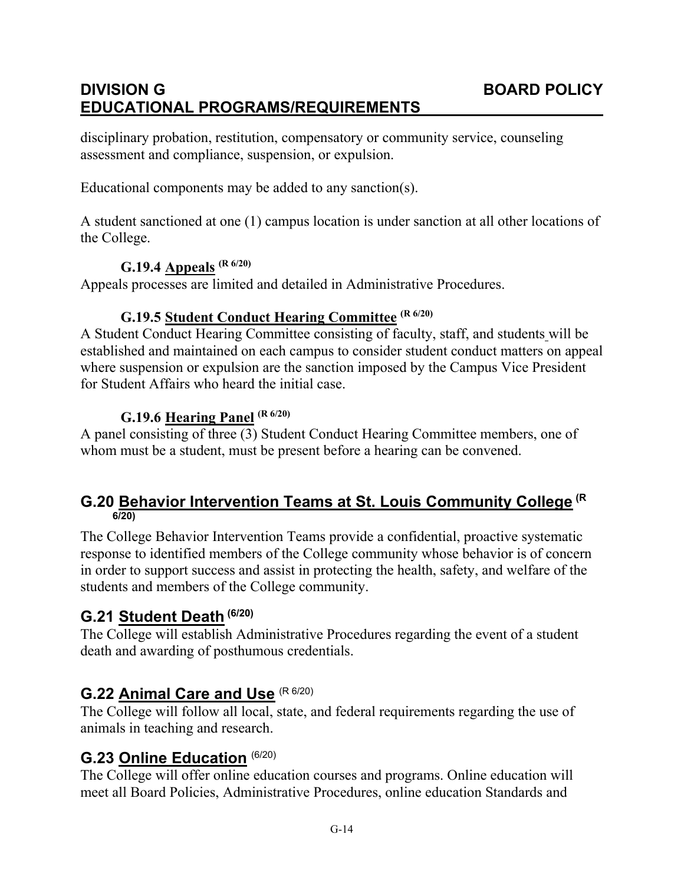# **DIVISION G BOARD POLICY EDUCATIONAL PROGRAMS/REQUIREMENTS**

disciplinary probation, restitution, compensatory or community service, counseling assessment and compliance, suspension, or expulsion.

Educational components may be added to any sanction(s).

A student sanctioned at one (1) campus location is under sanction at all other locations of the College.

#### **G.19.4 Appeals (R 6/20)**

Appeals processes are limited and detailed in Administrative Procedures.

## **G.19.5 Student Conduct Hearing Committee (R 6/20)**

A Student Conduct Hearing Committee consisting of faculty, staff, and students will be established and maintained on each campus to consider student conduct matters on appeal where suspension or expulsion are the sanction imposed by the Campus Vice President for Student Affairs who heard the initial case.

#### **G.19.6 Hearing Panel (R 6/20)**

A panel consisting of three (3) Student Conduct Hearing Committee members, one of whom must be a student, must be present before a hearing can be convened.

#### **G.20 Behavior Intervention Teams at St. Louis Community College (R 6/20)**

The College Behavior Intervention Teams provide a confidential, proactive systematic response to identified members of the College community whose behavior is of concern in order to support success and assist in protecting the health, safety, and welfare of the students and members of the College community.

# **G.21 Student Death (6/20)**

The College will establish Administrative Procedures regarding the event of a student death and awarding of posthumous credentials.

## **G.22 Animal Care and Use** (R 6/20)

The College will follow all local, state, and federal requirements regarding the use of animals in teaching and research.

## **G.23 Online Education** (6/20)

The College will offer online education courses and programs. Online education will meet all Board Policies, Administrative Procedures, online education Standards and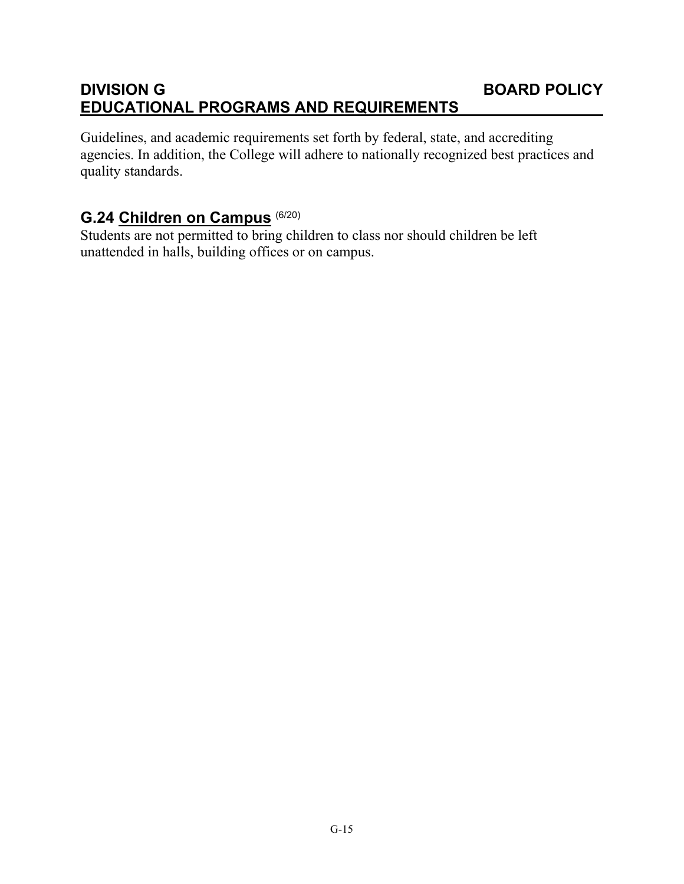# **DIVISION G BOARD POLICY EDUCATIONAL PROGRAMS AND REQUIREMENTS**

Guidelines, and academic requirements set forth by federal, state, and accrediting agencies. In addition, the College will adhere to nationally recognized best practices and quality standards.

# **G.24 Children on Campus** (6/20)

Students are not permitted to bring children to class nor should children be left unattended in halls, building offices or on campus.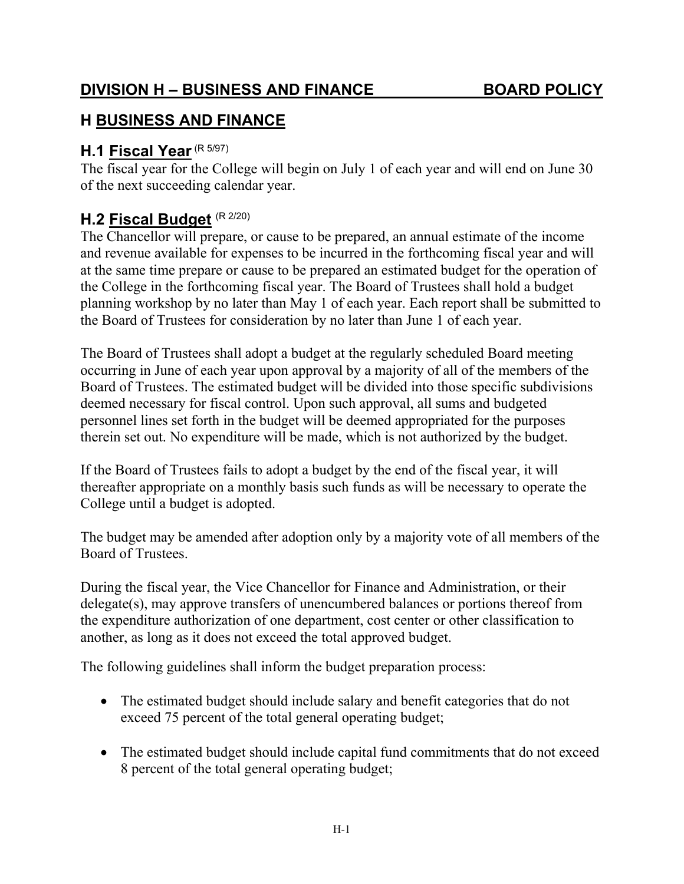# **H BUSINESS AND FINANCE**

# **H.1 Fiscal Year**(R 5/97)

The fiscal year for the College will begin on July 1 of each year and will end on June 30 of the next succeeding calendar year.

# **H.2 Fiscal Budget** (R 2/20)

The Chancellor will prepare, or cause to be prepared, an annual estimate of the income and revenue available for expenses to be incurred in the forthcoming fiscal year and will at the same time prepare or cause to be prepared an estimated budget for the operation of the College in the forthcoming fiscal year. The Board of Trustees shall hold a budget planning workshop by no later than May 1 of each year. Each report shall be submitted to the Board of Trustees for consideration by no later than June 1 of each year.

The Board of Trustees shall adopt a budget at the regularly scheduled Board meeting occurring in June of each year upon approval by a majority of all of the members of the Board of Trustees. The estimated budget will be divided into those specific subdivisions deemed necessary for fiscal control. Upon such approval, all sums and budgeted personnel lines set forth in the budget will be deemed appropriated for the purposes therein set out. No expenditure will be made, which is not authorized by the budget.

If the Board of Trustees fails to adopt a budget by the end of the fiscal year, it will thereafter appropriate on a monthly basis such funds as will be necessary to operate the College until a budget is adopted.

The budget may be amended after adoption only by a majority vote of all members of the Board of Trustees.

During the fiscal year, the Vice Chancellor for Finance and Administration, or their delegate(s), may approve transfers of unencumbered balances or portions thereof from the expenditure authorization of one department, cost center or other classification to another, as long as it does not exceed the total approved budget.

The following guidelines shall inform the budget preparation process:

- The estimated budget should include salary and benefit categories that do not exceed 75 percent of the total general operating budget;
- The estimated budget should include capital fund commitments that do not exceed 8 percent of the total general operating budget;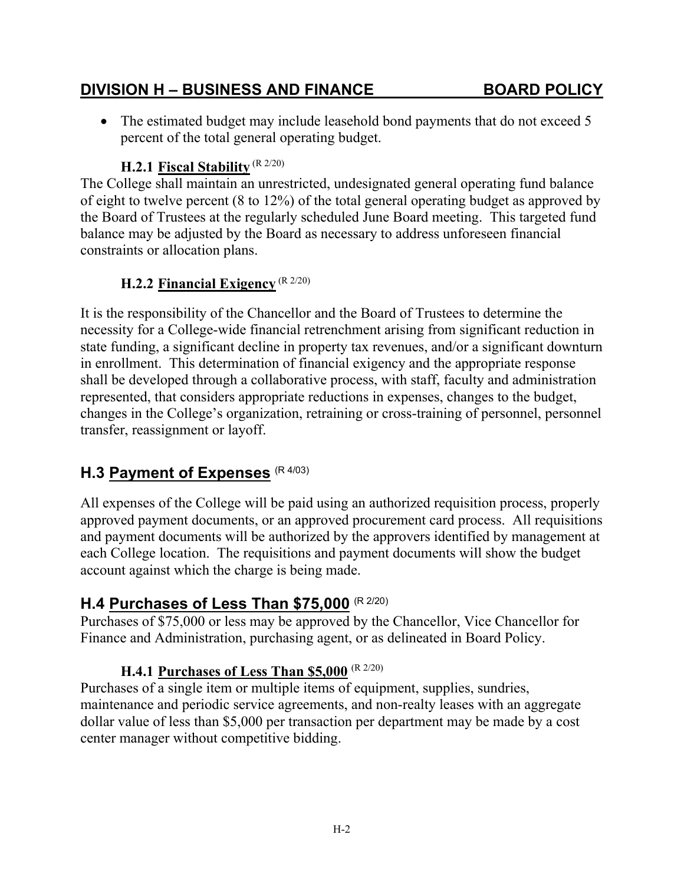• The estimated budget may include leasehold bond payments that do not exceed 5 percent of the total general operating budget.

# **H.2.1 Fiscal Stability** (R 2/20)

The College shall maintain an unrestricted, undesignated general operating fund balance of eight to twelve percent (8 to 12%) of the total general operating budget as approved by the Board of Trustees at the regularly scheduled June Board meeting. This targeted fund balance may be adjusted by the Board as necessary to address unforeseen financial constraints or allocation plans.

## **H.2.2 Financial Exigency** (R 2/20)

It is the responsibility of the Chancellor and the Board of Trustees to determine the necessity for a College-wide financial retrenchment arising from significant reduction in state funding, a significant decline in property tax revenues, and/or a significant downturn in enrollment. This determination of financial exigency and the appropriate response shall be developed through a collaborative process, with staff, faculty and administration represented, that considers appropriate reductions in expenses, changes to the budget, changes in the College's organization, retraining or cross-training of personnel, personnel transfer, reassignment or layoff.

# **H.3 Payment of Expenses** (R 4/03)

All expenses of the College will be paid using an authorized requisition process, properly approved payment documents, or an approved procurement card process. All requisitions and payment documents will be authorized by the approvers identified by management at each College location. The requisitions and payment documents will show the budget account against which the charge is being made.

# **H.4 Purchases of Less Than \$75,000** (R 2/20)

Purchases of \$75,000 or less may be approved by the Chancellor, Vice Chancellor for Finance and Administration, purchasing agent, or as delineated in Board Policy.

## **H.4.1 Purchases of Less Than \$5,000** (R 2/20)

Purchases of a single item or multiple items of equipment, supplies, sundries, maintenance and periodic service agreements, and non-realty leases with an aggregate dollar value of less than \$5,000 per transaction per department may be made by a cost center manager without competitive bidding.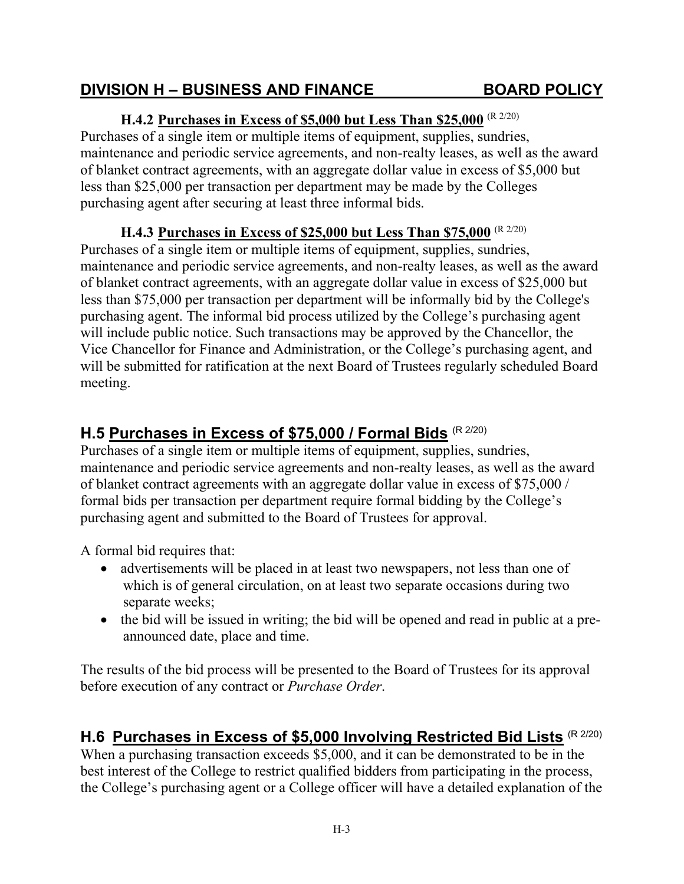purchasing agent after securing at least three informal bids.

#### will include public notice. Such transactions may be approved by the Chancellor, the Vice Chancellor for Finance and Administration, or the College's purchasing agent, and will be submitted for ratification at the next Board of Trustees regularly scheduled Board meeting.

maintenance and periodic service agreements, and non-realty leases, as well as the award of blanket contract agreements, with an aggregate dollar value in excess of \$25,000 but less than \$75,000 per transaction per department will be informally bid by the College's purchasing agent. The informal bid process utilized by the College's purchasing agent

**H.4.2 Purchases in Excess of \$5,000 but Less Than \$25,000** (R 2/20) Purchases of a single item or multiple items of equipment, supplies, sundries,

less than \$25,000 per transaction per department may be made by the Colleges

Purchases of a single item or multiple items of equipment, supplies, sundries,

**H.4.3 Purchases in Excess of \$25,000 but Less Than \$75,000** (R 2/20)

maintenance and periodic service agreements, and non-realty leases, as well as the award of blanket contract agreements, with an aggregate dollar value in excess of \$5,000 but

# **H.5 Purchases in Excess of \$75,000 / Formal Bids** (R 2/20)

Purchases of a single item or multiple items of equipment, supplies, sundries, maintenance and periodic service agreements and non-realty leases, as well as the award of blanket contract agreements with an aggregate dollar value in excess of \$75,000 / formal bids per transaction per department require formal bidding by the College's purchasing agent and submitted to the Board of Trustees for approval.

A formal bid requires that:

- advertisements will be placed in at least two newspapers, not less than one of which is of general circulation, on at least two separate occasions during two separate weeks;
- the bid will be issued in writing; the bid will be opened and read in public at a preannounced date, place and time.

The results of the bid process will be presented to the Board of Trustees for its approval before execution of any contract or *Purchase Order*.

# **H.6 Purchases in Excess of \$5,000 Involving Restricted Bid Lists** (R 2/20)

When a purchasing transaction exceeds \$5,000, and it can be demonstrated to be in the best interest of the College to restrict qualified bidders from participating in the process, the College's purchasing agent or a College officer will have a detailed explanation of the

#### **DIVISION H – BUSINESS AND FINANCE BOARD POLICY**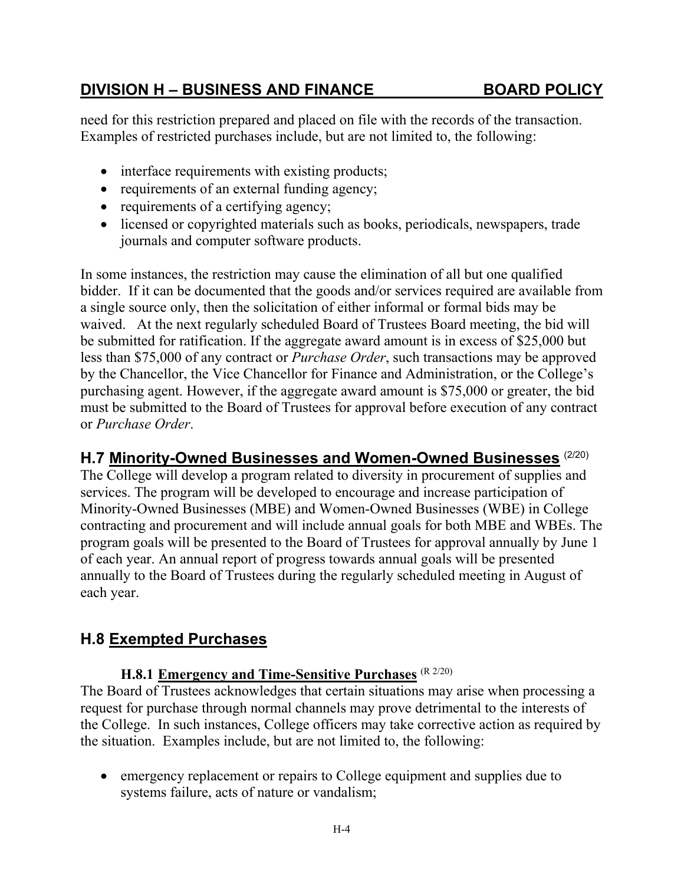need for this restriction prepared and placed on file with the records of the transaction. Examples of restricted purchases include, but are not limited to, the following:

- interface requirements with existing products;
- requirements of an external funding agency;
- requirements of a certifying agency;
- licensed or copyrighted materials such as books, periodicals, newspapers, trade journals and computer software products.

In some instances, the restriction may cause the elimination of all but one qualified bidder. If it can be documented that the goods and/or services required are available from a single source only, then the solicitation of either informal or formal bids may be waived. At the next regularly scheduled Board of Trustees Board meeting, the bid will be submitted for ratification. If the aggregate award amount is in excess of \$25,000 but less than \$75,000 of any contract or *Purchase Order*, such transactions may be approved by the Chancellor, the Vice Chancellor for Finance and Administration, or the College's purchasing agent. However, if the aggregate award amount is \$75,000 or greater, the bid must be submitted to the Board of Trustees for approval before execution of any contract or *Purchase Order*.

## **H.7 Minority-Owned Businesses and Women-Owned Businesses** (2/20)

The College will develop a program related to diversity in procurement of supplies and services. The program will be developed to encourage and increase participation of Minority-Owned Businesses (MBE) and Women-Owned Businesses (WBE) in College contracting and procurement and will include annual goals for both MBE and WBEs. The program goals will be presented to the Board of Trustees for approval annually by June 1 of each year. An annual report of progress towards annual goals will be presented annually to the Board of Trustees during the regularly scheduled meeting in August of each year.

# **H.8 Exempted Purchases**

#### **H.8.1 Emergency and Time-Sensitive Purchases** (R 2/20)

The Board of Trustees acknowledges that certain situations may arise when processing a request for purchase through normal channels may prove detrimental to the interests of the College. In such instances, College officers may take corrective action as required by the situation. Examples include, but are not limited to, the following:

 emergency replacement or repairs to College equipment and supplies due to systems failure, acts of nature or vandalism;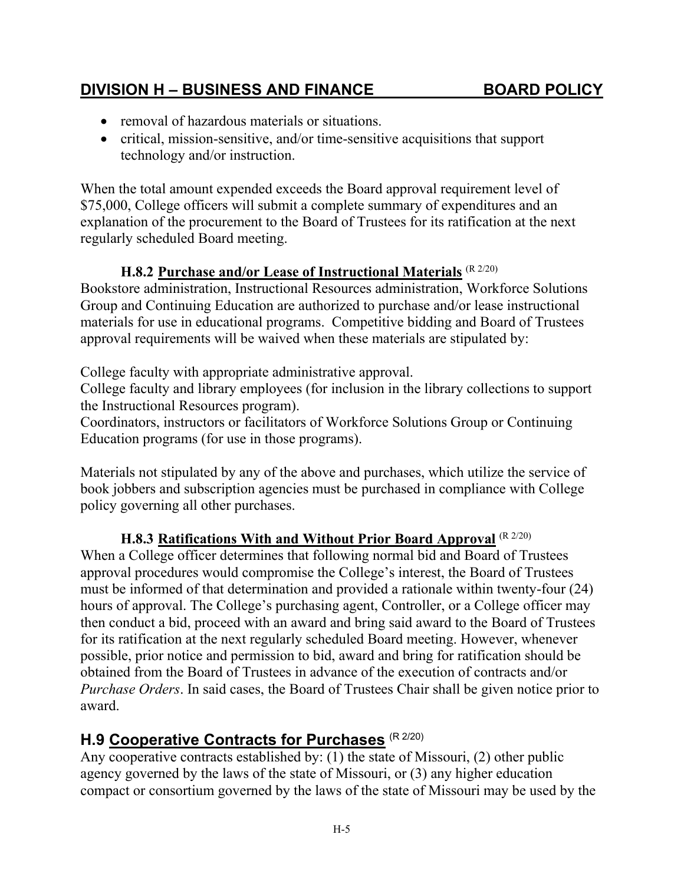- removal of hazardous materials or situations.
- critical, mission-sensitive, and/or time-sensitive acquisitions that support technology and/or instruction.

When the total amount expended exceeds the Board approval requirement level of \$75,000, College officers will submit a complete summary of expenditures and an explanation of the procurement to the Board of Trustees for its ratification at the next regularly scheduled Board meeting.

## **H.8.2 Purchase and/or Lease of Instructional Materials** (R 2/20)

Bookstore administration, Instructional Resources administration, Workforce Solutions Group and Continuing Education are authorized to purchase and/or lease instructional materials for use in educational programs. Competitive bidding and Board of Trustees approval requirements will be waived when these materials are stipulated by:

College faculty with appropriate administrative approval.

College faculty and library employees (for inclusion in the library collections to support the Instructional Resources program).

Coordinators, instructors or facilitators of Workforce Solutions Group or Continuing Education programs (for use in those programs).

Materials not stipulated by any of the above and purchases, which utilize the service of book jobbers and subscription agencies must be purchased in compliance with College policy governing all other purchases.

#### **H.8.3 Ratifications With and Without Prior Board Approval** (R 2/20)

When a College officer determines that following normal bid and Board of Trustees approval procedures would compromise the College's interest, the Board of Trustees must be informed of that determination and provided a rationale within twenty-four (24) hours of approval. The College's purchasing agent, Controller, or a College officer may then conduct a bid, proceed with an award and bring said award to the Board of Trustees for its ratification at the next regularly scheduled Board meeting. However, whenever possible, prior notice and permission to bid, award and bring for ratification should be obtained from the Board of Trustees in advance of the execution of contracts and/or *Purchase Orders*. In said cases, the Board of Trustees Chair shall be given notice prior to award.

# **H.9 Cooperative Contracts for Purchases** (R 2/20)

Any cooperative contracts established by: (1) the state of Missouri, (2) other public agency governed by the laws of the state of Missouri, or (3) any higher education compact or consortium governed by the laws of the state of Missouri may be used by the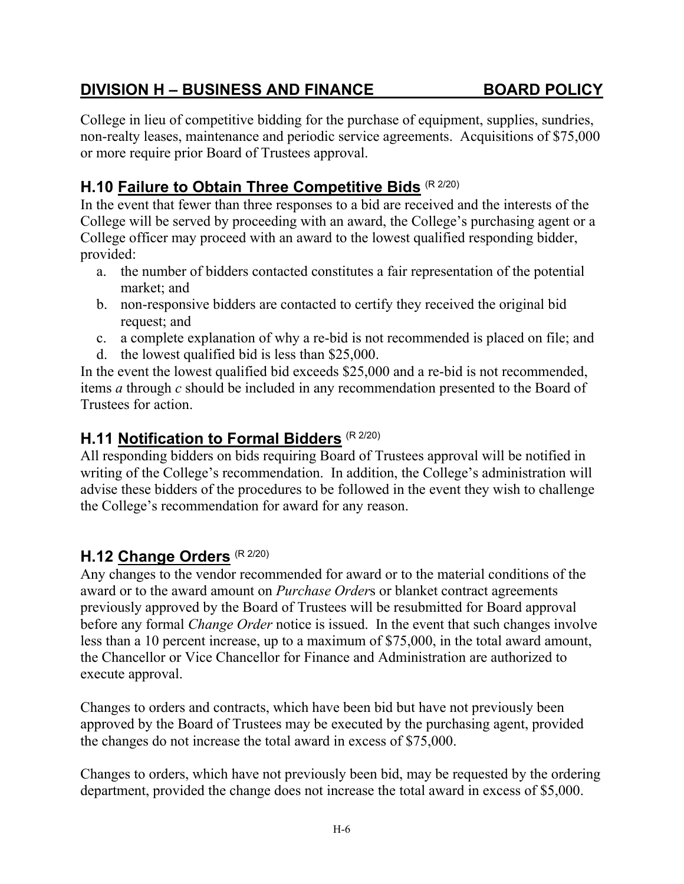College in lieu of competitive bidding for the purchase of equipment, supplies, sundries, non-realty leases, maintenance and periodic service agreements. Acquisitions of \$75,000 or more require prior Board of Trustees approval.

# **H.10 Failure to Obtain Three Competitive Bids** (R 2/20)

In the event that fewer than three responses to a bid are received and the interests of the College will be served by proceeding with an award, the College's purchasing agent or a College officer may proceed with an award to the lowest qualified responding bidder, provided:

- a. the number of bidders contacted constitutes a fair representation of the potential market; and
- b. non-responsive bidders are contacted to certify they received the original bid request; and
- c. a complete explanation of why a re-bid is not recommended is placed on file; and
- d. the lowest qualified bid is less than \$25,000.

In the event the lowest qualified bid exceeds \$25,000 and a re-bid is not recommended, items *a* through *c* should be included in any recommendation presented to the Board of Trustees for action.

# **H.11 Notification to Formal Bidders** (R 2/20)

All responding bidders on bids requiring Board of Trustees approval will be notified in writing of the College's recommendation. In addition, the College's administration will advise these bidders of the procedures to be followed in the event they wish to challenge the College's recommendation for award for any reason.

# **H.12 Change Orders** (R 2/20)

Any changes to the vendor recommended for award or to the material conditions of the award or to the award amount on *Purchase Order*s or blanket contract agreements previously approved by the Board of Trustees will be resubmitted for Board approval before any formal *Change Order* notice is issued. In the event that such changes involve less than a 10 percent increase, up to a maximum of \$75,000, in the total award amount, the Chancellor or Vice Chancellor for Finance and Administration are authorized to execute approval.

Changes to orders and contracts, which have been bid but have not previously been approved by the Board of Trustees may be executed by the purchasing agent, provided the changes do not increase the total award in excess of \$75,000.

Changes to orders, which have not previously been bid, may be requested by the ordering department, provided the change does not increase the total award in excess of \$5,000.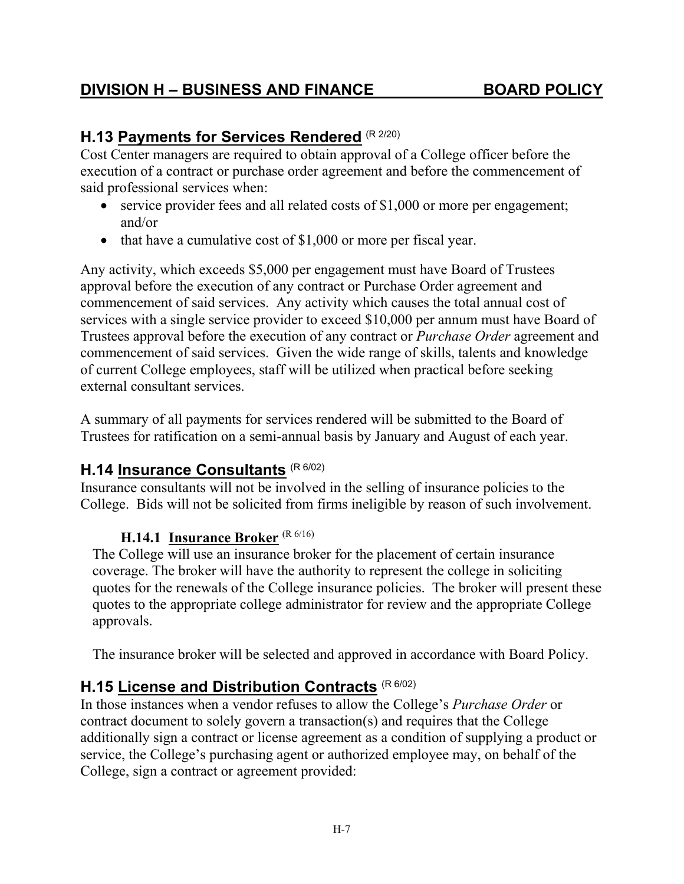# **H.13 Payments for Services Rendered** (R 2/20)

Cost Center managers are required to obtain approval of a College officer before the execution of a contract or purchase order agreement and before the commencement of said professional services when:

- service provider fees and all related costs of \$1,000 or more per engagement; and/or
- $\bullet$  that have a cumulative cost of \$1,000 or more per fiscal year.

Any activity, which exceeds \$5,000 per engagement must have Board of Trustees approval before the execution of any contract or Purchase Order agreement and commencement of said services. Any activity which causes the total annual cost of services with a single service provider to exceed \$10,000 per annum must have Board of Trustees approval before the execution of any contract or *Purchase Order* agreement and commencement of said services. Given the wide range of skills, talents and knowledge of current College employees, staff will be utilized when practical before seeking external consultant services.

A summary of all payments for services rendered will be submitted to the Board of Trustees for ratification on a semi-annual basis by January and August of each year.

# **H.14 Insurance Consultants** (R 6/02)

Insurance consultants will not be involved in the selling of insurance policies to the College. Bids will not be solicited from firms ineligible by reason of such involvement.

## **H.14.1 Insurance Broker** (R 6/16)

The College will use an insurance broker for the placement of certain insurance coverage. The broker will have the authority to represent the college in soliciting quotes for the renewals of the College insurance policies. The broker will present these quotes to the appropriate college administrator for review and the appropriate College approvals.

The insurance broker will be selected and approved in accordance with Board Policy.

# **H.15 License and Distribution Contracts** (R 6/02)

In those instances when a vendor refuses to allow the College's *Purchase Order* or contract document to solely govern a transaction(s) and requires that the College additionally sign a contract or license agreement as a condition of supplying a product or service, the College's purchasing agent or authorized employee may, on behalf of the College, sign a contract or agreement provided: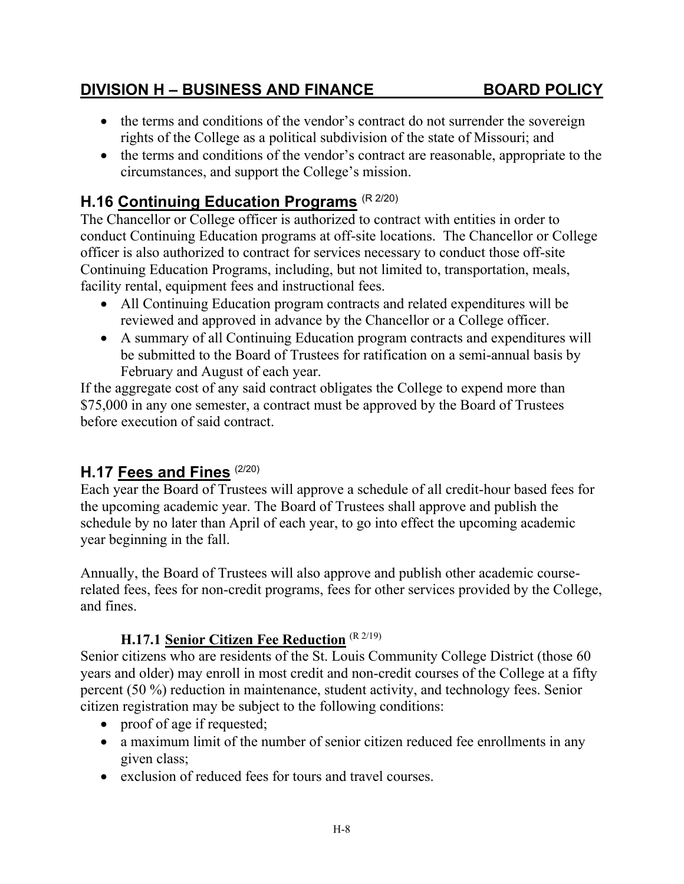- the terms and conditions of the vendor's contract do not surrender the sovereign rights of the College as a political subdivision of the state of Missouri; and
- the terms and conditions of the vendor's contract are reasonable, appropriate to the circumstances, and support the College's mission.

# **H.16 Continuing Education Programs** (R 2/20)

The Chancellor or College officer is authorized to contract with entities in order to conduct Continuing Education programs at off-site locations. The Chancellor or College officer is also authorized to contract for services necessary to conduct those off-site Continuing Education Programs, including, but not limited to, transportation, meals, facility rental, equipment fees and instructional fees.

- All Continuing Education program contracts and related expenditures will be reviewed and approved in advance by the Chancellor or a College officer.
- A summary of all Continuing Education program contracts and expenditures will be submitted to the Board of Trustees for ratification on a semi-annual basis by February and August of each year.

If the aggregate cost of any said contract obligates the College to expend more than \$75,000 in any one semester, a contract must be approved by the Board of Trustees before execution of said contract.

# **H.17 Fees and Fines** (2/20)

Each year the Board of Trustees will approve a schedule of all credit-hour based fees for the upcoming academic year. The Board of Trustees shall approve and publish the schedule by no later than April of each year, to go into effect the upcoming academic year beginning in the fall.

Annually, the Board of Trustees will also approve and publish other academic courserelated fees, fees for non-credit programs, fees for other services provided by the College, and fines.

#### **H.17.1 Senior Citizen Fee Reduction** (R 2/19)

Senior citizens who are residents of the St. Louis Community College District (those 60 years and older) may enroll in most credit and non‑credit courses of the College at a fifty percent (50 %) reduction in maintenance, student activity, and technology fees. Senior citizen registration may be subject to the following conditions:

- proof of age if requested;
- a maximum limit of the number of senior citizen reduced fee enrollments in any given class;
- exclusion of reduced fees for tours and travel courses.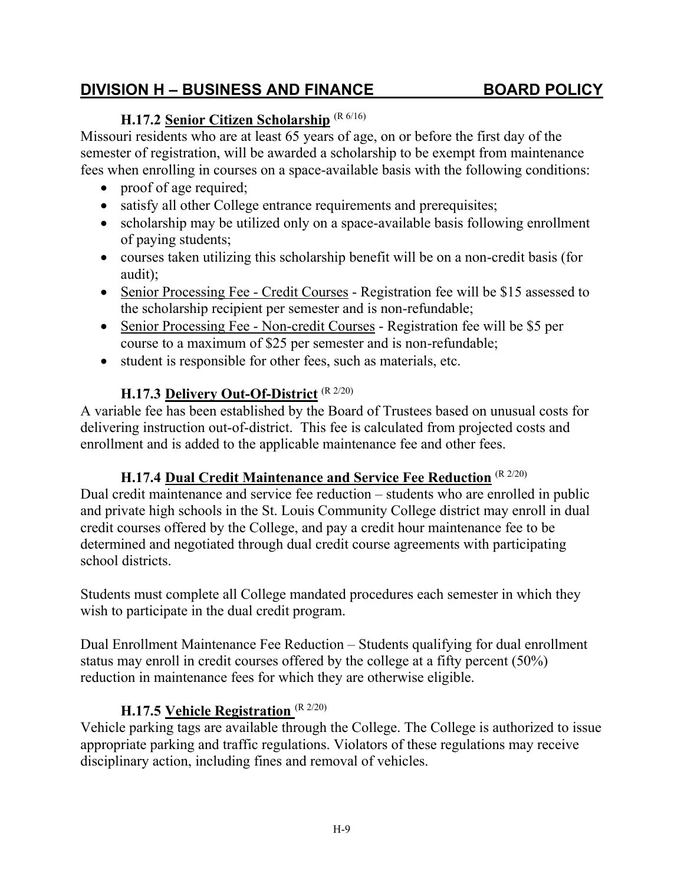# **H.17.2 Senior Citizen Scholarship** (R 6/16)

Missouri residents who are at least 65 years of age, on or before the first day of the semester of registration, will be awarded a scholarship to be exempt from maintenance fees when enrolling in courses on a space-available basis with the following conditions:

- proof of age required;
- satisfy all other College entrance requirements and prerequisites;
- scholarship may be utilized only on a space-available basis following enrollment of paying students;
- courses taken utilizing this scholarship benefit will be on a non-credit basis (for audit);
- Senior Processing Fee Credit Courses Registration fee will be \$15 assessed to the scholarship recipient per semester and is non-refundable;
- Senior Processing Fee Non-credit Courses Registration fee will be \$5 per course to a maximum of \$25 per semester and is non-refundable;
- student is responsible for other fees, such as materials, etc.

## **H.17.3 Delivery Out-Of-District** (R 2/20)

A variable fee has been established by the Board of Trustees based on unusual costs for delivering instruction out-of-district. This fee is calculated from projected costs and enrollment and is added to the applicable maintenance fee and other fees.

## **H.17.4 Dual Credit Maintenance and Service Fee Reduction** (R 2/20)

Dual credit maintenance and service fee reduction – students who are enrolled in public and private high schools in the St. Louis Community College district may enroll in dual credit courses offered by the College, and pay a credit hour maintenance fee to be determined and negotiated through dual credit course agreements with participating school districts.

Students must complete all College mandated procedures each semester in which they wish to participate in the dual credit program.

Dual Enrollment Maintenance Fee Reduction – Students qualifying for dual enrollment status may enroll in credit courses offered by the college at a fifty percent (50%) reduction in maintenance fees for which they are otherwise eligible.

## **H.17.5 Vehicle Registration** (R 2/20)

Vehicle parking tags are available through the College. The College is authorized to issue appropriate parking and traffic regulations. Violators of these regulations may receive disciplinary action, including fines and removal of vehicles.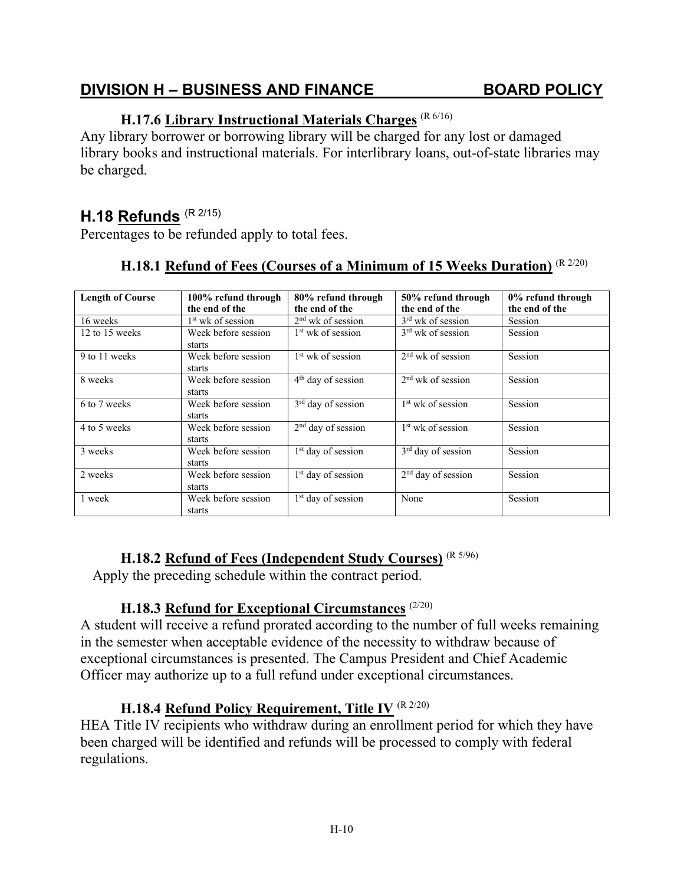# **H.17.6 Library Instructional Materials Charges** (R 6/16)

Any library borrower or borrowing library will be charged for any lost or damaged library books and instructional materials. For interlibrary loans, out-of-state libraries may be charged.

## **H.18 Refunds** (R 2/15)

Percentages to be refunded apply to total fees.

| <b>Length of Course</b> | 100% refund through | 80% refund through             | 50% refund through             | 0% refund through |
|-------------------------|---------------------|--------------------------------|--------------------------------|-------------------|
|                         | the end of the      | the end of the                 | the end of the                 | the end of the    |
| 16 weeks                | $1st$ wk of session | $2nd$ wk of session            | $3rd$ wk of session            | Session           |
| 12 to 15 weeks          | Week before session | 1 <sup>st</sup> wk of session  | $3rd$ wk of session            | Session           |
|                         | starts              |                                |                                |                   |
| 9 to 11 weeks           | Week before session | $1st$ wk of session            | $2nd$ wk of session            | <b>Session</b>    |
|                         | starts              |                                |                                |                   |
| 8 weeks                 | Week before session | $4th$ day of session           | $2nd$ wk of session            | Session           |
|                         | starts              |                                |                                |                   |
| 6 to 7 weeks            | Week before session | $3rd$ day of session           | $1st$ wk of session            | Session           |
|                         | starts              |                                |                                |                   |
| 4 to 5 weeks            | Week before session | $2nd$ day of session           | $1st$ wk of session            | Session           |
|                         | starts              |                                |                                |                   |
| 3 weeks                 | Week before session | 1 <sup>st</sup> day of session | $3rd$ day of session           | Session           |
|                         | starts              |                                |                                |                   |
| 2 weeks                 | Week before session | 1 <sup>st</sup> day of session | 2 <sup>nd</sup> day of session | Session           |
|                         | starts              |                                |                                |                   |
| 1 week                  | Week before session | 1 <sup>st</sup> day of session | None                           | Session           |
|                         | starts              |                                |                                |                   |

# **H.18.1 Refund of Fees (Courses of a Minimum of 15 Weeks Duration)** (R 2/20)

#### **H.18.2 Refund of Fees (Independent Study Courses)** (R 5/96)

Apply the preceding schedule within the contract period.

#### **H.18.3 Refund for Exceptional Circumstances** (2/20)

A student will receive a refund prorated according to the number of full weeks remaining in the semester when acceptable evidence of the necessity to withdraw because of exceptional circumstances is presented. The Campus President and Chief Academic Officer may authorize up to a full refund under exceptional circumstances.

# **H.18.4 Refund Policy Requirement, Title IV** (R 2/20)

HEA Title IV recipients who withdraw during an enrollment period for which they have been charged will be identified and refunds will be processed to comply with federal regulations.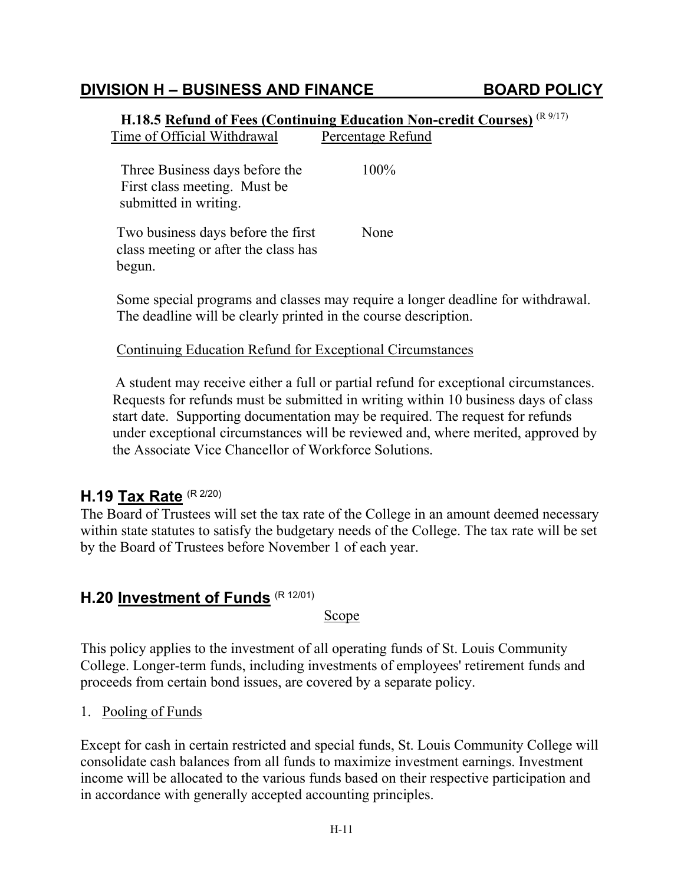|                                                                                         | (R9/17)<br>H.18.5 Refund of Fees (Continuing Education Non-credit Courses) |
|-----------------------------------------------------------------------------------------|----------------------------------------------------------------------------|
| Time of Official Withdrawal                                                             | Percentage Refund                                                          |
| Three Business days before the<br>First class meeting. Must be<br>submitted in writing. | $100\%$                                                                    |
| Two business days before the first<br>class meeting or after the class has<br>begun.    | None                                                                       |

Some special programs and classes may require a longer deadline for withdrawal. The deadline will be clearly printed in the course description.

#### Continuing Education Refund for Exceptional Circumstances

A student may receive either a full or partial refund for exceptional circumstances. Requests for refunds must be submitted in writing within 10 business days of class start date. Supporting documentation may be required. The request for refunds under exceptional circumstances will be reviewed and, where merited, approved by the Associate Vice Chancellor of Workforce Solutions.

## **H.19 Tax Rate** (R 2/20)

The Board of Trustees will set the tax rate of the College in an amount deemed necessary within state statutes to satisfy the budgetary needs of the College. The tax rate will be set by the Board of Trustees before November 1 of each year.

# **H.20 Investment of Funds** (R 12/01)

Scope

This policy applies to the investment of all operating funds of St. Louis Community College. Longer-term funds, including investments of employees' retirement funds and proceeds from certain bond issues, are covered by a separate policy.

#### 1. Pooling of Funds

Except for cash in certain restricted and special funds, St. Louis Community College will consolidate cash balances from all funds to maximize investment earnings. Investment income will be allocated to the various funds based on their respective participation and in accordance with generally accepted accounting principles.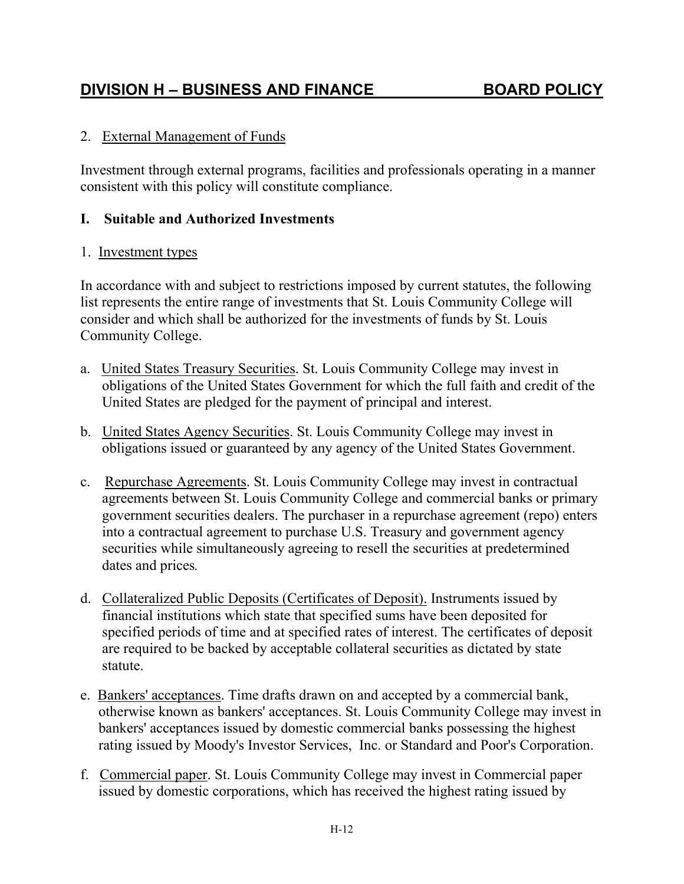#### 2. External Management of Funds

Investment through external programs, facilities and professionals operating in a manner consistent with this policy will constitute compliance.

#### **I. Suitable and Authorized Investments**

#### 1. Investment types

In accordance with and subject to restrictions imposed by current statutes, the following list represents the entire range of investments that St. Louis Community College will consider and which shall be authorized for the investments of funds by St. Louis Community College.

- a. United States Treasury Securities. St. Louis Community College may invest in obligations of the United States Government for which the full faith and credit of the United States are pledged for the payment of principal and interest.
- b. United States Agency Securities. St. Louis Community College may invest in obligations issued or guaranteed by any agency of the United States Government.
- c. Repurchase Agreements. St. Louis Community College may invest in contractual agreements between St. Louis Community College and commercial banks or primary government securities dealers. The purchaser in a repurchase agreement (repo) enters into a contractual agreement to purchase U.S. Treasury and government agency securities while simultaneously agreeing to resell the securities at predetermined dates and prices*.*
- d. Collateralized Public Deposits (Certificates of Deposit). Instruments issued by financial institutions which state that specified sums have been deposited for specified periods of time and at specified rates of interest. The certificates of deposit are required to be backed by acceptable collateral securities as dictated by state statute.
- e. Bankers' acceptances. Time drafts drawn on and accepted by a commercial bank, otherwise known as bankers' acceptances. St. Louis Community College may invest in bankers' acceptances issued by domestic commercial banks possessing the highest rating issued by Moody's Investor Services, Inc. or Standard and Poor's Corporation.
- f. Commercial paper. St. Louis Community College may invest in Commercial paper issued by domestic corporations, which has received the highest rating issued by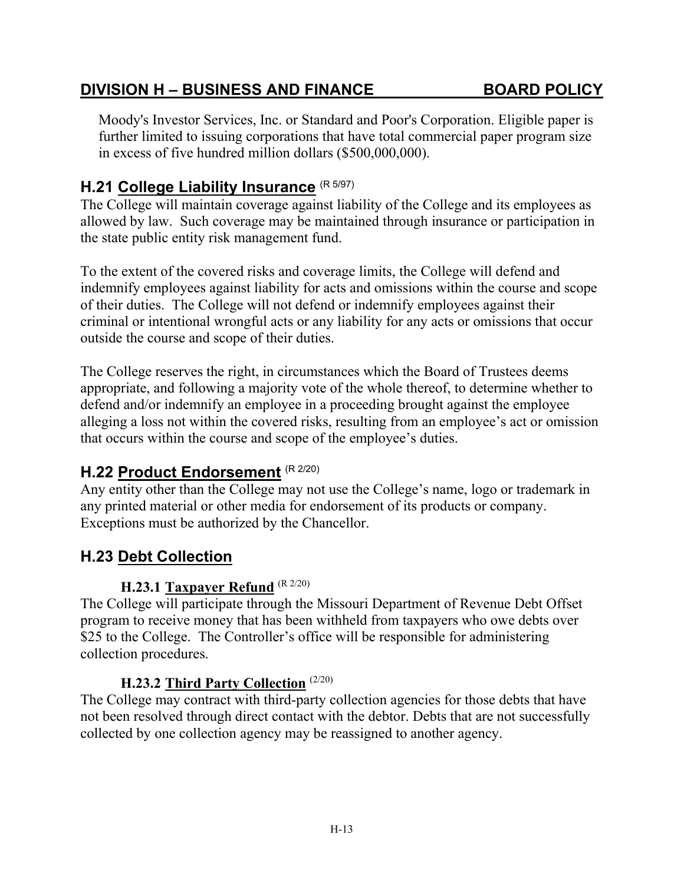Moody's Investor Services, Inc. or Standard and Poor's Corporation. Eligible paper is further limited to issuing corporations that have total commercial paper program size in excess of five hundred million dollars (\$500,000,000).

# **H.21 College Liability Insurance** (R 5/97)

The College will maintain coverage against liability of the College and its employees as allowed by law. Such coverage may be maintained through insurance or participation in the state public entity risk management fund.

To the extent of the covered risks and coverage limits, the College will defend and indemnify employees against liability for acts and omissions within the course and scope of their duties. The College will not defend or indemnify employees against their criminal or intentional wrongful acts or any liability for any acts or omissions that occur outside the course and scope of their duties.

The College reserves the right, in circumstances which the Board of Trustees deems appropriate, and following a majority vote of the whole thereof, to determine whether to defend and/or indemnify an employee in a proceeding brought against the employee alleging a loss not within the covered risks, resulting from an employee's act or omission that occurs within the course and scope of the employee's duties.

# **H.22 Product Endorsement** (R 2/20)

Any entity other than the College may not use the College's name, logo or trademark in any printed material or other media for endorsement of its products or company. Exceptions must be authorized by the Chancellor.

# **H.23 Debt Collection**

## **H.23.1 Taxpayer Refund** (R 2/20)

The College will participate through the Missouri Department of Revenue Debt Offset program to receive money that has been withheld from taxpayers who owe debts over \$25 to the College. The Controller's office will be responsible for administering collection procedures.

#### **H.23.2 Third Party Collection** (2/20)

The College may contract with third-party collection agencies for those debts that have not been resolved through direct contact with the debtor. Debts that are not successfully collected by one collection agency may be reassigned to another agency.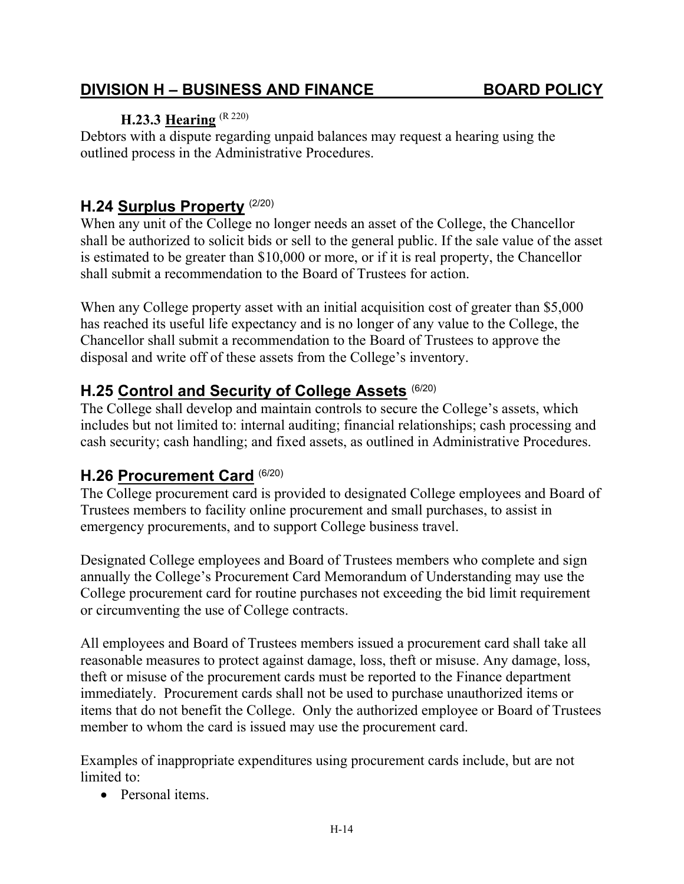# **H.23.3 Hearing** (R 220)

Debtors with a dispute regarding unpaid balances may request a hearing using the outlined process in the Administrative Procedures.

# **H.24 Surplus Property** (2/20)

When any unit of the College no longer needs an asset of the College, the Chancellor shall be authorized to solicit bids or sell to the general public. If the sale value of the asset is estimated to be greater than \$10,000 or more, or if it is real property, the Chancellor shall submit a recommendation to the Board of Trustees for action.

When any College property asset with an initial acquisition cost of greater than \$5,000 has reached its useful life expectancy and is no longer of any value to the College, the Chancellor shall submit a recommendation to the Board of Trustees to approve the disposal and write off of these assets from the College's inventory.

# **H.25 Control and Security of College Assets** (6/20)

The College shall develop and maintain controls to secure the College's assets, which includes but not limited to: internal auditing; financial relationships; cash processing and cash security; cash handling; and fixed assets, as outlined in Administrative Procedures.

# **H.26 Procurement Card** (6/20)

The College procurement card is provided to designated College employees and Board of Trustees members to facility online procurement and small purchases, to assist in emergency procurements, and to support College business travel.

Designated College employees and Board of Trustees members who complete and sign annually the College's Procurement Card Memorandum of Understanding may use the College procurement card for routine purchases not exceeding the bid limit requirement or circumventing the use of College contracts.

All employees and Board of Trustees members issued a procurement card shall take all reasonable measures to protect against damage, loss, theft or misuse. Any damage, loss, theft or misuse of the procurement cards must be reported to the Finance department immediately. Procurement cards shall not be used to purchase unauthorized items or items that do not benefit the College. Only the authorized employee or Board of Trustees member to whom the card is issued may use the procurement card.

Examples of inappropriate expenditures using procurement cards include, but are not limited to:

• Personal items.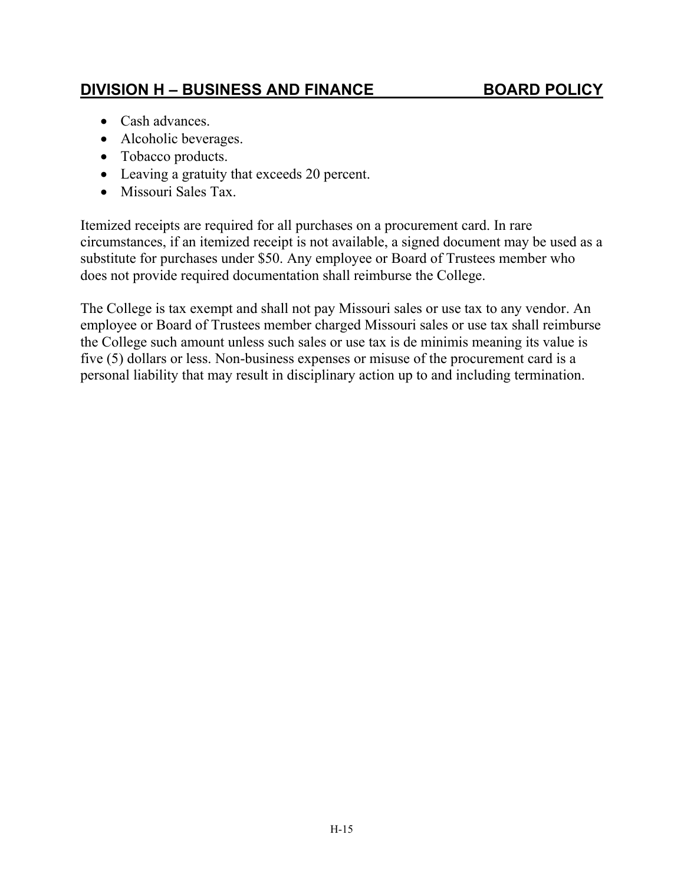- Cash advances.
- Alcoholic beverages.
- Tobacco products.
- Leaving a gratuity that exceeds 20 percent.
- Missouri Sales Tax.

Itemized receipts are required for all purchases on a procurement card. In rare circumstances, if an itemized receipt is not available, a signed document may be used as a substitute for purchases under \$50. Any employee or Board of Trustees member who does not provide required documentation shall reimburse the College.

The College is tax exempt and shall not pay Missouri sales or use tax to any vendor. An employee or Board of Trustees member charged Missouri sales or use tax shall reimburse the College such amount unless such sales or use tax is de minimis meaning its value is five (5) dollars or less. Non-business expenses or misuse of the procurement card is a personal liability that may result in disciplinary action up to and including termination.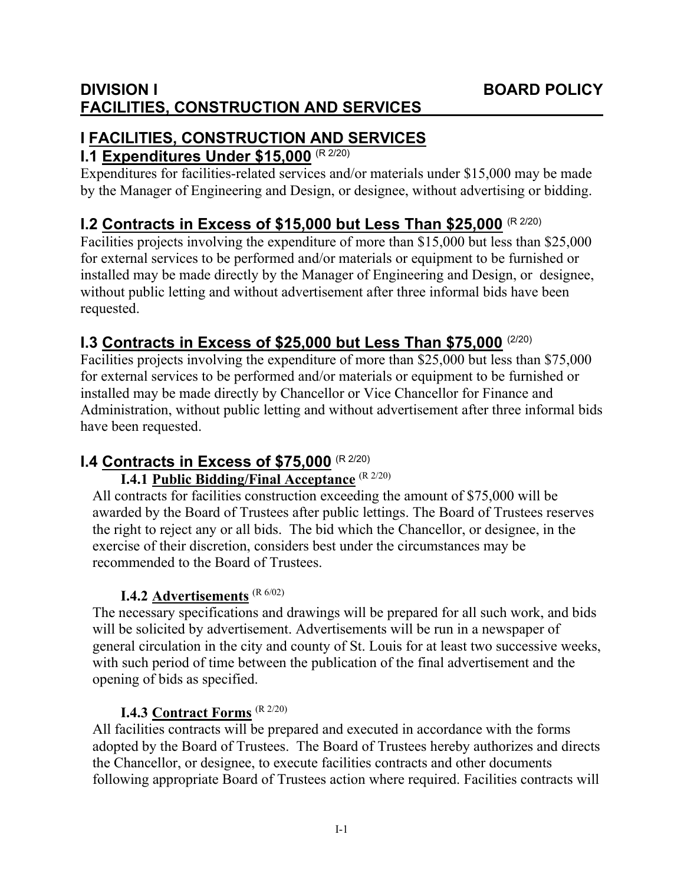# **I FACILITIES, CONSTRUCTION AND SERVICES**

# **I.1 Expenditures Under \$15,000** (R 2/20)

Expenditures for facilities-related services and/or materials under \$15,000 may be made by the Manager of Engineering and Design, or designee, without advertising or bidding.

# **I.2 Contracts in Excess of \$15,000 but Less Than \$25,000 (R 2/20)**

Facilities projects involving the expenditure of more than \$15,000 but less than \$25,000 for external services to be performed and/or materials or equipment to be furnished or installed may be made directly by the Manager of Engineering and Design, or designee, without public letting and without advertisement after three informal bids have been requested.

# **I.3 Contracts in Excess of \$25,000 but Less Than \$75,000** (2/20)

Facilities projects involving the expenditure of more than \$25,000 but less than \$75,000 for external services to be performed and/or materials or equipment to be furnished or installed may be made directly by Chancellor or Vice Chancellor for Finance and Administration, without public letting and without advertisement after three informal bids have been requested.

# **I.4 Contracts in Excess of \$75,000** (R 2/20)

# **I.4.1 Public Bidding/Final Acceptance** (R 2/20)

All contracts for facilities construction exceeding the amount of \$75,000 will be awarded by the Board of Trustees after public lettings. The Board of Trustees reserves the right to reject any or all bids. The bid which the Chancellor, or designee, in the exercise of their discretion, considers best under the circumstances may be recommended to the Board of Trustees.

# **I.4.2 Advertisements** (R 6/02)

The necessary specifications and drawings will be prepared for all such work, and bids will be solicited by advertisement. Advertisements will be run in a newspaper of general circulation in the city and county of St. Louis for at least two successive weeks, with such period of time between the publication of the final advertisement and the opening of bids as specified.

# **I.4.3 Contract Forms** (R 2/20)

All facilities contracts will be prepared and executed in accordance with the forms adopted by the Board of Trustees. The Board of Trustees hereby authorizes and directs the Chancellor, or designee, to execute facilities contracts and other documents following appropriate Board of Trustees action where required. Facilities contracts will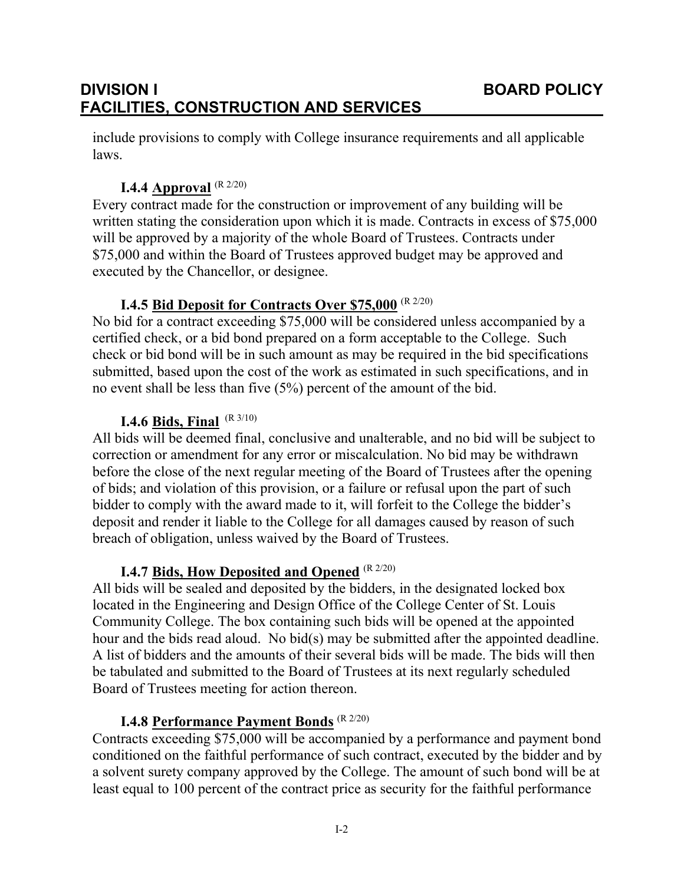include provisions to comply with College insurance requirements and all applicable laws.

# **I.4.4 Approval** (R 2/20)

Every contract made for the construction or improvement of any building will be written stating the consideration upon which it is made. Contracts in excess of \$75,000 will be approved by a majority of the whole Board of Trustees. Contracts under \$75,000 and within the Board of Trustees approved budget may be approved and executed by the Chancellor, or designee.

## **I.4.5 Bid Deposit for Contracts Over \$75,000** (R 2/20)

No bid for a contract exceeding \$75,000 will be considered unless accompanied by a certified check, or a bid bond prepared on a form acceptable to the College. Such check or bid bond will be in such amount as may be required in the bid specifications submitted, based upon the cost of the work as estimated in such specifications, and in no event shall be less than five (5%) percent of the amount of the bid.

## **I.4.6 Bids, Final** (R 3/10)

All bids will be deemed final, conclusive and unalterable, and no bid will be subject to correction or amendment for any error or miscalculation. No bid may be withdrawn before the close of the next regular meeting of the Board of Trustees after the opening of bids; and violation of this provision, or a failure or refusal upon the part of such bidder to comply with the award made to it, will forfeit to the College the bidder's deposit and render it liable to the College for all damages caused by reason of such breach of obligation, unless waived by the Board of Trustees.

# **I.4.7 Bids, How Deposited and Opened** (R 2/20)

All bids will be sealed and deposited by the bidders, in the designated locked box located in the Engineering and Design Office of the College Center of St. Louis Community College. The box containing such bids will be opened at the appointed hour and the bids read aloud. No bid(s) may be submitted after the appointed deadline. A list of bidders and the amounts of their several bids will be made. The bids will then be tabulated and submitted to the Board of Trustees at its next regularly scheduled Board of Trustees meeting for action thereon.

## **I.4.8 Performance Payment Bonds** (R 2/20)

Contracts exceeding \$75,000 will be accompanied by a performance and payment bond conditioned on the faithful performance of such contract, executed by the bidder and by a solvent surety company approved by the College. The amount of such bond will be at least equal to 100 percent of the contract price as security for the faithful performance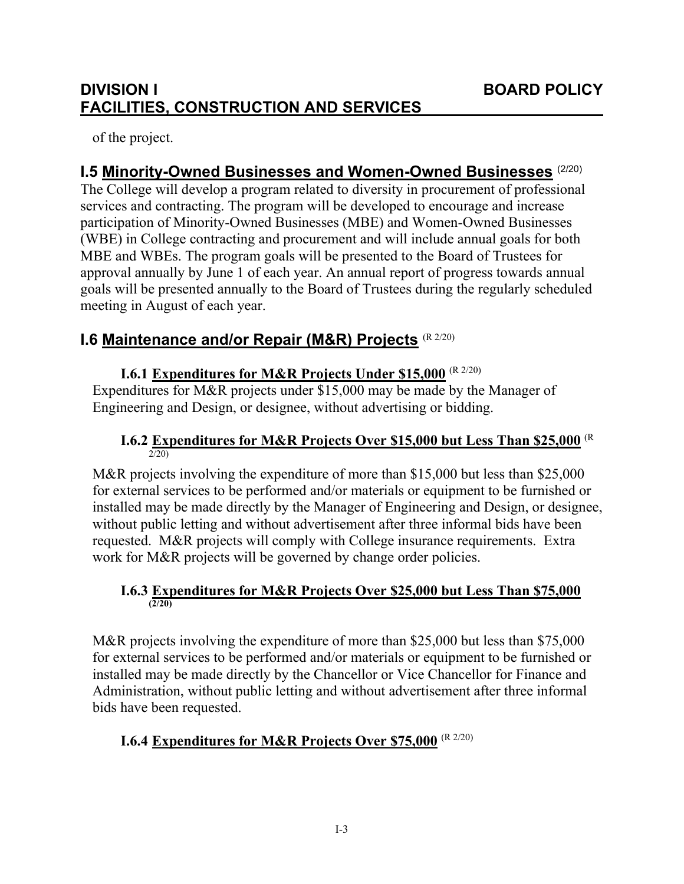of the project.

# **I.5 Minority-Owned Businesses and Women-Owned Businesses** (2/20)

The College will develop a program related to diversity in procurement of professional services and contracting. The program will be developed to encourage and increase participation of Minority-Owned Businesses (MBE) and Women-Owned Businesses (WBE) in College contracting and procurement and will include annual goals for both MBE and WBEs. The program goals will be presented to the Board of Trustees for approval annually by June 1 of each year. An annual report of progress towards annual goals will be presented annually to the Board of Trustees during the regularly scheduled meeting in August of each year.

# **I.6 Maintenance and/or Repair (M&R) Projects** (R 2/20)

## **I.6.1 Expenditures for M&R Projects Under \$15,000** (R 2/20)

Expenditures for M&R projects under \$15,000 may be made by the Manager of Engineering and Design, or designee, without advertising or bidding.

#### **I.6.2 Expenditures for M&R Projects Over \$15,000 but Less Than \$25,000** (R  $2/20$

M&R projects involving the expenditure of more than \$15,000 but less than \$25,000 for external services to be performed and/or materials or equipment to be furnished or installed may be made directly by the Manager of Engineering and Design, or designee, without public letting and without advertisement after three informal bids have been requested. M&R projects will comply with College insurance requirements. Extra work for M&R projects will be governed by change order policies.

#### **I.6.3 Expenditures for M&R Projects Over \$25,000 but Less Than \$75,000 (2/20)**

M&R projects involving the expenditure of more than \$25,000 but less than \$75,000 for external services to be performed and/or materials or equipment to be furnished or installed may be made directly by the Chancellor or Vice Chancellor for Finance and Administration, without public letting and without advertisement after three informal bids have been requested.

# **I.6.4 Expenditures for M&R Projects Over \$75,000** (R 2/20)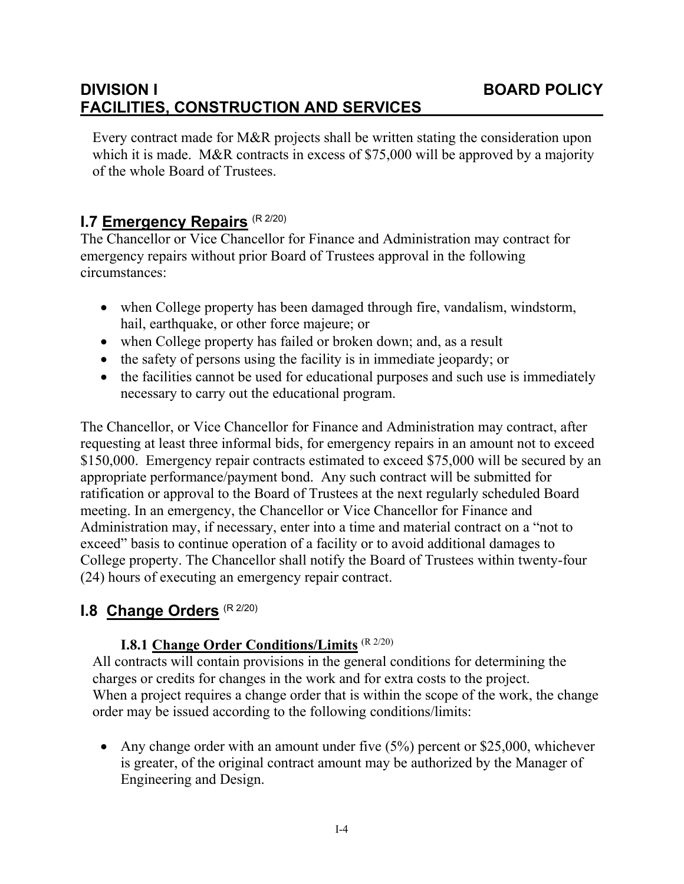Every contract made for M&R projects shall be written stating the consideration upon which it is made. M&R contracts in excess of \$75,000 will be approved by a majority of the whole Board of Trustees.

# **I.7 Emergency Repairs** (R 2/20)

The Chancellor or Vice Chancellor for Finance and Administration may contract for emergency repairs without prior Board of Trustees approval in the following circumstances:

- when College property has been damaged through fire, vandalism, windstorm, hail, earthquake, or other force majeure; or
- when College property has failed or broken down; and, as a result
- the safety of persons using the facility is in immediate jeopardy; or
- the facilities cannot be used for educational purposes and such use is immediately necessary to carry out the educational program.

The Chancellor, or Vice Chancellor for Finance and Administration may contract, after requesting at least three informal bids, for emergency repairs in an amount not to exceed \$150,000. Emergency repair contracts estimated to exceed \$75,000 will be secured by an appropriate performance/payment bond. Any such contract will be submitted for ratification or approval to the Board of Trustees at the next regularly scheduled Board meeting. In an emergency, the Chancellor or Vice Chancellor for Finance and Administration may, if necessary, enter into a time and material contract on a "not to exceed" basis to continue operation of a facility or to avoid additional damages to College property. The Chancellor shall notify the Board of Trustees within twenty-four (24) hours of executing an emergency repair contract.

# **I.8 Change Orders** (R 2/20)

#### **I.8.1 Change Order Conditions/Limits** (R 2/20)

All contracts will contain provisions in the general conditions for determining the charges or credits for changes in the work and for extra costs to the project. When a project requires a change order that is within the scope of the work, the change order may be issued according to the following conditions/limits:

• Any change order with an amount under five (5%) percent or \$25,000, whichever is greater, of the original contract amount may be authorized by the Manager of Engineering and Design.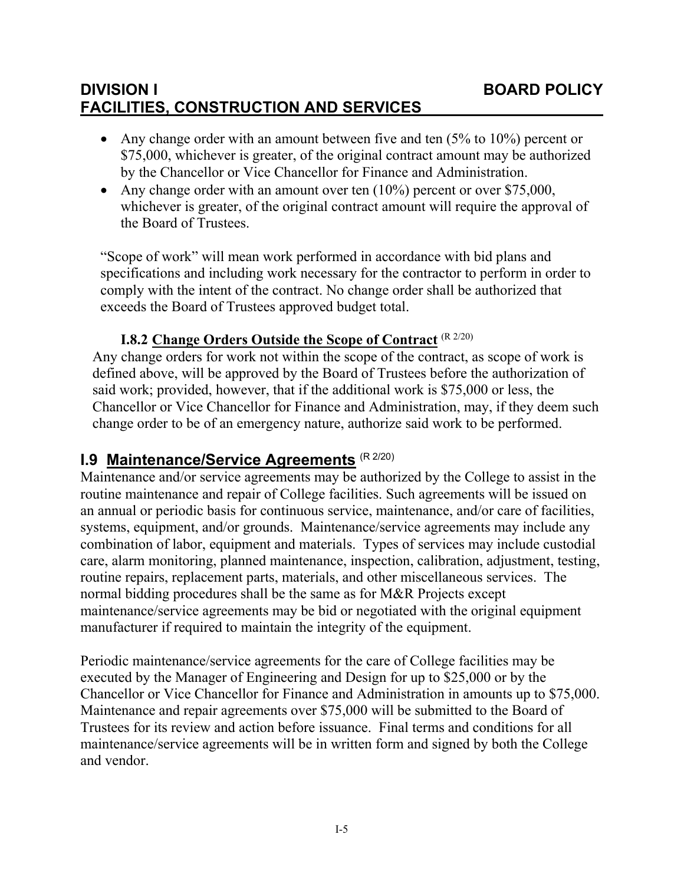- Any change order with an amount between five and ten  $(5\%$  to  $10\%)$  percent or \$75,000, whichever is greater, of the original contract amount may be authorized by the Chancellor or Vice Chancellor for Finance and Administration.
- Any change order with an amount over ten  $(10\%)$  percent or over \$75,000, whichever is greater, of the original contract amount will require the approval of the Board of Trustees.

"Scope of work" will mean work performed in accordance with bid plans and specifications and including work necessary for the contractor to perform in order to comply with the intent of the contract. No change order shall be authorized that exceeds the Board of Trustees approved budget total.

## **I.8.2 Change Orders Outside the Scope of Contract** (R 2/20)

Any change orders for work not within the scope of the contract, as scope of work is defined above, will be approved by the Board of Trustees before the authorization of said work; provided, however, that if the additional work is \$75,000 or less, the Chancellor or Vice Chancellor for Finance and Administration, may, if they deem such change order to be of an emergency nature, authorize said work to be performed.

# **I.9 Maintenance/Service Agreements** (R 2/20)

Maintenance and/or service agreements may be authorized by the College to assist in the routine maintenance and repair of College facilities. Such agreements will be issued on an annual or periodic basis for continuous service, maintenance, and/or care of facilities, systems, equipment, and/or grounds. Maintenance/service agreements may include any combination of labor, equipment and materials. Types of services may include custodial care, alarm monitoring, planned maintenance, inspection, calibration, adjustment, testing, routine repairs, replacement parts, materials, and other miscellaneous services. The normal bidding procedures shall be the same as for M&R Projects except maintenance/service agreements may be bid or negotiated with the original equipment manufacturer if required to maintain the integrity of the equipment.

Periodic maintenance/service agreements for the care of College facilities may be executed by the Manager of Engineering and Design for up to \$25,000 or by the Chancellor or Vice Chancellor for Finance and Administration in amounts up to \$75,000. Maintenance and repair agreements over \$75,000 will be submitted to the Board of Trustees for its review and action before issuance. Final terms and conditions for all maintenance/service agreements will be in written form and signed by both the College and vendor.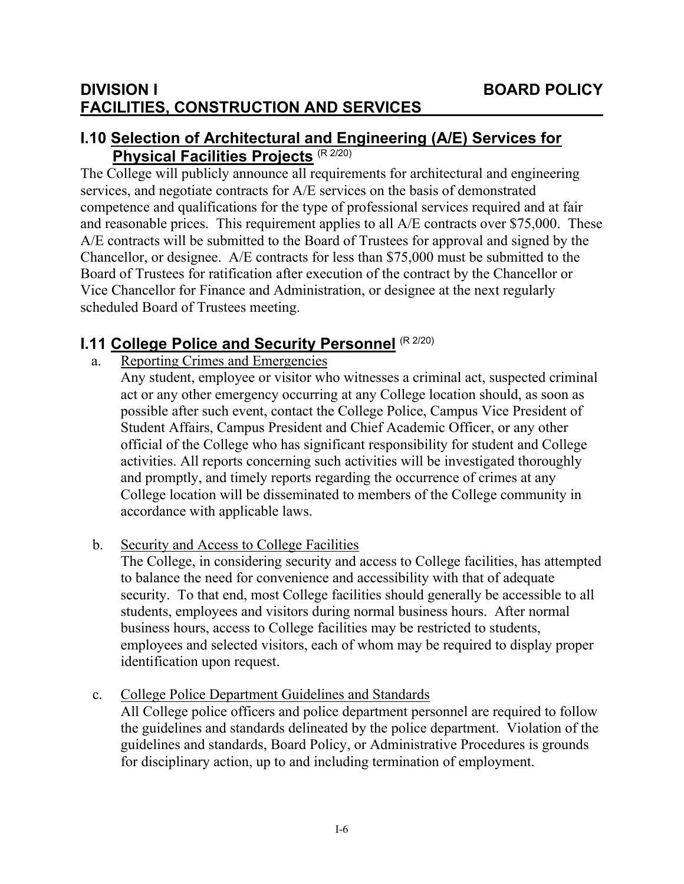# **I.10 Selection of Architectural and Engineering (A/E) Services for Physical Facilities Projects** (R 2/20)

The College will publicly announce all requirements for architectural and engineering services, and negotiate contracts for A/E services on the basis of demonstrated competence and qualifications for the type of professional services required and at fair and reasonable prices. This requirement applies to all A/E contracts over \$75,000. These A/E contracts will be submitted to the Board of Trustees for approval and signed by the Chancellor, or designee. A/E contracts for less than \$75,000 must be submitted to the Board of Trustees for ratification after execution of the contract by the Chancellor or Vice Chancellor for Finance and Administration, or designee at the next regularly scheduled Board of Trustees meeting.

# **I.11 College Police and Security Personnel** (R 2/20)

a. Reporting Crimes and Emergencies

Any student, employee or visitor who witnesses a criminal act, suspected criminal act or any other emergency occurring at any College location should, as soon as possible after such event, contact the College Police, Campus Vice President of Student Affairs, Campus President and Chief Academic Officer, or any other official of the College who has significant responsibility for student and College activities. All reports concerning such activities will be investigated thoroughly and promptly, and timely reports regarding the occurrence of crimes at any College location will be disseminated to members of the College community in accordance with applicable laws.

b. Security and Access to College Facilities

The College, in considering security and access to College facilities, has attempted to balance the need for convenience and accessibility with that of adequate security. To that end, most College facilities should generally be accessible to all students, employees and visitors during normal business hours. After normal business hours, access to College facilities may be restricted to students, employees and selected visitors, each of whom may be required to display proper identification upon request.

c. College Police Department Guidelines and Standards All College police officers and police department personnel are required to follow the guidelines and standards delineated by the police department. Violation of the guidelines and standards, Board Policy, or Administrative Procedures is grounds for disciplinary action, up to and including termination of employment.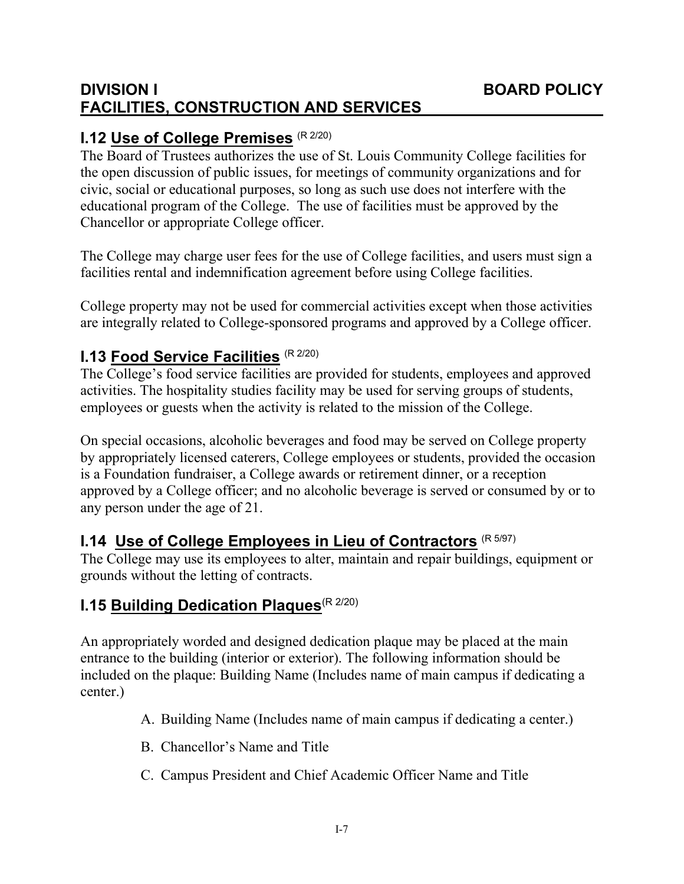# **I.12 Use of College Premises** (R 2/20)

The Board of Trustees authorizes the use of St. Louis Community College facilities for the open discussion of public issues, for meetings of community organizations and for civic, social or educational purposes, so long as such use does not interfere with the educational program of the College. The use of facilities must be approved by the Chancellor or appropriate College officer.

The College may charge user fees for the use of College facilities, and users must sign a facilities rental and indemnification agreement before using College facilities.

College property may not be used for commercial activities except when those activities are integrally related to College-sponsored programs and approved by a College officer.

# **I.13 Food Service Facilities** (R 2/20)

The College's food service facilities are provided for students, employees and approved activities. The hospitality studies facility may be used for serving groups of students, employees or guests when the activity is related to the mission of the College.

On special occasions, alcoholic beverages and food may be served on College property by appropriately licensed caterers, College employees or students, provided the occasion is a Foundation fundraiser, a College awards or retirement dinner, or a reception approved by a College officer; and no alcoholic beverage is served or consumed by or to any person under the age of 21.

# **I.14 Use of College Employees in Lieu of Contractors** (R 5/97)

The College may use its employees to alter, maintain and repair buildings, equipment or grounds without the letting of contracts.

# **I.15 Building Dedication Plaques**(R 2/20)

An appropriately worded and designed dedication plaque may be placed at the main entrance to the building (interior or exterior). The following information should be included on the plaque: Building Name (Includes name of main campus if dedicating a center.)

- A. Building Name (Includes name of main campus if dedicating a center.)
- B. Chancellor's Name and Title
- C. Campus President and Chief Academic Officer Name and Title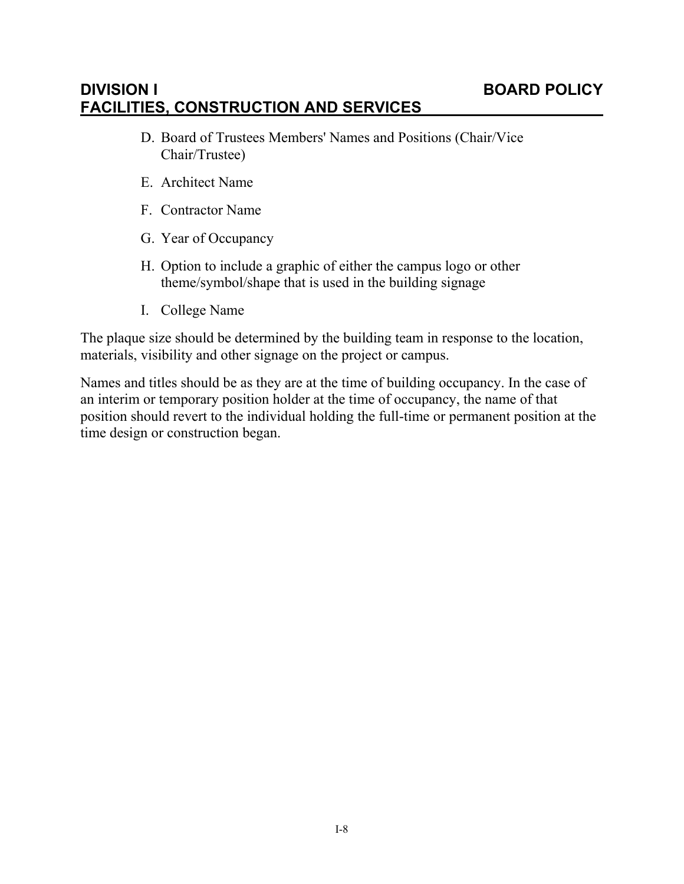- D. Board of Trustees Members' Names and Positions (Chair/Vice Chair/Trustee)
- E. Architect Name
- F. Contractor Name
- G. Year of Occupancy
- H. Option to include a graphic of either the campus logo or other theme/symbol/shape that is used in the building signage
- I. College Name

The plaque size should be determined by the building team in response to the location, materials, visibility and other signage on the project or campus.

Names and titles should be as they are at the time of building occupancy. In the case of an interim or temporary position holder at the time of occupancy, the name of that position should revert to the individual holding the full-time or permanent position at the time design or construction began.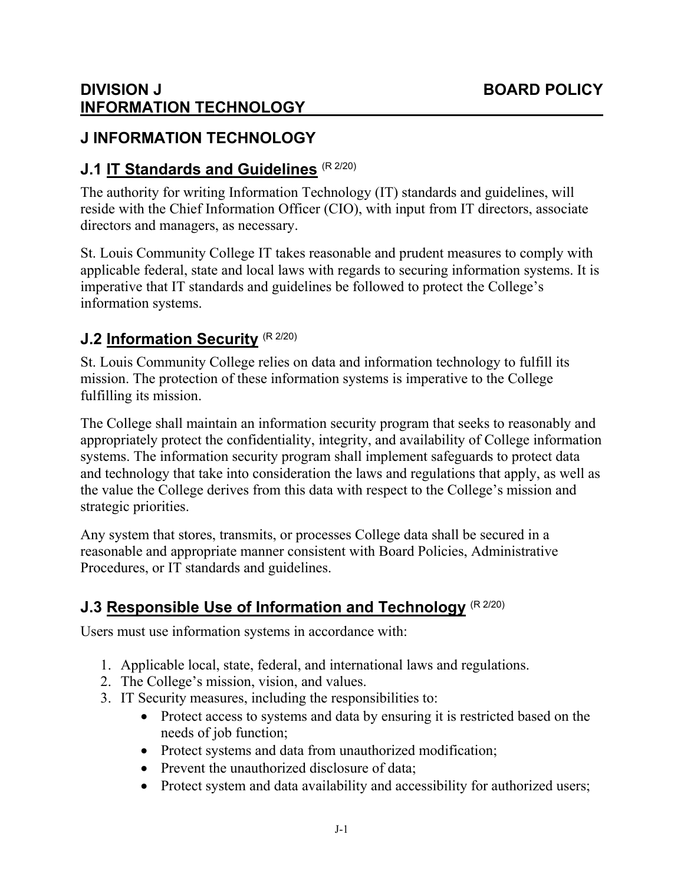# **DIVISION J BOARD POLICY INFORMATION TECHNOLOGY**

# **J INFORMATION TECHNOLOGY**

# **J.1 IT Standards and Guidelines** (R 2/20)

The authority for writing Information Technology (IT) standards and guidelines, will reside with the Chief Information Officer (CIO), with input from IT directors, associate directors and managers, as necessary.

St. Louis Community College IT takes reasonable and prudent measures to comply with applicable federal, state and local laws with regards to securing information systems. It is imperative that IT standards and guidelines be followed to protect the College's information systems.

# **J.2 Information Security (R 2/20)**

St. Louis Community College relies on data and information technology to fulfill its mission. The protection of these information systems is imperative to the College fulfilling its mission.

The College shall maintain an information security program that seeks to reasonably and appropriately protect the confidentiality, integrity, and availability of College information systems. The information security program shall implement safeguards to protect data and technology that take into consideration the laws and regulations that apply, as well as the value the College derives from this data with respect to the College's mission and strategic priorities.

Any system that stores, transmits, or processes College data shall be secured in a reasonable and appropriate manner consistent with Board Policies, Administrative Procedures, or IT standards and guidelines.

# **J.3 Responsible Use of Information and Technology** (R 2/20)

Users must use information systems in accordance with:

- 1. Applicable local, state, federal, and international laws and regulations.
- 2. The College's mission, vision, and values.
- 3. IT Security measures, including the responsibilities to:
	- Protect access to systems and data by ensuring it is restricted based on the needs of job function;
	- Protect systems and data from unauthorized modification;
	- Prevent the unauthorized disclosure of data;
	- Protect system and data availability and accessibility for authorized users;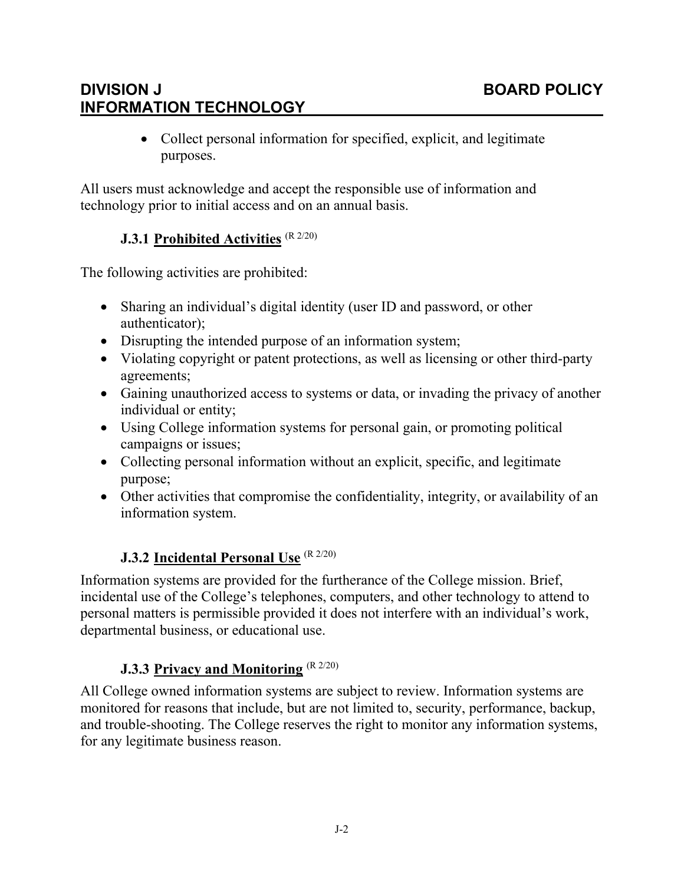# **DIVISION J BOARD POLICY INFORMATION TECHNOLOGY**

 Collect personal information for specified, explicit, and legitimate purposes.

All users must acknowledge and accept the responsible use of information and technology prior to initial access and on an annual basis.

## **J.3.1 Prohibited Activities** (R 2/20)

The following activities are prohibited:

- Sharing an individual's digital identity (user ID and password, or other authenticator);
- Disrupting the intended purpose of an information system;
- Violating copyright or patent protections, as well as licensing or other third-party agreements;
- Gaining unauthorized access to systems or data, or invading the privacy of another individual or entity;
- Using College information systems for personal gain, or promoting political campaigns or issues;
- Collecting personal information without an explicit, specific, and legitimate purpose;
- Other activities that compromise the confidentiality, integrity, or availability of an information system.

## **J.3.2 Incidental Personal Use** (R 2/20)

Information systems are provided for the furtherance of the College mission. Brief, incidental use of the College's telephones, computers, and other technology to attend to personal matters is permissible provided it does not interfere with an individual's work, departmental business, or educational use.

## **J.3.3 Privacy and Monitoring** (R 2/20)

All College owned information systems are subject to review. Information systems are monitored for reasons that include, but are not limited to, security, performance, backup, and trouble-shooting. The College reserves the right to monitor any information systems, for any legitimate business reason.